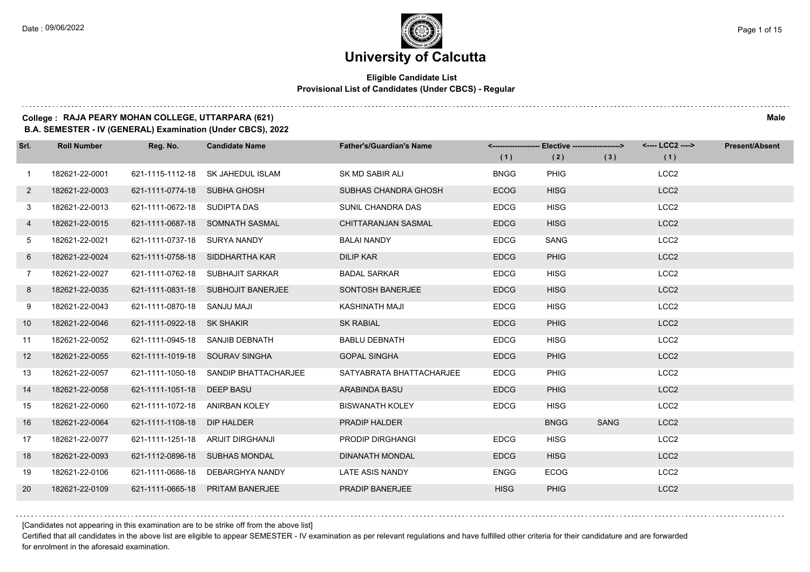### **Eligible Candidate List Provisional List of Candidates (Under CBCS) - Regular**

### **College : RAJA PEARY MOHAN COLLEGE, UTTARPARA (621) Male**

**B.A. SEMESTER - IV (GENERAL) Examination (Under CBCS), 2022**

| Srl.         | <b>Roll Number</b> | Reg. No.                       | <b>Candidate Name</b>                 | <b>Father's/Guardian's Name</b> | (1)         | <-------------------- Elective -------------------><br>(2) | (3)         | <---- LCC2 ----><br>(1) | <b>Present/Absent</b> |
|--------------|--------------------|--------------------------------|---------------------------------------|---------------------------------|-------------|------------------------------------------------------------|-------------|-------------------------|-----------------------|
| $\mathbf{1}$ | 182621-22-0001     |                                | 621-1115-1112-18 SK JAHEDUL ISLAM     | SK MD SABIR ALI                 | <b>BNGG</b> | <b>PHIG</b>                                                |             | LCC <sub>2</sub>        |                       |
| $\mathbf{2}$ | 182621-22-0003     | 621-1111-0774-18 SUBHA GHOSH   |                                       | <b>SUBHAS CHANDRA GHOSH</b>     | <b>ECOG</b> | <b>HISG</b>                                                |             | LCC <sub>2</sub>        |                       |
| 3            | 182621-22-0013     | 621-1111-0672-18 SUDIPTA DAS   |                                       | SUNIL CHANDRA DAS               | <b>EDCG</b> | <b>HISG</b>                                                |             | LCC <sub>2</sub>        |                       |
| 4            | 182621-22-0015     |                                | 621-1111-0687-18 SOMNATH SASMAL       | CHITTARANJAN SASMAL             | <b>EDCG</b> | <b>HISG</b>                                                |             | LCC <sub>2</sub>        |                       |
| 5            | 182621-22-0021     | 621-1111-0737-18 SURYA NANDY   |                                       | <b>BALAI NANDY</b>              | <b>EDCG</b> | <b>SANG</b>                                                |             | LCC <sub>2</sub>        |                       |
| 6            | 182621-22-0024     |                                | 621-1111-0758-18 SIDDHARTHA KAR       | <b>DILIP KAR</b>                | <b>EDCG</b> | <b>PHIG</b>                                                |             | LCC <sub>2</sub>        |                       |
| $7^{\circ}$  | 182621-22-0027     |                                | 621-1111-0762-18 SUBHAJIT SARKAR      | <b>BADAL SARKAR</b>             | <b>EDCG</b> | <b>HISG</b>                                                |             | LCC <sub>2</sub>        |                       |
| 8            | 182621-22-0035     |                                | 621-1111-0831-18 SUBHOJIT BANERJEE    | SONTOSH BANERJEE                | <b>EDCG</b> | <b>HISG</b>                                                |             | LCC <sub>2</sub>        |                       |
| 9            | 182621-22-0043     | 621-1111-0870-18 SANJU MAJI    |                                       | KASHINATH MAJI                  | <b>EDCG</b> | <b>HISG</b>                                                |             | LCC <sub>2</sub>        |                       |
| 10           | 182621-22-0046     | 621-1111-0922-18 SK SHAKIR     |                                       | <b>SK RABIAL</b>                | <b>EDCG</b> | <b>PHIG</b>                                                |             | LCC <sub>2</sub>        |                       |
| 11           | 182621-22-0052     |                                | 621-1111-0945-18 SANJIB DEBNATH       | <b>BABLU DEBNATH</b>            | <b>EDCG</b> | <b>HISG</b>                                                |             | LCC <sub>2</sub>        |                       |
| 12           | 182621-22-0055     |                                | 621-1111-1019-18 SOURAV SINGHA        | <b>GOPAL SINGHA</b>             | <b>EDCG</b> | <b>PHIG</b>                                                |             | LCC <sub>2</sub>        |                       |
| 13           | 182621-22-0057     |                                | 621-1111-1050-18 SANDIP BHATTACHARJEE | SATYABRATA BHATTACHARJEE        | <b>EDCG</b> | <b>PHIG</b>                                                |             | LCC <sub>2</sub>        |                       |
| 14           | 182621-22-0058     | 621-1111-1051-18 DEEP BASU     |                                       | <b>ARABINDA BASU</b>            | <b>EDCG</b> | <b>PHIG</b>                                                |             | LCC <sub>2</sub>        |                       |
| 15           | 182621-22-0060     | 621-1111-1072-18 ANIRBAN KOLEY |                                       | <b>BISWANATH KOLEY</b>          | <b>EDCG</b> | <b>HISG</b>                                                |             | LCC <sub>2</sub>        |                       |
| 16           | 182621-22-0064     | 621-1111-1108-18               | DIP HALDER                            | <b>PRADIP HALDER</b>            |             | <b>BNGG</b>                                                | <b>SANG</b> | LCC <sub>2</sub>        |                       |
| 17           | 182621-22-0077     | 621-1111-1251-18               | ARIJIT DIRGHANJI                      | PRODIP DIRGHANGI                | <b>EDCG</b> | <b>HISG</b>                                                |             | LCC <sub>2</sub>        |                       |
| 18           | 182621-22-0093     |                                | 621-1112-0896-18 SUBHAS MONDAL        | <b>DINANATH MONDAL</b>          | <b>EDCG</b> | <b>HISG</b>                                                |             | LCC <sub>2</sub>        |                       |
| 19           | 182621-22-0106     | 621-1111-0686-18               | DEBARGHYA NANDY                       | LATE ASIS NANDY                 | <b>ENGG</b> | <b>ECOG</b>                                                |             | LCC <sub>2</sub>        |                       |
| 20           | 182621-22-0109     | 621-1111-0665-18               | <b>PRITAM BANERJEE</b>                | PRADIP BANERJEE                 | <b>HISG</b> | <b>PHIG</b>                                                |             | LCC <sub>2</sub>        |                       |

[Candidates not appearing in this examination are to be strike off from the above list]

Certified that all candidates in the above list are eligible to appear SEMESTER - IV examination as per relevant regulations and have fulfilled other criteria for their candidature and are forwarded for enrolment in the aforesaid examination.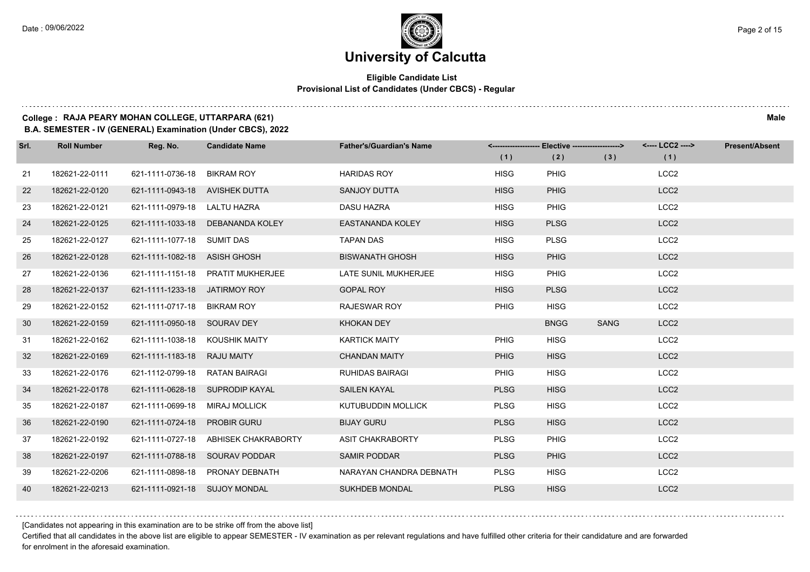### **Eligible Candidate List Provisional List of Candidates (Under CBCS) - Regular**

### **College : RAJA PEARY MOHAN COLLEGE, UTTARPARA (621) Male**

**B.A. SEMESTER - IV (GENERAL) Examination (Under CBCS), 2022**

| Srl. | <b>Roll Number</b> | Reg. No.                       | <b>Candidate Name</b>             | <b>Father's/Guardian's Name</b> | (1)         | <-------------------- Elective -------------------><br>(2) | (3)         | <---- LCC2 ----><br>(1) | <b>Present/Absent</b> |
|------|--------------------|--------------------------------|-----------------------------------|---------------------------------|-------------|------------------------------------------------------------|-------------|-------------------------|-----------------------|
| 21   | 182621-22-0111     | 621-1111-0736-18               | <b>BIKRAM ROY</b>                 | <b>HARIDAS ROY</b>              | <b>HISG</b> | PHIG                                                       |             | LCC <sub>2</sub>        |                       |
| 22   | 182621-22-0120     | 621-1111-0943-18 AVISHEK DUTTA |                                   | <b>SANJOY DUTTA</b>             | <b>HISG</b> | <b>PHIG</b>                                                |             | LCC <sub>2</sub>        |                       |
| 23   | 182621-22-0121     | 621-1111-0979-18 LALTU HAZRA   |                                   | <b>DASU HAZRA</b>               | <b>HISG</b> | <b>PHIG</b>                                                |             | LCC <sub>2</sub>        |                       |
| 24   | 182621-22-0125     |                                | 621-1111-1033-18 DEBANANDA KOLEY  | <b>EASTANANDA KOLEY</b>         | <b>HISG</b> | <b>PLSG</b>                                                |             | LCC <sub>2</sub>        |                       |
| 25   | 182621-22-0127     | 621-1111-1077-18 SUMIT DAS     |                                   | <b>TAPAN DAS</b>                | <b>HISG</b> | <b>PLSG</b>                                                |             | LCC <sub>2</sub>        |                       |
| 26   | 182621-22-0128     | 621-1111-1082-18 ASISH GHOSH   |                                   | <b>BISWANATH GHOSH</b>          | <b>HISG</b> | <b>PHIG</b>                                                |             | LCC <sub>2</sub>        |                       |
| 27   | 182621-22-0136     |                                | 621-1111-1151-18 PRATIT MUKHERJEE | LATE SUNIL MUKHERJEE            | <b>HISG</b> | PHIG                                                       |             | LCC <sub>2</sub>        |                       |
| 28   | 182621-22-0137     | 621-1111-1233-18 JATIRMOY ROY  |                                   | <b>GOPAL ROY</b>                | <b>HISG</b> | <b>PLSG</b>                                                |             | LCC <sub>2</sub>        |                       |
| 29   | 182621-22-0152     | 621-1111-0717-18 BIKRAM ROY    |                                   | RAJESWAR ROY                    | <b>PHIG</b> | <b>HISG</b>                                                |             | LCC <sub>2</sub>        |                       |
| 30   | 182621-22-0159     | 621-1111-0950-18 SOURAV DEY    |                                   | <b>KHOKAN DEY</b>               |             | <b>BNGG</b>                                                | <b>SANG</b> | LCC <sub>2</sub>        |                       |
| -31  | 182621-22-0162     | 621-1111-1038-18 KOUSHIK MAITY |                                   | <b>KARTICK MAITY</b>            | <b>PHIG</b> | <b>HISG</b>                                                |             | LCC <sub>2</sub>        |                       |
| 32   | 182621-22-0169     | 621-1111-1183-18 RAJU MAITY    |                                   | <b>CHANDAN MAITY</b>            | <b>PHIG</b> | <b>HISG</b>                                                |             | LCC <sub>2</sub>        |                       |
| 33   | 182621-22-0176     | 621-1112-0799-18               | RATAN BAIRAGI                     | <b>RUHIDAS BAIRAGI</b>          | <b>PHIG</b> | <b>HISG</b>                                                |             | LCC <sub>2</sub>        |                       |
| 34   | 182621-22-0178     |                                | 621-1111-0628-18 SUPRODIP KAYAL   | <b>SAILEN KAYAL</b>             | <b>PLSG</b> | <b>HISG</b>                                                |             | LCC <sub>2</sub>        |                       |
| 35   | 182621-22-0187     | 621-1111-0699-18               | <b>MIRAJ MOLLICK</b>              | <b>KUTUBUDDIN MOLLICK</b>       | <b>PLSG</b> | <b>HISG</b>                                                |             | LCC <sub>2</sub>        |                       |
| 36   | 182621-22-0190     | 621-1111-0724-18 PROBIR GURU   |                                   | <b>BIJAY GURU</b>               | <b>PLSG</b> | <b>HISG</b>                                                |             | LCC <sub>2</sub>        |                       |
| 37   | 182621-22-0192     | 621-1111-0727-18               | ABHISEK CHAKRABORTY               | <b>ASIT CHAKRABORTY</b>         | <b>PLSG</b> | PHIG                                                       |             | LCC <sub>2</sub>        |                       |
| 38   | 182621-22-0197     |                                | 621-1111-0788-18 SOURAV PODDAR    | <b>SAMIR PODDAR</b>             | <b>PLSG</b> | <b>PHIG</b>                                                |             | LCC <sub>2</sub>        |                       |
| 39   | 182621-22-0206     |                                | 621-1111-0898-18 PRONAY DEBNATH   | NARAYAN CHANDRA DEBNATH         | <b>PLSG</b> | <b>HISG</b>                                                |             | LCC <sub>2</sub>        |                       |
| 40   | 182621-22-0213     | 621-1111-0921-18 SUJOY MONDAL  |                                   | <b>SUKHDEB MONDAL</b>           | <b>PLSG</b> | <b>HISG</b>                                                |             | LCC <sub>2</sub>        |                       |

[Candidates not appearing in this examination are to be strike off from the above list]

Certified that all candidates in the above list are eligible to appear SEMESTER - IV examination as per relevant regulations and have fulfilled other criteria for their candidature and are forwarded for enrolment in the aforesaid examination.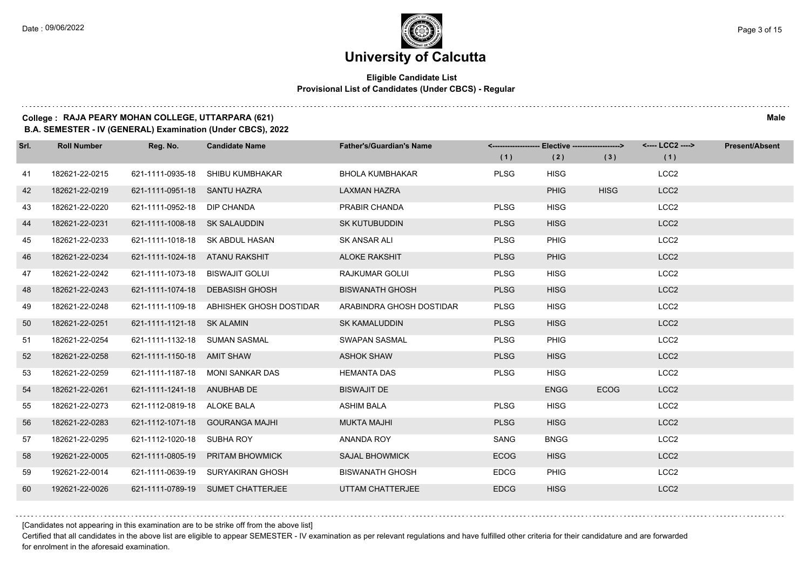### **University of Calcutta**

### **Eligible Candidate List Provisional List of Candidates (Under CBCS) - Regular**

### **College : RAJA PEARY MOHAN COLLEGE, UTTARPARA (621) Male**

**B.A. SEMESTER - IV (GENERAL) Examination (Under CBCS), 2022**

| Srl. | <b>Roll Number</b> | Reg. No.                        | <b>Candidate Name</b>                    | <b>Father's/Guardian's Name</b> | (1)         | <------------------- Elective ------------------><br>(2) | (3)         | <---- LCC2 ----><br>(1) | <b>Present/Absent</b> |
|------|--------------------|---------------------------------|------------------------------------------|---------------------------------|-------------|----------------------------------------------------------|-------------|-------------------------|-----------------------|
| 41   | 182621-22-0215     |                                 | 621-1111-0935-18 SHIBU KUMBHAKAR         | <b>BHOLA KUMBHAKAR</b>          | <b>PLSG</b> | <b>HISG</b>                                              |             | LCC <sub>2</sub>        |                       |
| 42   | 182621-22-0219     | 621-1111-0951-18 SANTU HAZRA    |                                          | <b>LAXMAN HAZRA</b>             |             | <b>PHIG</b>                                              | <b>HISG</b> | LCC <sub>2</sub>        |                       |
| 43   | 182621-22-0220     | 621-1111-0952-18 DIP CHANDA     |                                          | PRABIR CHANDA                   | <b>PLSG</b> | <b>HISG</b>                                              |             | LCC <sub>2</sub>        |                       |
| 44   | 182621-22-0231     | 621-1111-1008-18 SK SALAUDDIN   |                                          | <b>SK KUTUBUDDIN</b>            | <b>PLSG</b> | <b>HISG</b>                                              |             | LCC <sub>2</sub>        |                       |
| 45   | 182621-22-0233     |                                 | 621-1111-1018-18 SK ABDUL HASAN          | SK ANSAR ALI                    | <b>PLSG</b> | <b>PHIG</b>                                              |             | LCC <sub>2</sub>        |                       |
| 46   | 182621-22-0234     | 621-1111-1024-18 ATANU RAKSHIT  |                                          | <b>ALOKE RAKSHIT</b>            | <b>PLSG</b> | <b>PHIG</b>                                              |             | LCC <sub>2</sub>        |                       |
| 47   | 182621-22-0242     | 621-1111-1073-18 BISWAJIT GOLUI |                                          | RAJKUMAR GOLUI                  | <b>PLSG</b> | <b>HISG</b>                                              |             | LCC <sub>2</sub>        |                       |
| 48   | 182621-22-0243     |                                 | 621-1111-1074-18 DEBASISH GHOSH          | <b>BISWANATH GHOSH</b>          | <b>PLSG</b> | <b>HISG</b>                                              |             | LCC <sub>2</sub>        |                       |
| 49   | 182621-22-0248     |                                 | 621-1111-1109-18 ABHISHEK GHOSH DOSTIDAR | ARABINDRA GHOSH DOSTIDAR        | <b>PLSG</b> | <b>HISG</b>                                              |             | LCC <sub>2</sub>        |                       |
| 50   | 182621-22-0251     | 621-1111-1121-18 SK ALAMIN      |                                          | <b>SK KAMALUDDIN</b>            | <b>PLSG</b> | <b>HISG</b>                                              |             | LCC <sub>2</sub>        |                       |
| 51   | 182621-22-0254     | 621-1111-1132-18 SUMAN SASMAL   |                                          | <b>SWAPAN SASMAL</b>            | <b>PLSG</b> | PHIG                                                     |             | LCC <sub>2</sub>        |                       |
| 52   | 182621-22-0258     | 621-1111-1150-18 AMIT SHAW      |                                          | <b>ASHOK SHAW</b>               | <b>PLSG</b> | <b>HISG</b>                                              |             | LCC <sub>2</sub>        |                       |
| 53   | 182621-22-0259     |                                 | 621-1111-1187-18 MONI SANKAR DAS         | <b>HEMANTA DAS</b>              | <b>PLSG</b> | <b>HISG</b>                                              |             | LCC <sub>2</sub>        |                       |
| 54   | 182621-22-0261     | 621-1111-1241-18 ANUBHAB DE     |                                          | <b>BISWAJIT DE</b>              |             | <b>ENGG</b>                                              | <b>ECOG</b> | LCC <sub>2</sub>        |                       |
| 55   | 182621-22-0273     | 621-1112-0819-18 ALOKE BALA     |                                          | <b>ASHIM BALA</b>               | <b>PLSG</b> | <b>HISG</b>                                              |             | LCC <sub>2</sub>        |                       |
| 56   | 182621-22-0283     |                                 | 621-1112-1071-18 GOURANGA MAJHI          | <b>MUKTA MAJHI</b>              | <b>PLSG</b> | <b>HISG</b>                                              |             | LCC <sub>2</sub>        |                       |
| 57   | 182621-22-0295     | 621-1112-1020-18 SUBHA ROY      |                                          | ANANDA ROY                      | SANG        | <b>BNGG</b>                                              |             | LCC <sub>2</sub>        |                       |
| 58   | 192621-22-0005     |                                 | 621-1111-0805-19 PRITAM BHOWMICK         | <b>SAJAL BHOWMICK</b>           | <b>ECOG</b> | <b>HISG</b>                                              |             | LCC <sub>2</sub>        |                       |
| 59   | 192621-22-0014     |                                 | 621-1111-0639-19 SURYAKIRAN GHOSH        | <b>BISWANATH GHOSH</b>          | <b>EDCG</b> | PHIG                                                     |             | LCC <sub>2</sub>        |                       |
| 60   | 192621-22-0026     |                                 | 621-1111-0789-19 SUMET CHATTERJEE        | UTTAM CHATTERJEE                | <b>EDCG</b> | <b>HISG</b>                                              |             | LCC <sub>2</sub>        |                       |

[Candidates not appearing in this examination are to be strike off from the above list]

Certified that all candidates in the above list are eligible to appear SEMESTER - IV examination as per relevant regulations and have fulfilled other criteria for their candidature and are forwarded for enrolment in the aforesaid examination.

and a state of the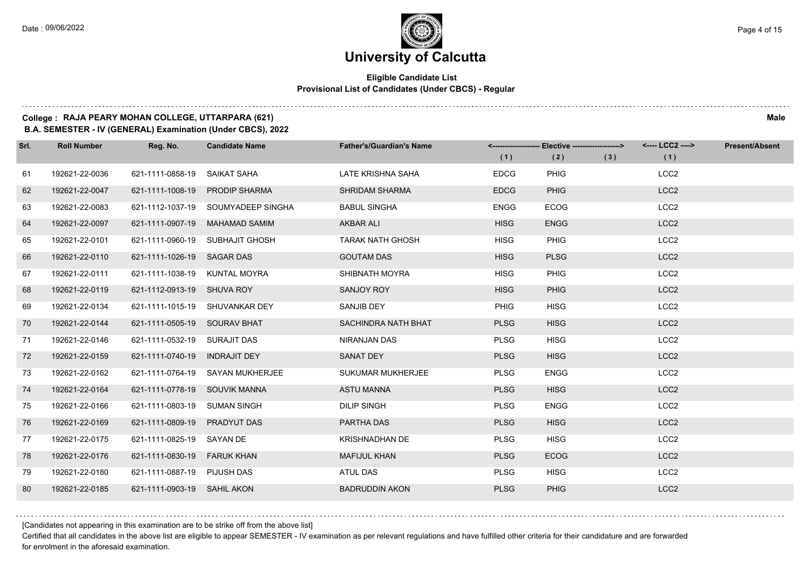### **Eligible Candidate List Provisional List of Candidates (Under CBCS) - Regular**

### **College : RAJA PEARY MOHAN COLLEGE, UTTARPARA (621) Male**

**B.A. SEMESTER - IV (GENERAL) Examination (Under CBCS), 2022**

| Srl. | <b>Roll Number</b> | Reg. No.                      | <b>Candidate Name</b>              | <b>Father's/Guardian's Name</b> |             | <-------------------- Elective -------------------> |     | <---- LCC2 ----> | <b>Present/Absent</b> |
|------|--------------------|-------------------------------|------------------------------------|---------------------------------|-------------|-----------------------------------------------------|-----|------------------|-----------------------|
|      |                    |                               |                                    |                                 | (1)         | (2)                                                 | (3) | (1)              |                       |
| 61   | 192621-22-0036     | 621-1111-0858-19              | SAIKAT SAHA                        | LATE KRISHNA SAHA               | <b>EDCG</b> | <b>PHIG</b>                                         |     | LCC <sub>2</sub> |                       |
| 62   | 192621-22-0047     |                               | 621-1111-1008-19 PRODIP SHARMA     | <b>SHRIDAM SHARMA</b>           | <b>EDCG</b> | <b>PHIG</b>                                         |     | LCC <sub>2</sub> |                       |
| 63   | 192621-22-0083     |                               | 621-1112-1037-19 SOUMYADEEP SINGHA | <b>BABUL SINGHA</b>             | <b>ENGG</b> | <b>ECOG</b>                                         |     | LCC <sub>2</sub> |                       |
| 64   | 192621-22-0097     |                               | 621-1111-0907-19 MAHAMAD SAMIM     | <b>AKBAR ALI</b>                | <b>HISG</b> | <b>ENGG</b>                                         |     | LCC <sub>2</sub> |                       |
| 65   | 192621-22-0101     |                               | 621-1111-0960-19 SUBHAJIT GHOSH    | <b>TARAK NATH GHOSH</b>         | <b>HISG</b> | PHIG                                                |     | LCC <sub>2</sub> |                       |
| 66   | 192621-22-0110     | 621-1111-1026-19 SAGAR DAS    |                                    | <b>GOUTAM DAS</b>               | <b>HISG</b> | <b>PLSG</b>                                         |     | LCC <sub>2</sub> |                       |
| 67   | 192621-22-0111     | 621-1111-1038-19 KUNTAL MOYRA |                                    | SHIBNATH MOYRA                  | <b>HISG</b> | PHIG                                                |     | LCC <sub>2</sub> |                       |
| 68   | 192621-22-0119     | 621-1112-0913-19 SHUVA ROY    |                                    | SANJOY ROY                      | <b>HISG</b> | <b>PHIG</b>                                         |     | LCC <sub>2</sub> |                       |
| 69   | 192621-22-0134     |                               | 621-1111-1015-19 SHUVANKAR DEY     | SANJIB DEY                      | <b>PHIG</b> | <b>HISG</b>                                         |     | LCC <sub>2</sub> |                       |
| 70   | 192621-22-0144     | 621-1111-0505-19 SOURAV BHAT  |                                    | <b>SACHINDRA NATH BHAT</b>      | <b>PLSG</b> | <b>HISG</b>                                         |     | LCC <sub>2</sub> |                       |
| 71   | 192621-22-0146     | 621-1111-0532-19 SURAJIT DAS  |                                    | NIRANJAN DAS                    | <b>PLSG</b> | <b>HISG</b>                                         |     | LCC <sub>2</sub> |                       |
| 72   | 192621-22-0159     | 621-1111-0740-19 INDRAJIT DEY |                                    | SANAT DEY                       | <b>PLSG</b> | <b>HISG</b>                                         |     | LCC <sub>2</sub> |                       |
| 73   | 192621-22-0162     |                               | 621-1111-0764-19 SAYAN MUKHERJEE   | SUKUMAR MUKHERJEE               | <b>PLSG</b> | <b>ENGG</b>                                         |     | LCC <sub>2</sub> |                       |
| 74   | 192621-22-0164     | 621-1111-0778-19 SOUVIK MANNA |                                    | <b>ASTU MANNA</b>               | <b>PLSG</b> | <b>HISG</b>                                         |     | LCC <sub>2</sub> |                       |
| 75   | 192621-22-0166     | 621-1111-0803-19 SUMAN SINGH  |                                    | <b>DILIP SINGH</b>              | <b>PLSG</b> | <b>ENGG</b>                                         |     | LCC <sub>2</sub> |                       |
| 76   | 192621-22-0169     | 621-1111-0809-19 PRADYUT DAS  |                                    | PARTHA DAS                      | <b>PLSG</b> | <b>HISG</b>                                         |     | LCC <sub>2</sub> |                       |
| 77   | 192621-22-0175     | 621-1111-0825-19 SAYAN DE     |                                    | <b>KRISHNADHAN DE</b>           | <b>PLSG</b> | <b>HISG</b>                                         |     | LCC <sub>2</sub> |                       |
| 78   | 192621-22-0176     | 621-1111-0830-19 FARUK KHAN   |                                    | <b>MAFIJUL KHAN</b>             | <b>PLSG</b> | <b>ECOG</b>                                         |     | LCC <sub>2</sub> |                       |
| 79   | 192621-22-0180     | 621-1111-0887-19 PIJUSH DAS   |                                    | ATUL DAS                        | <b>PLSG</b> | <b>HISG</b>                                         |     | LCC <sub>2</sub> |                       |
| 80   | 192621-22-0185     | 621-1111-0903-19 SAHIL AKON   |                                    | <b>BADRUDDIN AKON</b>           | <b>PLSG</b> | <b>PHIG</b>                                         |     | LCC <sub>2</sub> |                       |

[Candidates not appearing in this examination are to be strike off from the above list]

Certified that all candidates in the above list are eligible to appear SEMESTER - IV examination as per relevant regulations and have fulfilled other criteria for their candidature and are forwarded for enrolment in the aforesaid examination.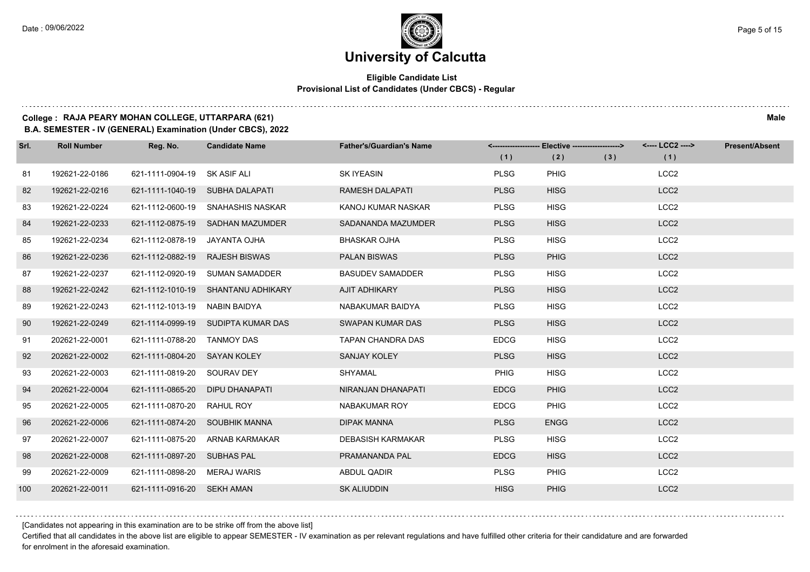### **Eligible Candidate List Provisional List of Candidates (Under CBCS) - Regular**

### **College : RAJA PEARY MOHAN COLLEGE, UTTARPARA (621) Male**

**B.A. SEMESTER - IV (GENERAL) Examination (Under CBCS), 2022**

| Srl. | <b>Roll Number</b> | Reg. No.                     | <b>Candidate Name</b>              | <b>Father's/Guardian's Name</b> |             | <------------------- Elective ------------------> |     | <---- LCC2 ----> | <b>Present/Absent</b> |
|------|--------------------|------------------------------|------------------------------------|---------------------------------|-------------|---------------------------------------------------|-----|------------------|-----------------------|
|      |                    |                              |                                    |                                 | (1)         | (2)                                               | (3) | (1)              |                       |
| 81   | 192621-22-0186     | 621-1111-0904-19 SK ASIF ALI |                                    | <b>SK IYEASIN</b>               | <b>PLSG</b> | <b>PHIG</b>                                       |     | LCC <sub>2</sub> |                       |
| 82   | 192621-22-0216     |                              | 621-1111-1040-19 SUBHA DALAPATI    | <b>RAMESH DALAPATI</b>          | <b>PLSG</b> | <b>HISG</b>                                       |     | LCC <sub>2</sub> |                       |
| 83   | 192621-22-0224     |                              | 621-1112-0600-19 SNAHASHIS NASKAR  | KANOJ KUMAR NASKAR              | <b>PLSG</b> | <b>HISG</b>                                       |     | LCC <sub>2</sub> |                       |
| 84   | 192621-22-0233     |                              | 621-1112-0875-19 SADHAN MAZUMDER   | SADANANDA MAZUMDER              | <b>PLSG</b> | <b>HISG</b>                                       |     | LCC <sub>2</sub> |                       |
| 85   | 192621-22-0234     | 621-1112-0878-19             | JAYANTA OJHA                       | <b>BHASKAR OJHA</b>             | <b>PLSG</b> | <b>HISG</b>                                       |     | LCC <sub>2</sub> |                       |
| 86   | 192621-22-0236     | 621-1112-0882-19             | <b>RAJESH BISWAS</b>               | <b>PALAN BISWAS</b>             | <b>PLSG</b> | <b>PHIG</b>                                       |     | LCC <sub>2</sub> |                       |
| 87   | 192621-22-0237     |                              | 621-1112-0920-19 SUMAN SAMADDER    | <b>BASUDEV SAMADDER</b>         | <b>PLSG</b> | <b>HISG</b>                                       |     | LCC <sub>2</sub> |                       |
| 88   | 192621-22-0242     |                              | 621-1112-1010-19 SHANTANU ADHIKARY | AJIT ADHIKARY                   | <b>PLSG</b> | <b>HISG</b>                                       |     | LCC <sub>2</sub> |                       |
| 89   | 192621-22-0243     | 621-1112-1013-19             | NABIN BAIDYA                       | NABAKUMAR BAIDYA                | <b>PLSG</b> | <b>HISG</b>                                       |     | LCC <sub>2</sub> |                       |
| 90   | 192621-22-0249     |                              | 621-1114-0999-19 SUDIPTA KUMAR DAS | <b>SWAPAN KUMAR DAS</b>         | <b>PLSG</b> | <b>HISG</b>                                       |     | LCC <sub>2</sub> |                       |
| 91   | 202621-22-0001     | 621-1111-0788-20             | <b>TANMOY DAS</b>                  | <b>TAPAN CHANDRA DAS</b>        | <b>EDCG</b> | <b>HISG</b>                                       |     | LCC <sub>2</sub> |                       |
| 92   | 202621-22-0002     | 621-1111-0804-20 SAYAN KOLEY |                                    | <b>SANJAY KOLEY</b>             | <b>PLSG</b> | <b>HISG</b>                                       |     | LCC <sub>2</sub> |                       |
| 93   | 202621-22-0003     | 621-1111-0819-20             | SOURAV DEY                         | <b>SHYAMAL</b>                  | <b>PHIG</b> | <b>HISG</b>                                       |     | LCC <sub>2</sub> |                       |
| 94   | 202621-22-0004     | 621-1111-0865-20             | DIPU DHANAPATI                     | NIRANJAN DHANAPATI              | <b>EDCG</b> | <b>PHIG</b>                                       |     | LCC <sub>2</sub> |                       |
| 95   | 202621-22-0005     | 621-1111-0870-20             | RAHUL ROY                          | NABAKUMAR ROY                   | <b>EDCG</b> | PHIG                                              |     | LCC <sub>2</sub> |                       |
| 96   | 202621-22-0006     |                              | 621-1111-0874-20 SOUBHIK MANNA     | <b>DIPAK MANNA</b>              | <b>PLSG</b> | <b>ENGG</b>                                       |     | LCC <sub>2</sub> |                       |
| 97   | 202621-22-0007     | 621-1111-0875-20             | <b>ARNAB KARMAKAR</b>              | <b>DEBASISH KARMAKAR</b>        | <b>PLSG</b> | <b>HISG</b>                                       |     | LCC <sub>2</sub> |                       |
| 98   | 202621-22-0008     | 621-1111-0897-20 SUBHAS PAL  |                                    | PRAMANANDA PAL                  | <b>EDCG</b> | <b>HISG</b>                                       |     | LCC <sub>2</sub> |                       |
| 99   | 202621-22-0009     | 621-1111-0898-20 MERAJ WARIS |                                    | ABDUL QADIR                     | <b>PLSG</b> | PHIG                                              |     | LCC <sub>2</sub> |                       |
| 100  | 202621-22-0011     | 621-1111-0916-20 SEKH AMAN   |                                    | <b>SK ALIUDDIN</b>              | <b>HISG</b> | <b>PHIG</b>                                       |     | LCC <sub>2</sub> |                       |

[Candidates not appearing in this examination are to be strike off from the above list]

Certified that all candidates in the above list are eligible to appear SEMESTER - IV examination as per relevant regulations and have fulfilled other criteria for their candidature and are forwarded for enrolment in the aforesaid examination.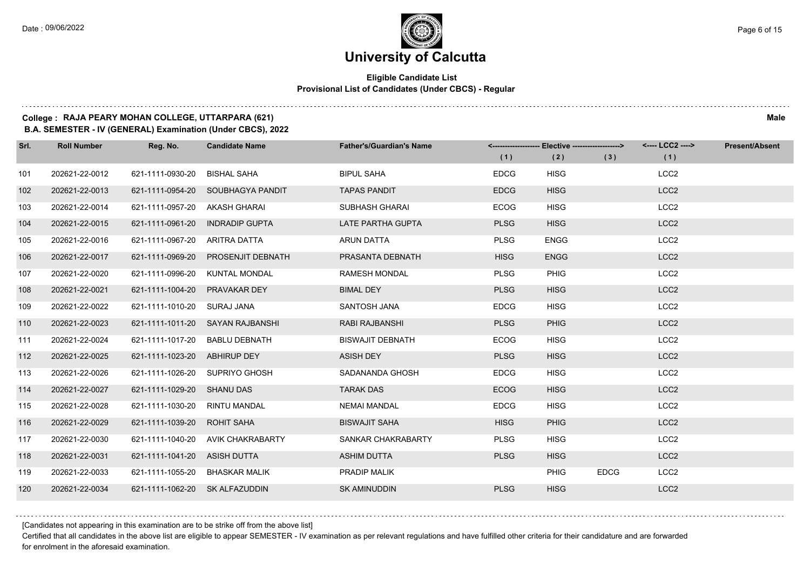$1.111$ 

### **University of Calcutta**

### **Eligible Candidate List Provisional List of Candidates (Under CBCS) - Regular**

### **College : RAJA PEARY MOHAN COLLEGE, UTTARPARA (621) Male**

**B.A. SEMESTER - IV (GENERAL) Examination (Under CBCS), 2022**

| Srl. | <b>Roll Number</b> | Reg. No.         | <b>Candidate Name</b>            | <b>Father's/Guardian's Name</b> |             | <-------------------- Elective ------------------> |             | <---- LCC2 ----> | Present/Absent |
|------|--------------------|------------------|----------------------------------|---------------------------------|-------------|----------------------------------------------------|-------------|------------------|----------------|
|      |                    |                  |                                  |                                 | (1)         | (2)                                                | (3)         | (1)              |                |
| 101  | 202621-22-0012     | 621-1111-0930-20 | <b>BISHAL SAHA</b>               | <b>BIPUL SAHA</b>               | <b>EDCG</b> | <b>HISG</b>                                        |             | LCC <sub>2</sub> |                |
| 102  | 202621-22-0013     | 621-1111-0954-20 | SOUBHAGYA PANDIT                 | <b>TAPAS PANDIT</b>             | <b>EDCG</b> | <b>HISG</b>                                        |             | LCC <sub>2</sub> |                |
| 103  | 202621-22-0014     | 621-1111-0957-20 | AKASH GHARAI                     | <b>SUBHASH GHARAI</b>           | ECOG        | <b>HISG</b>                                        |             | LCC <sub>2</sub> |                |
| 104  | 202621-22-0015     | 621-1111-0961-20 | <b>INDRADIP GUPTA</b>            | LATE PARTHA GUPTA               | <b>PLSG</b> | <b>HISG</b>                                        |             | LCC <sub>2</sub> |                |
| 105  | 202621-22-0016     | 621-1111-0967-20 | ARITRA DATTA                     | <b>ARUN DATTA</b>               | <b>PLSG</b> | <b>ENGG</b>                                        |             | LCC <sub>2</sub> |                |
| 106  | 202621-22-0017     | 621-1111-0969-20 | PROSENJIT DEBNATH                | PRASANTA DEBNATH                | <b>HISG</b> | <b>ENGG</b>                                        |             | LCC <sub>2</sub> |                |
| 107  | 202621-22-0020     | 621-1111-0996-20 | <b>KUNTAL MONDAL</b>             | <b>RAMESH MONDAL</b>            | <b>PLSG</b> | <b>PHIG</b>                                        |             | LCC <sub>2</sub> |                |
| 108  | 202621-22-0021     | 621-1111-1004-20 | PRAVAKAR DEY                     | <b>BIMAL DEY</b>                | <b>PLSG</b> | <b>HISG</b>                                        |             | LCC <sub>2</sub> |                |
| 109  | 202621-22-0022     | 621-1111-1010-20 | SURAJ JANA                       | SANTOSH JANA                    | <b>EDCG</b> | <b>HISG</b>                                        |             | LCC <sub>2</sub> |                |
| 110  | 202621-22-0023     |                  | 621-1111-1011-20 SAYAN RAJBANSHI | <b>RABI RAJBANSHI</b>           | <b>PLSG</b> | <b>PHIG</b>                                        |             | LCC <sub>2</sub> |                |
| 111  | 202621-22-0024     | 621-1111-1017-20 | <b>BABLU DEBNATH</b>             | <b>BISWAJIT DEBNATH</b>         | <b>ECOG</b> | <b>HISG</b>                                        |             | LCC <sub>2</sub> |                |
| 112  | 202621-22-0025     | 621-1111-1023-20 | <b>ABHIRUP DEY</b>               | <b>ASISH DEY</b>                | <b>PLSG</b> | <b>HISG</b>                                        |             | LCC <sub>2</sub> |                |
| 113  | 202621-22-0026     | 621-1111-1026-20 | SUPRIYO GHOSH                    | SADANANDA GHOSH                 | <b>EDCG</b> | <b>HISG</b>                                        |             | LCC <sub>2</sub> |                |
| 114  | 202621-22-0027     | 621-1111-1029-20 | <b>SHANU DAS</b>                 | <b>TARAK DAS</b>                | <b>ECOG</b> | <b>HISG</b>                                        |             | LCC <sub>2</sub> |                |
| 115  | 202621-22-0028     | 621-1111-1030-20 | <b>RINTU MANDAL</b>              | <b>NEMAI MANDAL</b>             | <b>EDCG</b> | <b>HISG</b>                                        |             | LCC <sub>2</sub> |                |
| 116  | 202621-22-0029     | 621-1111-1039-20 | <b>ROHIT SAHA</b>                | <b>BISWAJIT SAHA</b>            | <b>HISG</b> | <b>PHIG</b>                                        |             | LCC <sub>2</sub> |                |
| 117  | 202621-22-0030     | 621-1111-1040-20 | <b>AVIK CHAKRABARTY</b>          | SANKAR CHAKRABARTY              | <b>PLSG</b> | <b>HISG</b>                                        |             | LCC <sub>2</sub> |                |
| 118  | 202621-22-0031     | 621-1111-1041-20 | <b>ASISH DUTTA</b>               | <b>ASHIM DUTTA</b>              | <b>PLSG</b> | <b>HISG</b>                                        |             | LCC <sub>2</sub> |                |
| 119  | 202621-22-0033     | 621-1111-1055-20 | <b>BHASKAR MALIK</b>             | PRADIP MALIK                    |             | <b>PHIG</b>                                        | <b>EDCG</b> | LCC <sub>2</sub> |                |
| 120  | 202621-22-0034     | 621-1111-1062-20 | <b>SK ALFAZUDDIN</b>             | <b>SK AMINUDDIN</b>             | <b>PLSG</b> | <b>HISG</b>                                        |             | LCC <sub>2</sub> |                |

[Candidates not appearing in this examination are to be strike off from the above list]

Certified that all candidates in the above list are eligible to appear SEMESTER - IV examination as per relevant regulations and have fulfilled other criteria for their candidature and are forwarded for enrolment in the aforesaid examination.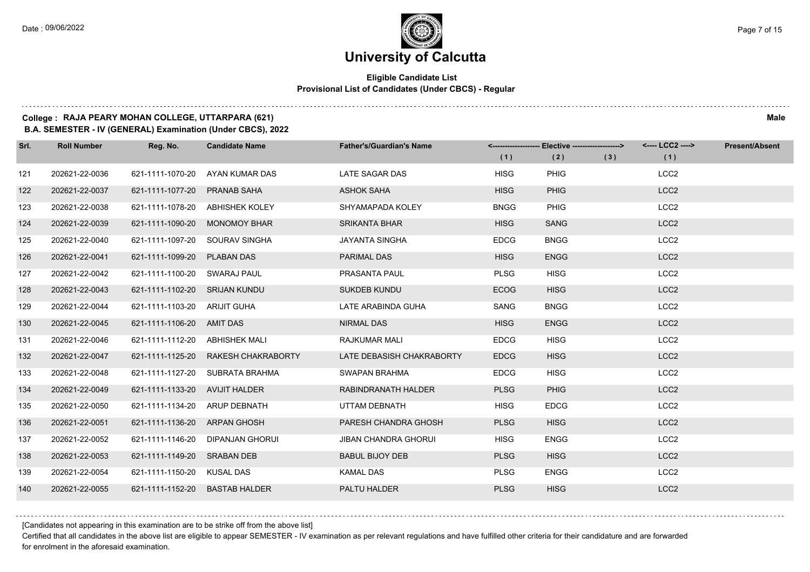### **Eligible Candidate List Provisional List of Candidates (Under CBCS) - Regular**

### **College : RAJA PEARY MOHAN COLLEGE, UTTARPARA (621) Male**

**B.A. SEMESTER - IV (GENERAL) Examination (Under CBCS), 2022**

| Srl. | <b>Roll Number</b> | Reg. No.                       | <b>Candidate Name</b>           | <b>Father's/Guardian's Name</b> | (1)         | <-------------------- Elective ------------------><br>(2) | (3) | <---- LCC2 ----><br>(1) | <b>Present/Absent</b> |
|------|--------------------|--------------------------------|---------------------------------|---------------------------------|-------------|-----------------------------------------------------------|-----|-------------------------|-----------------------|
| 121  | 202621-22-0036     | 621-1111-1070-20               | AYAN KUMAR DAS                  | LATE SAGAR DAS                  | <b>HISG</b> | <b>PHIG</b>                                               |     | LCC <sub>2</sub>        |                       |
| 122  | 202621-22-0037     | 621-1111-1077-20               | <b>PRANAB SAHA</b>              | <b>ASHOK SAHA</b>               | <b>HISG</b> | <b>PHIG</b>                                               |     | LCC <sub>2</sub>        |                       |
| 123  | 202621-22-0038     |                                | 621-1111-1078-20 ABHISHEK KOLEY | SHYAMAPADA KOLEY                | <b>BNGG</b> | <b>PHIG</b>                                               |     | LCC <sub>2</sub>        |                       |
| 124  | 202621-22-0039     | 621-1111-1090-20 MONOMOY BHAR  |                                 | <b>SRIKANTA BHAR</b>            | <b>HISG</b> | <b>SANG</b>                                               |     | LCC <sub>2</sub>        |                       |
| 125  | 202621-22-0040     | 621-1111-1097-20               | SOURAV SINGHA                   | <b>JAYANTA SINGHA</b>           | <b>EDCG</b> | <b>BNGG</b>                                               |     | LCC <sub>2</sub>        |                       |
| 126  | 202621-22-0041     | 621-1111-1099-20               | <b>PLABAN DAS</b>               | <b>PARIMAL DAS</b>              | <b>HISG</b> | <b>ENGG</b>                                               |     | LCC <sub>2</sub>        |                       |
| 127  | 202621-22-0042     | 621-1111-1100-20 SWARAJ PAUL   |                                 | PRASANTA PAUL                   | <b>PLSG</b> | <b>HISG</b>                                               |     | LCC <sub>2</sub>        |                       |
| 128  | 202621-22-0043     | 621-1111-1102-20 SRIJAN KUNDU  |                                 | <b>SUKDEB KUNDU</b>             | <b>ECOG</b> | <b>HISG</b>                                               |     | LCC <sub>2</sub>        |                       |
| 129  | 202621-22-0044     | 621-1111-1103-20 ARIJIT GUHA   |                                 | LATE ARABINDA GUHA              | SANG        | <b>BNGG</b>                                               |     | LCC <sub>2</sub>        |                       |
| 130  | 202621-22-0045     | 621-1111-1106-20 AMIT DAS      |                                 | NIRMAL DAS                      | <b>HISG</b> | <b>ENGG</b>                                               |     | LCC <sub>2</sub>        |                       |
| 131  | 202621-22-0046     | 621-1111-1112-20 ABHISHEK MALI |                                 | <b>RAJKUMAR MALI</b>            | <b>EDCG</b> | <b>HISG</b>                                               |     | LCC <sub>2</sub>        |                       |
| 132  | 202621-22-0047     | 621-1111-1125-20               | RAKESH CHAKRABORTY              | LATE DEBASISH CHAKRABORTY       | <b>EDCG</b> | <b>HISG</b>                                               |     | LCC <sub>2</sub>        |                       |
| 133  | 202621-22-0048     |                                | 621-1111-1127-20 SUBRATA BRAHMA | SWAPAN BRAHMA                   | <b>EDCG</b> | <b>HISG</b>                                               |     | LCC <sub>2</sub>        |                       |
| 134  | 202621-22-0049     | 621-1111-1133-20 AVIJIT HALDER |                                 | RABINDRANATH HALDER             | <b>PLSG</b> | <b>PHIG</b>                                               |     | LCC <sub>2</sub>        |                       |
| 135  | 202621-22-0050     | 621-1111-1134-20 ARUP DEBNATH  |                                 | UTTAM DEBNATH                   | <b>HISG</b> | <b>EDCG</b>                                               |     | LCC <sub>2</sub>        |                       |
| 136  | 202621-22-0051     | 621-1111-1136-20 ARPAN GHOSH   |                                 | PARESH CHANDRA GHOSH            | <b>PLSG</b> | <b>HISG</b>                                               |     | LCC <sub>2</sub>        |                       |
| 137  | 202621-22-0052     | 621-1111-1146-20               | DIPANJAN GHORUI                 | <b>JIBAN CHANDRA GHORUI</b>     | <b>HISG</b> | <b>ENGG</b>                                               |     | LCC <sub>2</sub>        |                       |
| 138  | 202621-22-0053     | 621-1111-1149-20 SRABAN DEB    |                                 | <b>BABUL BIJOY DEB</b>          | <b>PLSG</b> | <b>HISG</b>                                               |     | LCC <sub>2</sub>        |                       |
| 139  | 202621-22-0054     | 621-1111-1150-20 KUSAL DAS     |                                 | <b>KAMAL DAS</b>                | <b>PLSG</b> | <b>ENGG</b>                                               |     | LCC <sub>2</sub>        |                       |
| 140  | 202621-22-0055     | 621-1111-1152-20 BASTAB HALDER |                                 | PALTU HALDER                    | <b>PLSG</b> | <b>HISG</b>                                               |     | LCC <sub>2</sub>        |                       |

[Candidates not appearing in this examination are to be strike off from the above list]

Certified that all candidates in the above list are eligible to appear SEMESTER - IV examination as per relevant regulations and have fulfilled other criteria for their candidature and are forwarded for enrolment in the aforesaid examination.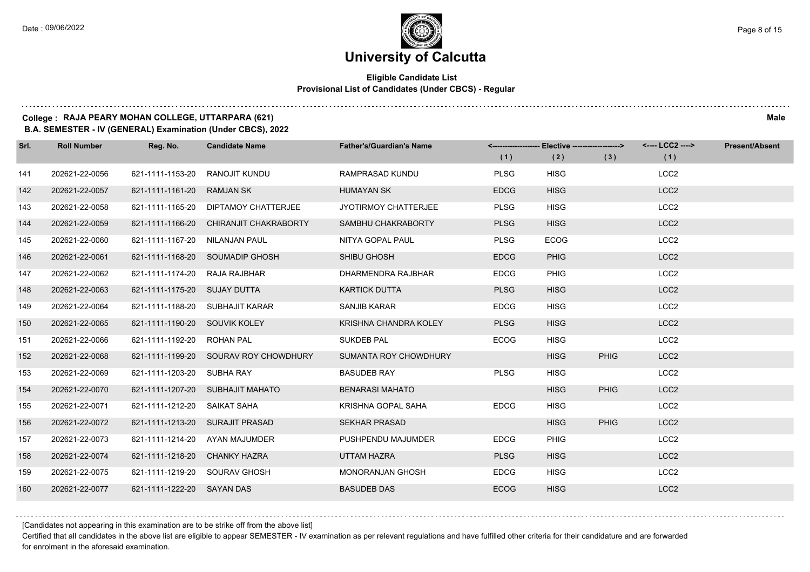### **Eligible Candidate List Provisional List of Candidates (Under CBCS) - Regular**

### **College : RAJA PEARY MOHAN COLLEGE, UTTARPARA (621) Male**

**B.A. SEMESTER - IV (GENERAL) Examination (Under CBCS), 2022**

| Srl. | <b>Roll Number</b> | Reg. No.                      | <b>Candidate Name</b>                  | <b>Father's/Guardian's Name</b> |             | <-------------------- Elective ------------------> |             | <---- LCC2 ----> | <b>Present/Absent</b> |
|------|--------------------|-------------------------------|----------------------------------------|---------------------------------|-------------|----------------------------------------------------|-------------|------------------|-----------------------|
|      |                    |                               |                                        |                                 | (1)         | (2)                                                | (3)         | (1)              |                       |
| 141  | 202621-22-0056     | 621-1111-1153-20              | RANOJIT KUNDU                          | RAMPRASAD KUNDU                 | <b>PLSG</b> | <b>HISG</b>                                        |             | LCC <sub>2</sub> |                       |
| 142  | 202621-22-0057     | 621-1111-1161-20              | <b>RAMJAN SK</b>                       | <b>HUMAYAN SK</b>               | <b>EDCG</b> | <b>HISG</b>                                        |             | LCC <sub>2</sub> |                       |
| 143  | 202621-22-0058     |                               | 621-1111-1165-20 DIPTAMOY CHATTERJEE   | JYOTIRMOY CHATTERJEE            | <b>PLSG</b> | <b>HISG</b>                                        |             | LCC <sub>2</sub> |                       |
| 144  | 202621-22-0059     |                               | 621-1111-1166-20 CHIRANJIT CHAKRABORTY | SAMBHU CHAKRABORTY              | <b>PLSG</b> | <b>HISG</b>                                        |             | LCC <sub>2</sub> |                       |
| 145  | 202621-22-0060     | 621-1111-1167-20              | <b>NILANJAN PAUL</b>                   | NITYA GOPAL PAUL                | <b>PLSG</b> | <b>ECOG</b>                                        |             | LCC <sub>2</sub> |                       |
| 146  | 202621-22-0061     |                               | 621-1111-1168-20 SOUMADIP GHOSH        | SHIBU GHOSH                     | <b>EDCG</b> | <b>PHIG</b>                                        |             | LCC <sub>2</sub> |                       |
| 147  | 202621-22-0062     | 621-1111-1174-20 RAJA RAJBHAR |                                        | DHARMENDRA RAJBHAR              | <b>EDCG</b> | <b>PHIG</b>                                        |             | LCC <sub>2</sub> |                       |
| 148  | 202621-22-0063     | 621-1111-1175-20 SUJAY DUTTA  |                                        | <b>KARTICK DUTTA</b>            | <b>PLSG</b> | <b>HISG</b>                                        |             | LCC <sub>2</sub> |                       |
| 149  | 202621-22-0064     | 621-1111-1188-20              | SUBHAJIT KARAR                         | <b>SANJIB KARAR</b>             | <b>EDCG</b> | <b>HISG</b>                                        |             | LCC <sub>2</sub> |                       |
| 150  | 202621-22-0065     | 621-1111-1190-20 SOUVIK KOLEY |                                        | KRISHNA CHANDRA KOLEY           | <b>PLSG</b> | <b>HISG</b>                                        |             | LCC <sub>2</sub> |                       |
| 151  | 202621-22-0066     | 621-1111-1192-20 ROHAN PAL    |                                        | <b>SUKDEB PAL</b>               | <b>ECOG</b> | <b>HISG</b>                                        |             | LCC <sub>2</sub> |                       |
| 152  | 202621-22-0068     |                               | 621-1111-1199-20 SOURAV ROY CHOWDHURY  | SUMANTA ROY CHOWDHURY           |             | <b>HISG</b>                                        | <b>PHIG</b> | LCC <sub>2</sub> |                       |
| 153  | 202621-22-0069     | 621-1111-1203-20              | SUBHA RAY                              | <b>BASUDEB RAY</b>              | <b>PLSG</b> | <b>HISG</b>                                        |             | LCC <sub>2</sub> |                       |
| 154  | 202621-22-0070     |                               | 621-1111-1207-20 SUBHAJIT MAHATO       | <b>BENARASI MAHATO</b>          |             | <b>HISG</b>                                        | <b>PHIG</b> | LCC <sub>2</sub> |                       |
| 155  | 202621-22-0071     | 621-1111-1212-20              | SAIKAT SAHA                            | KRISHNA GOPAL SAHA              | <b>EDCG</b> | <b>HISG</b>                                        |             | LCC <sub>2</sub> |                       |
| 156  | 202621-22-0072     |                               | 621-1111-1213-20 SURAJIT PRASAD        | <b>SEKHAR PRASAD</b>            |             | <b>HISG</b>                                        | <b>PHIG</b> | LCC <sub>2</sub> |                       |
| 157  | 202621-22-0073     | 621-1111-1214-20              | AYAN MAJUMDER                          | PUSHPENDU MAJUMDER              | <b>EDCG</b> | <b>PHIG</b>                                        |             | LCC <sub>2</sub> |                       |
| 158  | 202621-22-0074     | 621-1111-1218-20              | <b>CHANKY HAZRA</b>                    | UTTAM HAZRA                     | <b>PLSG</b> | <b>HISG</b>                                        |             | LCC <sub>2</sub> |                       |
| 159  | 202621-22-0075     | 621-1111-1219-20 SOURAV GHOSH |                                        | <b>MONORANJAN GHOSH</b>         | <b>EDCG</b> | <b>HISG</b>                                        |             | LCC <sub>2</sub> |                       |
| 160  | 202621-22-0077     | 621-1111-1222-20 SAYAN DAS    |                                        | <b>BASUDEB DAS</b>              | <b>ECOG</b> | <b>HISG</b>                                        |             | LCC <sub>2</sub> |                       |

[Candidates not appearing in this examination are to be strike off from the above list]

Certified that all candidates in the above list are eligible to appear SEMESTER - IV examination as per relevant regulations and have fulfilled other criteria for their candidature and are forwarded for enrolment in the aforesaid examination.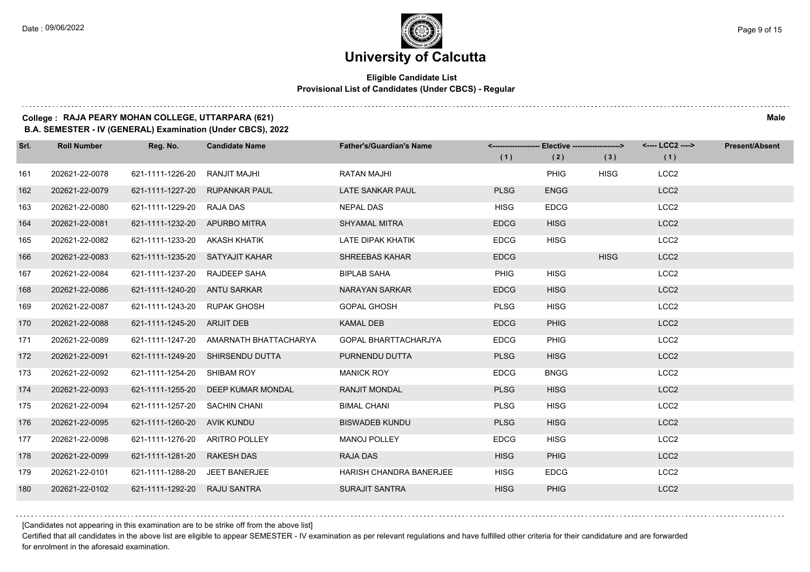### **Eligible Candidate List Provisional List of Candidates (Under CBCS) - Regular**

### **College : RAJA PEARY MOHAN COLLEGE, UTTARPARA (621) Male**

**B.A. SEMESTER - IV (GENERAL) Examination (Under CBCS), 2022**

| Srl. | <b>Roll Number</b> | Reg. No.                       | <b>Candidate Name</b>                  | <b>Father's/Guardian's Name</b> | (1)         | <-------------------- Elective ------------------><br>(2) | (3)         | <---- LCC2 ----><br>(1) | <b>Present/Absent</b> |
|------|--------------------|--------------------------------|----------------------------------------|---------------------------------|-------------|-----------------------------------------------------------|-------------|-------------------------|-----------------------|
| 161  | 202621-22-0078     | 621-1111-1226-20               | RANJIT MAJHI                           | <b>RATAN MAJHI</b>              |             | <b>PHIG</b>                                               | <b>HISG</b> | LCC <sub>2</sub>        |                       |
| 162  | 202621-22-0079     |                                | 621-1111-1227-20 RUPANKAR PAUL         | LATE SANKAR PAUL                | <b>PLSG</b> | <b>ENGG</b>                                               |             | LCC <sub>2</sub>        |                       |
| 163  | 202621-22-0080     | 621-1111-1229-20 RAJA DAS      |                                        | <b>NEPAL DAS</b>                | <b>HISG</b> | <b>EDCG</b>                                               |             | LCC <sub>2</sub>        |                       |
| 164  | 202621-22-0081     | 621-1111-1232-20 APURBO MITRA  |                                        | <b>SHYAMAL MITRA</b>            | <b>EDCG</b> | <b>HISG</b>                                               |             | LCC <sub>2</sub>        |                       |
| 165  | 202621-22-0082     | 621-1111-1233-20               | AKASH KHATIK                           | LATE DIPAK KHATIK               | <b>EDCG</b> | <b>HISG</b>                                               |             | LCC <sub>2</sub>        |                       |
| 166  | 202621-22-0083     |                                | 621-1111-1235-20 SATYAJIT KAHAR        | <b>SHREEBAS KAHAR</b>           | <b>EDCG</b> |                                                           | <b>HISG</b> | LCC <sub>2</sub>        |                       |
| 167  | 202621-22-0084     | 621-1111-1237-20 RAJDEEP SAHA  |                                        | <b>BIPLAB SAHA</b>              | <b>PHIG</b> | <b>HISG</b>                                               |             | LCC <sub>2</sub>        |                       |
| 168  | 202621-22-0086     | 621-1111-1240-20 ANTU SARKAR   |                                        | NARAYAN SARKAR                  | <b>EDCG</b> | <b>HISG</b>                                               |             | LCC <sub>2</sub>        |                       |
| 169  | 202621-22-0087     | 621-1111-1243-20 RUPAK GHOSH   |                                        | <b>GOPAL GHOSH</b>              | <b>PLSG</b> | <b>HISG</b>                                               |             | LCC <sub>2</sub>        |                       |
| 170  | 202621-22-0088     | 621-1111-1245-20 ARIJIT DEB    |                                        | <b>KAMAL DEB</b>                | <b>EDCG</b> | <b>PHIG</b>                                               |             | LCC <sub>2</sub>        |                       |
| 171  | 202621-22-0089     |                                | 621-1111-1247-20 AMARNATH BHATTACHARYA | <b>GOPAL BHARTTACHARJYA</b>     | <b>EDCG</b> | <b>PHIG</b>                                               |             | LCC <sub>2</sub>        |                       |
| 172  | 202621-22-0091     |                                | 621-1111-1249-20 SHIRSENDU DUTTA       | PURNENDU DUTTA                  | <b>PLSG</b> | <b>HISG</b>                                               |             | LCC <sub>2</sub>        |                       |
| 173  | 202621-22-0092     | 621-1111-1254-20               | SHIBAM ROY                             | <b>MANICK ROY</b>               | <b>EDCG</b> | <b>BNGG</b>                                               |             | LCC <sub>2</sub>        |                       |
| 174  | 202621-22-0093     |                                | 621-1111-1255-20 DEEP KUMAR MONDAL     | <b>RANJIT MONDAL</b>            | <b>PLSG</b> | <b>HISG</b>                                               |             | LCC <sub>2</sub>        |                       |
| 175  | 202621-22-0094     | 621-1111-1257-20 SACHIN CHANI  |                                        | <b>BIMAL CHANI</b>              | <b>PLSG</b> | <b>HISG</b>                                               |             | LCC <sub>2</sub>        |                       |
| 176  | 202621-22-0095     | 621-1111-1260-20 AVIK KUNDU    |                                        | <b>BISWADEB KUNDU</b>           | <b>PLSG</b> | <b>HISG</b>                                               |             | LCC <sub>2</sub>        |                       |
| 177  | 202621-22-0098     | 621-1111-1276-20               | <b>ARITRO POLLEY</b>                   | <b>MANOJ POLLEY</b>             | <b>EDCG</b> | <b>HISG</b>                                               |             | LCC <sub>2</sub>        |                       |
| 178  | 202621-22-0099     | 621-1111-1281-20 RAKESH DAS    |                                        | <b>RAJA DAS</b>                 | <b>HISG</b> | <b>PHIG</b>                                               |             | LCC <sub>2</sub>        |                       |
| 179  | 202621-22-0101     | 621-1111-1288-20 JEET BANERJEE |                                        | <b>HARISH CHANDRA BANERJEE</b>  | <b>HISG</b> | <b>EDCG</b>                                               |             | LCC <sub>2</sub>        |                       |
| 180  | 202621-22-0102     | 621-1111-1292-20 RAJU SANTRA   |                                        | <b>SURAJIT SANTRA</b>           | <b>HISG</b> | <b>PHIG</b>                                               |             | LCC <sub>2</sub>        |                       |

[Candidates not appearing in this examination are to be strike off from the above list]

Certified that all candidates in the above list are eligible to appear SEMESTER - IV examination as per relevant regulations and have fulfilled other criteria for their candidature and are forwarded for enrolment in the aforesaid examination.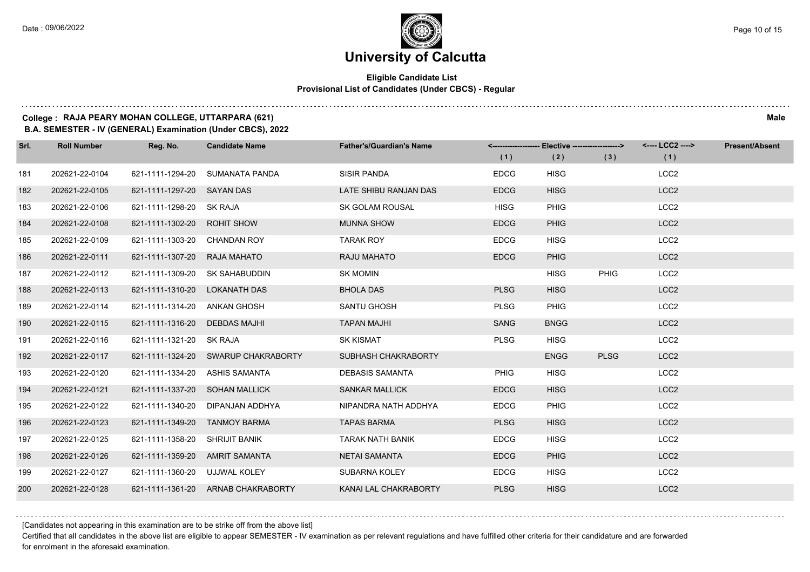### **Eligible Candidate List Provisional List of Candidates (Under CBCS) - Regular**

### **College : RAJA PEARY MOHAN COLLEGE, UTTARPARA (621) Male**

**B.A. SEMESTER - IV (GENERAL) Examination (Under CBCS), 2022**

| Srl. | <b>Roll Number</b> | Reg. No.                       | <b>Candidate Name</b>               | <b>Father's/Guardian's Name</b> |             | <-------------------- Elective ------------------> |             | <---- LCC2 ----> | <b>Present/Absent</b> |
|------|--------------------|--------------------------------|-------------------------------------|---------------------------------|-------------|----------------------------------------------------|-------------|------------------|-----------------------|
|      |                    |                                |                                     |                                 | (1)         | (2)                                                | (3)         | (1)              |                       |
| 181  | 202621-22-0104     | 621-1111-1294-20               | SUMANATA PANDA                      | <b>SISIR PANDA</b>              | <b>EDCG</b> | <b>HISG</b>                                        |             | LCC <sub>2</sub> |                       |
| 182  | 202621-22-0105     | 621-1111-1297-20 SAYAN DAS     |                                     | LATE SHIBU RANJAN DAS           | <b>EDCG</b> | <b>HISG</b>                                        |             | LCC <sub>2</sub> |                       |
| 183  | 202621-22-0106     | 621-1111-1298-20 SK RAJA       |                                     | <b>SK GOLAM ROUSAL</b>          | <b>HISG</b> | <b>PHIG</b>                                        |             | LCC <sub>2</sub> |                       |
| 184  | 202621-22-0108     | 621-1111-1302-20 ROHIT SHOW    |                                     | <b>MUNNA SHOW</b>               | <b>EDCG</b> | <b>PHIG</b>                                        |             | LCC <sub>2</sub> |                       |
| 185  | 202621-22-0109     | 621-1111-1303-20               | <b>CHANDAN ROY</b>                  | <b>TARAK ROY</b>                | <b>EDCG</b> | <b>HISG</b>                                        |             | LCC <sub>2</sub> |                       |
| 186  | 202621-22-0111     | 621-1111-1307-20 RAJA MAHATO   |                                     | RAJU MAHATO                     | <b>EDCG</b> | <b>PHIG</b>                                        |             | LCC <sub>2</sub> |                       |
| 187  | 202621-22-0112     | 621-1111-1309-20 SK SAHABUDDIN |                                     | <b>SK MOMIN</b>                 |             | <b>HISG</b>                                        | <b>PHIG</b> | LCC <sub>2</sub> |                       |
| 188  | 202621-22-0113     | 621-1111-1310-20 LOKANATH DAS  |                                     | <b>BHOLA DAS</b>                | <b>PLSG</b> | <b>HISG</b>                                        |             | LCC <sub>2</sub> |                       |
| 189  | 202621-22-0114     | 621-1111-1314-20 ANKAN GHOSH   |                                     | SANTU GHOSH                     | <b>PLSG</b> | <b>PHIG</b>                                        |             | LCC <sub>2</sub> |                       |
| 190  | 202621-22-0115     | 621-1111-1316-20 DEBDAS MAJHI  |                                     | <b>TAPAN MAJHI</b>              | <b>SANG</b> | <b>BNGG</b>                                        |             | LCC <sub>2</sub> |                       |
| 191  | 202621-22-0116     | 621-1111-1321-20 SK RAJA       |                                     | <b>SK KISMAT</b>                | <b>PLSG</b> | <b>HISG</b>                                        |             | LCC <sub>2</sub> |                       |
| 192  | 202621-22-0117     |                                | 621-1111-1324-20 SWARUP CHAKRABORTY | SUBHASH CHAKRABORTY             |             | <b>ENGG</b>                                        | <b>PLSG</b> | LCC <sub>2</sub> |                       |
| 193  | 202621-22-0120     | 621-1111-1334-20               | ASHIS SAMANTA                       | <b>DEBASIS SAMANTA</b>          | <b>PHIG</b> | <b>HISG</b>                                        |             | LCC <sub>2</sub> |                       |
| 194  | 202621-22-0121     | 621-1111-1337-20 SOHAN MALLICK |                                     | <b>SANKAR MALLICK</b>           | <b>EDCG</b> | <b>HISG</b>                                        |             | LCC <sub>2</sub> |                       |
| 195  | 202621-22-0122     |                                | 621-1111-1340-20 DIPANJAN ADDHYA    | NIPANDRA NATH ADDHYA            | <b>EDCG</b> | <b>PHIG</b>                                        |             | LCC <sub>2</sub> |                       |
| 196  | 202621-22-0123     | 621-1111-1349-20 TANMOY BARMA  |                                     | <b>TAPAS BARMA</b>              | <b>PLSG</b> | <b>HISG</b>                                        |             | LCC <sub>2</sub> |                       |
| 197  | 202621-22-0125     | 621-1111-1358-20 SHRIJIT BANIK |                                     | <b>TARAK NATH BANIK</b>         | <b>EDCG</b> | <b>HISG</b>                                        |             | LCC <sub>2</sub> |                       |
| 198  | 202621-22-0126     | 621-1111-1359-20 AMRIT SAMANTA |                                     | <b>NETAI SAMANTA</b>            | <b>EDCG</b> | <b>PHIG</b>                                        |             | LCC <sub>2</sub> |                       |
| 199  | 202621-22-0127     | 621-1111-1360-20 UJJWAL KOLEY  |                                     | SUBARNA KOLEY                   | <b>EDCG</b> | <b>HISG</b>                                        |             | LCC <sub>2</sub> |                       |
| 200  | 202621-22-0128     |                                | 621-1111-1361-20 ARNAB CHAKRABORTY  | KANAI LAL CHAKRABORTY           | <b>PLSG</b> | <b>HISG</b>                                        |             | LCC <sub>2</sub> |                       |

[Candidates not appearing in this examination are to be strike off from the above list]

Certified that all candidates in the above list are eligible to appear SEMESTER - IV examination as per relevant regulations and have fulfilled other criteria for their candidature and are forwarded for enrolment in the aforesaid examination.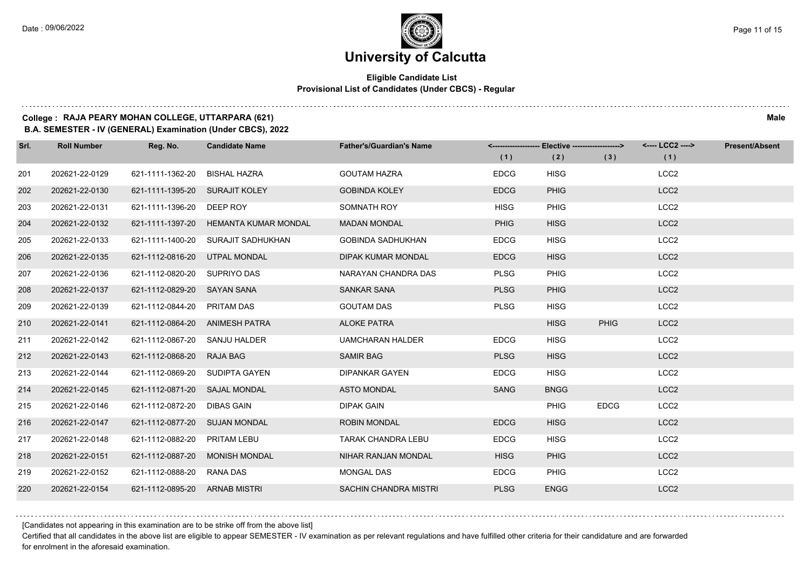### **Eligible Candidate List Provisional List of Candidates (Under CBCS) - Regular**

### **College : RAJA PEARY MOHAN COLLEGE, UTTARPARA (621) Male**

**B.A. SEMESTER - IV (GENERAL) Examination (Under CBCS), 2022**

| Srl. | <b>Roll Number</b> | Reg. No.                       | <b>Candidate Name</b>                 | <b>Father's/Guardian's Name</b> |             | <-------------------- Elective -------------------> |             | <---- LCC2 ----> | <b>Present/Absent</b> |
|------|--------------------|--------------------------------|---------------------------------------|---------------------------------|-------------|-----------------------------------------------------|-------------|------------------|-----------------------|
|      |                    |                                |                                       |                                 | (1)         | (2)                                                 | (3)         | (1)              |                       |
| 201  | 202621-22-0129     | 621-1111-1362-20               | <b>BISHAL HAZRA</b>                   | <b>GOUTAM HAZRA</b>             | <b>EDCG</b> | <b>HISG</b>                                         |             | LCC <sub>2</sub> |                       |
| 202  | 202621-22-0130     | 621-1111-1395-20 SURAJIT KOLEY |                                       | <b>GOBINDA KOLEY</b>            | <b>EDCG</b> | <b>PHIG</b>                                         |             | LCC <sub>2</sub> |                       |
| 203  | 202621-22-0131     | 621-1111-1396-20 DEEP ROY      |                                       | SOMNATH ROY                     | <b>HISG</b> | <b>PHIG</b>                                         |             | LCC <sub>2</sub> |                       |
| 204  | 202621-22-0132     |                                | 621-1111-1397-20 HEMANTA KUMAR MONDAL | <b>MADAN MONDAL</b>             | <b>PHIG</b> | <b>HISG</b>                                         |             | LCC <sub>2</sub> |                       |
| 205  | 202621-22-0133     | 621-1111-1400-20               | SURAJIT SADHUKHAN                     | <b>GOBINDA SADHUKHAN</b>        | <b>EDCG</b> | <b>HISG</b>                                         |             | LCC <sub>2</sub> |                       |
| 206  | 202621-22-0135     | 621-1112-0816-20               | UTPAL MONDAL                          | <b>DIPAK KUMAR MONDAL</b>       | <b>EDCG</b> | <b>HISG</b>                                         |             | LCC <sub>2</sub> |                       |
| 207  | 202621-22-0136     | 621-1112-0820-20 SUPRIYO DAS   |                                       | NARAYAN CHANDRA DAS             | <b>PLSG</b> | <b>PHIG</b>                                         |             | LCC <sub>2</sub> |                       |
| 208  | 202621-22-0137     | 621-1112-0829-20 SAYAN SANA    |                                       | <b>SANKAR SANA</b>              | <b>PLSG</b> | <b>PHIG</b>                                         |             | LCC <sub>2</sub> |                       |
| 209  | 202621-22-0139     | 621-1112-0844-20 PRITAM DAS    |                                       | <b>GOUTAM DAS</b>               | <b>PLSG</b> | <b>HISG</b>                                         |             | LCC <sub>2</sub> |                       |
| 210  | 202621-22-0141     | 621-1112-0864-20 ANIMESH PATRA |                                       | <b>ALOKE PATRA</b>              |             | <b>HISG</b>                                         | <b>PHIG</b> | LCC <sub>2</sub> |                       |
| 211  | 202621-22-0142     | 621-1112-0867-20 SANJU HALDER  |                                       | <b>UAMCHARAN HALDER</b>         | <b>EDCG</b> | <b>HISG</b>                                         |             | LCC <sub>2</sub> |                       |
| 212  | 202621-22-0143     | 621-1112-0868-20 RAJA BAG      |                                       | <b>SAMIR BAG</b>                | <b>PLSG</b> | <b>HISG</b>                                         |             | LCC <sub>2</sub> |                       |
| 213  | 202621-22-0144     | 621-1112-0869-20 SUDIPTA GAYEN |                                       | <b>DIPANKAR GAYEN</b>           | <b>EDCG</b> | <b>HISG</b>                                         |             | LCC <sub>2</sub> |                       |
| 214  | 202621-22-0145     | 621-1112-0871-20 SAJAL MONDAL  |                                       | <b>ASTO MONDAL</b>              | <b>SANG</b> | <b>BNGG</b>                                         |             | LCC <sub>2</sub> |                       |
| 215  | 202621-22-0146     | 621-1112-0872-20 DIBAS GAIN    |                                       | <b>DIPAK GAIN</b>               |             | <b>PHIG</b>                                         | <b>EDCG</b> | LCC <sub>2</sub> |                       |
| 216  | 202621-22-0147     | 621-1112-0877-20 SUJAN MONDAL  |                                       | <b>ROBIN MONDAL</b>             | <b>EDCG</b> | <b>HISG</b>                                         |             | LCC <sub>2</sub> |                       |
| 217  | 202621-22-0148     | 621-1112-0882-20               | PRITAM LEBU                           | TARAK CHANDRA LEBU              | <b>EDCG</b> | <b>HISG</b>                                         |             | LCC <sub>2</sub> |                       |
| 218  | 202621-22-0151     |                                | 621-1112-0887-20 MONISH MONDAL        | NIHAR RANJAN MONDAL             | <b>HISG</b> | <b>PHIG</b>                                         |             | LCC <sub>2</sub> |                       |
| 219  | 202621-22-0152     | 621-1112-0888-20 RANA DAS      |                                       | MONGAL DAS                      | <b>EDCG</b> | <b>PHIG</b>                                         |             | LCC <sub>2</sub> |                       |
| 220  | 202621-22-0154     | 621-1112-0895-20 ARNAB MISTRI  |                                       | <b>SACHIN CHANDRA MISTRI</b>    | <b>PLSG</b> | <b>ENGG</b>                                         |             | LCC <sub>2</sub> |                       |

[Candidates not appearing in this examination are to be strike off from the above list]

Certified that all candidates in the above list are eligible to appear SEMESTER - IV examination as per relevant regulations and have fulfilled other criteria for their candidature and are forwarded for enrolment in the aforesaid examination.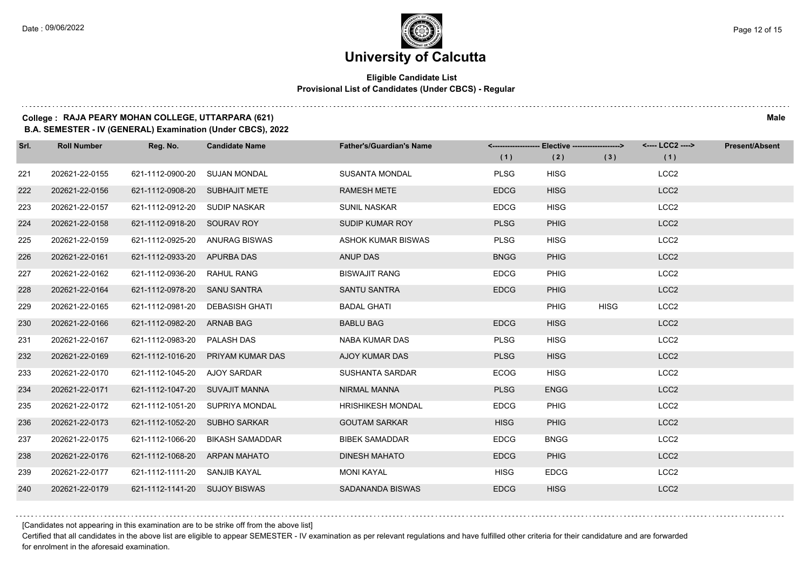### **Eligible Candidate List Provisional List of Candidates (Under CBCS) - Regular**

### **College : RAJA PEARY MOHAN COLLEGE, UTTARPARA (621) Male**

**B.A. SEMESTER - IV (GENERAL) Examination (Under CBCS), 2022**

| Srl. | <b>Roll Number</b> | Reg. No.                       | <b>Candidate Name</b>           | <b>Father's/Guardian's Name</b> |             | <-------------------- Elective -------------------> |             | <---- LCC2 ----> | <b>Present/Absent</b> |
|------|--------------------|--------------------------------|---------------------------------|---------------------------------|-------------|-----------------------------------------------------|-------------|------------------|-----------------------|
|      |                    |                                |                                 |                                 | (1)         | (2)                                                 | (3)         | (1)              |                       |
| 221  | 202621-22-0155     | 621-1112-0900-20               | <b>SUJAN MONDAL</b>             | <b>SUSANTA MONDAL</b>           | <b>PLSG</b> | <b>HISG</b>                                         |             | LCC <sub>2</sub> |                       |
| 222  | 202621-22-0156     | 621-1112-0908-20               | <b>SUBHAJIT METE</b>            | <b>RAMESH METE</b>              | <b>EDCG</b> | <b>HISG</b>                                         |             | LCC <sub>2</sub> |                       |
| 223  | 202621-22-0157     | 621-1112-0912-20               | SUDIP NASKAR                    | <b>SUNIL NASKAR</b>             | <b>EDCG</b> | <b>HISG</b>                                         |             | LCC <sub>2</sub> |                       |
| 224  | 202621-22-0158     | 621-1112-0918-20 SOURAV ROY    |                                 | SUDIP KUMAR ROY                 | <b>PLSG</b> | <b>PHIG</b>                                         |             | LCC <sub>2</sub> |                       |
| 225  | 202621-22-0159     | 621-1112-0925-20               | <b>ANURAG BISWAS</b>            | <b>ASHOK KUMAR BISWAS</b>       | <b>PLSG</b> | <b>HISG</b>                                         |             | LCC <sub>2</sub> |                       |
| 226  | 202621-22-0161     | 621-1112-0933-20               | <b>APURBA DAS</b>               | <b>ANUP DAS</b>                 | <b>BNGG</b> | <b>PHIG</b>                                         |             | LCC <sub>2</sub> |                       |
| 227  | 202621-22-0162     | 621-1112-0936-20 RAHUL RANG    |                                 | <b>BISWAJIT RANG</b>            | <b>EDCG</b> | <b>PHIG</b>                                         |             | LCC <sub>2</sub> |                       |
| 228  | 202621-22-0164     | 621-1112-0978-20 SANU SANTRA   |                                 | SANTU SANTRA                    | <b>EDCG</b> | <b>PHIG</b>                                         |             | LCC <sub>2</sub> |                       |
| 229  | 202621-22-0165     | 621-1112-0981-20               | <b>DEBASISH GHATI</b>           | <b>BADAL GHATI</b>              |             | <b>PHIG</b>                                         | <b>HISG</b> | LCC <sub>2</sub> |                       |
| 230  | 202621-22-0166     | 621-1112-0982-20 ARNAB BAG     |                                 | <b>BABLU BAG</b>                | <b>EDCG</b> | <b>HISG</b>                                         |             | LCC <sub>2</sub> |                       |
| 231  | 202621-22-0167     | 621-1112-0983-20 PALASH DAS    |                                 | NABA KUMAR DAS                  | <b>PLSG</b> | <b>HISG</b>                                         |             | LCC <sub>2</sub> |                       |
| 232  | 202621-22-0169     | 621-1112-1016-20               | PRIYAM KUMAR DAS                | AJOY KUMAR DAS                  | <b>PLSG</b> | <b>HISG</b>                                         |             | LCC <sub>2</sub> |                       |
| 233  | 202621-22-0170     | 621-1112-1045-20               | AJOY SARDAR                     | <b>SUSHANTA SARDAR</b>          | <b>ECOG</b> | <b>HISG</b>                                         |             | LCC <sub>2</sub> |                       |
| 234  | 202621-22-0171     | 621-1112-1047-20 SUVAJIT MANNA |                                 | <b>NIRMAL MANNA</b>             | <b>PLSG</b> | <b>ENGG</b>                                         |             | LCC <sub>2</sub> |                       |
| 235  | 202621-22-0172     |                                | 621-1112-1051-20 SUPRIYA MONDAL | <b>HRISHIKESH MONDAL</b>        | <b>EDCG</b> | <b>PHIG</b>                                         |             | LCC <sub>2</sub> |                       |
| 236  | 202621-22-0173     | 621-1112-1052-20 SUBHO SARKAR  |                                 | <b>GOUTAM SARKAR</b>            | <b>HISG</b> | <b>PHIG</b>                                         |             | LCC <sub>2</sub> |                       |
| 237  | 202621-22-0175     | 621-1112-1066-20               | <b>BIKASH SAMADDAR</b>          | <b>BIBEK SAMADDAR</b>           | <b>EDCG</b> | <b>BNGG</b>                                         |             | LCC <sub>2</sub> |                       |
| 238  | 202621-22-0176     | 621-1112-1068-20               | <b>ARPAN MAHATO</b>             | <b>DINESH MAHATO</b>            | <b>EDCG</b> | <b>PHIG</b>                                         |             | LCC <sub>2</sub> |                       |
| 239  | 202621-22-0177     | 621-1112-1111-20 SANJIB KAYAL  |                                 | MONI KAYAL                      | <b>HISG</b> | <b>EDCG</b>                                         |             | LCC <sub>2</sub> |                       |
| 240  | 202621-22-0179     | 621-1112-1141-20 SUJOY BISWAS  |                                 | SADANANDA BISWAS                | <b>EDCG</b> | <b>HISG</b>                                         |             | LCC <sub>2</sub> |                       |

[Candidates not appearing in this examination are to be strike off from the above list]

Certified that all candidates in the above list are eligible to appear SEMESTER - IV examination as per relevant regulations and have fulfilled other criteria for their candidature and are forwarded for enrolment in the aforesaid examination.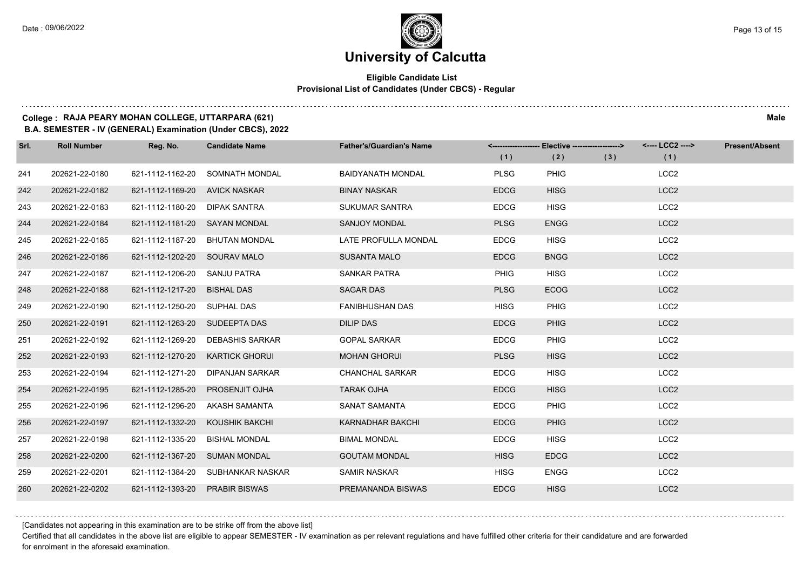### **Eligible Candidate List Provisional List of Candidates (Under CBCS) - Regular**

### **College : RAJA PEARY MOHAN COLLEGE, UTTARPARA (621) Male**

**B.A. SEMESTER - IV (GENERAL) Examination (Under CBCS), 2022**

| Srl. | <b>Roll Number</b> | Reg. No.                       | <b>Candidate Name</b>             | <b>Father's/Guardian's Name</b> |             | <-------------------- Elective ------------------> |     | <---- LCC2 ----> | <b>Present/Absent</b> |
|------|--------------------|--------------------------------|-----------------------------------|---------------------------------|-------------|----------------------------------------------------|-----|------------------|-----------------------|
|      |                    |                                |                                   |                                 | (1)         | (2)                                                | (3) | (1)              |                       |
| 241  | 202621-22-0180     | 621-1112-1162-20               | SOMNATH MONDAL                    | <b>BAIDYANATH MONDAL</b>        | <b>PLSG</b> | <b>PHIG</b>                                        |     | LCC <sub>2</sub> |                       |
| 242  | 202621-22-0182     | 621-1112-1169-20 AVICK NASKAR  |                                   | <b>BINAY NASKAR</b>             | <b>EDCG</b> | <b>HISG</b>                                        |     | LCC <sub>2</sub> |                       |
| 243  | 202621-22-0183     | 621-1112-1180-20 DIPAK SANTRA  |                                   | <b>SUKUMAR SANTRA</b>           | <b>EDCG</b> | <b>HISG</b>                                        |     | LCC <sub>2</sub> |                       |
| 244  | 202621-22-0184     | 621-1112-1181-20 SAYAN MONDAL  |                                   | <b>SANJOY MONDAL</b>            | <b>PLSG</b> | <b>ENGG</b>                                        |     | LCC <sub>2</sub> |                       |
| 245  | 202621-22-0185     | 621-1112-1187-20 BHUTAN MONDAL |                                   | LATE PROFULLA MONDAL            | <b>EDCG</b> | <b>HISG</b>                                        |     | LCC <sub>2</sub> |                       |
| 246  | 202621-22-0186     | 621-1112-1202-20 SOURAV MALO   |                                   | <b>SUSANTA MALO</b>             | <b>EDCG</b> | <b>BNGG</b>                                        |     | LCC <sub>2</sub> |                       |
| 247  | 202621-22-0187     | 621-1112-1206-20 SANJU PATRA   |                                   | SANKAR PATRA                    | <b>PHIG</b> | <b>HISG</b>                                        |     | LCC <sub>2</sub> |                       |
| 248  | 202621-22-0188     | 621-1112-1217-20               | <b>BISHAL DAS</b>                 | <b>SAGAR DAS</b>                | <b>PLSG</b> | <b>ECOG</b>                                        |     | LCC <sub>2</sub> |                       |
| 249  | 202621-22-0190     | 621-1112-1250-20 SUPHAL DAS    |                                   | <b>FANIBHUSHAN DAS</b>          | <b>HISG</b> | <b>PHIG</b>                                        |     | LCC <sub>2</sub> |                       |
| 250  | 202621-22-0191     | 621-1112-1263-20 SUDEEPTA DAS  |                                   | <b>DILIP DAS</b>                | <b>EDCG</b> | <b>PHIG</b>                                        |     | LCC <sub>2</sub> |                       |
| 251  | 202621-22-0192     |                                | 621-1112-1269-20 DEBASHIS SARKAR  | <b>GOPAL SARKAR</b>             | <b>EDCG</b> | <b>PHIG</b>                                        |     | LCC <sub>2</sub> |                       |
| 252  | 202621-22-0193     | 621-1112-1270-20               | <b>KARTICK GHORUI</b>             | <b>MOHAN GHORUI</b>             | <b>PLSG</b> | <b>HISG</b>                                        |     | LCC <sub>2</sub> |                       |
| 253  | 202621-22-0194     | 621-1112-1271-20               | DIPANJAN SARKAR                   | <b>CHANCHAL SARKAR</b>          | <b>EDCG</b> | <b>HISG</b>                                        |     | LCC <sub>2</sub> |                       |
| 254  | 202621-22-0195     | 621-1112-1285-20               | <b>PROSENJIT OJHA</b>             | <b>TARAK OJHA</b>               | <b>EDCG</b> | <b>HISG</b>                                        |     | LCC <sub>2</sub> |                       |
| 255  | 202621-22-0196     | 621-1112-1296-20               | AKASH SAMANTA                     | SANAT SAMANTA                   | <b>EDCG</b> | <b>PHIG</b>                                        |     | LCC <sub>2</sub> |                       |
| 256  | 202621-22-0197     | 621-1112-1332-20               | KOUSHIK BAKCHI                    | KARNADHAR BAKCHI                | <b>EDCG</b> | <b>PHIG</b>                                        |     | LCC <sub>2</sub> |                       |
| 257  | 202621-22-0198     | 621-1112-1335-20               | <b>BISHAL MONDAL</b>              | <b>BIMAL MONDAL</b>             | <b>EDCG</b> | <b>HISG</b>                                        |     | LCC <sub>2</sub> |                       |
| 258  | 202621-22-0200     | 621-1112-1367-20 SUMAN MONDAL  |                                   | <b>GOUTAM MONDAL</b>            | <b>HISG</b> | <b>EDCG</b>                                        |     | LCC <sub>2</sub> |                       |
| 259  | 202621-22-0201     |                                | 621-1112-1384-20 SUBHANKAR NASKAR | SAMIR NASKAR                    | <b>HISG</b> | <b>ENGG</b>                                        |     | LCC <sub>2</sub> |                       |
| 260  | 202621-22-0202     | 621-1112-1393-20               | <b>PRABIR BISWAS</b>              | PREMANANDA BISWAS               | <b>EDCG</b> | <b>HISG</b>                                        |     | LCC <sub>2</sub> |                       |

[Candidates not appearing in this examination are to be strike off from the above list]

Certified that all candidates in the above list are eligible to appear SEMESTER - IV examination as per relevant regulations and have fulfilled other criteria for their candidature and are forwarded for enrolment in the aforesaid examination.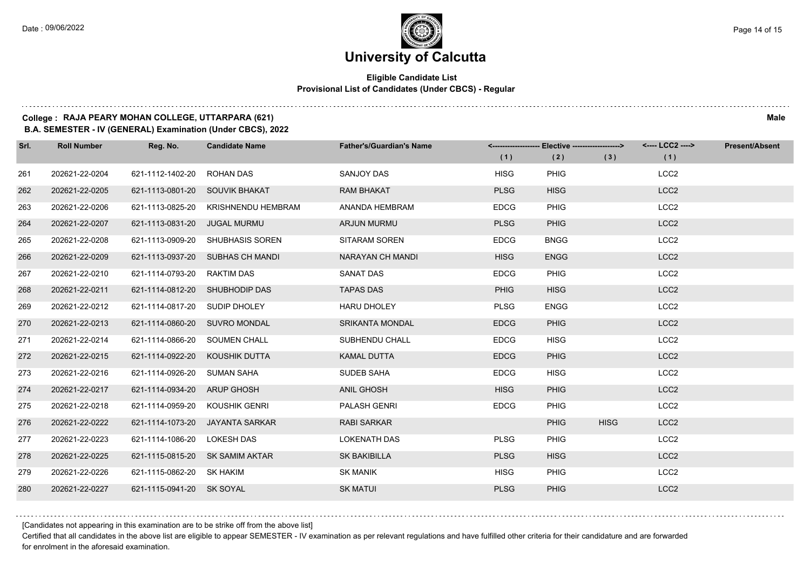$1.111$ 

### **University of Calcutta**

### **Eligible Candidate List Provisional List of Candidates (Under CBCS) - Regular**

### **College : RAJA PEARY MOHAN COLLEGE, UTTARPARA (621) Male**

**B.A. SEMESTER - IV (GENERAL) Examination (Under CBCS), 2022**

| Srl. | <b>Roll Number</b> | Reg. No.                       | <b>Candidate Name</b>            | <b>Father's/Guardian's Name</b> |             | <-------------------- Elective -------------------> |             | <---- LCC2 ----> | <b>Present/Absent</b> |
|------|--------------------|--------------------------------|----------------------------------|---------------------------------|-------------|-----------------------------------------------------|-------------|------------------|-----------------------|
|      |                    |                                |                                  |                                 | (1)         | (2)                                                 | (3)         | (1)              |                       |
| 261  | 202621-22-0204     | 621-1112-1402-20               | <b>ROHAN DAS</b>                 | SANJOY DAS                      | <b>HISG</b> | <b>PHIG</b>                                         |             | LCC <sub>2</sub> |                       |
| 262  | 202621-22-0205     | 621-1113-0801-20               | <b>SOUVIK BHAKAT</b>             | <b>RAM BHAKAT</b>               | <b>PLSG</b> | <b>HISG</b>                                         |             | LCC <sub>2</sub> |                       |
| 263  | 202621-22-0206     | 621-1113-0825-20               | <b>KRISHNENDU HEMBRAM</b>        | ANANDA HEMBRAM                  | <b>EDCG</b> | <b>PHIG</b>                                         |             | LCC <sub>2</sub> |                       |
| 264  | 202621-22-0207     | 621-1113-0831-20               | <b>JUGAL MURMU</b>               | <b>ARJUN MURMU</b>              | <b>PLSG</b> | <b>PHIG</b>                                         |             | LCC <sub>2</sub> |                       |
| 265  | 202621-22-0208     | 621-1113-0909-20               | SHUBHASIS SOREN                  | SITARAM SOREN                   | <b>EDCG</b> | <b>BNGG</b>                                         |             | LCC <sub>2</sub> |                       |
| 266  | 202621-22-0209     |                                | 621-1113-0937-20 SUBHAS CH MANDI | NARAYAN CH MANDI                | <b>HISG</b> | <b>ENGG</b>                                         |             | LCC <sub>2</sub> |                       |
| 267  | 202621-22-0210     | 621-1114-0793-20 RAKTIM DAS    |                                  | <b>SANAT DAS</b>                | <b>EDCG</b> | <b>PHIG</b>                                         |             | LCC <sub>2</sub> |                       |
| 268  | 202621-22-0211     | 621-1114-0812-20 SHUBHODIP DAS |                                  | <b>TAPAS DAS</b>                | <b>PHIG</b> | <b>HISG</b>                                         |             | LCC <sub>2</sub> |                       |
| 269  | 202621-22-0212     | 621-1114-0817-20               | SUDIP DHOLEY                     | <b>HARU DHOLEY</b>              | <b>PLSG</b> | <b>ENGG</b>                                         |             | LCC <sub>2</sub> |                       |
| 270  | 202621-22-0213     | 621-1114-0860-20 SUVRO MONDAL  |                                  | <b>SRIKANTA MONDAL</b>          | <b>EDCG</b> | <b>PHIG</b>                                         |             | LCC <sub>2</sub> |                       |
| 271  | 202621-22-0214     | 621-1114-0866-20 SOUMEN CHALL  |                                  | SUBHENDU CHALL                  | <b>EDCG</b> | <b>HISG</b>                                         |             | LCC <sub>2</sub> |                       |
| 272  | 202621-22-0215     | 621-1114-0922-20               | KOUSHIK DUTTA                    | <b>KAMAL DUTTA</b>              | <b>EDCG</b> | <b>PHIG</b>                                         |             | LCC <sub>2</sub> |                       |
| 273  | 202621-22-0216     | 621-1114-0926-20               | <b>SUMAN SAHA</b>                | <b>SUDEB SAHA</b>               | <b>EDCG</b> | <b>HISG</b>                                         |             | LCC <sub>2</sub> |                       |
| 274  | 202621-22-0217     | 621-1114-0934-20 ARUP GHOSH    |                                  | <b>ANIL GHOSH</b>               | <b>HISG</b> | <b>PHIG</b>                                         |             | LCC <sub>2</sub> |                       |
| 275  | 202621-22-0218     | 621-1114-0959-20               | <b>KOUSHIK GENRI</b>             | <b>PALASH GENRI</b>             | <b>EDCG</b> | <b>PHIG</b>                                         |             | LCC <sub>2</sub> |                       |
| 276  | 202621-22-0222     | 621-1114-1073-20               | JAYANTA SARKAR                   | <b>RABI SARKAR</b>              |             | <b>PHIG</b>                                         | <b>HISG</b> | LCC <sub>2</sub> |                       |
| 277  | 202621-22-0223     | 621-1114-1086-20               | <b>LOKESH DAS</b>                | <b>LOKENATH DAS</b>             | <b>PLSG</b> | <b>PHIG</b>                                         |             | LCC <sub>2</sub> |                       |
| 278  | 202621-22-0225     | 621-1115-0815-20               | <b>SK SAMIM AKTAR</b>            | <b>SK BAKIBILLA</b>             | <b>PLSG</b> | <b>HISG</b>                                         |             | LCC <sub>2</sub> |                       |
| 279  | 202621-22-0226     | 621-1115-0862-20 SK HAKIM      |                                  | <b>SK MANIK</b>                 | <b>HISG</b> | <b>PHIG</b>                                         |             | LCC <sub>2</sub> |                       |
| 280  | 202621-22-0227     | 621-1115-0941-20 SK SOYAL      |                                  | <b>SK MATUI</b>                 | <b>PLSG</b> | <b>PHIG</b>                                         |             | LCC <sub>2</sub> |                       |

[Candidates not appearing in this examination are to be strike off from the above list]

Certified that all candidates in the above list are eligible to appear SEMESTER - IV examination as per relevant regulations and have fulfilled other criteria for their candidature and are forwarded for enrolment in the aforesaid examination.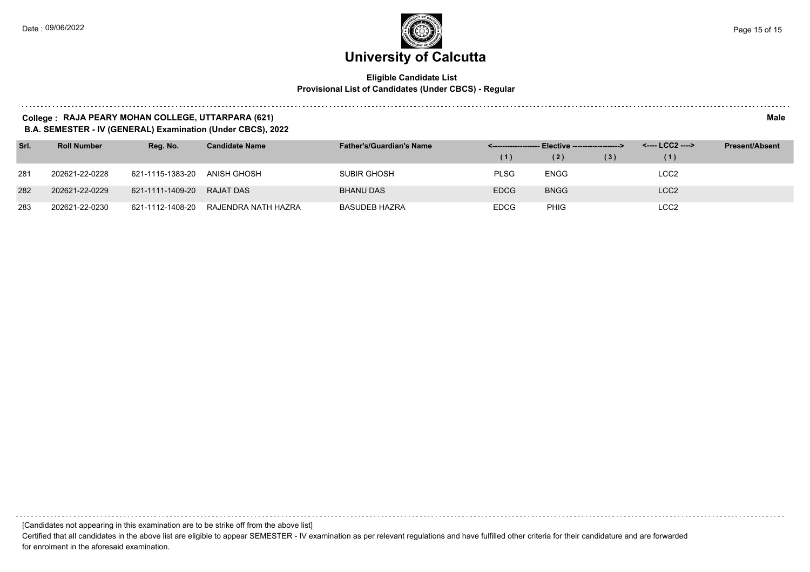#### **Eligible Candidate List Provisional List of Candidates (Under CBCS) - Regular**

#### **College : RAJA PEARY MOHAN COLLEGE, UTTARPARA (621) Male**

**B.A. SEMESTER - IV (GENERAL) Examination (Under CBCS), 2022**

| Srl. | <b>Roll Number</b> | Reg. No.                   | <b>Candidate Name</b> | <b>Father's/Guardian's Name</b> | <-------------------- Elective -------------------> |             |     |                  | <b>Present/Absent</b> |
|------|--------------------|----------------------------|-----------------------|---------------------------------|-----------------------------------------------------|-------------|-----|------------------|-----------------------|
|      |                    |                            |                       |                                 | (1)                                                 | (2)         | (3) | (1)              |                       |
| 281  | 202621-22-0228     | 621-1115-1383-20           | ANISH GHOSH           | <b>SUBIR GHOSH</b>              | <b>PLSG</b>                                         | ENGG        |     | LCC2             |                       |
| 282  | 202621-22-0229     | 621-1111-1409-20 RAJAT DAS |                       | <b>BHANU DAS</b>                | <b>EDCG</b>                                         | <b>BNGG</b> |     | LCC <sub>2</sub> |                       |
| 283  | 202621-22-0230     | 621-1112-1408-20           | RAJENDRA NATH HAZRA   | BASUDEB HAZRA                   | <b>EDCG</b>                                         | <b>PHIG</b> |     | LCC <sub>2</sub> |                       |

[Candidates not appearing in this examination are to be strike off from the above list]

Certified that all candidates in the above list are eligible to appear SEMESTER - IV examination as per relevant regulations and have fulfilled other criteria for their candidature and are forwarded for enrolment in the aforesaid examination.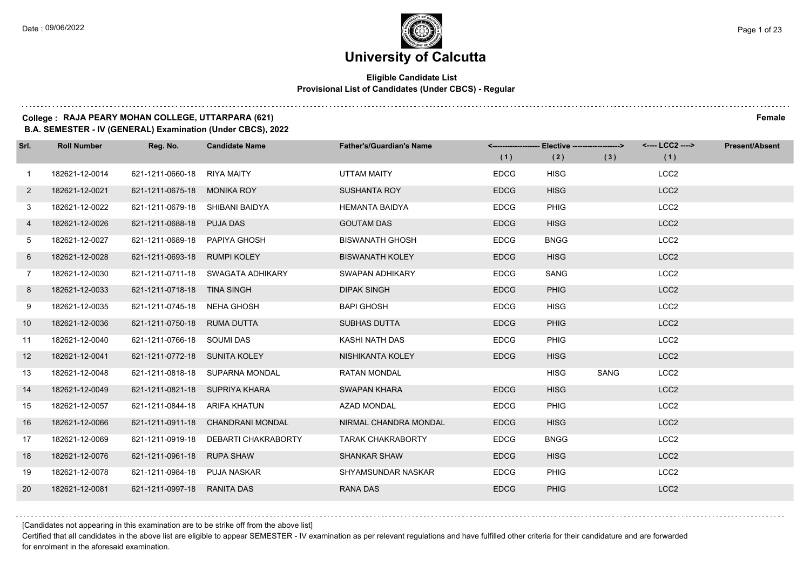### **University of Calcutta**

### **Eligible Candidate List Provisional List of Candidates (Under CBCS) - Regular**

### **College : RAJA PEARY MOHAN COLLEGE, UTTARPARA (621) Female**

**B.A. SEMESTER - IV (GENERAL) Examination (Under CBCS), 2022**

| Srl.           | <b>Roll Number</b> | Reg. No.                        | <b>Candidate Name</b>             | <b>Father's/Guardian's Name</b> | (1)         | <------------------- Elective ------------------><br>(2) | (3)  | <---- LCC2 ----><br>(1) | <b>Present/Absent</b> |
|----------------|--------------------|---------------------------------|-----------------------------------|---------------------------------|-------------|----------------------------------------------------------|------|-------------------------|-----------------------|
|                |                    |                                 |                                   |                                 |             |                                                          |      |                         |                       |
| $\overline{1}$ | 182621-12-0014     | 621-1211-0660-18                | RIYA MAITY                        | UTTAM MAITY                     | <b>EDCG</b> | <b>HISG</b>                                              |      | LCC <sub>2</sub>        |                       |
| $\overline{2}$ | 182621-12-0021     | 621-1211-0675-18 MONIKA ROY     |                                   | <b>SUSHANTA ROY</b>             | <b>EDCG</b> | <b>HISG</b>                                              |      | LCC <sub>2</sub>        |                       |
| 3              | 182621-12-0022     | 621-1211-0679-18 SHIBANI BAIDYA |                                   | <b>HEMANTA BAIDYA</b>           | <b>EDCG</b> | PHIG                                                     |      | LCC <sub>2</sub>        |                       |
| 4              | 182621-12-0026     | 621-1211-0688-18 PUJA DAS       |                                   | <b>GOUTAM DAS</b>               | <b>EDCG</b> | <b>HISG</b>                                              |      | LCC <sub>2</sub>        |                       |
| 5              | 182621-12-0027     | 621-1211-0689-18                | PAPIYA GHOSH                      | <b>BISWANATH GHOSH</b>          | <b>EDCG</b> | <b>BNGG</b>                                              |      | LCC <sub>2</sub>        |                       |
| 6              | 182621-12-0028     | 621-1211-0693-18 RUMPI KOLEY    |                                   | <b>BISWANATH KOLEY</b>          | <b>EDCG</b> | <b>HISG</b>                                              |      | LCC <sub>2</sub>        |                       |
| $7\phantom{.}$ | 182621-12-0030     |                                 | 621-1211-0711-18 SWAGATA ADHIKARY | <b>SWAPAN ADHIKARY</b>          | <b>EDCG</b> | SANG                                                     |      | LCC <sub>2</sub>        |                       |
| 8              | 182621-12-0033     | 621-1211-0718-18 TINA SINGH     |                                   | <b>DIPAK SINGH</b>              | <b>EDCG</b> | <b>PHIG</b>                                              |      | LCC <sub>2</sub>        |                       |
| 9              | 182621-12-0035     | 621-1211-0745-18                | NEHA GHOSH                        | <b>BAPI GHOSH</b>               | <b>EDCG</b> | <b>HISG</b>                                              |      | LCC <sub>2</sub>        |                       |
| 10             | 182621-12-0036     | 621-1211-0750-18 RUMA DUTTA     |                                   | <b>SUBHAS DUTTA</b>             | <b>EDCG</b> | PHIG                                                     |      | LCC <sub>2</sub>        |                       |
| 11             | 182621-12-0040     | 621-1211-0766-18 SOUMI DAS      |                                   | KASHI NATH DAS                  | <b>EDCG</b> | <b>PHIG</b>                                              |      | LCC <sub>2</sub>        |                       |
| 12             | 182621-12-0041     | 621-1211-0772-18 SUNITA KOLEY   |                                   | NISHIKANTA KOLEY                | <b>EDCG</b> | <b>HISG</b>                                              |      | LCC <sub>2</sub>        |                       |
| 13             | 182621-12-0048     |                                 | 621-1211-0818-18 SUPARNA MONDAL   | <b>RATAN MONDAL</b>             |             | <b>HISG</b>                                              | SANG | LCC <sub>2</sub>        |                       |
| 14             | 182621-12-0049     | 621-1211-0821-18 SUPRIYA KHARA  |                                   | <b>SWAPAN KHARA</b>             | <b>EDCG</b> | <b>HISG</b>                                              |      | LCC <sub>2</sub>        |                       |
| 15             | 182621-12-0057     | 621-1211-0844-18 ARIFA KHATUN   |                                   | AZAD MONDAL                     | <b>EDCG</b> | <b>PHIG</b>                                              |      | LCC <sub>2</sub>        |                       |
| 16             | 182621-12-0066     |                                 | 621-1211-0911-18 CHANDRANI MONDAL | NIRMAL CHANDRA MONDAL           | <b>EDCG</b> | <b>HISG</b>                                              |      | LCC <sub>2</sub>        |                       |
| 17             | 182621-12-0069     | 621-1211-0919-18                | <b>DEBARTI CHAKRABORTY</b>        | <b>TARAK CHAKRABORTY</b>        | <b>EDCG</b> | <b>BNGG</b>                                              |      | LCC <sub>2</sub>        |                       |
| 18             | 182621-12-0076     | 621-1211-0961-18                | <b>RUPA SHAW</b>                  | <b>SHANKAR SHAW</b>             | <b>EDCG</b> | <b>HISG</b>                                              |      | LCC <sub>2</sub>        |                       |
| 19             | 182621-12-0078     | 621-1211-0984-18 PUJA NASKAR    |                                   | SHYAMSUNDAR NASKAR              | <b>EDCG</b> | <b>PHIG</b>                                              |      | LCC <sub>2</sub>        |                       |
| 20             | 182621-12-0081     | 621-1211-0997-18                | RANITA DAS                        | <b>RANA DAS</b>                 | <b>EDCG</b> | <b>PHIG</b>                                              |      | LCC <sub>2</sub>        |                       |

[Candidates not appearing in this examination are to be strike off from the above list]

Certified that all candidates in the above list are eligible to appear SEMESTER - IV examination as per relevant regulations and have fulfilled other criteria for their candidature and are forwarded for enrolment in the aforesaid examination.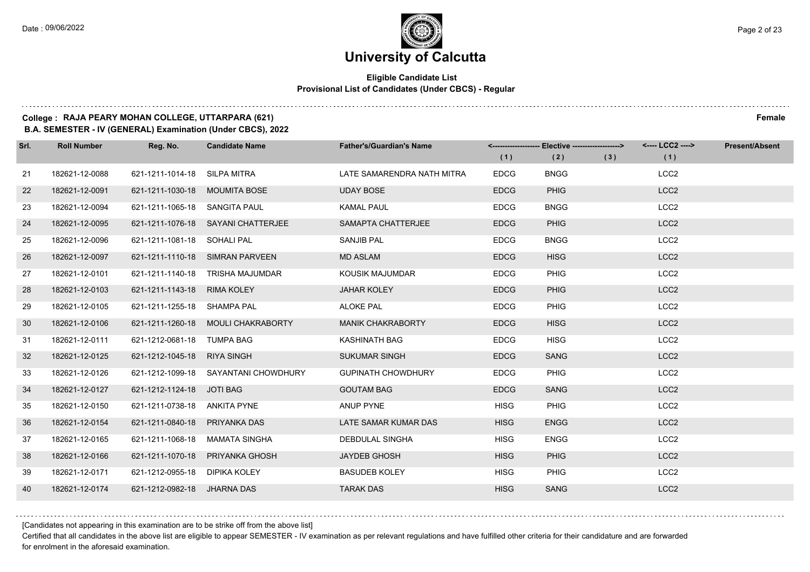### **Eligible Candidate List Provisional List of Candidates (Under CBCS) - Regular**

### **College : RAJA PEARY MOHAN COLLEGE, UTTARPARA (621) Female**

**B.A. SEMESTER - IV (GENERAL) Examination (Under CBCS), 2022**

| Srl. | <b>Roll Number</b> | Reg. No.                      | <b>Candidate Name</b>                | <b>Father's/Guardian's Name</b> |             | <-------------------- Elective ------------------> |     | <---- LCC2 ----> | <b>Present/Absent</b> |
|------|--------------------|-------------------------------|--------------------------------------|---------------------------------|-------------|----------------------------------------------------|-----|------------------|-----------------------|
|      |                    |                               |                                      |                                 | (1)         | (2)                                                | (3) | (1)              |                       |
| 21   | 182621-12-0088     | 621-1211-1014-18 SILPA MITRA  |                                      | LATE SAMARENDRA NATH MITRA      | <b>EDCG</b> | <b>BNGG</b>                                        |     | LCC <sub>2</sub> |                       |
| 22   | 182621-12-0091     | 621-1211-1030-18 MOUMITA BOSE |                                      | <b>UDAY BOSE</b>                | <b>EDCG</b> | <b>PHIG</b>                                        |     | LCC <sub>2</sub> |                       |
| 23   | 182621-12-0094     | 621-1211-1065-18 SANGITA PAUL |                                      | <b>KAMAL PAUL</b>               | <b>EDCG</b> | <b>BNGG</b>                                        |     | LCC <sub>2</sub> |                       |
| 24   | 182621-12-0095     |                               | 621-1211-1076-18 SAYANI CHATTERJEE   | SAMAPTA CHATTERJEE              | <b>EDCG</b> | <b>PHIG</b>                                        |     | LCC <sub>2</sub> |                       |
| 25   | 182621-12-0096     | 621-1211-1081-18 SOHALI PAL   |                                      | <b>SANJIB PAL</b>               | <b>EDCG</b> | <b>BNGG</b>                                        |     | LCC <sub>2</sub> |                       |
| 26   | 182621-12-0097     |                               | 621-1211-1110-18 SIMRAN PARVEEN      | <b>MD ASLAM</b>                 | <b>EDCG</b> | <b>HISG</b>                                        |     | LCC <sub>2</sub> |                       |
| 27   | 182621-12-0101     |                               | 621-1211-1140-18 TRISHA MAJUMDAR     | KOUSIK MAJUMDAR                 | <b>EDCG</b> | <b>PHIG</b>                                        |     | LCC <sub>2</sub> |                       |
| 28   | 182621-12-0103     | 621-1211-1143-18 RIMA KOLEY   |                                      | <b>JAHAR KOLEY</b>              | <b>EDCG</b> | <b>PHIG</b>                                        |     | LCC <sub>2</sub> |                       |
| 29   | 182621-12-0105     | 621-1211-1255-18 SHAMPA PAL   |                                      | <b>ALOKE PAL</b>                | <b>EDCG</b> | <b>PHIG</b>                                        |     | LCC <sub>2</sub> |                       |
| 30   | 182621-12-0106     |                               | 621-1211-1260-18 MOULI CHAKRABORTY   | <b>MANIK CHAKRABORTY</b>        | <b>EDCG</b> | <b>HISG</b>                                        |     | LCC <sub>2</sub> |                       |
| 31   | 182621-12-0111     | 621-1212-0681-18 TUMPA BAG    |                                      | KASHINATH BAG                   | <b>EDCG</b> | <b>HISG</b>                                        |     | LCC <sub>2</sub> |                       |
| 32   | 182621-12-0125     | 621-1212-1045-18 RIYA SINGH   |                                      | <b>SUKUMAR SINGH</b>            | <b>EDCG</b> | <b>SANG</b>                                        |     | LCC <sub>2</sub> |                       |
| 33   | 182621-12-0126     |                               | 621-1212-1099-18 SAYANTANI CHOWDHURY | <b>GUPINATH CHOWDHURY</b>       | <b>EDCG</b> | PHIG                                               |     | LCC <sub>2</sub> |                       |
| 34   | 182621-12-0127     | 621-1212-1124-18 JOTI BAG     |                                      | <b>GOUTAM BAG</b>               | <b>EDCG</b> | <b>SANG</b>                                        |     | LCC <sub>2</sub> |                       |
| 35   | 182621-12-0150     | 621-1211-0738-18 ANKITA PYNE  |                                      | ANUP PYNE                       | <b>HISG</b> | <b>PHIG</b>                                        |     | LCC <sub>2</sub> |                       |
| 36   | 182621-12-0154     | 621-1211-0840-18 PRIYANKA DAS |                                      | LATE SAMAR KUMAR DAS            | <b>HISG</b> | <b>ENGG</b>                                        |     | LCC <sub>2</sub> |                       |
| 37   | 182621-12-0165     | 621-1211-1068-18              | MAMATA SINGHA                        | <b>DEBDULAL SINGHA</b>          | <b>HISG</b> | <b>ENGG</b>                                        |     | LCC <sub>2</sub> |                       |
| 38   | 182621-12-0166     | 621-1211-1070-18              | PRIYANKA GHOSH                       | <b>JAYDEB GHOSH</b>             | <b>HISG</b> | <b>PHIG</b>                                        |     | LCC <sub>2</sub> |                       |
| 39   | 182621-12-0171     | 621-1212-0955-18 DIPIKA KOLEY |                                      | <b>BASUDEB KOLEY</b>            | <b>HISG</b> | PHIG                                               |     | LCC <sub>2</sub> |                       |
| 40   | 182621-12-0174     | 621-1212-0982-18 JHARNA DAS   |                                      | <b>TARAK DAS</b>                | <b>HISG</b> | <b>SANG</b>                                        |     | LCC <sub>2</sub> |                       |

[Candidates not appearing in this examination are to be strike off from the above list]

Certified that all candidates in the above list are eligible to appear SEMESTER - IV examination as per relevant regulations and have fulfilled other criteria for their candidature and are forwarded for enrolment in the aforesaid examination.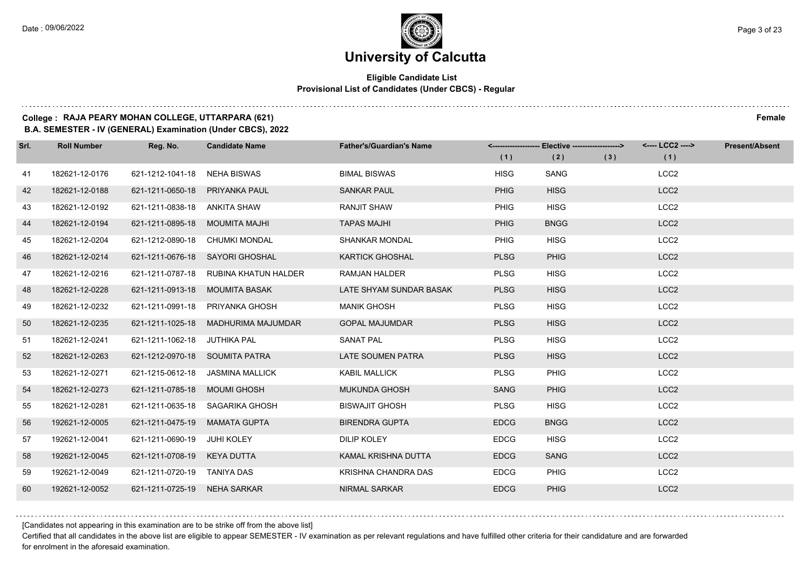### **Eligible Candidate List Provisional List of Candidates (Under CBCS) - Regular**

### **College : RAJA PEARY MOHAN COLLEGE, UTTARPARA (621) Female**

**B.A. SEMESTER - IV (GENERAL) Examination (Under CBCS), 2022**

| Srl. | <b>Roll Number</b> | Reg. No.                       | <b>Candidate Name</b>                 | <b>Father's/Guardian's Name</b> | (1)         | <-------------------- Elective ------------------><br>(2) | (3) | <---- LCC2 ----><br>(1) | <b>Present/Absent</b> |
|------|--------------------|--------------------------------|---------------------------------------|---------------------------------|-------------|-----------------------------------------------------------|-----|-------------------------|-----------------------|
| 41   | 182621-12-0176     | 621-1212-1041-18               | NEHA BISWAS                           | <b>BIMAL BISWAS</b>             | <b>HISG</b> | SANG                                                      |     | LCC <sub>2</sub>        |                       |
| 42   | 182621-12-0188     | 621-1211-0650-18               | <b>PRIYANKA PAUL</b>                  | <b>SANKAR PAUL</b>              | <b>PHIG</b> | <b>HISG</b>                                               |     | LCC <sub>2</sub>        |                       |
| 43   | 182621-12-0192     | 621-1211-0838-18 ANKITA SHAW   |                                       | RANJIT SHAW                     | <b>PHIG</b> | <b>HISG</b>                                               |     | LCC <sub>2</sub>        |                       |
| 44   | 182621-12-0194     | 621-1211-0895-18               | MOUMITA MAJHI                         | <b>TAPAS MAJHI</b>              | <b>PHIG</b> | <b>BNGG</b>                                               |     | LCC <sub>2</sub>        |                       |
| 45   | 182621-12-0204     | 621-1212-0890-18               | <b>CHUMKI MONDAL</b>                  | SHANKAR MONDAL                  | PHIG        | <b>HISG</b>                                               |     | LCC <sub>2</sub>        |                       |
| 46   | 182621-12-0214     | 621-1211-0676-18               | SAYORI GHOSHAL                        | <b>KARTICK GHOSHAL</b>          | <b>PLSG</b> | <b>PHIG</b>                                               |     | LCC <sub>2</sub>        |                       |
| 47   | 182621-12-0216     |                                | 621-1211-0787-18 RUBINA KHATUN HALDER | RAMJAN HALDER                   | <b>PLSG</b> | <b>HISG</b>                                               |     | LCC <sub>2</sub>        |                       |
| 48   | 182621-12-0228     | 621-1211-0913-18               | MOUMITA BASAK                         | LATE SHYAM SUNDAR BASAK         | <b>PLSG</b> | <b>HISG</b>                                               |     | LCC <sub>2</sub>        |                       |
| 49   | 182621-12-0232     | 621-1211-0991-18               | PRIYANKA GHOSH                        | <b>MANIK GHOSH</b>              | <b>PLSG</b> | <b>HISG</b>                                               |     | LCC <sub>2</sub>        |                       |
| 50   | 182621-12-0235     | 621-1211-1025-18               | MADHURIMA MAJUMDAR                    | <b>GOPAL MAJUMDAR</b>           | <b>PLSG</b> | <b>HISG</b>                                               |     | LCC <sub>2</sub>        |                       |
| 51   | 182621-12-0241     | 621-1211-1062-18 JUTHIKA PAL   |                                       | <b>SANAT PAL</b>                | <b>PLSG</b> | <b>HISG</b>                                               |     | LCC <sub>2</sub>        |                       |
| 52   | 182621-12-0263     | 621-1212-0970-18 SOUMITA PATRA |                                       | LATE SOUMEN PATRA               | <b>PLSG</b> | <b>HISG</b>                                               |     | LCC <sub>2</sub>        |                       |
| 53   | 182621-12-0271     | 621-1215-0612-18               | JASMINA MALLICK                       | <b>KABIL MALLICK</b>            | <b>PLSG</b> | <b>PHIG</b>                                               |     | LCC <sub>2</sub>        |                       |
| 54   | 182621-12-0273     | 621-1211-0785-18               | <b>MOUMI GHOSH</b>                    | <b>MUKUNDA GHOSH</b>            | <b>SANG</b> | <b>PHIG</b>                                               |     | LCC <sub>2</sub>        |                       |
| 55   | 182621-12-0281     |                                | 621-1211-0635-18 SAGARIKA GHOSH       | <b>BISWAJIT GHOSH</b>           | <b>PLSG</b> | <b>HISG</b>                                               |     | LCC <sub>2</sub>        |                       |
| 56   | 192621-12-0005     | 621-1211-0475-19               | <b>MAMATA GUPTA</b>                   | <b>BIRENDRA GUPTA</b>           | <b>EDCG</b> | <b>BNGG</b>                                               |     | LCC <sub>2</sub>        |                       |
| 57   | 192621-12-0041     | 621-1211-0690-19               | <b>JUHI KOLEY</b>                     | <b>DILIP KOLEY</b>              | <b>EDCG</b> | <b>HISG</b>                                               |     | LCC <sub>2</sub>        |                       |
| 58   | 192621-12-0045     | 621-1211-0708-19               | <b>KEYA DUTTA</b>                     | KAMAL KRISHNA DUTTA             | <b>EDCG</b> | <b>SANG</b>                                               |     | LCC <sub>2</sub>        |                       |
| 59   | 192621-12-0049     | 621-1211-0720-19 TANIYA DAS    |                                       | KRISHNA CHANDRA DAS             | <b>EDCG</b> | <b>PHIG</b>                                               |     | LCC <sub>2</sub>        |                       |
| 60   | 192621-12-0052     | 621-1211-0725-19 NEHA SARKAR   |                                       | <b>NIRMAL SARKAR</b>            | <b>EDCG</b> | <b>PHIG</b>                                               |     | LCC <sub>2</sub>        |                       |

[Candidates not appearing in this examination are to be strike off from the above list]

Certified that all candidates in the above list are eligible to appear SEMESTER - IV examination as per relevant regulations and have fulfilled other criteria for their candidature and are forwarded for enrolment in the aforesaid examination.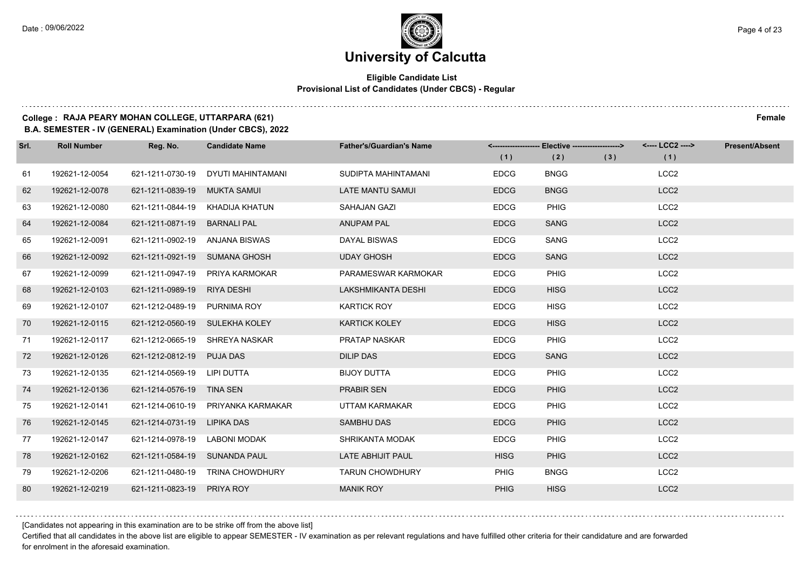### **Eligible Candidate List Provisional List of Candidates (Under CBCS) - Regular**

### **College : RAJA PEARY MOHAN COLLEGE, UTTARPARA (621) Female**

**B.A. SEMESTER - IV (GENERAL) Examination (Under CBCS), 2022**

| Srl. | <b>Roll Number</b> | Reg. No.                       | <b>Candidate Name</b>          | <b>Father's/Guardian's Name</b> |             | <-------------------- Elective ------------------> |     | <---- LCC2 ----> | <b>Present/Absent</b> |
|------|--------------------|--------------------------------|--------------------------------|---------------------------------|-------------|----------------------------------------------------|-----|------------------|-----------------------|
|      |                    |                                |                                |                                 | (1)         | (2)                                                | (3) | (1)              |                       |
| 61   | 192621-12-0054     | 621-1211-0730-19               | DYUTI MAHINTAMANI              | SUDIPTA MAHINTAMANI             | <b>EDCG</b> | <b>BNGG</b>                                        |     | LCC <sub>2</sub> |                       |
| 62   | 192621-12-0078     | 621-1211-0839-19               | MUKTA SAMUI                    | LATE MANTU SAMUI                | <b>EDCG</b> | <b>BNGG</b>                                        |     | LCC <sub>2</sub> |                       |
| 63   | 192621-12-0080     | 621-1211-0844-19               | KHADIJA KHATUN                 | <b>SAHAJAN GAZI</b>             | <b>EDCG</b> | <b>PHIG</b>                                        |     | LCC <sub>2</sub> |                       |
| 64   | 192621-12-0084     | 621-1211-0871-19               | <b>BARNALI PAL</b>             | <b>ANUPAM PAL</b>               | <b>EDCG</b> | <b>SANG</b>                                        |     | LCC <sub>2</sub> |                       |
| 65   | 192621-12-0091     | 621-1211-0902-19               | ANJANA BISWAS                  | DAYAL BISWAS                    | <b>EDCG</b> | SANG                                               |     | LCC <sub>2</sub> |                       |
| 66   | 192621-12-0092     | 621-1211-0921-19               | SUMANA GHOSH                   | <b>UDAY GHOSH</b>               | <b>EDCG</b> | <b>SANG</b>                                        |     | LCC <sub>2</sub> |                       |
| 67   | 192621-12-0099     | 621-1211-0947-19               | PRIYA KARMOKAR                 | PARAMESWAR KARMOKAR             | <b>EDCG</b> | <b>PHIG</b>                                        |     | LCC <sub>2</sub> |                       |
| 68   | 192621-12-0103     | 621-1211-0989-19               | RIYA DESHI                     | LAKSHMIKANTA DESHI              | <b>EDCG</b> | <b>HISG</b>                                        |     | LCC <sub>2</sub> |                       |
| 69   | 192621-12-0107     | 621-1212-0489-19               | <b>PURNIMA ROY</b>             | <b>KARTICK ROY</b>              | <b>EDCG</b> | <b>HISG</b>                                        |     | LCC <sub>2</sub> |                       |
| 70   | 192621-12-0115     | 621-1212-0560-19 SULEKHA KOLEY |                                | <b>KARTICK KOLEY</b>            | <b>EDCG</b> | <b>HISG</b>                                        |     | LCC <sub>2</sub> |                       |
| 71   | 192621-12-0117     |                                | 621-1212-0665-19 SHREYA NASKAR | PRATAP NASKAR                   | <b>EDCG</b> | <b>PHIG</b>                                        |     | LCC <sub>2</sub> |                       |
| 72   | 192621-12-0126     | 621-1212-0812-19               | <b>PUJA DAS</b>                | <b>DILIP DAS</b>                | <b>EDCG</b> | <b>SANG</b>                                        |     | LCC <sub>2</sub> |                       |
| 73   | 192621-12-0135     | 621-1214-0569-19               | LIPI DUTTA                     | <b>BIJOY DUTTA</b>              | <b>EDCG</b> | <b>PHIG</b>                                        |     | LCC <sub>2</sub> |                       |
| 74   | 192621-12-0136     | 621-1214-0576-19 TINA SEN      |                                | <b>PRABIR SEN</b>               | <b>EDCG</b> | <b>PHIG</b>                                        |     | LCC <sub>2</sub> |                       |
| 75   | 192621-12-0141     | 621-1214-0610-19               | PRIYANKA KARMAKAR              | UTTAM KARMAKAR                  | <b>EDCG</b> | <b>PHIG</b>                                        |     | LCC <sub>2</sub> |                       |
| 76   | 192621-12-0145     | 621-1214-0731-19               | LIPIKA DAS                     | SAMBHU DAS                      | <b>EDCG</b> | <b>PHIG</b>                                        |     | LCC <sub>2</sub> |                       |
| 77   | 192621-12-0147     | 621-1214-0978-19               | <b>LABONI MODAK</b>            | <b>SHRIKANTA MODAK</b>          | <b>EDCG</b> | <b>PHIG</b>                                        |     | LCC <sub>2</sub> |                       |
| 78   | 192621-12-0162     | 621-1211-0584-19               | <b>SUNANDA PAUL</b>            | LATE ABHIJIT PAUL               | <b>HISG</b> | <b>PHIG</b>                                        |     | LCC <sub>2</sub> |                       |
| 79   | 192621-12-0206     | 621-1211-0480-19               | <b>TRINA CHOWDHURY</b>         | <b>TARUN CHOWDHURY</b>          | PHIG        | <b>BNGG</b>                                        |     | LCC <sub>2</sub> |                       |
| 80   | 192621-12-0219     | 621-1211-0823-19               | <b>PRIYA ROY</b>               | <b>MANIK ROY</b>                | <b>PHIG</b> | <b>HISG</b>                                        |     | LCC <sub>2</sub> |                       |

[Candidates not appearing in this examination are to be strike off from the above list]

Certified that all candidates in the above list are eligible to appear SEMESTER - IV examination as per relevant regulations and have fulfilled other criteria for their candidature and are forwarded for enrolment in the aforesaid examination.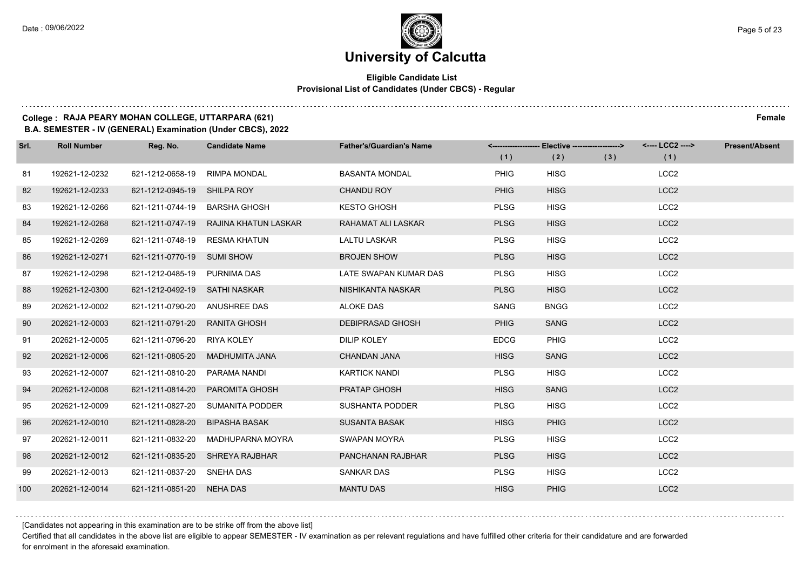### **Eligible Candidate List Provisional List of Candidates (Under CBCS) - Regular**

### **College : RAJA PEARY MOHAN COLLEGE, UTTARPARA (621) Female**

**B.A. SEMESTER - IV (GENERAL) Examination (Under CBCS), 2022**

| Srl. | <b>Roll Number</b> | Reg. No.                   | <b>Candidate Name</b> | <b>Father's/Guardian's Name</b> | (1)         | <------------------- Elective ------------------><br>(2) | (3) | <---- LCC2 ----><br>(1) | <b>Present/Absent</b> |
|------|--------------------|----------------------------|-----------------------|---------------------------------|-------------|----------------------------------------------------------|-----|-------------------------|-----------------------|
| 81   | 192621-12-0232     | 621-1212-0658-19           | <b>RIMPA MONDAL</b>   | <b>BASANTA MONDAL</b>           | PHIG        | <b>HISG</b>                                              |     | LCC <sub>2</sub>        |                       |
|      |                    |                            |                       |                                 |             |                                                          |     |                         |                       |
| 82   | 192621-12-0233     | 621-1212-0945-19           | SHILPA ROY            | <b>CHANDU ROY</b>               | <b>PHIG</b> | <b>HISG</b>                                              |     | LCC <sub>2</sub>        |                       |
| 83   | 192621-12-0266     | 621-1211-0744-19           | BARSHA GHOSH          | <b>KESTO GHOSH</b>              | <b>PLSG</b> | <b>HISG</b>                                              |     | LCC <sub>2</sub>        |                       |
| 84   | 192621-12-0268     | 621-1211-0747-19           | RAJINA KHATUN LASKAR  | RAHAMAT ALI LASKAR              | <b>PLSG</b> | <b>HISG</b>                                              |     | LCC <sub>2</sub>        |                       |
| 85   | 192621-12-0269     | 621-1211-0748-19           | <b>RESMA KHATUN</b>   | <b>LALTU LASKAR</b>             | <b>PLSG</b> | <b>HISG</b>                                              |     | LCC <sub>2</sub>        |                       |
| 86   | 192621-12-0271     | 621-1211-0770-19 SUMI SHOW |                       | <b>BROJEN SHOW</b>              | <b>PLSG</b> | <b>HISG</b>                                              |     | LCC <sub>2</sub>        |                       |
| 87   | 192621-12-0298     | 621-1212-0485-19           | PURNIMA DAS           | LATE SWAPAN KUMAR DAS           | <b>PLSG</b> | <b>HISG</b>                                              |     | LCC <sub>2</sub>        |                       |
| 88   | 192621-12-0300     | 621-1212-0492-19           | SATHI NASKAR          | NISHIKANTA NASKAR               | <b>PLSG</b> | <b>HISG</b>                                              |     | LCC <sub>2</sub>        |                       |
| 89   | 202621-12-0002     | 621-1211-0790-20           | ANUSHREE DAS          | <b>ALOKE DAS</b>                | SANG        | <b>BNGG</b>                                              |     | LCC <sub>2</sub>        |                       |
| 90   | 202621-12-0003     | 621-1211-0791-20           | <b>RANITA GHOSH</b>   | <b>DEBIPRASAD GHOSH</b>         | <b>PHIG</b> | <b>SANG</b>                                              |     | LCC <sub>2</sub>        |                       |
| 91   | 202621-12-0005     | 621-1211-0796-20           | RIYA KOLEY            | <b>DILIP KOLEY</b>              | <b>EDCG</b> | <b>PHIG</b>                                              |     | LCC <sub>2</sub>        |                       |
| 92   | 202621-12-0006     | 621-1211-0805-20           | MADHUMITA JANA        | <b>CHANDAN JANA</b>             | <b>HISG</b> | <b>SANG</b>                                              |     | LCC <sub>2</sub>        |                       |
| 93   | 202621-12-0007     | 621-1211-0810-20           | PARAMA NANDI          | <b>KARTICK NANDI</b>            | <b>PLSG</b> | <b>HISG</b>                                              |     | LCC <sub>2</sub>        |                       |
| 94   | 202621-12-0008     | 621-1211-0814-20           | <b>PAROMITA GHOSH</b> | PRATAP GHOSH                    | <b>HISG</b> | <b>SANG</b>                                              |     | LCC <sub>2</sub>        |                       |
| 95   | 202621-12-0009     | 621-1211-0827-20           | SUMANITA PODDER       | <b>SUSHANTA PODDER</b>          | <b>PLSG</b> | <b>HISG</b>                                              |     | LCC <sub>2</sub>        |                       |
| 96   | 202621-12-0010     | 621-1211-0828-20           | <b>BIPASHA BASAK</b>  | <b>SUSANTA BASAK</b>            | <b>HISG</b> | <b>PHIG</b>                                              |     | LCC <sub>2</sub>        |                       |
| 97   | 202621-12-0011     | 621-1211-0832-20           | MADHUPARNA MOYRA      | SWAPAN MOYRA                    | <b>PLSG</b> | <b>HISG</b>                                              |     | LCC <sub>2</sub>        |                       |
| 98   | 202621-12-0012     | 621-1211-0835-20           | <b>SHREYA RAJBHAR</b> | PANCHANAN RAJBHAR               | <b>PLSG</b> | <b>HISG</b>                                              |     | LCC <sub>2</sub>        |                       |
| 99   | 202621-12-0013     | 621-1211-0837-20 SNEHA DAS |                       | <b>SANKAR DAS</b>               | <b>PLSG</b> | <b>HISG</b>                                              |     | LCC <sub>2</sub>        |                       |
| 100  | 202621-12-0014     | 621-1211-0851-20 NEHA DAS  |                       | <b>MANTU DAS</b>                | <b>HISG</b> | <b>PHIG</b>                                              |     | LCC <sub>2</sub>        |                       |

[Candidates not appearing in this examination are to be strike off from the above list]

Certified that all candidates in the above list are eligible to appear SEMESTER - IV examination as per relevant regulations and have fulfilled other criteria for their candidature and are forwarded for enrolment in the aforesaid examination.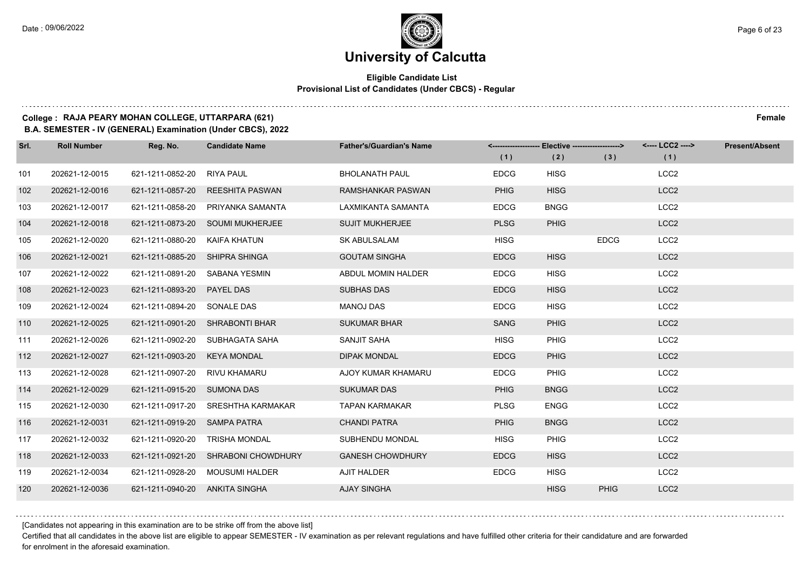### **Eligible Candidate List Provisional List of Candidates (Under CBCS) - Regular**

### **College : RAJA PEARY MOHAN COLLEGE, UTTARPARA (621) Female**

**B.A. SEMESTER - IV (GENERAL) Examination (Under CBCS), 2022**

| Srl. | <b>Roll Number</b> | Reg. No.                       | <b>Candidate Name</b>               | <b>Father's/Guardian's Name</b> | (1)         | <-------------------- Elective ------------------><br>(2) | (3)         | <---- LCC2 ----><br>(1) | <b>Present/Absent</b> |
|------|--------------------|--------------------------------|-------------------------------------|---------------------------------|-------------|-----------------------------------------------------------|-------------|-------------------------|-----------------------|
| 101  | 202621-12-0015     | 621-1211-0852-20               | RIYA PAUL                           | <b>BHOLANATH PAUL</b>           | <b>EDCG</b> | <b>HISG</b>                                               |             | LCC <sub>2</sub>        |                       |
| 102  | 202621-12-0016     |                                | 621-1211-0857-20 REESHITA PASWAN    | <b>RAMSHANKAR PASWAN</b>        | <b>PHIG</b> | <b>HISG</b>                                               |             | LCC <sub>2</sub>        |                       |
| 103  | 202621-12-0017     | 621-1211-0858-20               | PRIYANKA SAMANTA                    | LAXMIKANTA SAMANTA              | <b>EDCG</b> | <b>BNGG</b>                                               |             | LCC <sub>2</sub>        |                       |
| 104  | 202621-12-0018     |                                | 621-1211-0873-20 SOUMI MUKHERJEE    | <b>SUJIT MUKHERJEE</b>          | <b>PLSG</b> | <b>PHIG</b>                                               |             | LCC <sub>2</sub>        |                       |
| 105  | 202621-12-0020     | 621-1211-0880-20               | KAIFA KHATUN                        | <b>SK ABULSALAM</b>             | <b>HISG</b> |                                                           | <b>EDCG</b> | LCC <sub>2</sub>        |                       |
| 106  | 202621-12-0021     | 621-1211-0885-20 SHIPRA SHINGA |                                     | <b>GOUTAM SINGHA</b>            | <b>EDCG</b> | <b>HISG</b>                                               |             | LCC <sub>2</sub>        |                       |
| 107  | 202621-12-0022     | 621-1211-0891-20 SABANA YESMIN |                                     | ABDUL MOMIN HALDER              | <b>EDCG</b> | <b>HISG</b>                                               |             | LCC <sub>2</sub>        |                       |
| 108  | 202621-12-0023     | 621-1211-0893-20 PAYEL DAS     |                                     | <b>SUBHAS DAS</b>               | <b>EDCG</b> | <b>HISG</b>                                               |             | LCC <sub>2</sub>        |                       |
| 109  | 202621-12-0024     | 621-1211-0894-20 SONALE DAS    |                                     | <b>MANOJ DAS</b>                | <b>EDCG</b> | <b>HISG</b>                                               |             | LCC <sub>2</sub>        |                       |
| 110  | 202621-12-0025     |                                | 621-1211-0901-20 SHRABONTI BHAR     | <b>SUKUMAR BHAR</b>             | SANG        | <b>PHIG</b>                                               |             | LCC <sub>2</sub>        |                       |
| 111  | 202621-12-0026     |                                | 621-1211-0902-20 SUBHAGATA SAHA     | <b>SANJIT SAHA</b>              | <b>HISG</b> | <b>PHIG</b>                                               |             | LCC <sub>2</sub>        |                       |
| 112  | 202621-12-0027     | 621-1211-0903-20 KEYA MONDAL   |                                     | <b>DIPAK MONDAL</b>             | <b>EDCG</b> | <b>PHIG</b>                                               |             | LCC <sub>2</sub>        |                       |
| 113  | 202621-12-0028     | 621-1211-0907-20               | RIVU KHAMARU                        | AJOY KUMAR KHAMARU              | <b>EDCG</b> | PHIG                                                      |             | LCC <sub>2</sub>        |                       |
| 114  | 202621-12-0029     | 621-1211-0915-20 SUMONA DAS    |                                     | <b>SUKUMAR DAS</b>              | <b>PHIG</b> | <b>BNGG</b>                                               |             | LCC <sub>2</sub>        |                       |
| 115  | 202621-12-0030     |                                | 621-1211-0917-20 SRESHTHA KARMAKAR  | <b>TAPAN KARMAKAR</b>           | <b>PLSG</b> | <b>ENGG</b>                                               |             | LCC <sub>2</sub>        |                       |
| 116  | 202621-12-0031     | 621-1211-0919-20 SAMPA PATRA   |                                     | <b>CHANDI PATRA</b>             | <b>PHIG</b> | <b>BNGG</b>                                               |             | LCC <sub>2</sub>        |                       |
| 117  | 202621-12-0032     | 621-1211-0920-20               | <b>TRISHA MONDAL</b>                | SUBHENDU MONDAL                 | <b>HISG</b> | <b>PHIG</b>                                               |             | LCC <sub>2</sub>        |                       |
| 118  | 202621-12-0033     |                                | 621-1211-0921-20 SHRABONI CHOWDHURY | <b>GANESH CHOWDHURY</b>         | <b>EDCG</b> | <b>HISG</b>                                               |             | LCC <sub>2</sub>        |                       |
| 119  | 202621-12-0034     |                                | 621-1211-0928-20 MOUSUMI HALDER     | AJIT HALDER                     | <b>EDCG</b> | <b>HISG</b>                                               |             | LCC <sub>2</sub>        |                       |
| 120  | 202621-12-0036     | 621-1211-0940-20 ANKITA SINGHA |                                     | <b>AJAY SINGHA</b>              |             | <b>HISG</b>                                               | <b>PHIG</b> | LCC <sub>2</sub>        |                       |

[Candidates not appearing in this examination are to be strike off from the above list]

Certified that all candidates in the above list are eligible to appear SEMESTER - IV examination as per relevant regulations and have fulfilled other criteria for their candidature and are forwarded for enrolment in the aforesaid examination.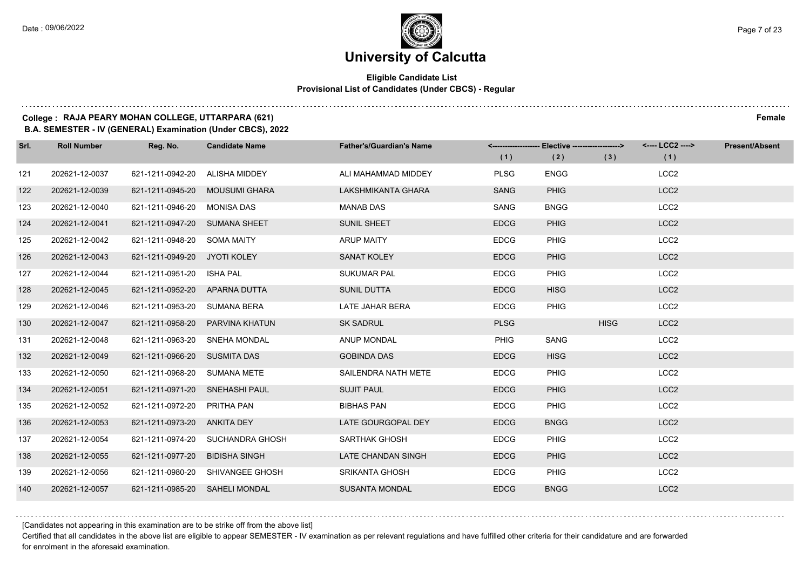### **Eligible Candidate List Provisional List of Candidates (Under CBCS) - Regular**

### **College : RAJA PEARY MOHAN COLLEGE, UTTARPARA (621) Female**

**B.A. SEMESTER - IV (GENERAL) Examination (Under CBCS), 2022**

| Srl. | <b>Roll Number</b> | Reg. No.                       | <b>Candidate Name</b>            | <b>Father's/Guardian's Name</b> | (1)         | <-------------------- Elective ------------------><br>(2) | (3)         | <---- LCC2 ----><br>(1) | <b>Present/Absent</b> |
|------|--------------------|--------------------------------|----------------------------------|---------------------------------|-------------|-----------------------------------------------------------|-------------|-------------------------|-----------------------|
| 121  | 202621-12-0037     | 621-1211-0942-20               | ALISHA MIDDEY                    | ALI MAHAMMAD MIDDEY             | <b>PLSG</b> | <b>ENGG</b>                                               |             | LCC <sub>2</sub>        |                       |
| 122  | 202621-12-0039     | 621-1211-0945-20               | <b>MOUSUMI GHARA</b>             | LAKSHMIKANTA GHARA              | <b>SANG</b> | <b>PHIG</b>                                               |             | LCC <sub>2</sub>        |                       |
| 123  | 202621-12-0040     | 621-1211-0946-20 MONISA DAS    |                                  | <b>MANAB DAS</b>                | SANG        | <b>BNGG</b>                                               |             | LCC <sub>2</sub>        |                       |
| 124  | 202621-12-0041     | 621-1211-0947-20 SUMANA SHEET  |                                  | <b>SUNIL SHEET</b>              | <b>EDCG</b> | <b>PHIG</b>                                               |             | LCC <sub>2</sub>        |                       |
| 125  | 202621-12-0042     | 621-1211-0948-20 SOMA MAITY    |                                  | <b>ARUP MAITY</b>               | <b>EDCG</b> | <b>PHIG</b>                                               |             | LCC <sub>2</sub>        |                       |
| 126  | 202621-12-0043     | 621-1211-0949-20 JYOTI KOLEY   |                                  | <b>SANAT KOLEY</b>              | <b>EDCG</b> | <b>PHIG</b>                                               |             | LCC <sub>2</sub>        |                       |
| 127  | 202621-12-0044     | 621-1211-0951-20 ISHA PAL      |                                  | <b>SUKUMAR PAL</b>              | <b>EDCG</b> | <b>PHIG</b>                                               |             | LCC <sub>2</sub>        |                       |
| 128  | 202621-12-0045     | 621-1211-0952-20 APARNA DUTTA  |                                  | SUNIL DUTTA                     | <b>EDCG</b> | <b>HISG</b>                                               |             | LCC <sub>2</sub>        |                       |
| 129  | 202621-12-0046     | 621-1211-0953-20 SUMANA BERA   |                                  | LATE JAHAR BERA                 | <b>EDCG</b> | <b>PHIG</b>                                               |             | LCC <sub>2</sub>        |                       |
| 130  | 202621-12-0047     | 621-1211-0958-20               | PARVINA KHATUN                   | <b>SK SADRUL</b>                | <b>PLSG</b> |                                                           | <b>HISG</b> | LCC <sub>2</sub>        |                       |
| 131  | 202621-12-0048     | 621-1211-0963-20 SNEHA MONDAL  |                                  | ANUP MONDAL                     | <b>PHIG</b> | SANG                                                      |             | LCC <sub>2</sub>        |                       |
| 132  | 202621-12-0049     | 621-1211-0966-20 SUSMITA DAS   |                                  | <b>GOBINDA DAS</b>              | <b>EDCG</b> | <b>HISG</b>                                               |             | LCC <sub>2</sub>        |                       |
| 133  | 202621-12-0050     | 621-1211-0968-20 SUMANA METE   |                                  | SAILENDRA NATH METE             | <b>EDCG</b> | <b>PHIG</b>                                               |             | LCC <sub>2</sub>        |                       |
| 134  | 202621-12-0051     | 621-1211-0971-20 SNEHASHI PAUL |                                  | <b>SUJIT PAUL</b>               | <b>EDCG</b> | <b>PHIG</b>                                               |             | LCC <sub>2</sub>        |                       |
| 135  | 202621-12-0052     | 621-1211-0972-20 PRITHA PAN    |                                  | <b>BIBHAS PAN</b>               | <b>EDCG</b> | <b>PHIG</b>                                               |             | LCC <sub>2</sub>        |                       |
| 136  | 202621-12-0053     | 621-1211-0973-20 ANKITA DEY    |                                  | LATE GOURGOPAL DEY              | <b>EDCG</b> | <b>BNGG</b>                                               |             | LCC <sub>2</sub>        |                       |
| 137  | 202621-12-0054     |                                | 621-1211-0974-20 SUCHANDRA GHOSH | SARTHAK GHOSH                   | <b>EDCG</b> | <b>PHIG</b>                                               |             | LCC <sub>2</sub>        |                       |
| 138  | 202621-12-0055     | 621-1211-0977-20               | <b>BIDISHA SINGH</b>             | LATE CHANDAN SINGH              | <b>EDCG</b> | <b>PHIG</b>                                               |             | LCC <sub>2</sub>        |                       |
| 139  | 202621-12-0056     |                                | 621-1211-0980-20 SHIVANGEE GHOSH | <b>SRIKANTA GHOSH</b>           | <b>EDCG</b> | <b>PHIG</b>                                               |             | LCC <sub>2</sub>        |                       |
| 140  | 202621-12-0057     | 621-1211-0985-20 SAHELI MONDAL |                                  | <b>SUSANTA MONDAL</b>           | <b>EDCG</b> | <b>BNGG</b>                                               |             | LCC <sub>2</sub>        |                       |

[Candidates not appearing in this examination are to be strike off from the above list]

Certified that all candidates in the above list are eligible to appear SEMESTER - IV examination as per relevant regulations and have fulfilled other criteria for their candidature and are forwarded for enrolment in the aforesaid examination.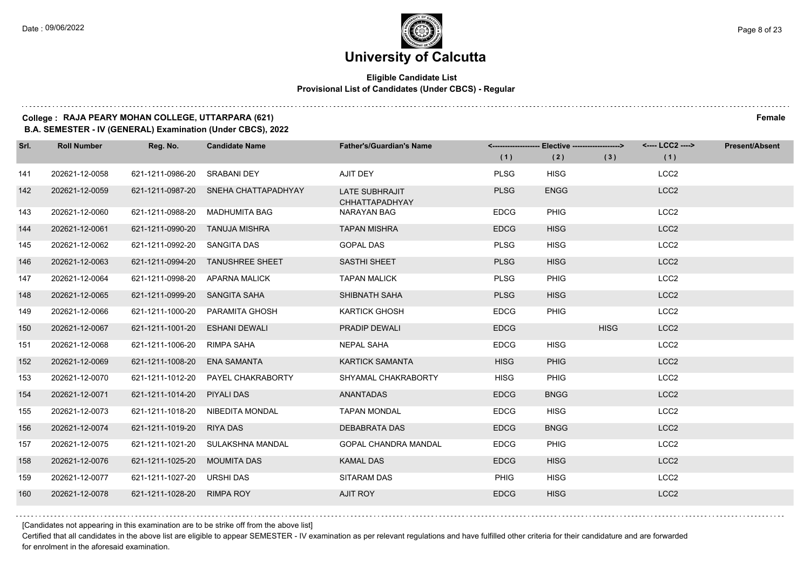#### **Eligible Candidate List Provisional List of Candidates (Under CBCS) - Regular**

#### **College : RAJA PEARY MOHAN COLLEGE, UTTARPARA (621) Female**

**B.A. SEMESTER - IV (GENERAL) Examination (Under CBCS), 2022**

| Srl. | <b>Roll Number</b> | Reg. No.                      | <b>Candidate Name</b>                | <b>Father's/Guardian's Name</b>                | (1)         | <-------------------- Elective ------------------><br>(2) | (3)         | <---- LCC2 ----><br>(1) | <b>Present/Absent</b> |
|------|--------------------|-------------------------------|--------------------------------------|------------------------------------------------|-------------|-----------------------------------------------------------|-------------|-------------------------|-----------------------|
| 141  | 202621-12-0058     | 621-1211-0986-20              | <b>SRABANI DEY</b>                   | AJIT DEY                                       | <b>PLSG</b> | <b>HISG</b>                                               |             | LCC <sub>2</sub>        |                       |
| 142  | 202621-12-0059     |                               | 621-1211-0987-20 SNEHA CHATTAPADHYAY | <b>LATE SUBHRAJIT</b><br><b>CHHATTAPADHYAY</b> | <b>PLSG</b> | <b>ENGG</b>                                               |             | LCC <sub>2</sub>        |                       |
| 143  | 202621-12-0060     | 621-1211-0988-20              | MADHUMITA BAG                        | NARAYAN BAG                                    | <b>EDCG</b> | <b>PHIG</b>                                               |             | LCC <sub>2</sub>        |                       |
| 144  | 202621-12-0061     | 621-1211-0990-20              | TANUJA MISHRA                        | <b>TAPAN MISHRA</b>                            | <b>EDCG</b> | <b>HISG</b>                                               |             | LCC <sub>2</sub>        |                       |
| 145  | 202621-12-0062     | 621-1211-0992-20 SANGITA DAS  |                                      | <b>GOPAL DAS</b>                               | <b>PLSG</b> | <b>HISG</b>                                               |             | LCC <sub>2</sub>        |                       |
| 146  | 202621-12-0063     | 621-1211-0994-20              | <b>TANUSHREE SHEET</b>               | SASTHI SHEET                                   | <b>PLSG</b> | <b>HISG</b>                                               |             | LCC <sub>2</sub>        |                       |
| 147  | 202621-12-0064     | 621-1211-0998-20              | APARNA MALICK                        | <b>TAPAN MALICK</b>                            | <b>PLSG</b> | <b>PHIG</b>                                               |             | LCC <sub>2</sub>        |                       |
| 148  | 202621-12-0065     | 621-1211-0999-20 SANGITA SAHA |                                      | SHIBNATH SAHA                                  | <b>PLSG</b> | <b>HISG</b>                                               |             | LCC <sub>2</sub>        |                       |
| 149  | 202621-12-0066     |                               | 621-1211-1000-20 PARAMITA GHOSH      | <b>KARTICK GHOSH</b>                           | <b>EDCG</b> | <b>PHIG</b>                                               |             | LCC <sub>2</sub>        |                       |
| 150  | 202621-12-0067     | 621-1211-1001-20              | <b>ESHANI DEWALI</b>                 | <b>PRADIP DEWALI</b>                           | <b>EDCG</b> |                                                           | <b>HISG</b> | LCC <sub>2</sub>        |                       |
| 151  | 202621-12-0068     | 621-1211-1006-20              | RIMPA SAHA                           | <b>NEPAL SAHA</b>                              | <b>EDCG</b> | <b>HISG</b>                                               |             | LCC <sub>2</sub>        |                       |
| 152  | 202621-12-0069     | 621-1211-1008-20 ENA SAMANTA  |                                      | <b>KARTICK SAMANTA</b>                         | <b>HISG</b> | <b>PHIG</b>                                               |             | LCC <sub>2</sub>        |                       |
| 153  | 202621-12-0070     |                               | 621-1211-1012-20 PAYEL CHAKRABORTY   | SHYAMAL CHAKRABORTY                            | <b>HISG</b> | <b>PHIG</b>                                               |             | LCC <sub>2</sub>        |                       |
| 154  | 202621-12-0071     | 621-1211-1014-20              | PIYALI DAS                           | <b>ANANTADAS</b>                               | <b>EDCG</b> | <b>BNGG</b>                                               |             | LCC <sub>2</sub>        |                       |
| 155  | 202621-12-0073     |                               | 621-1211-1018-20 NIBEDITA MONDAL     | <b>TAPAN MONDAL</b>                            | <b>EDCG</b> | <b>HISG</b>                                               |             | LCC <sub>2</sub>        |                       |
| 156  | 202621-12-0074     | 621-1211-1019-20 RIYA DAS     |                                      | DEBABRATA DAS                                  | <b>EDCG</b> | <b>BNGG</b>                                               |             | LCC <sub>2</sub>        |                       |
| 157  | 202621-12-0075     |                               | 621-1211-1021-20 SULAKSHNA MANDAL    | <b>GOPAL CHANDRA MANDAL</b>                    | <b>EDCG</b> | <b>PHIG</b>                                               |             | LCC <sub>2</sub>        |                       |
| 158  | 202621-12-0076     | 621-1211-1025-20              | <b>MOUMITA DAS</b>                   | <b>KAMAL DAS</b>                               | <b>EDCG</b> | <b>HISG</b>                                               |             | LCC <sub>2</sub>        |                       |
| 159  | 202621-12-0077     | 621-1211-1027-20 URSHI DAS    |                                      | SITARAM DAS                                    | <b>PHIG</b> | <b>HISG</b>                                               |             | LCC <sub>2</sub>        |                       |
| 160  | 202621-12-0078     | 621-1211-1028-20 RIMPA ROY    |                                      | <b>AJIT ROY</b>                                | <b>EDCG</b> | <b>HISG</b>                                               |             | LCC <sub>2</sub>        |                       |

[Candidates not appearing in this examination are to be strike off from the above list]

Certified that all candidates in the above list are eligible to appear SEMESTER - IV examination as per relevant regulations and have fulfilled other criteria for their candidature and are forwarded for enrolment in the aforesaid examination.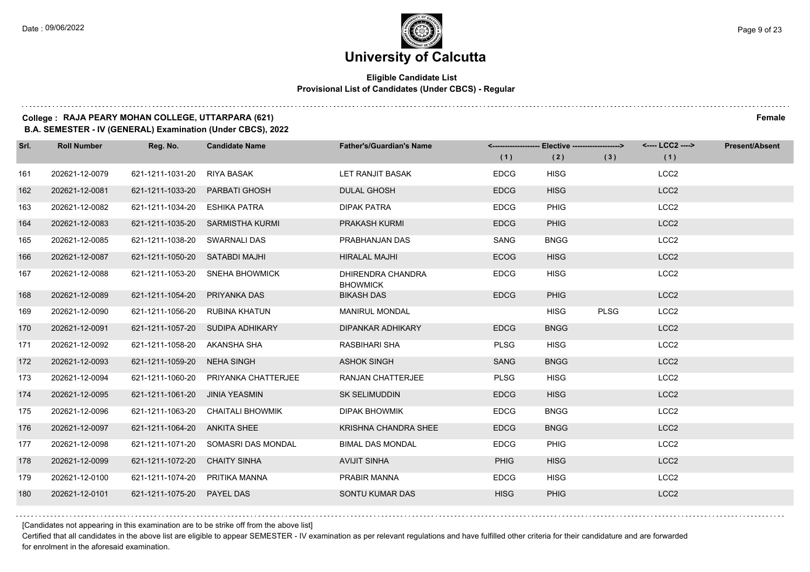### **Eligible Candidate List Provisional List of Candidates (Under CBCS) - Regular**

### **College : RAJA PEARY MOHAN COLLEGE, UTTARPARA (621) Female**

**B.A. SEMESTER - IV (GENERAL) Examination (Under CBCS), 2022**

| Srl. | <b>Roll Number</b> | Reg. No.                       | <b>Candidate Name</b>               | <b>Father's/Guardian's Name</b>      |             | <-------------------- Elective ------------------> |             | <---- LCC2 ----> | <b>Present/Absent</b> |
|------|--------------------|--------------------------------|-------------------------------------|--------------------------------------|-------------|----------------------------------------------------|-------------|------------------|-----------------------|
|      |                    |                                |                                     |                                      | (1)         | (2)                                                | (3)         | (1)              |                       |
| 161  | 202621-12-0079     | 621-1211-1031-20               | RIYA BASAK                          | LET RANJIT BASAK                     | <b>EDCG</b> | <b>HISG</b>                                        |             | LCC <sub>2</sub> |                       |
| 162  | 202621-12-0081     | 621-1211-1033-20               | <b>PARBATI GHOSH</b>                | <b>DULAL GHOSH</b>                   | <b>EDCG</b> | <b>HISG</b>                                        |             | LCC <sub>2</sub> |                       |
| 163  | 202621-12-0082     | 621-1211-1034-20               | ESHIKA PATRA                        | <b>DIPAK PATRA</b>                   | <b>EDCG</b> | <b>PHIG</b>                                        |             | LCC <sub>2</sub> |                       |
| 164  | 202621-12-0083     |                                | 621-1211-1035-20 SARMISTHA KURMI    | PRAKASH KURMI                        | <b>EDCG</b> | <b>PHIG</b>                                        |             | LCC <sub>2</sub> |                       |
| 165  | 202621-12-0085     | 621-1211-1038-20               | SWARNALI DAS                        | PRABHANJAN DAS                       | SANG        | <b>BNGG</b>                                        |             | LCC <sub>2</sub> |                       |
| 166  | 202621-12-0087     | 621-1211-1050-20 SATABDI MAJHI |                                     | <b>HIRALAL MAJHI</b>                 | <b>ECOG</b> | <b>HISG</b>                                        |             | LCC <sub>2</sub> |                       |
| 167  | 202621-12-0088     |                                | 621-1211-1053-20 SNEHA BHOWMICK     | DHIRENDRA CHANDRA<br><b>BHOWMICK</b> | <b>EDCG</b> | <b>HISG</b>                                        |             | LCC <sub>2</sub> |                       |
| 168  | 202621-12-0089     | 621-1211-1054-20               | PRIYANKA DAS                        | <b>BIKASH DAS</b>                    | <b>EDCG</b> | <b>PHIG</b>                                        |             | LCC <sub>2</sub> |                       |
| 169  | 202621-12-0090     | 621-1211-1056-20               | RUBINA KHATUN                       | <b>MANIRUL MONDAL</b>                |             | <b>HISG</b>                                        | <b>PLSG</b> | LCC <sub>2</sub> |                       |
| 170  | 202621-12-0091     | 621-1211-1057-20               | SUDIPA ADHIKARY                     | <b>DIPANKAR ADHIKARY</b>             | <b>EDCG</b> | <b>BNGG</b>                                        |             | LCC <sub>2</sub> |                       |
| 171  | 202621-12-0092     | 621-1211-1058-20 AKANSHA SHA   |                                     | <b>RASBIHARI SHA</b>                 | <b>PLSG</b> | <b>HISG</b>                                        |             | LCC <sub>2</sub> |                       |
| 172  | 202621-12-0093     | 621-1211-1059-20               | NEHA SINGH                          | <b>ASHOK SINGH</b>                   | <b>SANG</b> | <b>BNGG</b>                                        |             | LCC <sub>2</sub> |                       |
| 173  | 202621-12-0094     | 621-1211-1060-20               | PRIYANKA CHATTERJEE                 | RANJAN CHATTERJEE                    | <b>PLSG</b> | <b>HISG</b>                                        |             | LCC <sub>2</sub> |                       |
| 174  | 202621-12-0095     | 621-1211-1061-20               | <b>JINIA YEASMIN</b>                | <b>SK SELIMUDDIN</b>                 | <b>EDCG</b> | <b>HISG</b>                                        |             | LCC <sub>2</sub> |                       |
| 175  | 202621-12-0096     | 621-1211-1063-20               | CHAITALI BHOWMIK                    | <b>DIPAK BHOWMIK</b>                 | <b>EDCG</b> | <b>BNGG</b>                                        |             | LCC <sub>2</sub> |                       |
| 176  | 202621-12-0097     | 621-1211-1064-20 ANKITA SHEE   |                                     | <b>KRISHNA CHANDRA SHEE</b>          | <b>EDCG</b> | <b>BNGG</b>                                        |             | LCC <sub>2</sub> |                       |
| 177  | 202621-12-0098     |                                | 621-1211-1071-20 SOMASRI DAS MONDAL | <b>BIMAL DAS MONDAL</b>              | <b>EDCG</b> | <b>PHIG</b>                                        |             | LCC <sub>2</sub> |                       |
| 178  | 202621-12-0099     | 621-1211-1072-20               | <b>CHAITY SINHA</b>                 | <b>AVIJIT SINHA</b>                  | <b>PHIG</b> | <b>HISG</b>                                        |             | LCC <sub>2</sub> |                       |
| 179  | 202621-12-0100     | 621-1211-1074-20               | PRITIKA MANNA                       | PRABIR MANNA                         | <b>EDCG</b> | <b>HISG</b>                                        |             | LCC <sub>2</sub> |                       |
| 180  | 202621-12-0101     | 621-1211-1075-20 PAYEL DAS     |                                     | SONTU KUMAR DAS                      | <b>HISG</b> | PHIG                                               |             | LCC <sub>2</sub> |                       |

[Candidates not appearing in this examination are to be strike off from the above list]

Certified that all candidates in the above list are eligible to appear SEMESTER - IV examination as per relevant regulations and have fulfilled other criteria for their candidature and are forwarded for enrolment in the aforesaid examination.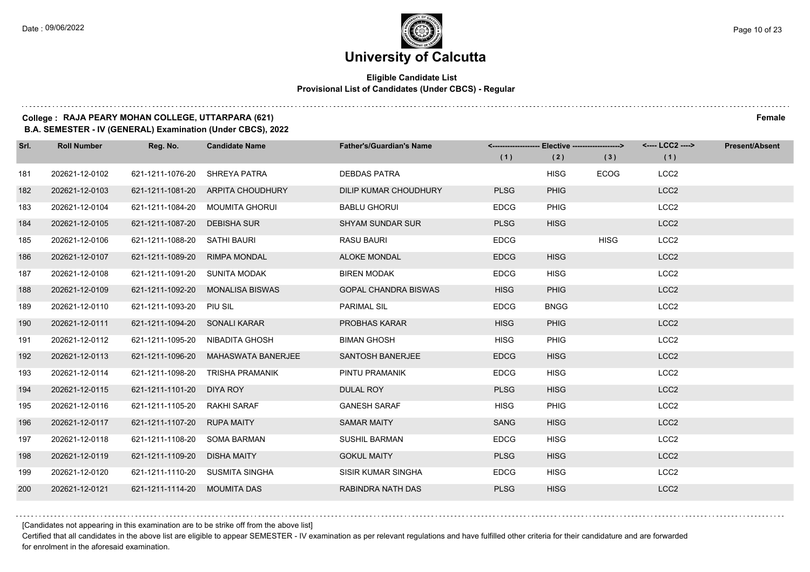### **Eligible Candidate List Provisional List of Candidates (Under CBCS) - Regular**

### **College : RAJA PEARY MOHAN COLLEGE, UTTARPARA (621) Female**

**B.A. SEMESTER - IV (GENERAL) Examination (Under CBCS), 2022**

| Srl. | <b>Roll Number</b> | Reg. No.                      | <b>Candidate Name</b>               | <b>Father's/Guardian's Name</b> |             | <------------------- Elective ------------------> |             | <---- LCC2 ----> | <b>Present/Absent</b> |
|------|--------------------|-------------------------------|-------------------------------------|---------------------------------|-------------|---------------------------------------------------|-------------|------------------|-----------------------|
|      |                    |                               |                                     |                                 | (1)         | (2)                                               | (3)         | (1)              |                       |
| 181  | 202621-12-0102     | 621-1211-1076-20              | SHREYA PATRA                        | <b>DEBDAS PATRA</b>             |             | <b>HISG</b>                                       | <b>ECOG</b> | LCC <sub>2</sub> |                       |
| 182  | 202621-12-0103     |                               | 621-1211-1081-20 ARPITA CHOUDHURY   | DILIP KUMAR CHOUDHURY           | <b>PLSG</b> | <b>PHIG</b>                                       |             | LCC <sub>2</sub> |                       |
| 183  | 202621-12-0104     |                               | 621-1211-1084-20 MOUMITA GHORUI     | <b>BABLU GHORUI</b>             | <b>EDCG</b> | PHIG                                              |             | LCC <sub>2</sub> |                       |
| 184  | 202621-12-0105     | 621-1211-1087-20 DEBISHA SUR  |                                     | <b>SHYAM SUNDAR SUR</b>         | <b>PLSG</b> | <b>HISG</b>                                       |             | LCC <sub>2</sub> |                       |
| 185  | 202621-12-0106     | 621-1211-1088-20 SATHI BAURI  |                                     | <b>RASU BAURI</b>               | <b>EDCG</b> |                                                   | <b>HISG</b> | LCC <sub>2</sub> |                       |
| 186  | 202621-12-0107     | 621-1211-1089-20              | <b>RIMPA MONDAL</b>                 | <b>ALOKE MONDAL</b>             | <b>EDCG</b> | <b>HISG</b>                                       |             | LCC <sub>2</sub> |                       |
| 187  | 202621-12-0108     | 621-1211-1091-20 SUNITA MODAK |                                     | <b>BIREN MODAK</b>              | <b>EDCG</b> | <b>HISG</b>                                       |             | LCC <sub>2</sub> |                       |
| 188  | 202621-12-0109     |                               | 621-1211-1092-20 MONALISA BISWAS    | <b>GOPAL CHANDRA BISWAS</b>     | <b>HISG</b> | <b>PHIG</b>                                       |             | LCC <sub>2</sub> |                       |
| 189  | 202621-12-0110     | 621-1211-1093-20 PIU SIL      |                                     | <b>PARIMAL SIL</b>              | <b>EDCG</b> | <b>BNGG</b>                                       |             | LCC <sub>2</sub> |                       |
| 190  | 202621-12-0111     | 621-1211-1094-20 SONALI KARAR |                                     | PROBHAS KARAR                   | <b>HISG</b> | <b>PHIG</b>                                       |             | LCC <sub>2</sub> |                       |
| 191  | 202621-12-0112     |                               | 621-1211-1095-20 NIBADITA GHOSH     | <b>BIMAN GHOSH</b>              | <b>HISG</b> | <b>PHIG</b>                                       |             | LCC <sub>2</sub> |                       |
| 192  | 202621-12-0113     |                               | 621-1211-1096-20 MAHASWATA BANERJEE | <b>SANTOSH BANERJEE</b>         | <b>EDCG</b> | <b>HISG</b>                                       |             | LCC <sub>2</sub> |                       |
| 193  | 202621-12-0114     |                               | 621-1211-1098-20 TRISHA PRAMANIK    | PINTU PRAMANIK                  | <b>EDCG</b> | <b>HISG</b>                                       |             | LCC <sub>2</sub> |                       |
| 194  | 202621-12-0115     | 621-1211-1101-20 DIYA ROY     |                                     | <b>DULAL ROY</b>                | <b>PLSG</b> | <b>HISG</b>                                       |             | LCC <sub>2</sub> |                       |
| 195  | 202621-12-0116     | 621-1211-1105-20 RAKHI SARAF  |                                     | <b>GANESH SARAF</b>             | <b>HISG</b> | <b>PHIG</b>                                       |             | LCC <sub>2</sub> |                       |
| 196  | 202621-12-0117     | 621-1211-1107-20 RUPA MAITY   |                                     | <b>SAMAR MAITY</b>              | <b>SANG</b> | <b>HISG</b>                                       |             | LCC <sub>2</sub> |                       |
| 197  | 202621-12-0118     | 621-1211-1108-20              | SOMA BARMAN                         | <b>SUSHIL BARMAN</b>            | <b>EDCG</b> | <b>HISG</b>                                       |             | LCC <sub>2</sub> |                       |
| 198  | 202621-12-0119     | 621-1211-1109-20 DISHA MAITY  |                                     | <b>GOKUL MAITY</b>              | <b>PLSG</b> | <b>HISG</b>                                       |             | LCC <sub>2</sub> |                       |
| 199  | 202621-12-0120     |                               | 621-1211-1110-20 SUSMITA SINGHA     | SISIR KUMAR SINGHA              | <b>EDCG</b> | <b>HISG</b>                                       |             | LCC <sub>2</sub> |                       |
| 200  | 202621-12-0121     | 621-1211-1114-20 MOUMITA DAS  |                                     | RABINDRA NATH DAS               | <b>PLSG</b> | <b>HISG</b>                                       |             | LCC <sub>2</sub> |                       |

[Candidates not appearing in this examination are to be strike off from the above list]

Certified that all candidates in the above list are eligible to appear SEMESTER - IV examination as per relevant regulations and have fulfilled other criteria for their candidature and are forwarded for enrolment in the aforesaid examination.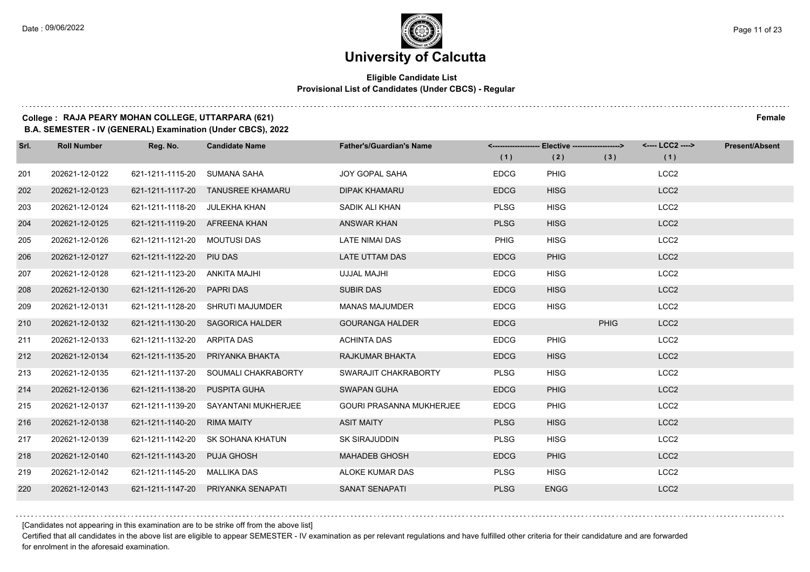### **Eligible Candidate List Provisional List of Candidates (Under CBCS) - Regular**

### **College : RAJA PEARY MOHAN COLLEGE, UTTARPARA (621) Female**

**B.A. SEMESTER - IV (GENERAL) Examination (Under CBCS), 2022**

| Srl. | <b>Roll Number</b> | Reg. No.                      | <b>Candidate Name</b>                | <b>Father's/Guardian's Name</b> | (1)         | <-------------------- Elective ------------------><br>(2) | (3)         | <---- LCC2 ----><br>(1) | <b>Present/Absent</b> |
|------|--------------------|-------------------------------|--------------------------------------|---------------------------------|-------------|-----------------------------------------------------------|-------------|-------------------------|-----------------------|
| 201  | 202621-12-0122     | 621-1211-1115-20              | SUMANA SAHA                          | <b>JOY GOPAL SAHA</b>           | <b>EDCG</b> | <b>PHIG</b>                                               |             | LCC <sub>2</sub>        |                       |
| 202  | 202621-12-0123     |                               | 621-1211-1117-20 TANUSREE KHAMARU    | <b>DIPAK KHAMARU</b>            | <b>EDCG</b> | <b>HISG</b>                                               |             | LCC <sub>2</sub>        |                       |
| 203  | 202621-12-0124     | 621-1211-1118-20 JULEKHA KHAN |                                      | SADIK ALI KHAN                  | <b>PLSG</b> | <b>HISG</b>                                               |             | LCC <sub>2</sub>        |                       |
| 204  | 202621-12-0125     | 621-1211-1119-20 AFREENA KHAN |                                      | <b>ANSWAR KHAN</b>              | <b>PLSG</b> | <b>HISG</b>                                               |             | LCC <sub>2</sub>        |                       |
| 205  | 202621-12-0126     | 621-1211-1121-20 MOUTUSI DAS  |                                      | <b>LATE NIMAI DAS</b>           | <b>PHIG</b> | <b>HISG</b>                                               |             | LCC <sub>2</sub>        |                       |
| 206  | 202621-12-0127     | 621-1211-1122-20 PIU DAS      |                                      | <b>LATE UTTAM DAS</b>           | <b>EDCG</b> | <b>PHIG</b>                                               |             | LCC <sub>2</sub>        |                       |
| 207  | 202621-12-0128     | 621-1211-1123-20 ANKITA MAJHI |                                      | UJJAL MAJHI                     | <b>EDCG</b> | <b>HISG</b>                                               |             | LCC <sub>2</sub>        |                       |
| 208  | 202621-12-0130     | 621-1211-1126-20 PAPRI DAS    |                                      | <b>SUBIR DAS</b>                | <b>EDCG</b> | <b>HISG</b>                                               |             | LCC <sub>2</sub>        |                       |
| 209  | 202621-12-0131     |                               | 621-1211-1128-20 SHRUTI MAJUMDER     | <b>MANAS MAJUMDER</b>           | <b>EDCG</b> | <b>HISG</b>                                               |             | LCC <sub>2</sub>        |                       |
| 210  | 202621-12-0132     |                               | 621-1211-1130-20 SAGORICA HALDER     | <b>GOURANGA HALDER</b>          | <b>EDCG</b> |                                                           | <b>PHIG</b> | LCC <sub>2</sub>        |                       |
| 211  | 202621-12-0133     | 621-1211-1132-20 ARPITA DAS   |                                      | <b>ACHINTA DAS</b>              | <b>EDCG</b> | <b>PHIG</b>                                               |             | LCC <sub>2</sub>        |                       |
| 212  | 202621-12-0134     |                               | 621-1211-1135-20 PRIYANKA BHAKTA     | RAJKUMAR BHAKTA                 | <b>EDCG</b> | <b>HISG</b>                                               |             | LCC <sub>2</sub>        |                       |
| 213  | 202621-12-0135     |                               | 621-1211-1137-20 SOUMALI CHAKRABORTY | SWARAJIT CHAKRABORTY            | <b>PLSG</b> | <b>HISG</b>                                               |             | LCC <sub>2</sub>        |                       |
| 214  | 202621-12-0136     | 621-1211-1138-20 PUSPITA GUHA |                                      | <b>SWAPAN GUHA</b>              | <b>EDCG</b> | <b>PHIG</b>                                               |             | LCC <sub>2</sub>        |                       |
| 215  | 202621-12-0137     |                               | 621-1211-1139-20 SAYANTANI MUKHERJEE | <b>GOURI PRASANNA MUKHERJEE</b> | <b>EDCG</b> | <b>PHIG</b>                                               |             | LCC <sub>2</sub>        |                       |
| 216  | 202621-12-0138     | 621-1211-1140-20 RIMA MAITY   |                                      | <b>ASIT MAITY</b>               | <b>PLSG</b> | <b>HISG</b>                                               |             | LCC <sub>2</sub>        |                       |
| 217  | 202621-12-0139     |                               | 621-1211-1142-20 SK SOHANA KHATUN    | <b>SK SIRAJUDDIN</b>            | <b>PLSG</b> | <b>HISG</b>                                               |             | LCC <sub>2</sub>        |                       |
| 218  | 202621-12-0140     | 621-1211-1143-20 PUJA GHOSH   |                                      | <b>MAHADEB GHOSH</b>            | <b>EDCG</b> | <b>PHIG</b>                                               |             | LCC <sub>2</sub>        |                       |
| 219  | 202621-12-0142     | 621-1211-1145-20 MALLIKA DAS  |                                      | ALOKE KUMAR DAS                 | <b>PLSG</b> | <b>HISG</b>                                               |             | LCC <sub>2</sub>        |                       |
| 220  | 202621-12-0143     |                               | 621-1211-1147-20 PRIYANKA SENAPATI   | <b>SANAT SENAPATI</b>           | <b>PLSG</b> | <b>ENGG</b>                                               |             | LCC <sub>2</sub>        |                       |

[Candidates not appearing in this examination are to be strike off from the above list]

Certified that all candidates in the above list are eligible to appear SEMESTER - IV examination as per relevant regulations and have fulfilled other criteria for their candidature and are forwarded for enrolment in the aforesaid examination.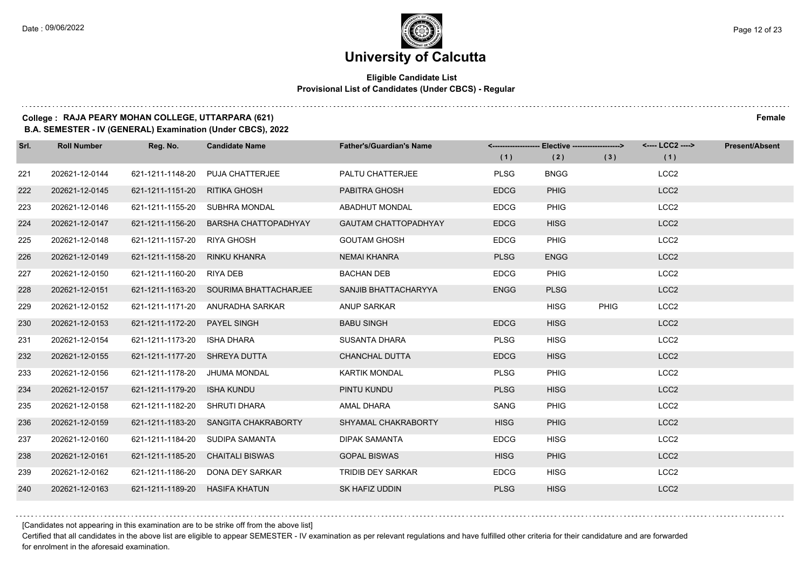$1.111$ 

### **University of Calcutta**

### **Eligible Candidate List Provisional List of Candidates (Under CBCS) - Regular**

### **College : RAJA PEARY MOHAN COLLEGE, UTTARPARA (621) Female**

**B.A. SEMESTER - IV (GENERAL) Examination (Under CBCS), 2022**

| Srl. | <b>Roll Number</b> | Reg. No.                      | <b>Candidate Name</b>                  | <b>Father's/Guardian's Name</b> | (1)         | <------------------- Elective -------------------><br>(2) | (3)         | <---- LCC2 ----><br>(1) | <b>Present/Absent</b> |
|------|--------------------|-------------------------------|----------------------------------------|---------------------------------|-------------|-----------------------------------------------------------|-------------|-------------------------|-----------------------|
| 221  | 202621-12-0144     | 621-1211-1148-20              | <b>PUJA CHATTERJEE</b>                 | PALTU CHATTERJEE                | <b>PLSG</b> | <b>BNGG</b>                                               |             | LCC <sub>2</sub>        |                       |
| 222  | 202621-12-0145     | 621-1211-1151-20              | RITIKA GHOSH                           | PABITRA GHOSH                   | <b>EDCG</b> | <b>PHIG</b>                                               |             | LCC <sub>2</sub>        |                       |
| 223  | 202621-12-0146     |                               | 621-1211-1155-20 SUBHRA MONDAL         | <b>ABADHUT MONDAL</b>           | <b>EDCG</b> | <b>PHIG</b>                                               |             | LCC <sub>2</sub>        |                       |
| 224  | 202621-12-0147     | 621-1211-1156-20              | <b>BARSHA CHATTOPADHYAY</b>            | <b>GAUTAM CHATTOPADHYAY</b>     | <b>EDCG</b> | <b>HISG</b>                                               |             | LCC <sub>2</sub>        |                       |
| 225  | 202621-12-0148     | 621-1211-1157-20              | <b>RIYA GHOSH</b>                      | <b>GOUTAM GHOSH</b>             | <b>EDCG</b> | <b>PHIG</b>                                               |             | LCC <sub>2</sub>        |                       |
| 226  | 202621-12-0149     | 621-1211-1158-20              | RINKU KHANRA                           | <b>NEMAI KHANRA</b>             | <b>PLSG</b> | <b>ENGG</b>                                               |             | LCC <sub>2</sub>        |                       |
| 227  | 202621-12-0150     | 621-1211-1160-20              | RIYA DEB                               | <b>BACHAN DEB</b>               | <b>EDCG</b> | <b>PHIG</b>                                               |             | LCC <sub>2</sub>        |                       |
| 228  | 202621-12-0151     |                               | 621-1211-1163-20 SOURIMA BHATTACHARJEE | SANJIB BHATTACHARYYA            | <b>ENGG</b> | <b>PLSG</b>                                               |             | LCC <sub>2</sub>        |                       |
| 229  | 202621-12-0152     | 621-1211-1171-20              | ANURADHA SARKAR                        | ANUP SARKAR                     |             | <b>HISG</b>                                               | <b>PHIG</b> | LCC <sub>2</sub>        |                       |
| 230  | 202621-12-0153     | 621-1211-1172-20              | <b>PAYEL SINGH</b>                     | <b>BABU SINGH</b>               | <b>EDCG</b> | <b>HISG</b>                                               |             | LCC <sub>2</sub>        |                       |
| 231  | 202621-12-0154     | 621-1211-1173-20              | ISHA DHARA                             | <b>SUSANTA DHARA</b>            | <b>PLSG</b> | <b>HISG</b>                                               |             | LCC <sub>2</sub>        |                       |
| 232  | 202621-12-0155     | 621-1211-1177-20 SHREYA DUTTA |                                        | <b>CHANCHAL DUTTA</b>           | <b>EDCG</b> | <b>HISG</b>                                               |             | LCC <sub>2</sub>        |                       |
| 233  | 202621-12-0156     | 621-1211-1178-20              | <b>JHUMA MONDAL</b>                    | <b>KARTIK MONDAL</b>            | <b>PLSG</b> | <b>PHIG</b>                                               |             | LCC <sub>2</sub>        |                       |
| 234  | 202621-12-0157     | 621-1211-1179-20              | <b>ISHA KUNDU</b>                      | PINTU KUNDU                     | <b>PLSG</b> | <b>HISG</b>                                               |             | LCC <sub>2</sub>        |                       |
| 235  | 202621-12-0158     | 621-1211-1182-20              | SHRUTI DHARA                           | AMAL DHARA                      | SANG        | <b>PHIG</b>                                               |             | LCC <sub>2</sub>        |                       |
| 236  | 202621-12-0159     | 621-1211-1183-20              | SANGITA CHAKRABORTY                    | SHYAMAL CHAKRABORTY             | <b>HISG</b> | <b>PHIG</b>                                               |             | LCC <sub>2</sub>        |                       |
| 237  | 202621-12-0160     | 621-1211-1184-20              | SUDIPA SAMANTA                         | <b>DIPAK SAMANTA</b>            | <b>EDCG</b> | <b>HISG</b>                                               |             | LCC <sub>2</sub>        |                       |
| 238  | 202621-12-0161     | 621-1211-1185-20              | <b>CHAITALI BISWAS</b>                 | <b>GOPAL BISWAS</b>             | <b>HISG</b> | <b>PHIG</b>                                               |             | LCC <sub>2</sub>        |                       |
| 239  | 202621-12-0162     | 621-1211-1186-20              | DONA DEY SARKAR                        | TRIDIB DEY SARKAR               | <b>EDCG</b> | <b>HISG</b>                                               |             | LCC <sub>2</sub>        |                       |
| 240  | 202621-12-0163     | 621-1211-1189-20              | <b>HASIFA KHATUN</b>                   | SK HAFIZ UDDIN                  | <b>PLSG</b> | <b>HISG</b>                                               |             | LCC <sub>2</sub>        |                       |

[Candidates not appearing in this examination are to be strike off from the above list]

Certified that all candidates in the above list are eligible to appear SEMESTER - IV examination as per relevant regulations and have fulfilled other criteria for their candidature and are forwarded for enrolment in the aforesaid examination.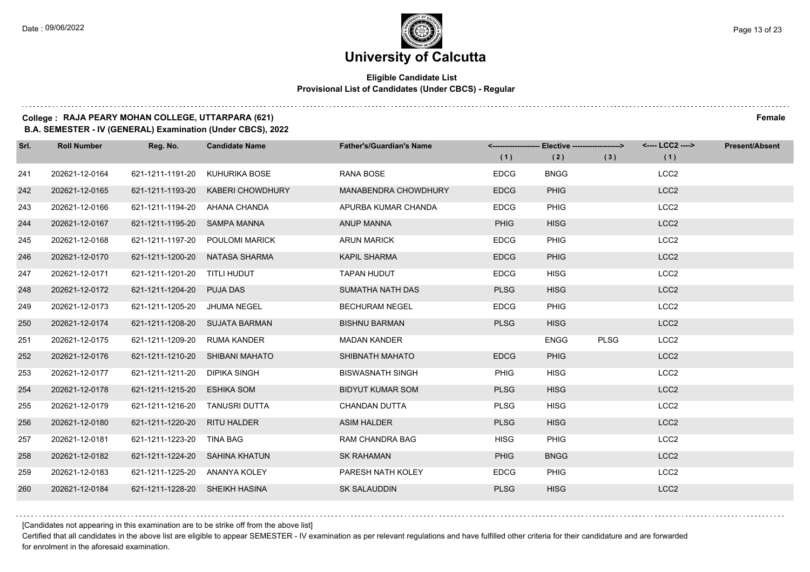### **Eligible Candidate List Provisional List of Candidates (Under CBCS) - Regular**

### **College : RAJA PEARY MOHAN COLLEGE, UTTARPARA (621) Female**

**B.A. SEMESTER - IV (GENERAL) Examination (Under CBCS), 2022**

| Srl. | <b>Roll Number</b> | Reg. No.                       | <b>Candidate Name</b>           | <b>Father's/Guardian's Name</b> | (1)         | <-------------------- Elective -------------------><br>(2) | (3)         | <---- LCC2 ----><br>(1) | <b>Present/Absent</b> |
|------|--------------------|--------------------------------|---------------------------------|---------------------------------|-------------|------------------------------------------------------------|-------------|-------------------------|-----------------------|
| 241  | 202621-12-0164     | 621-1211-1191-20               | KUHURIKA BOSE                   | <b>RANA BOSE</b>                | <b>EDCG</b> | <b>BNGG</b>                                                |             | LCC <sub>2</sub>        |                       |
| 242  | 202621-12-0165     | 621-1211-1193-20               | KABERI CHOWDHURY                | MANABENDRA CHOWDHURY            | <b>EDCG</b> | <b>PHIG</b>                                                |             | LCC <sub>2</sub>        |                       |
| 243  | 202621-12-0166     | 621-1211-1194-20 AHANA CHANDA  |                                 | APURBA KUMAR CHANDA             | <b>EDCG</b> | <b>PHIG</b>                                                |             | LCC <sub>2</sub>        |                       |
| 244  | 202621-12-0167     | 621-1211-1195-20 SAMPA MANNA   |                                 | ANUP MANNA                      | <b>PHIG</b> | <b>HISG</b>                                                |             | LCC <sub>2</sub>        |                       |
| 245  | 202621-12-0168     | 621-1211-1197-20               | POULOMI MARICK                  | <b>ARUN MARICK</b>              | <b>EDCG</b> | <b>PHIG</b>                                                |             | LCC <sub>2</sub>        |                       |
| 246  | 202621-12-0170     |                                | 621-1211-1200-20 NATASA SHARMA  | <b>KAPIL SHARMA</b>             | <b>EDCG</b> | <b>PHIG</b>                                                |             | LCC <sub>2</sub>        |                       |
| 247  | 202621-12-0171     | 621-1211-1201-20 TITLI HUDUT   |                                 | <b>TAPAN HUDUT</b>              | <b>EDCG</b> | <b>HISG</b>                                                |             | LCC <sub>2</sub>        |                       |
| 248  | 202621-12-0172     | 621-1211-1204-20 PUJA DAS      |                                 | SUMATHA NATH DAS                | <b>PLSG</b> | <b>HISG</b>                                                |             | LCC <sub>2</sub>        |                       |
| 249  | 202621-12-0173     | 621-1211-1205-20               | JHUMA NEGEL                     | <b>BECHURAM NEGEL</b>           | <b>EDCG</b> | <b>PHIG</b>                                                |             | LCC <sub>2</sub>        |                       |
| 250  | 202621-12-0174     |                                | 621-1211-1208-20 SUJATA BARMAN  | <b>BISHNU BARMAN</b>            | <b>PLSG</b> | <b>HISG</b>                                                |             | LCC <sub>2</sub>        |                       |
| 251  | 202621-12-0175     | 621-1211-1209-20               | <b>RUMA KANDER</b>              | <b>MADAN KANDER</b>             |             | <b>ENGG</b>                                                | <b>PLSG</b> | LCC <sub>2</sub>        |                       |
| 252  | 202621-12-0176     |                                | 621-1211-1210-20 SHIBANI MAHATO | SHIBNATH MAHATO                 | <b>EDCG</b> | <b>PHIG</b>                                                |             | LCC <sub>2</sub>        |                       |
| 253  | 202621-12-0177     | 621-1211-1211-20               | <b>DIPIKA SINGH</b>             | <b>BISWASNATH SINGH</b>         | <b>PHIG</b> | <b>HISG</b>                                                |             | LCC <sub>2</sub>        |                       |
| 254  | 202621-12-0178     | 621-1211-1215-20               | <b>ESHIKA SOM</b>               | <b>BIDYUT KUMAR SOM</b>         | <b>PLSG</b> | <b>HISG</b>                                                |             | LCC <sub>2</sub>        |                       |
| 255  | 202621-12-0179     | 621-1211-1216-20 TANUSRI DUTTA |                                 | CHANDAN DUTTA                   | <b>PLSG</b> | <b>HISG</b>                                                |             | LCC <sub>2</sub>        |                       |
| 256  | 202621-12-0180     | 621-1211-1220-20 RITU HALDER   |                                 | <b>ASIM HALDER</b>              | <b>PLSG</b> | <b>HISG</b>                                                |             | LCC <sub>2</sub>        |                       |
| 257  | 202621-12-0181     | 621-1211-1223-20               | <b>TINA BAG</b>                 | <b>RAM CHANDRA BAG</b>          | <b>HISG</b> | <b>PHIG</b>                                                |             | LCC <sub>2</sub>        |                       |
| 258  | 202621-12-0182     | 621-1211-1224-20 SAHINA KHATUN |                                 | <b>SK RAHAMAN</b>               | <b>PHIG</b> | <b>BNGG</b>                                                |             | LCC <sub>2</sub>        |                       |
| 259  | 202621-12-0183     | 621-1211-1225-20 ANANYA KOLEY  |                                 | PARESH NATH KOLEY               | <b>EDCG</b> | <b>PHIG</b>                                                |             | LCC <sub>2</sub>        |                       |
| 260  | 202621-12-0184     | 621-1211-1228-20 SHEIKH HASINA |                                 | <b>SK SALAUDDIN</b>             | <b>PLSG</b> | <b>HISG</b>                                                |             | LCC <sub>2</sub>        |                       |

[Candidates not appearing in this examination are to be strike off from the above list]

Certified that all candidates in the above list are eligible to appear SEMESTER - IV examination as per relevant regulations and have fulfilled other criteria for their candidature and are forwarded for enrolment in the aforesaid examination.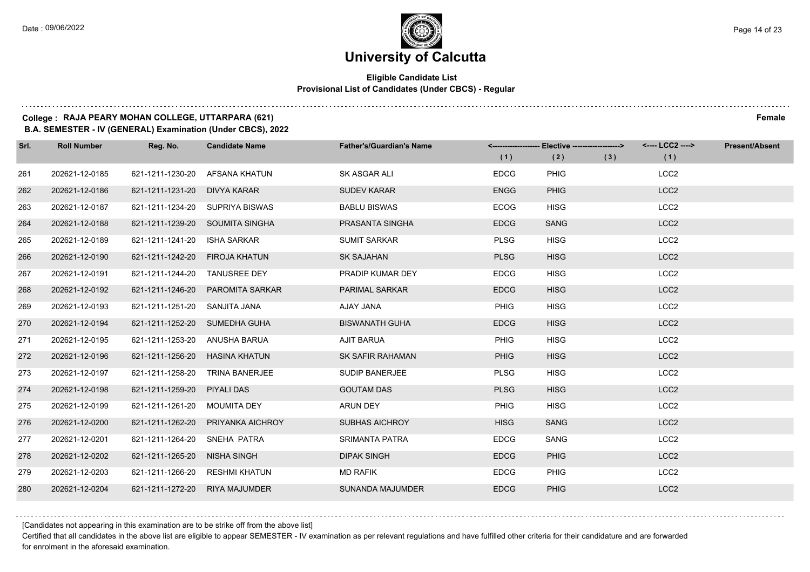### **Eligible Candidate List Provisional List of Candidates (Under CBCS) - Regular**

### **College : RAJA PEARY MOHAN COLLEGE, UTTARPARA (621) Female**

**B.A. SEMESTER - IV (GENERAL) Examination (Under CBCS), 2022**

| Srl. | <b>Roll Number</b> | Reg. No.                       | <b>Candidate Name</b>             | <b>Father's/Guardian's Name</b> | (1)         | <------------------- Elective -------------------><br>(2) | (3) | <---- LCC2 ----><br>(1) | <b>Present/Absent</b> |
|------|--------------------|--------------------------------|-----------------------------------|---------------------------------|-------------|-----------------------------------------------------------|-----|-------------------------|-----------------------|
| 261  | 202621-12-0185     | 621-1211-1230-20               | AFSANA KHATUN                     | SK ASGAR ALI                    | <b>EDCG</b> | <b>PHIG</b>                                               |     | LCC <sub>2</sub>        |                       |
| 262  | 202621-12-0186     | 621-1211-1231-20 DIVYA KARAR   |                                   | <b>SUDEV KARAR</b>              | <b>ENGG</b> | <b>PHIG</b>                                               |     | LCC <sub>2</sub>        |                       |
| 263  | 202621-12-0187     |                                | 621-1211-1234-20 SUPRIYA BISWAS   | <b>BABLU BISWAS</b>             | <b>ECOG</b> | <b>HISG</b>                                               |     | LCC <sub>2</sub>        |                       |
| 264  | 202621-12-0188     |                                | 621-1211-1239-20 SOUMITA SINGHA   | PRASANTA SINGHA                 | <b>EDCG</b> | <b>SANG</b>                                               |     | LCC <sub>2</sub>        |                       |
| 265  | 202621-12-0189     | 621-1211-1241-20               | ISHA SARKAR                       | <b>SUMIT SARKAR</b>             | <b>PLSG</b> | <b>HISG</b>                                               |     | LCC <sub>2</sub>        |                       |
| 266  | 202621-12-0190     | 621-1211-1242-20 FIROJA KHATUN |                                   | <b>SK SAJAHAN</b>               | <b>PLSG</b> | <b>HISG</b>                                               |     | LCC <sub>2</sub>        |                       |
| 267  | 202621-12-0191     | 621-1211-1244-20 TANUSREE DEY  |                                   | PRADIP KUMAR DEY                | <b>EDCG</b> | <b>HISG</b>                                               |     | LCC <sub>2</sub>        |                       |
| 268  | 202621-12-0192     |                                | 621-1211-1246-20 PAROMITA SARKAR  | <b>PARIMAL SARKAR</b>           | <b>EDCG</b> | <b>HISG</b>                                               |     | LCC <sub>2</sub>        |                       |
| 269  | 202621-12-0193     | 621-1211-1251-20 SANJITA JANA  |                                   | AJAY JANA                       | <b>PHIG</b> | <b>HISG</b>                                               |     | LCC <sub>2</sub>        |                       |
| 270  | 202621-12-0194     | 621-1211-1252-20 SUMEDHA GUHA  |                                   | <b>BISWANATH GUHA</b>           | <b>EDCG</b> | <b>HISG</b>                                               |     | LCC <sub>2</sub>        |                       |
| 271  | 202621-12-0195     | 621-1211-1253-20 ANUSHA BARUA  |                                   | AJIT BARUA                      | <b>PHIG</b> | <b>HISG</b>                                               |     | LCC <sub>2</sub>        |                       |
| 272  | 202621-12-0196     | 621-1211-1256-20 HASINA KHATUN |                                   | <b>SK SAFIR RAHAMAN</b>         | <b>PHIG</b> | <b>HISG</b>                                               |     | LCC <sub>2</sub>        |                       |
| 273  | 202621-12-0197     | 621-1211-1258-20               | <b>TRINA BANERJEE</b>             | <b>SUDIP BANERJEE</b>           | <b>PLSG</b> | <b>HISG</b>                                               |     | LCC <sub>2</sub>        |                       |
| 274  | 202621-12-0198     | 621-1211-1259-20 PIYALI DAS    |                                   | <b>GOUTAM DAS</b>               | <b>PLSG</b> | <b>HISG</b>                                               |     | LCC <sub>2</sub>        |                       |
| 275  | 202621-12-0199     | 621-1211-1261-20 MOUMITA DEY   |                                   | ARUN DEY                        | <b>PHIG</b> | <b>HISG</b>                                               |     | LCC <sub>2</sub>        |                       |
| 276  | 202621-12-0200     |                                | 621-1211-1262-20 PRIYANKA AICHROY | <b>SUBHAS AICHROY</b>           | <b>HISG</b> | <b>SANG</b>                                               |     | LCC <sub>2</sub>        |                       |
| 277  | 202621-12-0201     | 621-1211-1264-20               | SNEHA PATRA                       | <b>SRIMANTA PATRA</b>           | <b>EDCG</b> | SANG                                                      |     | LCC <sub>2</sub>        |                       |
| 278  | 202621-12-0202     | 621-1211-1265-20 NISHA SINGH   |                                   | <b>DIPAK SINGH</b>              | <b>EDCG</b> | <b>PHIG</b>                                               |     | LCC <sub>2</sub>        |                       |
| 279  | 202621-12-0203     | 621-1211-1266-20 RESHMI KHATUN |                                   | <b>MD RAFIK</b>                 | <b>EDCG</b> | <b>PHIG</b>                                               |     | LCC <sub>2</sub>        |                       |
| 280  | 202621-12-0204     | 621-1211-1272-20 RIYA MAJUMDER |                                   | <b>SUNANDA MAJUMDER</b>         | <b>EDCG</b> | <b>PHIG</b>                                               |     | LCC <sub>2</sub>        |                       |

[Candidates not appearing in this examination are to be strike off from the above list]

Certified that all candidates in the above list are eligible to appear SEMESTER - IV examination as per relevant regulations and have fulfilled other criteria for their candidature and are forwarded for enrolment in the aforesaid examination.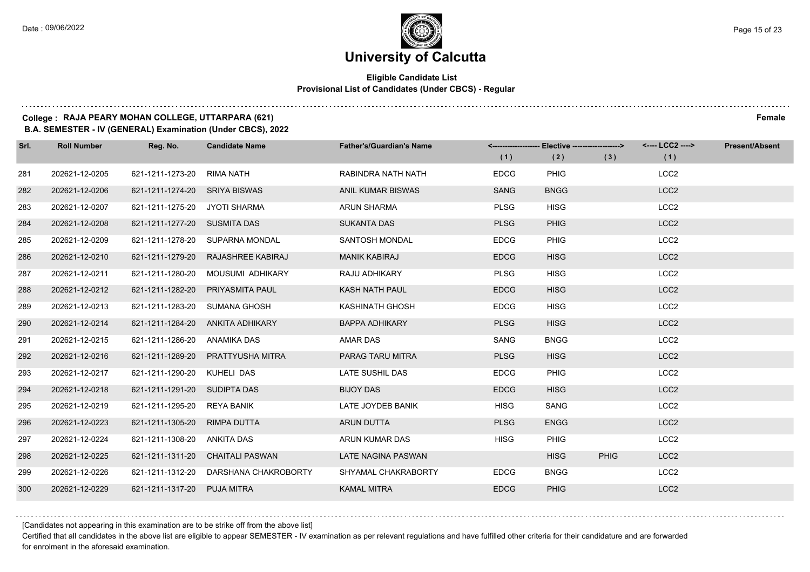### **Eligible Candidate List Provisional List of Candidates (Under CBCS) - Regular**

### **College : RAJA PEARY MOHAN COLLEGE, UTTARPARA (621) Female**

**B.A. SEMESTER - IV (GENERAL) Examination (Under CBCS), 2022**

| Srl. | <b>Roll Number</b> | Reg. No.                      | <b>Candidate Name</b>                 | <b>Father's/Guardian's Name</b> |             | <-------------------- Elective -------------------> |             | <---- LCC2 ----> | <b>Present/Absent</b> |
|------|--------------------|-------------------------------|---------------------------------------|---------------------------------|-------------|-----------------------------------------------------|-------------|------------------|-----------------------|
|      |                    |                               |                                       |                                 | (1)         | (2)                                                 | (3)         | (1)              |                       |
| 281  | 202621-12-0205     | 621-1211-1273-20              | RIMA NATH                             | RABINDRA NATH NATH              | <b>EDCG</b> | <b>PHIG</b>                                         |             | LCC <sub>2</sub> |                       |
| 282  | 202621-12-0206     | 621-1211-1274-20 SRIYA BISWAS |                                       | <b>ANIL KUMAR BISWAS</b>        | <b>SANG</b> | <b>BNGG</b>                                         |             | LCC <sub>2</sub> |                       |
| 283  | 202621-12-0207     | 621-1211-1275-20 JYOTI SHARMA |                                       | <b>ARUN SHARMA</b>              | <b>PLSG</b> | <b>HISG</b>                                         |             | LCC <sub>2</sub> |                       |
| 284  | 202621-12-0208     | 621-1211-1277-20 SUSMITA DAS  |                                       | <b>SUKANTA DAS</b>              | <b>PLSG</b> | <b>PHIG</b>                                         |             | LCC <sub>2</sub> |                       |
| 285  | 202621-12-0209     | 621-1211-1278-20              | SUPARNA MONDAL                        | SANTOSH MONDAL                  | <b>EDCG</b> | <b>PHIG</b>                                         |             | LCC <sub>2</sub> |                       |
| 286  | 202621-12-0210     |                               | 621-1211-1279-20 RAJASHREE KABIRAJ    | <b>MANIK KABIRAJ</b>            | <b>EDCG</b> | <b>HISG</b>                                         |             | LCC <sub>2</sub> |                       |
| 287  | 202621-12-0211     |                               | 621-1211-1280-20 MOUSUMI ADHIKARY     | RAJU ADHIKARY                   | <b>PLSG</b> | <b>HISG</b>                                         |             | LCC <sub>2</sub> |                       |
| 288  | 202621-12-0212     |                               | 621-1211-1282-20 PRIYASMITA PAUL      | KASH NATH PAUL                  | <b>EDCG</b> | <b>HISG</b>                                         |             | LCC <sub>2</sub> |                       |
| 289  | 202621-12-0213     | 621-1211-1283-20              | SUMANA GHOSH                          | KASHINATH GHOSH                 | <b>EDCG</b> | <b>HISG</b>                                         |             | LCC <sub>2</sub> |                       |
| 290  | 202621-12-0214     |                               | 621-1211-1284-20 ANKITA ADHIKARY      | <b>BAPPA ADHIKARY</b>           | <b>PLSG</b> | <b>HISG</b>                                         |             | LCC <sub>2</sub> |                       |
| 291  | 202621-12-0215     | 621-1211-1286-20 ANAMIKA DAS  |                                       | <b>AMAR DAS</b>                 | SANG        | <b>BNGG</b>                                         |             | LCC <sub>2</sub> |                       |
| 292  | 202621-12-0216     |                               | 621-1211-1289-20 PRATTYUSHA MITRA     | PARAG TARU MITRA                | <b>PLSG</b> | <b>HISG</b>                                         |             | LCC <sub>2</sub> |                       |
| 293  | 202621-12-0217     | 621-1211-1290-20              | KUHELI DAS                            | LATE SUSHIL DAS                 | <b>EDCG</b> | PHIG                                                |             | LCC <sub>2</sub> |                       |
| 294  | 202621-12-0218     | 621-1211-1291-20 SUDIPTA DAS  |                                       | <b>BIJOY DAS</b>                | <b>EDCG</b> | <b>HISG</b>                                         |             | LCC <sub>2</sub> |                       |
| 295  | 202621-12-0219     | 621-1211-1295-20 REYA BANIK   |                                       | LATE JOYDEB BANIK               | <b>HISG</b> | SANG                                                |             | LCC <sub>2</sub> |                       |
| 296  | 202621-12-0223     | 621-1211-1305-20 RIMPA DUTTA  |                                       | ARUN DUTTA                      | <b>PLSG</b> | <b>ENGG</b>                                         |             | LCC <sub>2</sub> |                       |
| 297  | 202621-12-0224     | 621-1211-1308-20              | <b>ANKITA DAS</b>                     | ARUN KUMAR DAS                  | <b>HISG</b> | <b>PHIG</b>                                         |             | LCC <sub>2</sub> |                       |
| 298  | 202621-12-0225     |                               | 621-1211-1311-20 CHAITALI PASWAN      | LATE NAGINA PASWAN              |             | <b>HISG</b>                                         | <b>PHIG</b> | LCC <sub>2</sub> |                       |
| 299  | 202621-12-0226     |                               | 621-1211-1312-20 DARSHANA CHAKROBORTY | SHYAMAL CHAKRABORTY             | <b>EDCG</b> | <b>BNGG</b>                                         |             | LCC <sub>2</sub> |                       |
| 300  | 202621-12-0229     | 621-1211-1317-20 PUJA MITRA   |                                       | <b>KAMAL MITRA</b>              | <b>EDCG</b> | <b>PHIG</b>                                         |             | LCC <sub>2</sub> |                       |

[Candidates not appearing in this examination are to be strike off from the above list]

Certified that all candidates in the above list are eligible to appear SEMESTER - IV examination as per relevant regulations and have fulfilled other criteria for their candidature and are forwarded for enrolment in the aforesaid examination.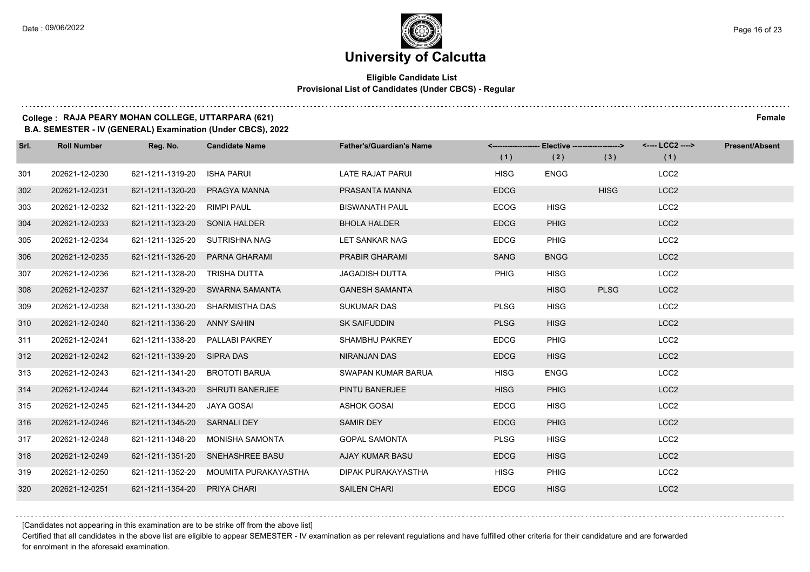### **Eligible Candidate List Provisional List of Candidates (Under CBCS) - Regular**

### **College : RAJA PEARY MOHAN COLLEGE, UTTARPARA (621) Female**

**B.A. SEMESTER - IV (GENERAL) Examination (Under CBCS), 2022**

| Srl. | <b>Roll Number</b> | Reg. No.                      | <b>Candidate Name</b>            | <b>Father's/Guardian's Name</b> |             | <-------------------- Elective ------------------> |             | <---- LCC2 ----> | <b>Present/Absent</b> |
|------|--------------------|-------------------------------|----------------------------------|---------------------------------|-------------|----------------------------------------------------|-------------|------------------|-----------------------|
|      |                    |                               |                                  |                                 | (1)         | (2)                                                | (3)         | (1)              |                       |
| 301  | 202621-12-0230     | 621-1211-1319-20              | <b>ISHA PARUI</b>                | LATE RAJAT PARUI                | <b>HISG</b> | <b>ENGG</b>                                        |             | LCC <sub>2</sub> |                       |
| 302  | 202621-12-0231     | 621-1211-1320-20              | PRAGYA MANNA                     | PRASANTA MANNA                  | <b>EDCG</b> |                                                    | <b>HISG</b> | LCC <sub>2</sub> |                       |
| 303  | 202621-12-0232     | 621-1211-1322-20              | RIMPI PAUL                       | <b>BISWANATH PAUL</b>           | <b>ECOG</b> | <b>HISG</b>                                        |             | LCC <sub>2</sub> |                       |
| 304  | 202621-12-0233     | 621-1211-1323-20 SONIA HALDER |                                  | <b>BHOLA HALDER</b>             | <b>EDCG</b> | <b>PHIG</b>                                        |             | LCC <sub>2</sub> |                       |
| 305  | 202621-12-0234     | 621-1211-1325-20              | SUTRISHNA NAG                    | LET SANKAR NAG                  | <b>EDCG</b> | <b>PHIG</b>                                        |             | LCC <sub>2</sub> |                       |
| 306  | 202621-12-0235     | 621-1211-1326-20              | PARNA GHARAMI                    | <b>PRABIR GHARAMI</b>           | <b>SANG</b> | <b>BNGG</b>                                        |             | LCC <sub>2</sub> |                       |
| 307  | 202621-12-0236     | 621-1211-1328-20 TRISHA DUTTA |                                  | <b>JAGADISH DUTTA</b>           | <b>PHIG</b> | <b>HISG</b>                                        |             | LCC <sub>2</sub> |                       |
| 308  | 202621-12-0237     |                               | 621-1211-1329-20 SWARNA SAMANTA  | <b>GANESH SAMANTA</b>           |             | <b>HISG</b>                                        | <b>PLSG</b> | LCC <sub>2</sub> |                       |
| 309  | 202621-12-0238     | 621-1211-1330-20              | <b>SHARMISTHA DAS</b>            | <b>SUKUMAR DAS</b>              | <b>PLSG</b> | <b>HISG</b>                                        |             | LCC <sub>2</sub> |                       |
| 310  | 202621-12-0240     | 621-1211-1336-20 ANNY SAHIN   |                                  | <b>SK SAIFUDDIN</b>             | <b>PLSG</b> | <b>HISG</b>                                        |             | LCC <sub>2</sub> |                       |
| 311  | 202621-12-0241     |                               | 621-1211-1338-20 PALLABI PAKREY  | SHAMBHU PAKREY                  | <b>EDCG</b> | <b>PHIG</b>                                        |             | LCC <sub>2</sub> |                       |
| 312  | 202621-12-0242     | 621-1211-1339-20 SIPRA DAS    |                                  | NIRANJAN DAS                    | <b>EDCG</b> | <b>HISG</b>                                        |             | LCC <sub>2</sub> |                       |
| 313  | 202621-12-0243     | 621-1211-1341-20              | <b>BROTOTI BARUA</b>             | SWAPAN KUMAR BARUA              | <b>HISG</b> | <b>ENGG</b>                                        |             | LCC <sub>2</sub> |                       |
| 314  | 202621-12-0244     |                               | 621-1211-1343-20 SHRUTI BANERJEE | PINTU BANERJEE                  | <b>HISG</b> | <b>PHIG</b>                                        |             | LCC <sub>2</sub> |                       |
| 315  | 202621-12-0245     | 621-1211-1344-20              | JAYA GOSAI                       | <b>ASHOK GOSAI</b>              | <b>EDCG</b> | <b>HISG</b>                                        |             | LCC <sub>2</sub> |                       |
| 316  | 202621-12-0246     | 621-1211-1345-20 SARNALI DEY  |                                  | <b>SAMIR DEY</b>                | <b>EDCG</b> | <b>PHIG</b>                                        |             | LCC <sub>2</sub> |                       |
| 317  | 202621-12-0248     | 621-1211-1348-20              | <b>MONISHA SAMONTA</b>           | <b>GOPAL SAMONTA</b>            | <b>PLSG</b> | <b>HISG</b>                                        |             | LCC <sub>2</sub> |                       |
| 318  | 202621-12-0249     | 621-1211-1351-20              | SNEHASHREE BASU                  | AJAY KUMAR BASU                 | <b>EDCG</b> | <b>HISG</b>                                        |             | LCC <sub>2</sub> |                       |
| 319  | 202621-12-0250     | 621-1211-1352-20              | MOUMITA PURAKAYASTHA             | DIPAK PURAKAYASTHA              | <b>HISG</b> | PHIG                                               |             | LCC <sub>2</sub> |                       |
| 320  | 202621-12-0251     | 621-1211-1354-20              | <b>PRIYA CHARI</b>               | <b>SAILEN CHARI</b>             | <b>EDCG</b> | <b>HISG</b>                                        |             | LCC <sub>2</sub> |                       |

[Candidates not appearing in this examination are to be strike off from the above list]

Certified that all candidates in the above list are eligible to appear SEMESTER - IV examination as per relevant regulations and have fulfilled other criteria for their candidature and are forwarded for enrolment in the aforesaid examination.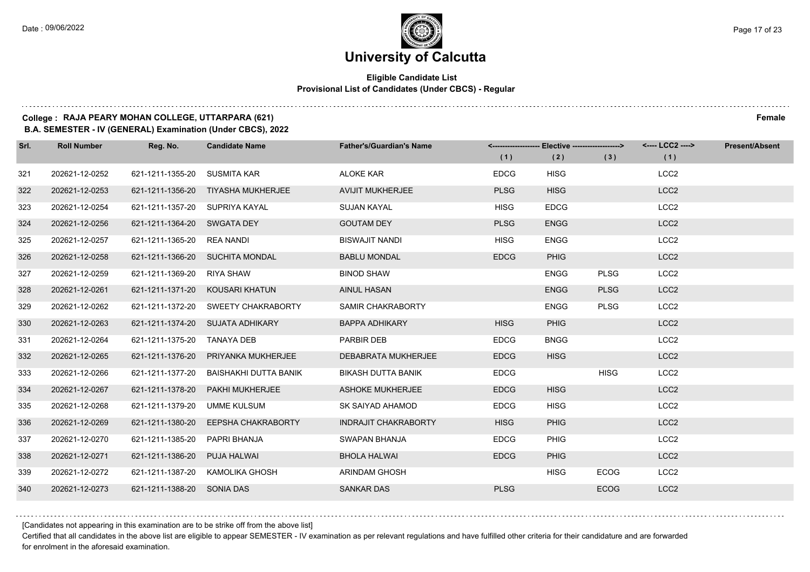### **Eligible Candidate List Provisional List of Candidates (Under CBCS) - Regular**

### **College : RAJA PEARY MOHAN COLLEGE, UTTARPARA (621) Female**

**B.A. SEMESTER - IV (GENERAL) Examination (Under CBCS), 2022**

| Srl. | <b>Roll Number</b> | Reg. No.                       | <b>Candidate Name</b>               | <b>Father's/Guardian's Name</b> | (1)         | <-------------------- Elective ------------------><br>(2) | (3)         | <---- LCC2 ----><br>(1) | <b>Present/Absent</b> |
|------|--------------------|--------------------------------|-------------------------------------|---------------------------------|-------------|-----------------------------------------------------------|-------------|-------------------------|-----------------------|
| 321  | 202621-12-0252     | 621-1211-1355-20               | SUSMITA KAR                         | <b>ALOKE KAR</b>                | <b>EDCG</b> | <b>HISG</b>                                               |             | LCC <sub>2</sub>        |                       |
| 322  | 202621-12-0253     |                                | 621-1211-1356-20 TIYASHA MUKHERJEE  | <b>AVIJIT MUKHERJEE</b>         | <b>PLSG</b> | <b>HISG</b>                                               |             | LCC <sub>2</sub>        |                       |
| 323  | 202621-12-0254     | 621-1211-1357-20 SUPRIYA KAYAL |                                     | <b>SUJAN KAYAL</b>              | <b>HISG</b> | <b>EDCG</b>                                               |             | LCC <sub>2</sub>        |                       |
| 324  | 202621-12-0256     | 621-1211-1364-20 SWGATA DEY    |                                     | <b>GOUTAM DEY</b>               | <b>PLSG</b> | <b>ENGG</b>                                               |             | LCC <sub>2</sub>        |                       |
| 325  | 202621-12-0257     | 621-1211-1365-20               | REA NANDI                           | <b>BISWAJIT NANDI</b>           | <b>HISG</b> | <b>ENGG</b>                                               |             | LCC <sub>2</sub>        |                       |
| 326  | 202621-12-0258     |                                | 621-1211-1366-20 SUCHITA MONDAL     | <b>BABLU MONDAL</b>             | <b>EDCG</b> | <b>PHIG</b>                                               |             | LCC <sub>2</sub>        |                       |
| 327  | 202621-12-0259     | 621-1211-1369-20 RIYA SHAW     |                                     | <b>BINOD SHAW</b>               |             | ENGG                                                      | <b>PLSG</b> | LCC <sub>2</sub>        |                       |
| 328  | 202621-12-0261     |                                | 621-1211-1371-20 KOUSARI KHATUN     | <b>AINUL HASAN</b>              |             | <b>ENGG</b>                                               | <b>PLSG</b> | LCC <sub>2</sub>        |                       |
| 329  | 202621-12-0262     |                                | 621-1211-1372-20 SWEETY CHAKRABORTY | SAMIR CHAKRABORTY               |             | <b>ENGG</b>                                               | <b>PLSG</b> | LCC <sub>2</sub>        |                       |
| 330  | 202621-12-0263     |                                | 621-1211-1374-20 SUJATA ADHIKARY    | <b>BAPPA ADHIKARY</b>           | <b>HISG</b> | <b>PHIG</b>                                               |             | LCC <sub>2</sub>        |                       |
| 331  | 202621-12-0264     | 621-1211-1375-20 TANAYA DEB    |                                     | PARBIR DEB                      | <b>EDCG</b> | <b>BNGG</b>                                               |             | LCC <sub>2</sub>        |                       |
| 332  | 202621-12-0265     |                                | 621-1211-1376-20 PRIYANKA MUKHERJEE | DEBABRATA MUKHERJEE             | <b>EDCG</b> | <b>HISG</b>                                               |             | LCC <sub>2</sub>        |                       |
| 333  | 202621-12-0266     | 621-1211-1377-20               | BAISHAKHI DUTTA BANIK               | <b>BIKASH DUTTA BANIK</b>       | <b>EDCG</b> |                                                           | <b>HISG</b> | LCC <sub>2</sub>        |                       |
| 334  | 202621-12-0267     |                                | 621-1211-1378-20    PAKHI MUKHERJEE | <b>ASHOKE MUKHERJEE</b>         | <b>EDCG</b> | <b>HISG</b>                                               |             | LCC <sub>2</sub>        |                       |
| 335  | 202621-12-0268     | 621-1211-1379-20               | UMME KULSUM                         | SK SAIYAD AHAMOD                | <b>EDCG</b> | <b>HISG</b>                                               |             | LCC <sub>2</sub>        |                       |
| 336  | 202621-12-0269     |                                | 621-1211-1380-20 EEPSHA CHAKRABORTY | <b>INDRAJIT CHAKRABORTY</b>     | <b>HISG</b> | <b>PHIG</b>                                               |             | LCC <sub>2</sub>        |                       |
| 337  | 202621-12-0270     | 621-1211-1385-20               | PAPRI BHANJA                        | SWAPAN BHANJA                   | <b>EDCG</b> | <b>PHIG</b>                                               |             | LCC <sub>2</sub>        |                       |
| 338  | 202621-12-0271     | 621-1211-1386-20 PUJA HALWAI   |                                     | <b>BHOLA HALWAI</b>             | <b>EDCG</b> | <b>PHIG</b>                                               |             | LCC <sub>2</sub>        |                       |
| 339  | 202621-12-0272     |                                | 621-1211-1387-20 KAMOLIKA GHOSH     | <b>ARINDAM GHOSH</b>            |             | <b>HISG</b>                                               | <b>ECOG</b> | LCC <sub>2</sub>        |                       |
| 340  | 202621-12-0273     | 621-1211-1388-20 SONIA DAS     |                                     | <b>SANKAR DAS</b>               | <b>PLSG</b> |                                                           | <b>ECOG</b> | LCC <sub>2</sub>        |                       |

[Candidates not appearing in this examination are to be strike off from the above list]

Certified that all candidates in the above list are eligible to appear SEMESTER - IV examination as per relevant regulations and have fulfilled other criteria for their candidature and are forwarded for enrolment in the aforesaid examination.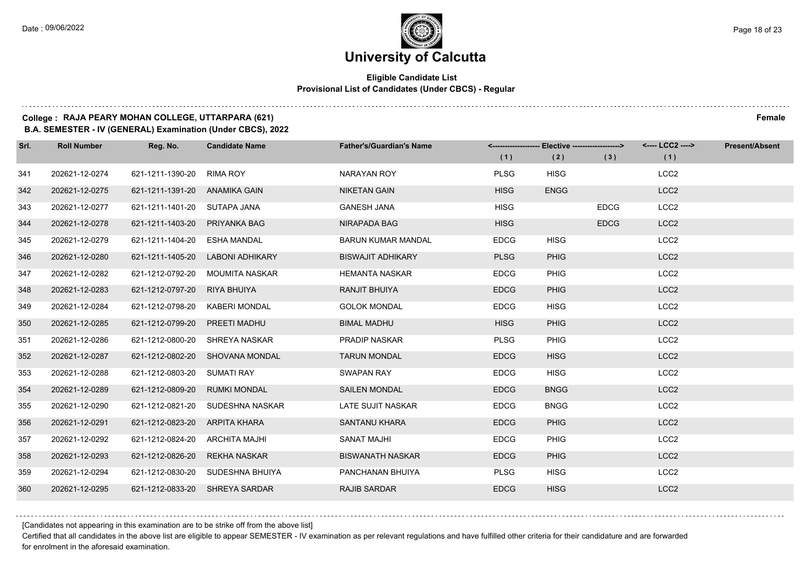$1.111$ 

### **University of Calcutta**

### **Eligible Candidate List Provisional List of Candidates (Under CBCS) - Regular**

### **College : RAJA PEARY MOHAN COLLEGE, UTTARPARA (621) Female**

**B.A. SEMESTER - IV (GENERAL) Examination (Under CBCS), 2022**

| Srl. | <b>Roll Number</b> | Reg. No.                      | <b>Candidate Name</b>            | <b>Father's/Guardian's Name</b> | (1)         | <-------------------- Elective -------------------> | (3)         | <---- LCC2 ----><br>(1) | <b>Present/Absent</b> |
|------|--------------------|-------------------------------|----------------------------------|---------------------------------|-------------|-----------------------------------------------------|-------------|-------------------------|-----------------------|
|      |                    |                               |                                  |                                 |             | (2)                                                 |             |                         |                       |
| 341  | 202621-12-0274     | 621-1211-1390-20              | <b>RIMA ROY</b>                  | NARAYAN ROY                     | <b>PLSG</b> | <b>HISG</b>                                         |             | LCC <sub>2</sub>        |                       |
| 342  | 202621-12-0275     | 621-1211-1391-20 ANAMIKA GAIN |                                  | <b>NIKETAN GAIN</b>             | <b>HISG</b> | <b>ENGG</b>                                         |             | LCC <sub>2</sub>        |                       |
| 343  | 202621-12-0277     | 621-1211-1401-20 SUTAPA JANA  |                                  | <b>GANESH JANA</b>              | <b>HISG</b> |                                                     | <b>EDCG</b> | LCC <sub>2</sub>        |                       |
| 344  | 202621-12-0278     | 621-1211-1403-20              | PRIYANKA BAG                     | NIRAPADA BAG                    | <b>HISG</b> |                                                     | <b>EDCG</b> | LCC <sub>2</sub>        |                       |
| 345  | 202621-12-0279     | 621-1211-1404-20              | <b>ESHA MANDAL</b>               | <b>BARUN KUMAR MANDAL</b>       | <b>EDCG</b> | <b>HISG</b>                                         |             | LCC <sub>2</sub>        |                       |
| 346  | 202621-12-0280     | 621-1211-1405-20              | LABONI ADHIKARY                  | <b>BISWAJIT ADHIKARY</b>        | <b>PLSG</b> | <b>PHIG</b>                                         |             | LCC <sub>2</sub>        |                       |
| 347  | 202621-12-0282     | 621-1212-0792-20              | MOUMITA NASKAR                   | <b>HEMANTA NASKAR</b>           | <b>EDCG</b> | <b>PHIG</b>                                         |             | LCC <sub>2</sub>        |                       |
| 348  | 202621-12-0283     | 621-1212-0797-20              | RIYA BHUIYA                      | RANJIT BHUIYA                   | <b>EDCG</b> | <b>PHIG</b>                                         |             | LCC <sub>2</sub>        |                       |
| 349  | 202621-12-0284     | 621-1212-0798-20              | KABERI MONDAL                    | <b>GOLOK MONDAL</b>             | <b>EDCG</b> | <b>HISG</b>                                         |             | LCC <sub>2</sub>        |                       |
| 350  | 202621-12-0285     | 621-1212-0799-20              | PREETI MADHU                     | <b>BIMAL MADHU</b>              | <b>HISG</b> | <b>PHIG</b>                                         |             | LCC <sub>2</sub>        |                       |
| 351  | 202621-12-0286     | 621-1212-0800-20              | SHREYA NASKAR                    | <b>PRADIP NASKAR</b>            | <b>PLSG</b> | <b>PHIG</b>                                         |             | LCC <sub>2</sub>        |                       |
| 352  | 202621-12-0287     |                               | 621-1212-0802-20 SHOVANA MONDAL  | <b>TARUN MONDAL</b>             | <b>EDCG</b> | <b>HISG</b>                                         |             | LCC <sub>2</sub>        |                       |
| 353  | 202621-12-0288     | 621-1212-0803-20              | <b>SUMATI RAY</b>                | <b>SWAPAN RAY</b>               | <b>EDCG</b> | <b>HISG</b>                                         |             | LCC <sub>2</sub>        |                       |
| 354  | 202621-12-0289     | 621-1212-0809-20              | <b>RUMKI MONDAL</b>              | <b>SAILEN MONDAL</b>            | <b>EDCG</b> | <b>BNGG</b>                                         |             | LCC <sub>2</sub>        |                       |
| 355  | 202621-12-0290     | 621-1212-0821-20              | SUDESHNA NASKAR                  | LATE SUJIT NASKAR               | <b>EDCG</b> | <b>BNGG</b>                                         |             | LCC <sub>2</sub>        |                       |
| 356  | 202621-12-0291     | 621-1212-0823-20              | ARPITA KHARA                     | SANTANU KHARA                   | <b>EDCG</b> | <b>PHIG</b>                                         |             | LCC <sub>2</sub>        |                       |
| 357  | 202621-12-0292     | 621-1212-0824-20              | ARCHITA MAJHI                    | <b>SANAT MAJHI</b>              | <b>EDCG</b> | <b>PHIG</b>                                         |             | LCC <sub>2</sub>        |                       |
| 358  | 202621-12-0293     | 621-1212-0826-20              | <b>REKHA NASKAR</b>              | <b>BISWANATH NASKAR</b>         | <b>EDCG</b> | <b>PHIG</b>                                         |             | LCC <sub>2</sub>        |                       |
| 359  | 202621-12-0294     |                               | 621-1212-0830-20 SUDESHNA BHUIYA | PANCHANAN BHUIYA                | <b>PLSG</b> | <b>HISG</b>                                         |             | LCC <sub>2</sub>        |                       |
| 360  | 202621-12-0295     | 621-1212-0833-20              | SHREYA SARDAR                    | <b>RAJIB SARDAR</b>             | <b>EDCG</b> | <b>HISG</b>                                         |             | LCC <sub>2</sub>        |                       |

[Candidates not appearing in this examination are to be strike off from the above list]

Certified that all candidates in the above list are eligible to appear SEMESTER - IV examination as per relevant regulations and have fulfilled other criteria for their candidature and are forwarded for enrolment in the aforesaid examination.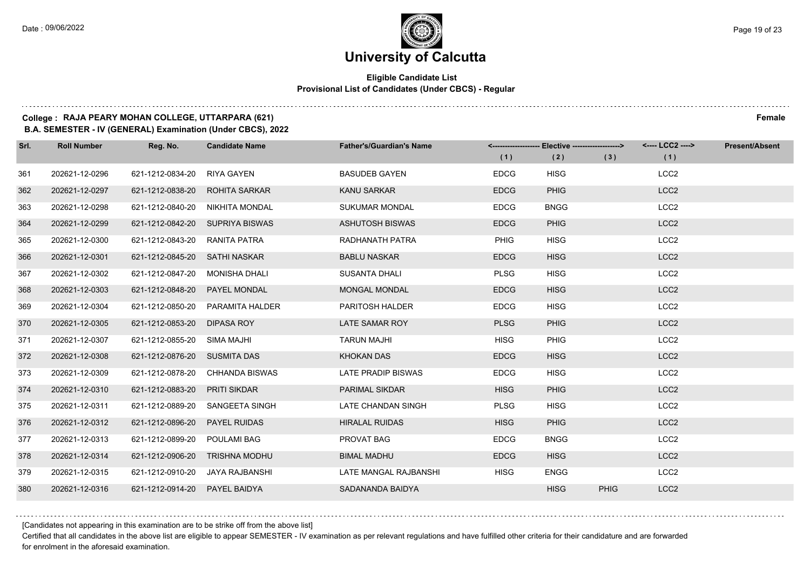### **Eligible Candidate List Provisional List of Candidates (Under CBCS) - Regular**

### **College : RAJA PEARY MOHAN COLLEGE, UTTARPARA (621) Female**

**B.A. SEMESTER - IV (GENERAL) Examination (Under CBCS), 2022**

| Srl. | <b>Roll Number</b> | Reg. No.                        | <b>Candidate Name</b>           | <b>Father's/Guardian's Name</b> |             | <------------------- Elective ------------------> |             | <---- LCC2 ----><br>(1) | <b>Present/Absent</b> |
|------|--------------------|---------------------------------|---------------------------------|---------------------------------|-------------|---------------------------------------------------|-------------|-------------------------|-----------------------|
|      |                    |                                 |                                 |                                 | (1)         | (2)                                               | (3)         |                         |                       |
| 361  | 202621-12-0296     | 621-1212-0834-20                | <b>RIYA GAYEN</b>               | <b>BASUDEB GAYEN</b>            | <b>EDCG</b> | <b>HISG</b>                                       |             | LCC <sub>2</sub>        |                       |
| 362  | 202621-12-0297     | 621-1212-0838-20                | ROHITA SARKAR                   | KANU SARKAR                     | <b>EDCG</b> | <b>PHIG</b>                                       |             | LCC <sub>2</sub>        |                       |
| 363  | 202621-12-0298     | 621-1212-0840-20                | NIKHITA MONDAL                  | <b>SUKUMAR MONDAL</b>           | <b>EDCG</b> | <b>BNGG</b>                                       |             | LCC <sub>2</sub>        |                       |
| 364  | 202621-12-0299     |                                 | 621-1212-0842-20 SUPRIYA BISWAS | ASHUTOSH BISWAS                 | <b>EDCG</b> | <b>PHIG</b>                                       |             | LCC <sub>2</sub>        |                       |
| 365  | 202621-12-0300     | 621-1212-0843-20                | RANITA PATRA                    | RADHANATH PATRA                 | <b>PHIG</b> | <b>HISG</b>                                       |             | LCC <sub>2</sub>        |                       |
| 366  | 202621-12-0301     | 621-1212-0845-20 SATHI NASKAR   |                                 | <b>BABLU NASKAR</b>             | <b>EDCG</b> | <b>HISG</b>                                       |             | LCC <sub>2</sub>        |                       |
| 367  | 202621-12-0302     | 621-1212-0847-20                | <b>MONISHA DHALI</b>            | <b>SUSANTA DHALI</b>            | <b>PLSG</b> | <b>HISG</b>                                       |             | LCC <sub>2</sub>        |                       |
| 368  | 202621-12-0303     | 621-1212-0848-20                | <b>PAYEL MONDAL</b>             | <b>MONGAL MONDAL</b>            | <b>EDCG</b> | <b>HISG</b>                                       |             | LCC <sub>2</sub>        |                       |
| 369  | 202621-12-0304     | 621-1212-0850-20                | PARAMITA HALDER                 | PARITOSH HALDER                 | <b>EDCG</b> | <b>HISG</b>                                       |             | LCC <sub>2</sub>        |                       |
| 370  | 202621-12-0305     | 621-1212-0853-20                | <b>DIPASA ROY</b>               | LATE SAMAR ROY                  | <b>PLSG</b> | <b>PHIG</b>                                       |             | LCC <sub>2</sub>        |                       |
| 371  | 202621-12-0307     | 621-1212-0855-20 SIMA MAJHI     |                                 | <b>TARUN MAJHI</b>              | <b>HISG</b> | PHIG                                              |             | LCC <sub>2</sub>        |                       |
| 372  | 202621-12-0308     | 621-1212-0876-20 SUSMITA DAS    |                                 | <b>KHOKAN DAS</b>               | <b>EDCG</b> | <b>HISG</b>                                       |             | LCC <sub>2</sub>        |                       |
| 373  | 202621-12-0309     | 621-1212-0878-20                | CHHANDA BISWAS                  | LATE PRADIP BISWAS              | <b>EDCG</b> | <b>HISG</b>                                       |             | LCC <sub>2</sub>        |                       |
| 374  | 202621-12-0310     | 621-1212-0883-20                | <b>PRITI SIKDAR</b>             | <b>PARIMAL SIKDAR</b>           | <b>HISG</b> | <b>PHIG</b>                                       |             | LCC <sub>2</sub>        |                       |
| 375  | 202621-12-0311     | 621-1212-0889-20                | SANGEETA SINGH                  | LATE CHANDAN SINGH              | <b>PLSG</b> | <b>HISG</b>                                       |             | LCC <sub>2</sub>        |                       |
| 376  | 202621-12-0312     | 621-1212-0896-20                | <b>PAYEL RUIDAS</b>             | <b>HIRALAL RUIDAS</b>           | <b>HISG</b> | <b>PHIG</b>                                       |             | LCC <sub>2</sub>        |                       |
| 377  | 202621-12-0313     | 621-1212-0899-20                | <b>POULAMI BAG</b>              | PROVAT BAG                      | <b>EDCG</b> | <b>BNGG</b>                                       |             | LCC <sub>2</sub>        |                       |
| 378  | 202621-12-0314     | 621-1212-0906-20                | <b>TRISHNA MODHU</b>            | <b>BIMAL MADHU</b>              | <b>EDCG</b> | <b>HISG</b>                                       |             | LCC <sub>2</sub>        |                       |
| 379  | 202621-12-0315     | 621-1212-0910-20 JAYA RAJBANSHI |                                 | LATE MANGAL RAJBANSHI           | <b>HISG</b> | <b>ENGG</b>                                       |             | LCC <sub>2</sub>        |                       |
| 380  | 202621-12-0316     | 621-1212-0914-20 PAYEL BAIDYA   |                                 | SADANANDA BAIDYA                |             | <b>HISG</b>                                       | <b>PHIG</b> | LCC <sub>2</sub>        |                       |

[Candidates not appearing in this examination are to be strike off from the above list]

Certified that all candidates in the above list are eligible to appear SEMESTER - IV examination as per relevant regulations and have fulfilled other criteria for their candidature and are forwarded for enrolment in the aforesaid examination.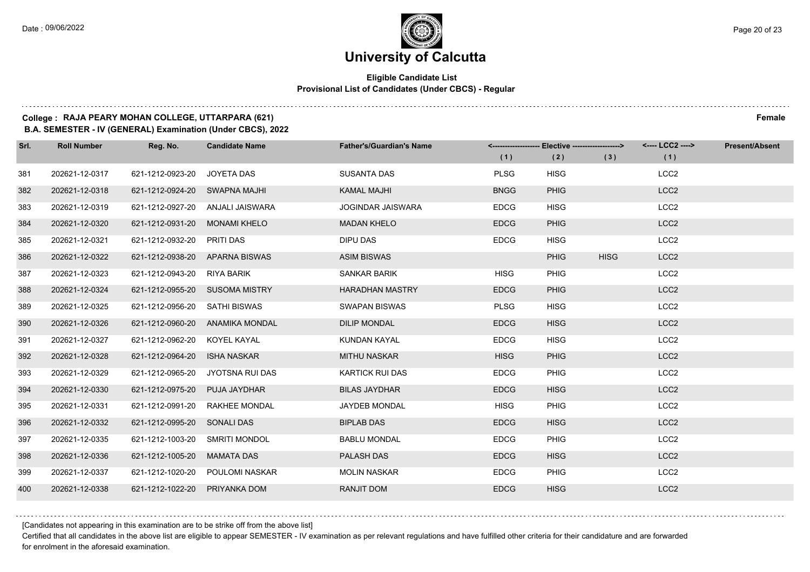$1.111$ 

### **University of Calcutta**

### **Eligible Candidate List Provisional List of Candidates (Under CBCS) - Regular**

### **College : RAJA PEARY MOHAN COLLEGE, UTTARPARA (621) Female**

**B.A. SEMESTER - IV (GENERAL) Examination (Under CBCS), 2022**

| Srl. | <b>Roll Number</b> | Reg. No.                       | <b>Candidate Name</b>            | <b>Father's/Guardian's Name</b> | (1)         | <-------------------- Elective -------------------><br>(2) | (3)         | <---- LCC2 ----><br>(1) | <b>Present/Absent</b> |
|------|--------------------|--------------------------------|----------------------------------|---------------------------------|-------------|------------------------------------------------------------|-------------|-------------------------|-----------------------|
| 381  | 202621-12-0317     | 621-1212-0923-20               | JOYETA DAS                       | <b>SUSANTA DAS</b>              | <b>PLSG</b> | <b>HISG</b>                                                |             | LCC <sub>2</sub>        |                       |
| 382  | 202621-12-0318     | 621-1212-0924-20 SWAPNA MAJHI  |                                  | <b>KAMAL MAJHI</b>              | <b>BNGG</b> | <b>PHIG</b>                                                |             | LCC <sub>2</sub>        |                       |
| 383  | 202621-12-0319     |                                | 621-1212-0927-20 ANJALI JAISWARA | <b>JOGINDAR JAISWARA</b>        | <b>EDCG</b> | <b>HISG</b>                                                |             | LCC <sub>2</sub>        |                       |
| 384  | 202621-12-0320     | 621-1212-0931-20 MONAMI KHELO  |                                  | <b>MADAN KHELO</b>              | <b>EDCG</b> | <b>PHIG</b>                                                |             | LCC <sub>2</sub>        |                       |
| 385  | 202621-12-0321     | 621-1212-0932-20               | PRITI DAS                        | <b>DIPU DAS</b>                 | <b>EDCG</b> | <b>HISG</b>                                                |             | LCC <sub>2</sub>        |                       |
| 386  | 202621-12-0322     | 621-1212-0938-20 APARNA BISWAS |                                  | <b>ASIM BISWAS</b>              |             | <b>PHIG</b>                                                | <b>HISG</b> | LCC <sub>2</sub>        |                       |
| 387  | 202621-12-0323     | 621-1212-0943-20 RIYA BARIK    |                                  | SANKAR BARIK                    | <b>HISG</b> | <b>PHIG</b>                                                |             | LCC <sub>2</sub>        |                       |
| 388  | 202621-12-0324     | 621-1212-0955-20 SUSOMA MISTRY |                                  | <b>HARADHAN MASTRY</b>          | <b>EDCG</b> | <b>PHIG</b>                                                |             | LCC <sub>2</sub>        |                       |
| 389  | 202621-12-0325     | 621-1212-0956-20               | SATHI BISWAS                     | <b>SWAPAN BISWAS</b>            | <b>PLSG</b> | <b>HISG</b>                                                |             | LCC <sub>2</sub>        |                       |
| 390  | 202621-12-0326     |                                | 621-1212-0960-20 ANAMIKA MONDAL  | <b>DILIP MONDAL</b>             | <b>EDCG</b> | <b>HISG</b>                                                |             | LCC <sub>2</sub>        |                       |
| 391  | 202621-12-0327     | 621-1212-0962-20 KOYEL KAYAL   |                                  | KUNDAN KAYAL                    | <b>EDCG</b> | <b>HISG</b>                                                |             | LCC <sub>2</sub>        |                       |
| 392  | 202621-12-0328     | 621-1212-0964-20               | <b>ISHA NASKAR</b>               | <b>MITHU NASKAR</b>             | <b>HISG</b> | <b>PHIG</b>                                                |             | LCC <sub>2</sub>        |                       |
| 393  | 202621-12-0329     | 621-1212-0965-20               | JYOTSNA RUI DAS                  | <b>KARTICK RUI DAS</b>          | <b>EDCG</b> | <b>PHIG</b>                                                |             | LCC <sub>2</sub>        |                       |
| 394  | 202621-12-0330     | 621-1212-0975-20 PUJA JAYDHAR  |                                  | <b>BILAS JAYDHAR</b>            | <b>EDCG</b> | <b>HISG</b>                                                |             | LCC <sub>2</sub>        |                       |
| 395  | 202621-12-0331     | 621-1212-0991-20               | RAKHEE MONDAL                    | JAYDEB MONDAL                   | <b>HISG</b> | <b>PHIG</b>                                                |             | LCC <sub>2</sub>        |                       |
| 396  | 202621-12-0332     | 621-1212-0995-20 SONALI DAS    |                                  | <b>BIPLAB DAS</b>               | <b>EDCG</b> | <b>HISG</b>                                                |             | LCC <sub>2</sub>        |                       |
| 397  | 202621-12-0335     | 621-1212-1003-20               | <b>SMRITI MONDOL</b>             | <b>BABLU MONDAL</b>             | <b>EDCG</b> | PHIG                                                       |             | LCC <sub>2</sub>        |                       |
| 398  | 202621-12-0336     | 621-1212-1005-20               | <b>MAMATA DAS</b>                | PALASH DAS                      | <b>EDCG</b> | <b>HISG</b>                                                |             | LCC <sub>2</sub>        |                       |
| 399  | 202621-12-0337     |                                | 621-1212-1020-20 POULOMI NASKAR  | <b>MOLIN NASKAR</b>             | <b>EDCG</b> | <b>PHIG</b>                                                |             | LCC <sub>2</sub>        |                       |
| 400  | 202621-12-0338     | 621-1212-1022-20               | PRIYANKA DOM                     | <b>RANJIT DOM</b>               | <b>EDCG</b> | <b>HISG</b>                                                |             | LCC <sub>2</sub>        |                       |

[Candidates not appearing in this examination are to be strike off from the above list]

Certified that all candidates in the above list are eligible to appear SEMESTER - IV examination as per relevant regulations and have fulfilled other criteria for their candidature and are forwarded for enrolment in the aforesaid examination.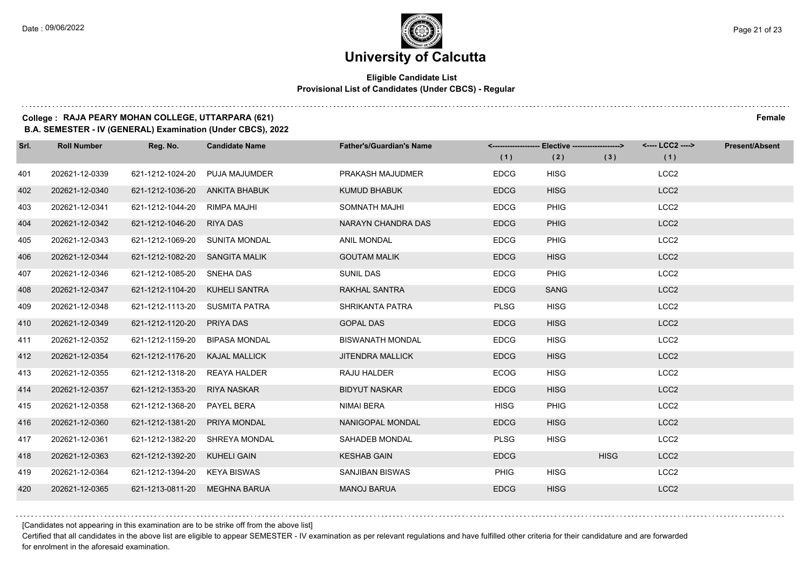### **Eligible Candidate List Provisional List of Candidates (Under CBCS) - Regular**

### **College : RAJA PEARY MOHAN COLLEGE, UTTARPARA (621) Female**

**B.A. SEMESTER - IV (GENERAL) Examination (Under CBCS), 2022**

| Srl. | <b>Roll Number</b> | Reg. No.                       | <b>Candidate Name</b> | <b>Father's/Guardian's Name</b> | (1)         | <------------------- Elective ------------------><br>(2) | (3)         | <---- LCC2 ----><br>(1) | <b>Present/Absent</b> |
|------|--------------------|--------------------------------|-----------------------|---------------------------------|-------------|----------------------------------------------------------|-------------|-------------------------|-----------------------|
| 401  | 202621-12-0339     | 621-1212-1024-20               | <b>PUJA MAJUMDER</b>  | PRAKASH MAJUDMER                | <b>EDCG</b> | <b>HISG</b>                                              |             | LCC <sub>2</sub>        |                       |
| 402  | 202621-12-0340     | 621-1212-1036-20 ANKITA BHABUK |                       | <b>KUMUD BHABUK</b>             | <b>EDCG</b> | <b>HISG</b>                                              |             | LCC <sub>2</sub>        |                       |
| 403  | 202621-12-0341     | 621-1212-1044-20 RIMPA MAJHI   |                       | SOMNATH MAJHI                   | <b>EDCG</b> | <b>PHIG</b>                                              |             | LCC <sub>2</sub>        |                       |
| 404  | 202621-12-0342     | 621-1212-1046-20 RIYA DAS      |                       | NARAYN CHANDRA DAS              | <b>EDCG</b> | <b>PHIG</b>                                              |             | LCC <sub>2</sub>        |                       |
| 405  | 202621-12-0343     | 621-1212-1069-20 SUNITA MONDAL |                       | <b>ANIL MONDAL</b>              | <b>EDCG</b> | <b>PHIG</b>                                              |             | LCC <sub>2</sub>        |                       |
| 406  | 202621-12-0344     | 621-1212-1082-20 SANGITA MALIK |                       | <b>GOUTAM MALIK</b>             | <b>EDCG</b> | <b>HISG</b>                                              |             | LCC <sub>2</sub>        |                       |
| 407  | 202621-12-0346     | 621-1212-1085-20 SNEHA DAS     |                       | <b>SUNIL DAS</b>                | <b>EDCG</b> | PHIG                                                     |             | LCC <sub>2</sub>        |                       |
| 408  | 202621-12-0347     | 621-1212-1104-20 KUHELI SANTRA |                       | RAKHAL SANTRA                   | <b>EDCG</b> | <b>SANG</b>                                              |             | LCC <sub>2</sub>        |                       |
| 409  | 202621-12-0348     | 621-1212-1113-20 SUSMITA PATRA |                       | SHRIKANTA PATRA                 | <b>PLSG</b> | <b>HISG</b>                                              |             | LCC <sub>2</sub>        |                       |
| 410  | 202621-12-0349     | 621-1212-1120-20 PRIYA DAS     |                       | <b>GOPAL DAS</b>                | <b>EDCG</b> | <b>HISG</b>                                              |             | LCC <sub>2</sub>        |                       |
| 411  | 202621-12-0352     | 621-1212-1159-20 BIPASA MONDAL |                       | <b>BISWANATH MONDAL</b>         | <b>EDCG</b> | <b>HISG</b>                                              |             | LCC <sub>2</sub>        |                       |
| 412  | 202621-12-0354     | 621-1212-1176-20 KAJAL MALLICK |                       | <b>JITENDRA MALLICK</b>         | <b>EDCG</b> | <b>HISG</b>                                              |             | LCC <sub>2</sub>        |                       |
| 413  | 202621-12-0355     | 621-1212-1318-20               | REAYA HALDER          | RAJU HALDER                     | <b>ECOG</b> | <b>HISG</b>                                              |             | LCC <sub>2</sub>        |                       |
| 414  | 202621-12-0357     | 621-1212-1353-20 RIYA NASKAR   |                       | <b>BIDYUT NASKAR</b>            | <b>EDCG</b> | <b>HISG</b>                                              |             | LCC <sub>2</sub>        |                       |
| 415  | 202621-12-0358     | 621-1212-1368-20 PAYEL BERA    |                       | NIMAI BERA                      | <b>HISG</b> | <b>PHIG</b>                                              |             | LCC <sub>2</sub>        |                       |
| 416  | 202621-12-0360     | 621-1212-1381-20 PRIYA MONDAL  |                       | <b>NANIGOPAL MONDAL</b>         | <b>EDCG</b> | <b>HISG</b>                                              |             | LCC <sub>2</sub>        |                       |
| 417  | 202621-12-0361     | 621-1212-1382-20               | SHREYA MONDAL         | SAHADEB MONDAL                  | <b>PLSG</b> | <b>HISG</b>                                              |             | LCC <sub>2</sub>        |                       |
| 418  | 202621-12-0363     | 621-1212-1392-20 KUHELI GAIN   |                       | <b>KESHAB GAIN</b>              | <b>EDCG</b> |                                                          | <b>HISG</b> | LCC <sub>2</sub>        |                       |
| 419  | 202621-12-0364     | 621-1212-1394-20 KEYA BISWAS   |                       | <b>SANJIBAN BISWAS</b>          | PHIG        | <b>HISG</b>                                              |             | LCC <sub>2</sub>        |                       |
| 420  | 202621-12-0365     | 621-1213-0811-20 MEGHNA BARUA  |                       | <b>MANOJ BARUA</b>              | <b>EDCG</b> | <b>HISG</b>                                              |             | LCC <sub>2</sub>        |                       |

[Candidates not appearing in this examination are to be strike off from the above list]

Certified that all candidates in the above list are eligible to appear SEMESTER - IV examination as per relevant regulations and have fulfilled other criteria for their candidature and are forwarded for enrolment in the aforesaid examination.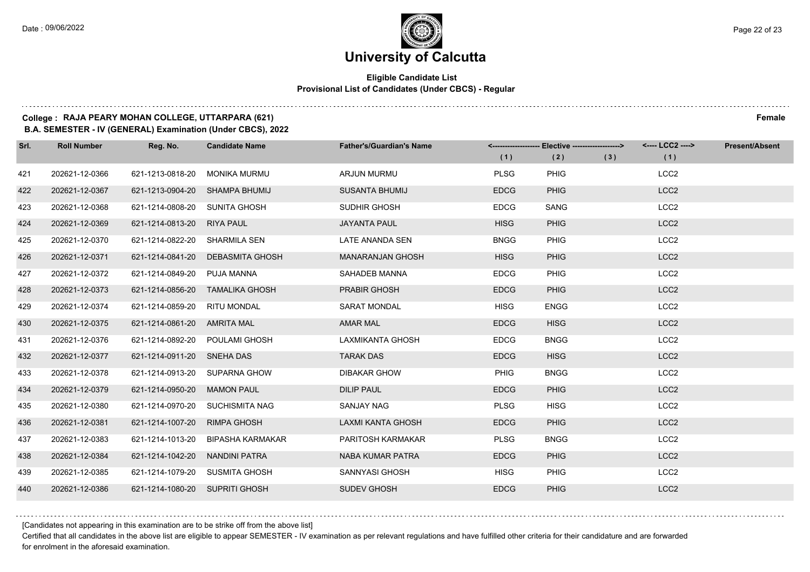### **Eligible Candidate List Provisional List of Candidates (Under CBCS) - Regular**

### **College : RAJA PEARY MOHAN COLLEGE, UTTARPARA (621) Female**

**B.A. SEMESTER - IV (GENERAL) Examination (Under CBCS), 2022**

| Srl. | <b>Roll Number</b> | Reg. No.                       | <b>Candidate Name</b>            | <b>Father's/Guardian's Name</b> | (1)         | <-------------------- Elective ------------------><br>(2) | (3) | <---- LCC2 ----><br>(1) | <b>Present/Absent</b> |
|------|--------------------|--------------------------------|----------------------------------|---------------------------------|-------------|-----------------------------------------------------------|-----|-------------------------|-----------------------|
| 421  | 202621-12-0366     | 621-1213-0818-20               | <b>MONIKA MURMU</b>              | ARJUN MURMU                     | <b>PLSG</b> | <b>PHIG</b>                                               |     | LCC <sub>2</sub>        |                       |
| 422  | 202621-12-0367     | 621-1213-0904-20 SHAMPA BHUMIJ |                                  | SUSANTA BHUMIJ                  | <b>EDCG</b> | <b>PHIG</b>                                               |     | LCC <sub>2</sub>        |                       |
| 423  | 202621-12-0368     | 621-1214-0808-20 SUNITA GHOSH  |                                  | SUDHIR GHOSH                    | <b>EDCG</b> | SANG                                                      |     | LCC <sub>2</sub>        |                       |
| 424  | 202621-12-0369     | 621-1214-0813-20 RIYA PAUL     |                                  | <b>JAYANTA PAUL</b>             | <b>HISG</b> | <b>PHIG</b>                                               |     | LCC <sub>2</sub>        |                       |
| 425  | 202621-12-0370     | 621-1214-0822-20               | SHARMILA SEN                     | LATE ANANDA SEN                 | <b>BNGG</b> | <b>PHIG</b>                                               |     | LCC <sub>2</sub>        |                       |
| 426  | 202621-12-0371     |                                | 621-1214-0841-20 DEBASMITA GHOSH | <b>MANARANJAN GHOSH</b>         | <b>HISG</b> | <b>PHIG</b>                                               |     | LCC <sub>2</sub>        |                       |
| 427  | 202621-12-0372     | 621-1214-0849-20 PUJA MANNA    |                                  | SAHADEB MANNA                   | <b>EDCG</b> | PHIG                                                      |     | LCC <sub>2</sub>        |                       |
| 428  | 202621-12-0373     |                                | 621-1214-0856-20 TAMALIKA GHOSH  | <b>PRABIR GHOSH</b>             | <b>EDCG</b> | <b>PHIG</b>                                               |     | LCC <sub>2</sub>        |                       |
| 429  | 202621-12-0374     | 621-1214-0859-20 RITU MONDAL   |                                  | <b>SARAT MONDAL</b>             | <b>HISG</b> | <b>ENGG</b>                                               |     | LCC <sub>2</sub>        |                       |
| 430  | 202621-12-0375     | 621-1214-0861-20 AMRITA MAL    |                                  | <b>AMAR MAL</b>                 | <b>EDCG</b> | <b>HISG</b>                                               |     | LCC <sub>2</sub>        |                       |
| 431  | 202621-12-0376     | 621-1214-0892-20 POULAMI GHOSH |                                  | LAXMIKANTA GHOSH                | <b>EDCG</b> | <b>BNGG</b>                                               |     | LCC <sub>2</sub>        |                       |
| 432  | 202621-12-0377     | 621-1214-0911-20 SNEHA DAS     |                                  | <b>TARAK DAS</b>                | <b>EDCG</b> | <b>HISG</b>                                               |     | LCC <sub>2</sub>        |                       |
| 433  | 202621-12-0378     | 621-1214-0913-20 SUPARNA GHOW  |                                  | <b>DIBAKAR GHOW</b>             | <b>PHIG</b> | <b>BNGG</b>                                               |     | LCC <sub>2</sub>        |                       |
| 434  | 202621-12-0379     | 621-1214-0950-20 MAMON PAUL    |                                  | <b>DILIP PAUL</b>               | <b>EDCG</b> | <b>PHIG</b>                                               |     | LCC <sub>2</sub>        |                       |
| 435  | 202621-12-0380     |                                | 621-1214-0970-20 SUCHISMITA NAG  | SANJAY NAG                      | <b>PLSG</b> | <b>HISG</b>                                               |     | LCC <sub>2</sub>        |                       |
| 436  | 202621-12-0381     | 621-1214-1007-20 RIMPA GHOSH   |                                  | LAXMI KANTA GHOSH               | <b>EDCG</b> | <b>PHIG</b>                                               |     | LCC <sub>2</sub>        |                       |
| 437  | 202621-12-0383     | 621-1214-1013-20               | BIPASHA KARMAKAR                 | PARITOSH KARMAKAR               | <b>PLSG</b> | <b>BNGG</b>                                               |     | LCC <sub>2</sub>        |                       |
| 438  | 202621-12-0384     | 621-1214-1042-20               | NANDINI PATRA                    | <b>NABA KUMAR PATRA</b>         | <b>EDCG</b> | <b>PHIG</b>                                               |     | LCC <sub>2</sub>        |                       |
| 439  | 202621-12-0385     | 621-1214-1079-20 SUSMITA GHOSH |                                  | SANNYASI GHOSH                  | <b>HISG</b> | <b>PHIG</b>                                               |     | LCC <sub>2</sub>        |                       |
| 440  | 202621-12-0386     | 621-1214-1080-20 SUPRITI GHOSH |                                  | <b>SUDEV GHOSH</b>              | <b>EDCG</b> | <b>PHIG</b>                                               |     | LCC <sub>2</sub>        |                       |

[Candidates not appearing in this examination are to be strike off from the above list]

Certified that all candidates in the above list are eligible to appear SEMESTER - IV examination as per relevant regulations and have fulfilled other criteria for their candidature and are forwarded for enrolment in the aforesaid examination.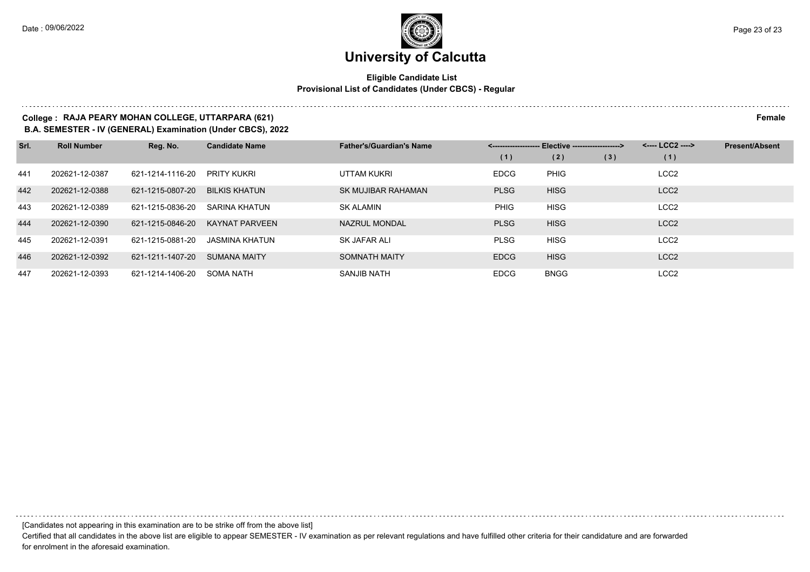### **Eligible Candidate List Provisional List of Candidates (Under CBCS) - Regular**

### **College : RAJA PEARY MOHAN COLLEGE, UTTARPARA (621) Female**

**B.A. SEMESTER - IV (GENERAL) Examination (Under CBCS), 2022**

| Srl. | <b>Roll Number</b> | Reg. No.         | <b>Candidate Name</b> | <b>Father's/Guardian's Name</b> | - Elective -------------------> |             |     | <---- LCC2 ----> | <b>Present/Absent</b> |
|------|--------------------|------------------|-----------------------|---------------------------------|---------------------------------|-------------|-----|------------------|-----------------------|
|      |                    |                  |                       |                                 | (1)                             | (2)         | (3) | (1)              |                       |
| 441  | 202621-12-0387     | 621-1214-1116-20 | PRITY KUKRI           | UTTAM KUKRI                     | <b>EDCG</b>                     | <b>PHIG</b> |     | LCC <sub>2</sub> |                       |
| 442  | 202621-12-0388     | 621-1215-0807-20 | <b>BILKIS KHATUN</b>  | SK MUJIBAR RAHAMAN              | <b>PLSG</b>                     | <b>HISG</b> |     | LCC <sub>2</sub> |                       |
| 443  | 202621-12-0389     | 621-1215-0836-20 | SARINA KHATUN         | <b>SK ALAMIN</b>                | <b>PHIG</b>                     | <b>HISG</b> |     | LCC <sub>2</sub> |                       |
| 444  | 202621-12-0390     | 621-1215-0846-20 | <b>KAYNAT PARVEEN</b> | <b>NAZRUL MONDAL</b>            | <b>PLSG</b>                     | <b>HISG</b> |     | LCC <sub>2</sub> |                       |
| 445  | 202621-12-0391     | 621-1215-0881-20 | <b>JASMINA KHATUN</b> | SK JAFAR ALI                    | <b>PLSG</b>                     | <b>HISG</b> |     | LCC <sub>2</sub> |                       |
| 446  | 202621-12-0392     | 621-1211-1407-20 | <b>SUMANA MAITY</b>   | <b>SOMNATH MAITY</b>            | <b>EDCG</b>                     | <b>HISG</b> |     | LCC <sub>2</sub> |                       |
| 447  | 202621-12-0393     | 621-1214-1406-20 | <b>SOMA NATH</b>      | <b>SANJIB NATH</b>              | <b>EDCG</b>                     | <b>BNGG</b> |     | LCC <sub>2</sub> |                       |

[Candidates not appearing in this examination are to be strike off from the above list]

Certified that all candidates in the above list are eligible to appear SEMESTER - IV examination as per relevant regulations and have fulfilled other criteria for their candidature and are forwarded for enrolment in the aforesaid examination.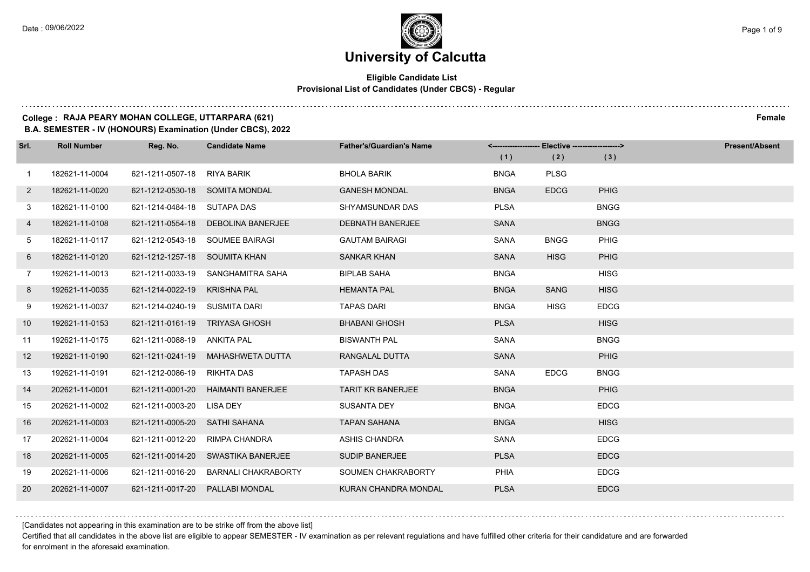$1.111$ 

### **University of Calcutta**

### **Eligible Candidate List Provisional List of Candidates (Under CBCS) - Regular**

### **College : RAJA PEARY MOHAN COLLEGE, UTTARPARA (621) Female**

**B.A. SEMESTER - IV (HONOURS) Examination (Under CBCS), 2022**

| Srl.           | <b>Roll Number</b> | Reg. No.                       | <b>Candidate Name</b>              | <b>Father's/Guardian's Name</b> |             | <------------------- Elective ------------------> |             | <b>Present/Absent</b> |
|----------------|--------------------|--------------------------------|------------------------------------|---------------------------------|-------------|---------------------------------------------------|-------------|-----------------------|
|                |                    |                                |                                    |                                 | (1)         | (2)                                               | (3)         |                       |
| $\overline{1}$ | 182621-11-0004     | 621-1211-0507-18               | <b>RIYA BARIK</b>                  | <b>BHOLA BARIK</b>              | <b>BNGA</b> | <b>PLSG</b>                                       |             |                       |
| $\mathbf{2}$   | 182621-11-0020     | 621-1212-0530-18 SOMITA MONDAL |                                    | <b>GANESH MONDAL</b>            | <b>BNGA</b> | <b>EDCG</b>                                       | PHIG        |                       |
| 3              | 182621-11-0100     | 621-1214-0484-18 SUTAPA DAS    |                                    | <b>SHYAMSUNDAR DAS</b>          | <b>PLSA</b> |                                                   | <b>BNGG</b> |                       |
| 4              | 182621-11-0108     |                                | 621-1211-0554-18 DEBOLINA BANERJEE | <b>DEBNATH BANERJEE</b>         | <b>SANA</b> |                                                   | <b>BNGG</b> |                       |
| 5              | 182621-11-0117     |                                | 621-1212-0543-18 SOUMEE BAIRAGI    | <b>GAUTAM BAIRAGI</b>           | <b>SANA</b> | <b>BNGG</b>                                       | PHIG        |                       |
| 6              | 182621-11-0120     | 621-1212-1257-18 SOUMITA KHAN  |                                    | <b>SANKAR KHAN</b>              | <b>SANA</b> | <b>HISG</b>                                       | PHIG        |                       |
| 7              | 192621-11-0013     |                                | 621-1211-0033-19 SANGHAMITRA SAHA  | <b>BIPLAB SAHA</b>              | <b>BNGA</b> |                                                   | <b>HISG</b> |                       |
| 8              | 192621-11-0035     | 621-1214-0022-19               | KRISHNA PAL                        | <b>HEMANTA PAL</b>              | <b>BNGA</b> | <b>SANG</b>                                       | <b>HISG</b> |                       |
| 9              | 192621-11-0037     | 621-1214-0240-19               | SUSMITA DARI                       | <b>TAPAS DARI</b>               | <b>BNGA</b> | <b>HISG</b>                                       | <b>EDCG</b> |                       |
| 10             | 192621-11-0153     | 621-1211-0161-19               | TRIYASA GHOSH                      | <b>BHABANI GHOSH</b>            | <b>PLSA</b> |                                                   | <b>HISG</b> |                       |
| 11             | 192621-11-0175     | 621-1211-0088-19 ANKITA PAL    |                                    | <b>BISWANTH PAL</b>             | <b>SANA</b> |                                                   | <b>BNGG</b> |                       |
| 12             | 192621-11-0190     | 621-1211-0241-19               | MAHASHWETA DUTTA                   | RANGALAL DUTTA                  | <b>SANA</b> |                                                   | PHIG        |                       |
| 13             | 192621-11-0191     | 621-1212-0086-19               | RIKHTA DAS                         | <b>TAPASH DAS</b>               | <b>SANA</b> | <b>EDCG</b>                                       | <b>BNGG</b> |                       |
| 14             | 202621-11-0001     | 621-1211-0001-20               | <b>HAIMANTI BANERJEE</b>           | <b>TARIT KR BANERJEE</b>        | <b>BNGA</b> |                                                   | <b>PHIG</b> |                       |
| 15             | 202621-11-0002     | 621-1211-0003-20               | LISA DEY                           | <b>SUSANTA DEY</b>              | <b>BNGA</b> |                                                   | <b>EDCG</b> |                       |
| 16             | 202621-11-0003     | 621-1211-0005-20               | <b>SATHI SAHANA</b>                | <b>TAPAN SAHANA</b>             | <b>BNGA</b> |                                                   | <b>HISG</b> |                       |
| 17             | 202621-11-0004     | 621-1211-0012-20               | <b>RIMPA CHANDRA</b>               | <b>ASHIS CHANDRA</b>            | <b>SANA</b> |                                                   | <b>EDCG</b> |                       |
| 18             | 202621-11-0005     | 621-1211-0014-20               | SWASTIKA BANERJEE                  | <b>SUDIP BANERJEE</b>           | <b>PLSA</b> |                                                   | <b>EDCG</b> |                       |
| 19             | 202621-11-0006     | 621-1211-0016-20               | <b>BARNALI CHAKRABORTY</b>         | SOUMEN CHAKRABORTY              | PHIA        |                                                   | <b>EDCG</b> |                       |
| 20             | 202621-11-0007     | 621-1211-0017-20               | PALLABI MONDAL                     | <b>KURAN CHANDRA MONDAL</b>     | <b>PLSA</b> |                                                   | <b>EDCG</b> |                       |

[Candidates not appearing in this examination are to be strike off from the above list]

Certified that all candidates in the above list are eligible to appear SEMESTER - IV examination as per relevant regulations and have fulfilled other criteria for their candidature and are forwarded for enrolment in the aforesaid examination.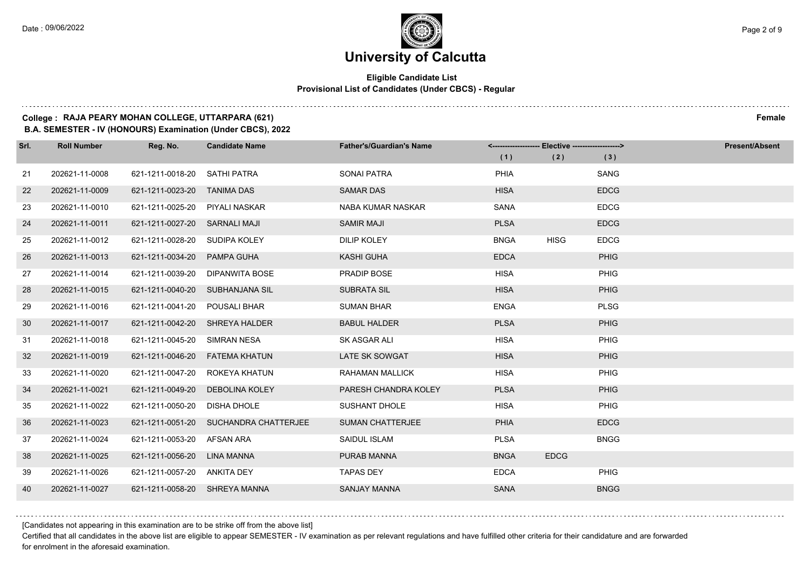### **University of Calcutta**

### **Eligible Candidate List Provisional List of Candidates (Under CBCS) - Regular**

### **College : RAJA PEARY MOHAN COLLEGE, UTTARPARA (621) Female**

**B.A. SEMESTER - IV (HONOURS) Examination (Under CBCS), 2022**

| Srl. | <b>Roll Number</b> | Reg. No.                       | <b>Candidate Name</b>                 | <b>Father's/Guardian's Name</b> |             | <-------------------- Elective -------------------> |             | <b>Present/Absent</b> |
|------|--------------------|--------------------------------|---------------------------------------|---------------------------------|-------------|-----------------------------------------------------|-------------|-----------------------|
|      |                    |                                |                                       |                                 | (1)         | (2)                                                 | (3)         |                       |
| 21   | 202621-11-0008     | 621-1211-0018-20               | SATHI PATRA                           | <b>SONAI PATRA</b>              | PHIA        |                                                     | SANG        |                       |
| 22   | 202621-11-0009     | 621-1211-0023-20               | <b>TANIMA DAS</b>                     | <b>SAMAR DAS</b>                | <b>HISA</b> |                                                     | <b>EDCG</b> |                       |
| 23   | 202621-11-0010     | 621-1211-0025-20               | PIYALI NASKAR                         | NABA KUMAR NASKAR               | <b>SANA</b> |                                                     | <b>EDCG</b> |                       |
| 24   | 202621-11-0011     | 621-1211-0027-20 SARNALI MAJI  |                                       | <b>SAMIR MAJI</b>               | <b>PLSA</b> |                                                     | <b>EDCG</b> |                       |
| 25   | 202621-11-0012     | 621-1211-0028-20               | SUDIPA KOLEY                          | <b>DILIP KOLEY</b>              | <b>BNGA</b> | <b>HISG</b>                                         | <b>EDCG</b> |                       |
| 26   | 202621-11-0013     | 621-1211-0034-20               | PAMPA GUHA                            | <b>KASHI GUHA</b>               | <b>EDCA</b> |                                                     | PHIG        |                       |
| 27   | 202621-11-0014     |                                | 621-1211-0039-20 DIPANWITA BOSE       | PRADIP BOSE                     | <b>HISA</b> |                                                     | PHIG        |                       |
| 28   | 202621-11-0015     |                                | 621-1211-0040-20 SUBHANJANA SIL       | <b>SUBRATA SIL</b>              | <b>HISA</b> |                                                     | PHIG        |                       |
| 29   | 202621-11-0016     | 621-1211-0041-20               | POUSALI BHAR                          | <b>SUMAN BHAR</b>               | <b>ENGA</b> |                                                     | <b>PLSG</b> |                       |
| 30   | 202621-11-0017     | 621-1211-0042-20 SHREYA HALDER |                                       | <b>BABUL HALDER</b>             | <b>PLSA</b> |                                                     | PHIG        |                       |
| 31   | 202621-11-0018     | 621-1211-0045-20 SIMRAN NESA   |                                       | SK ASGAR ALI                    | <b>HISA</b> |                                                     | PHIG        |                       |
| 32   | 202621-11-0019     |                                | 621-1211-0046-20    FATEMA KHATUN     | <b>LATE SK SOWGAT</b>           | <b>HISA</b> |                                                     | PHIG        |                       |
| 33   | 202621-11-0020     | 621-1211-0047-20               | ROKEYA KHATUN                         | <b>RAHAMAN MALLICK</b>          | <b>HISA</b> |                                                     | PHIG        |                       |
| $34$ | 202621-11-0021     |                                | 621-1211-0049-20 DEBOLINA KOLEY       | PARESH CHANDRA KOLEY            | <b>PLSA</b> |                                                     | PHIG        |                       |
| 35   | 202621-11-0022     | 621-1211-0050-20 DISHA DHOLE   |                                       | <b>SUSHANT DHOLE</b>            | <b>HISA</b> |                                                     | PHIG        |                       |
| 36   | 202621-11-0023     |                                | 621-1211-0051-20 SUCHANDRA CHATTERJEE | <b>SUMAN CHATTERJEE</b>         | PHIA        |                                                     | <b>EDCG</b> |                       |
| 37   | 202621-11-0024     | 621-1211-0053-20               | AFSAN ARA                             | <b>SAIDUL ISLAM</b>             | <b>PLSA</b> |                                                     | <b>BNGG</b> |                       |
| 38   | 202621-11-0025     | 621-1211-0056-20               | LINA MANNA                            | PURAB MANNA                     | <b>BNGA</b> | <b>EDCG</b>                                         |             |                       |
| 39   | 202621-11-0026     | 621-1211-0057-20 ANKITA DEY    |                                       | <b>TAPAS DEY</b>                | <b>EDCA</b> |                                                     | PHIG        |                       |
| 40   | 202621-11-0027     | 621-1211-0058-20 SHREYA MANNA  |                                       | <b>SANJAY MANNA</b>             | <b>SANA</b> |                                                     | <b>BNGG</b> |                       |

[Candidates not appearing in this examination are to be strike off from the above list]

Certified that all candidates in the above list are eligible to appear SEMESTER - IV examination as per relevant regulations and have fulfilled other criteria for their candidature and are forwarded for enrolment in the aforesaid examination.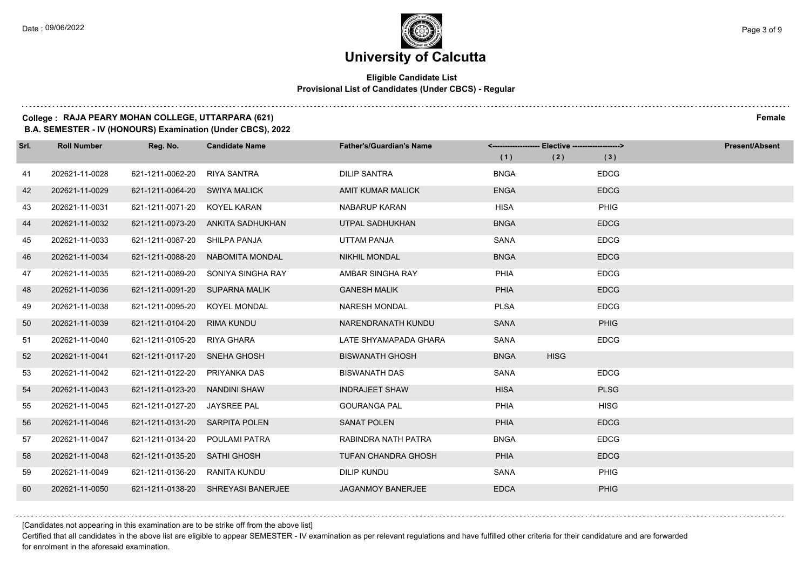### **Eligible Candidate List Provisional List of Candidates (Under CBCS) - Regular**

### **College : RAJA PEARY MOHAN COLLEGE, UTTARPARA (621) Female**

**B.A. SEMESTER - IV (HONOURS) Examination (Under CBCS), 2022**

| Srl. | <b>Roll Number</b> | Reg. No.                       | <b>Candidate Name</b>              | <b>Father's/Guardian's Name</b> | <------------------- Elective ------------------> |             |             | <b>Present/Absent</b> |
|------|--------------------|--------------------------------|------------------------------------|---------------------------------|---------------------------------------------------|-------------|-------------|-----------------------|
|      |                    |                                |                                    |                                 | (1)                                               | (2)         | (3)         |                       |
| 41   | 202621-11-0028     | 621-1211-0062-20               | <b>RIYA SANTRA</b>                 | <b>DILIP SANTRA</b>             | <b>BNGA</b>                                       |             | <b>EDCG</b> |                       |
| 42   | 202621-11-0029     | 621-1211-0064-20 SWIYA MALICK  |                                    | <b>AMIT KUMAR MALICK</b>        | <b>ENGA</b>                                       |             | <b>EDCG</b> |                       |
| 43   | 202621-11-0031     | 621-1211-0071-20 KOYEL KARAN   |                                    | <b>NABARUP KARAN</b>            | <b>HISA</b>                                       |             | PHIG        |                       |
| 44   | 202621-11-0032     | 621-1211-0073-20               | ANKITA SADHUKHAN                   | UTPAL SADHUKHAN                 | <b>BNGA</b>                                       |             | <b>EDCG</b> |                       |
| 45   | 202621-11-0033     | 621-1211-0087-20               | SHILPA PANJA                       | UTTAM PANJA                     | <b>SANA</b>                                       |             | <b>EDCG</b> |                       |
| 46   | 202621-11-0034     | 621-1211-0088-20               | NABOMITA MONDAL                    | <b>NIKHIL MONDAL</b>            | <b>BNGA</b>                                       |             | <b>EDCG</b> |                       |
| 47   | 202621-11-0035     | 621-1211-0089-20               | SONIYA SINGHA RAY                  | AMBAR SINGHA RAY                | PHIA                                              |             | <b>EDCG</b> |                       |
| 48   | 202621-11-0036     | 621-1211-0091-20               | SUPARNA MALIK                      | <b>GANESH MALIK</b>             | PHIA                                              |             | <b>EDCG</b> |                       |
| 49   | 202621-11-0038     | 621-1211-0095-20               | <b>KOYEL MONDAL</b>                | <b>NARESH MONDAL</b>            | <b>PLSA</b>                                       |             | <b>EDCG</b> |                       |
| 50   | 202621-11-0039     | 621-1211-0104-20               | <b>RIMA KUNDU</b>                  | NARENDRANATH KUNDU              | <b>SANA</b>                                       |             | PHIG        |                       |
| 51   | 202621-11-0040     | 621-1211-0105-20               | RIYA GHARA                         | LATE SHYAMAPADA GHARA           | <b>SANA</b>                                       |             | <b>EDCG</b> |                       |
| 52   | 202621-11-0041     | 621-1211-0117-20               | SNEHA GHOSH                        | <b>BISWANATH GHOSH</b>          | <b>BNGA</b>                                       | <b>HISG</b> |             |                       |
| 53   | 202621-11-0042     | 621-1211-0122-20               | PRIYANKA DAS                       | <b>BISWANATH DAS</b>            | <b>SANA</b>                                       |             | <b>EDCG</b> |                       |
| 54   | 202621-11-0043     | 621-1211-0123-20               | NANDINI SHAW                       | <b>INDRAJEET SHAW</b>           | <b>HISA</b>                                       |             | <b>PLSG</b> |                       |
| 55   | 202621-11-0045     | 621-1211-0127-20               | JAYSREE PAL                        | <b>GOURANGA PAL</b>             | PHIA                                              |             | <b>HISG</b> |                       |
| 56   | 202621-11-0046     | 621-1211-0131-20 SARPITA POLEN |                                    | <b>SANAT POLEN</b>              | <b>PHIA</b>                                       |             | <b>EDCG</b> |                       |
| 57   | 202621-11-0047     | 621-1211-0134-20               | POULAMI PATRA                      | RABINDRA NATH PATRA             | <b>BNGA</b>                                       |             | <b>EDCG</b> |                       |
| 58   | 202621-11-0048     | 621-1211-0135-20               | <b>SATHI GHOSH</b>                 | <b>TUFAN CHANDRA GHOSH</b>      | PHIA                                              |             | <b>EDCG</b> |                       |
| 59   | 202621-11-0049     | 621-1211-0136-20               | RANITA KUNDU                       | <b>DILIP KUNDU</b>              | <b>SANA</b>                                       |             | <b>PHIG</b> |                       |
| 60   | 202621-11-0050     |                                | 621-1211-0138-20 SHREYASI BANERJEE | <b>JAGANMOY BANERJEE</b>        | <b>EDCA</b>                                       |             | <b>PHIG</b> |                       |

[Candidates not appearing in this examination are to be strike off from the above list]

Certified that all candidates in the above list are eligible to appear SEMESTER - IV examination as per relevant regulations and have fulfilled other criteria for their candidature and are forwarded for enrolment in the aforesaid examination.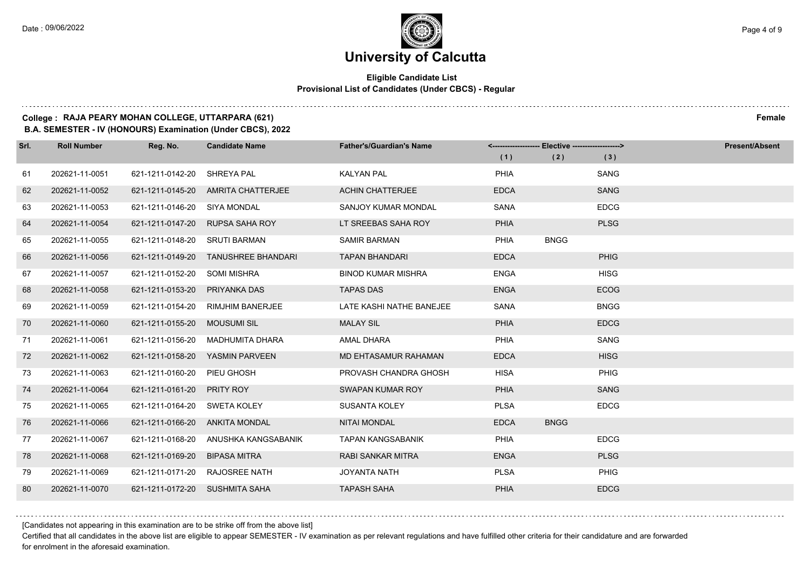### **Eligible Candidate List Provisional List of Candidates (Under CBCS) - Regular**

#### **College : RAJA PEARY MOHAN COLLEGE, UTTARPARA (621) Female**

**B.A. SEMESTER - IV (HONOURS) Examination (Under CBCS), 2022**

| Srl. | <b>Roll Number</b> | Reg. No.                       | <b>Candidate Name</b>               | <b>Father's/Guardian's Name</b> | <-------------------- Elective -------------------> |             |             | <b>Present/Absent</b> |
|------|--------------------|--------------------------------|-------------------------------------|---------------------------------|-----------------------------------------------------|-------------|-------------|-----------------------|
|      |                    |                                |                                     |                                 | (1)                                                 | (2)         | (3)         |                       |
| 61   | 202621-11-0051     | 621-1211-0142-20               | SHREYA PAL                          | <b>KALYAN PAL</b>               | PHIA                                                |             | SANG        |                       |
| 62   | 202621-11-0052     |                                | 621-1211-0145-20 AMRITA CHATTERJEE  | <b>ACHIN CHATTERJEE</b>         | <b>EDCA</b>                                         |             | <b>SANG</b> |                       |
| 63   | 202621-11-0053     | 621-1211-0146-20 SIYA MONDAL   |                                     | <b>SANJOY KUMAR MONDAL</b>      | SANA                                                |             | <b>EDCG</b> |                       |
| 64   | 202621-11-0054     | 621-1211-0147-20               | <b>RUPSA SAHA ROY</b>               | LT SREEBAS SAHA ROY             | <b>PHIA</b>                                         |             | <b>PLSG</b> |                       |
| 65   | 202621-11-0055     | 621-1211-0148-20               | <b>SRUTI BARMAN</b>                 | <b>SAMIR BARMAN</b>             | PHIA                                                | <b>BNGG</b> |             |                       |
| 66   | 202621-11-0056     |                                | 621-1211-0149-20 TANUSHREE BHANDARI | <b>TAPAN BHANDARI</b>           | <b>EDCA</b>                                         |             | <b>PHIG</b> |                       |
| 67   | 202621-11-0057     | 621-1211-0152-20               | SOMI MISHRA                         | <b>BINOD KUMAR MISHRA</b>       | <b>ENGA</b>                                         |             | <b>HISG</b> |                       |
| 68   | 202621-11-0058     | 621-1211-0153-20               | PRIYANKA DAS                        | <b>TAPAS DAS</b>                | <b>ENGA</b>                                         |             | <b>ECOG</b> |                       |
| 69   | 202621-11-0059     | 621-1211-0154-20               | <b>RIMJHIM BANERJEE</b>             | LATE KASHI NATHE BANEJEE        | SANA                                                |             | <b>BNGG</b> |                       |
| 70   | 202621-11-0060     | 621-1211-0155-20               | <b>MOUSUMI SIL</b>                  | <b>MALAY SIL</b>                | PHIA                                                |             | <b>EDCG</b> |                       |
| 71   | 202621-11-0061     | 621-1211-0156-20               | MADHUMITA DHARA                     | <b>AMAL DHARA</b>               | <b>PHIA</b>                                         |             | SANG        |                       |
| 72   | 202621-11-0062     | 621-1211-0158-20               | YASMIN PARVEEN                      | MD EHTASAMUR RAHAMAN            | <b>EDCA</b>                                         |             | <b>HISG</b> |                       |
| 73   | 202621-11-0063     | 621-1211-0160-20               | PIEU GHOSH                          | PROVASH CHANDRA GHOSH           | <b>HISA</b>                                         |             | <b>PHIG</b> |                       |
| 74   | 202621-11-0064     | 621-1211-0161-20               | <b>PRITY ROY</b>                    | SWAPAN KUMAR ROY                | PHIA                                                |             | <b>SANG</b> |                       |
| 75   | 202621-11-0065     | 621-1211-0164-20               | SWETA KOLEY                         | <b>SUSANTA KOLEY</b>            | <b>PLSA</b>                                         |             | <b>EDCG</b> |                       |
| 76   | 202621-11-0066     | 621-1211-0166-20               | ANKITA MONDAL                       | <b>NITAI MONDAL</b>             | <b>EDCA</b>                                         | <b>BNGG</b> |             |                       |
| 77   | 202621-11-0067     | 621-1211-0168-20               | ANUSHKA KANGSABANIK                 | <b>TAPAN KANGSABANIK</b>        | PHIA                                                |             | <b>EDCG</b> |                       |
| 78   | 202621-11-0068     | 621-1211-0169-20               | <b>BIPASA MITRA</b>                 | <b>RABI SANKAR MITRA</b>        | <b>ENGA</b>                                         |             | <b>PLSG</b> |                       |
| 79   | 202621-11-0069     | 621-1211-0171-20               | <b>RAJOSREE NATH</b>                | JOYANTA NATH                    | <b>PLSA</b>                                         |             | <b>PHIG</b> |                       |
| 80   | 202621-11-0070     | 621-1211-0172-20 SUSHMITA SAHA |                                     | <b>TAPASH SAHA</b>              | PHIA                                                |             | <b>EDCG</b> |                       |

[Candidates not appearing in this examination are to be strike off from the above list]

Certified that all candidates in the above list are eligible to appear SEMESTER - IV examination as per relevant regulations and have fulfilled other criteria for their candidature and are forwarded for enrolment in the aforesaid examination.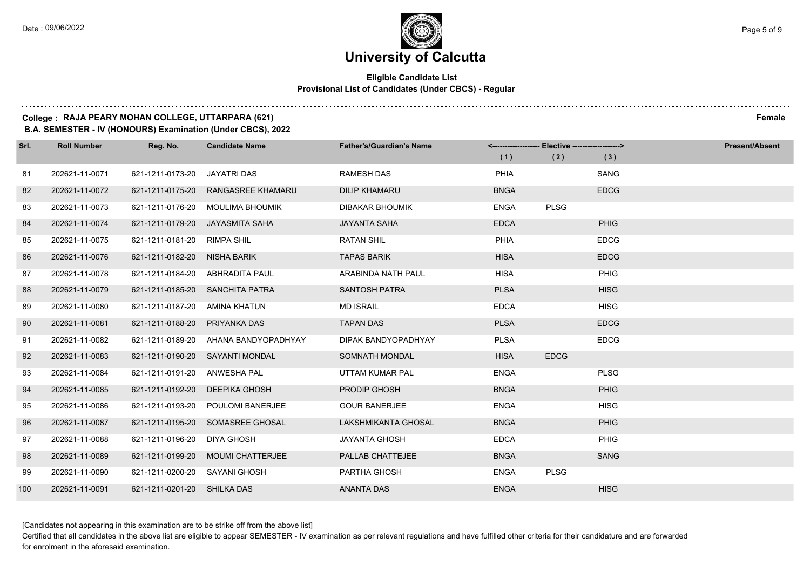### **Eligible Candidate List Provisional List of Candidates (Under CBCS) - Regular**

### **College : RAJA PEARY MOHAN COLLEGE, UTTARPARA (621) Female**

**B.A. SEMESTER - IV (HONOURS) Examination (Under CBCS), 2022**

| Srl. | <b>Roll Number</b> | Reg. No.                    | <b>Candidate Name</b>            | <b>Father's/Guardian's Name</b> | -- Elective -------------------> |             |             | <b>Present/Absent</b> |
|------|--------------------|-----------------------------|----------------------------------|---------------------------------|----------------------------------|-------------|-------------|-----------------------|
|      |                    |                             |                                  |                                 | (1)                              | (2)         | (3)         |                       |
| 81   | 202621-11-0071     | 621-1211-0173-20            | JAYATRI DAS                      | <b>RAMESH DAS</b>               | PHIA                             |             | SANG        |                       |
| 82   | 202621-11-0072     | 621-1211-0175-20            | RANGASREE KHAMARU                | <b>DILIP KHAMARU</b>            | <b>BNGA</b>                      |             | <b>EDCG</b> |                       |
| 83   | 202621-11-0073     |                             | 621-1211-0176-20 MOULIMA BHOUMIK | <b>DIBAKAR BHOUMIK</b>          | <b>ENGA</b>                      | <b>PLSG</b> |             |                       |
| 84   | 202621-11-0074     | 621-1211-0179-20            | JAYASMITA SAHA                   | <b>JAYANTA SAHA</b>             | <b>EDCA</b>                      |             | PHIG        |                       |
| 85   | 202621-11-0075     | 621-1211-0181-20            | RIMPA SHIL                       | <b>RATAN SHIL</b>               | PHIA                             |             | <b>EDCG</b> |                       |
| 86   | 202621-11-0076     | 621-1211-0182-20            | NISHA BARIK                      | <b>TAPAS BARIK</b>              | <b>HISA</b>                      |             | <b>EDCG</b> |                       |
| 87   | 202621-11-0078     |                             | 621-1211-0184-20 ABHRADITA PAUL  | ARABINDA NATH PAUL              | <b>HISA</b>                      |             | <b>PHIG</b> |                       |
| 88   | 202621-11-0079     |                             | 621-1211-0185-20 SANCHITA PATRA  | <b>SANTOSH PATRA</b>            | <b>PLSA</b>                      |             | <b>HISG</b> |                       |
| 89   | 202621-11-0080     | 621-1211-0187-20            | AMINA KHATUN                     | <b>MD ISRAIL</b>                | <b>EDCA</b>                      |             | <b>HISG</b> |                       |
| 90   | 202621-11-0081     | 621-1211-0188-20            | PRIYANKA DAS                     | <b>TAPAN DAS</b>                | <b>PLSA</b>                      |             | <b>EDCG</b> |                       |
| 91   | 202621-11-0082     | 621-1211-0189-20            | AHANA BANDYOPADHYAY              | DIPAK BANDYOPADHYAY             | <b>PLSA</b>                      |             | <b>EDCG</b> |                       |
| 92   | 202621-11-0083     |                             | 621-1211-0190-20 SAYANTI MONDAL  | SOMNATH MONDAL                  | <b>HISA</b>                      | <b>EDCG</b> |             |                       |
| 93   | 202621-11-0084     | 621-1211-0191-20            | ANWESHA PAL                      | UTTAM KUMAR PAL                 | <b>ENGA</b>                      |             | <b>PLSG</b> |                       |
| 94   | 202621-11-0085     | 621-1211-0192-20            | DEEPIKA GHOSH                    | <b>PRODIP GHOSH</b>             | <b>BNGA</b>                      |             | <b>PHIG</b> |                       |
| 95   | 202621-11-0086     | 621-1211-0193-20            | POULOMI BANERJEE                 | <b>GOUR BANERJEE</b>            | <b>ENGA</b>                      |             | <b>HISG</b> |                       |
| 96   | 202621-11-0087     | 621-1211-0195-20            | SOMASREE GHOSAL                  | LAKSHMIKANTA GHOSAL             | <b>BNGA</b>                      |             | PHIG        |                       |
| 97   | 202621-11-0088     | 621-1211-0196-20            | DIYA GHOSH                       | <b>JAYANTA GHOSH</b>            | <b>EDCA</b>                      |             | <b>PHIG</b> |                       |
| 98   | 202621-11-0089     | 621-1211-0199-20            | <b>MOUMI CHATTERJEE</b>          | PALLAB CHATTEJEE                | <b>BNGA</b>                      |             | <b>SANG</b> |                       |
| 99   | 202621-11-0090     | 621-1211-0200-20            | SAYANI GHOSH                     | PARTHA GHOSH                    | <b>ENGA</b>                      | <b>PLSG</b> |             |                       |
| 100  | 202621-11-0091     | 621-1211-0201-20 SHILKA DAS |                                  | <b>ANANTA DAS</b>               | <b>ENGA</b>                      |             | <b>HISG</b> |                       |

[Candidates not appearing in this examination are to be strike off from the above list]

Certified that all candidates in the above list are eligible to appear SEMESTER - IV examination as per relevant regulations and have fulfilled other criteria for their candidature and are forwarded for enrolment in the aforesaid examination.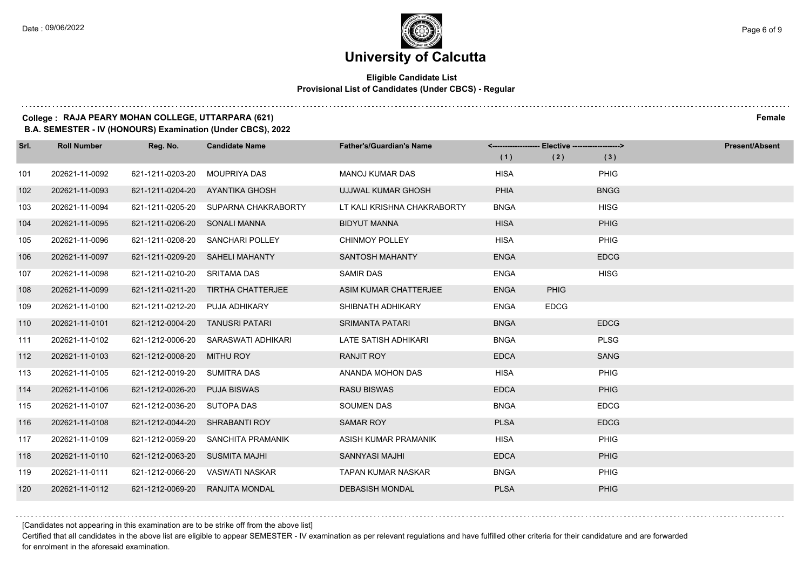$1.111$ 

### **University of Calcutta**

### **Eligible Candidate List Provisional List of Candidates (Under CBCS) - Regular**

### **College : RAJA PEARY MOHAN COLLEGE, UTTARPARA (621) Female**

**B.A. SEMESTER - IV (HONOURS) Examination (Under CBCS), 2022**

| Srl. | <b>Roll Number</b> | Reg. No.                      | <b>Candidate Name</b>                | <b>Father's/Guardian's Name</b> | <------------------- Elective ------------------> |             |             | <b>Present/Absent</b> |
|------|--------------------|-------------------------------|--------------------------------------|---------------------------------|---------------------------------------------------|-------------|-------------|-----------------------|
|      |                    |                               |                                      |                                 | (1)                                               | (2)         | (3)         |                       |
| 101  | 202621-11-0092     | 621-1211-0203-20              | <b>MOUPRIYA DAS</b>                  | <b>MANOJ KUMAR DAS</b>          | <b>HISA</b>                                       |             | <b>PHIG</b> |                       |
| 102  | 202621-11-0093     | 621-1211-0204-20              | AYANTIKA GHOSH                       | UJJWAL KUMAR GHOSH              | <b>PHIA</b>                                       |             | <b>BNGG</b> |                       |
| 103  | 202621-11-0094     |                               | 621-1211-0205-20 SUPARNA CHAKRABORTY | LT KALI KRISHNA CHAKRABORTY     | <b>BNGA</b>                                       |             | <b>HISG</b> |                       |
| 104  | 202621-11-0095     | 621-1211-0206-20 SONALI MANNA |                                      | <b>BIDYUT MANNA</b>             | <b>HISA</b>                                       |             | <b>PHIG</b> |                       |
| 105  | 202621-11-0096     | 621-1211-0208-20              | <b>SANCHARI POLLEY</b>               | <b>CHINMOY POLLEY</b>           | <b>HISA</b>                                       |             | PHIG        |                       |
| 106  | 202621-11-0097     |                               | 621-1211-0209-20 SAHELI MAHANTY      | <b>SANTOSH MAHANTY</b>          | <b>ENGA</b>                                       |             | <b>EDCG</b> |                       |
| 107  | 202621-11-0098     | 621-1211-0210-20 SRITAMA DAS  |                                      | <b>SAMIR DAS</b>                | <b>ENGA</b>                                       |             | <b>HISG</b> |                       |
| 108  | 202621-11-0099     | 621-1211-0211-20              | TIRTHA CHATTERJEE                    | ASIM KUMAR CHATTERJEE           | <b>ENGA</b>                                       | <b>PHIG</b> |             |                       |
| 109  | 202621-11-0100     | 621-1211-0212-20              | <b>PUJA ADHIKARY</b>                 | SHIBNATH ADHIKARY               | <b>ENGA</b>                                       | <b>EDCG</b> |             |                       |
| 110  | 202621-11-0101     | 621-1212-0004-20              | <b>TANUSRI PATARI</b>                | <b>SRIMANTA PATARI</b>          | <b>BNGA</b>                                       |             | <b>EDCG</b> |                       |
| 111  | 202621-11-0102     | 621-1212-0006-20              | SARASWATI ADHIKARI                   | LATE SATISH ADHIKARI            | <b>BNGA</b>                                       |             | <b>PLSG</b> |                       |
| 112  | 202621-11-0103     | 621-1212-0008-20              | MITHU ROY                            | <b>RANJIT ROY</b>               | <b>EDCA</b>                                       |             | <b>SANG</b> |                       |
| 113  | 202621-11-0105     | 621-1212-0019-20              | <b>SUMITRA DAS</b>                   | ANANDA MOHON DAS                | <b>HISA</b>                                       |             | PHIG        |                       |
| 114  | 202621-11-0106     | 621-1212-0026-20              | <b>PUJA BISWAS</b>                   | <b>RASU BISWAS</b>              | <b>EDCA</b>                                       |             | <b>PHIG</b> |                       |
| 115  | 202621-11-0107     | 621-1212-0036-20              | SUTOPA DAS                           | <b>SOUMEN DAS</b>               | <b>BNGA</b>                                       |             | <b>EDCG</b> |                       |
| 116  | 202621-11-0108     | 621-1212-0044-20              | <b>SHRABANTI ROY</b>                 | <b>SAMAR ROY</b>                | <b>PLSA</b>                                       |             | <b>EDCG</b> |                       |
| 117  | 202621-11-0109     | 621-1212-0059-20              | SANCHITA PRAMANIK                    | ASISH KUMAR PRAMANIK            | <b>HISA</b>                                       |             | <b>PHIG</b> |                       |
| 118  | 202621-11-0110     | 621-1212-0063-20              | SUSMITA MAJHI                        | SANNYASI MAJHI                  | <b>EDCA</b>                                       |             | <b>PHIG</b> |                       |
| 119  | 202621-11-0111     |                               | 621-1212-0066-20 VASWATI NASKAR      | <b>TAPAN KUMAR NASKAR</b>       | <b>BNGA</b>                                       |             | <b>PHIG</b> |                       |
| 120  | 202621-11-0112     | 621-1212-0069-20              | <b>RANJITA MONDAL</b>                | <b>DEBASISH MONDAL</b>          | <b>PLSA</b>                                       |             | <b>PHIG</b> |                       |

[Candidates not appearing in this examination are to be strike off from the above list]

Certified that all candidates in the above list are eligible to appear SEMESTER - IV examination as per relevant regulations and have fulfilled other criteria for their candidature and are forwarded for enrolment in the aforesaid examination.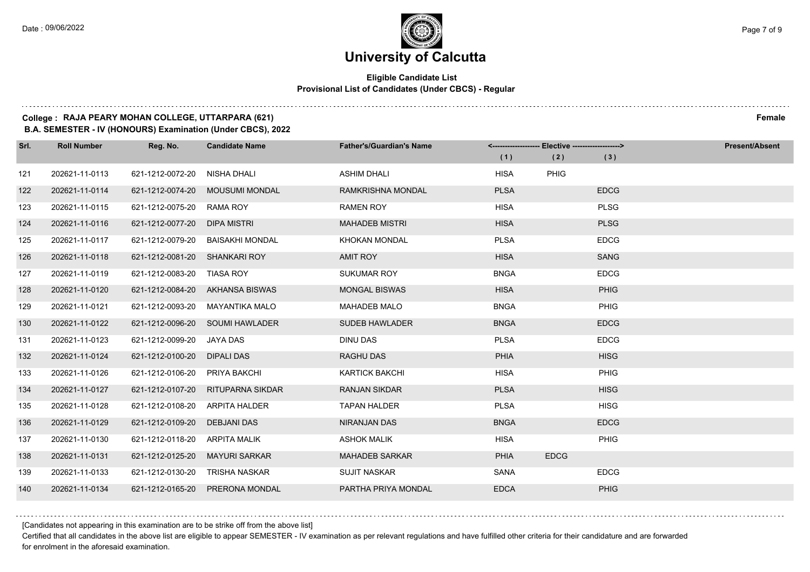### **Eligible Candidate List Provisional List of Candidates (Under CBCS) - Regular**

### **College : RAJA PEARY MOHAN COLLEGE, UTTARPARA (621) Female**

**B.A. SEMESTER - IV (HONOURS) Examination (Under CBCS), 2022**

| Srl. | <b>Roll Number</b> | Reg. No.                      | <b>Candidate Name</b>           | <b>Father's/Guardian's Name</b> |             | <-------------------- Elective -------------------> |             | <b>Present/Absent</b> |
|------|--------------------|-------------------------------|---------------------------------|---------------------------------|-------------|-----------------------------------------------------|-------------|-----------------------|
|      |                    |                               |                                 |                                 | (1)         | (2)                                                 | (3)         |                       |
| 121  | 202621-11-0113     | 621-1212-0072-20              | NISHA DHALI                     | <b>ASHIM DHALI</b>              | <b>HISA</b> | PHIG                                                |             |                       |
| 122  | 202621-11-0114     | 621-1212-0074-20              | <b>MOUSUMI MONDAL</b>           | <b>RAMKRISHNA MONDAL</b>        | <b>PLSA</b> |                                                     | <b>EDCG</b> |                       |
| 123  | 202621-11-0115     | 621-1212-0075-20              | RAMA ROY                        | <b>RAMEN ROY</b>                | <b>HISA</b> |                                                     | <b>PLSG</b> |                       |
| 124  | 202621-11-0116     | 621-1212-0077-20              | DIPA MISTRI                     | <b>MAHADEB MISTRI</b>           | <b>HISA</b> |                                                     | <b>PLSG</b> |                       |
| 125  | 202621-11-0117     | 621-1212-0079-20              | <b>BAISAKHI MONDAL</b>          | <b>KHOKAN MONDAL</b>            | <b>PLSA</b> |                                                     | <b>EDCG</b> |                       |
| 126  | 202621-11-0118     | 621-1212-0081-20 SHANKARI ROY |                                 | <b>AMIT ROY</b>                 | <b>HISA</b> |                                                     | <b>SANG</b> |                       |
| 127  | 202621-11-0119     | 621-1212-0083-20 TIASA ROY    |                                 | <b>SUKUMAR ROY</b>              | <b>BNGA</b> |                                                     | <b>EDCG</b> |                       |
| 128  | 202621-11-0120     |                               | 621-1212-0084-20 AKHANSA BISWAS | <b>MONGAL BISWAS</b>            | <b>HISA</b> |                                                     | PHIG        |                       |
| 129  | 202621-11-0121     | 621-1212-0093-20              | MAYANTIKA MALO                  | <b>MAHADEB MALO</b>             | <b>BNGA</b> |                                                     | <b>PHIG</b> |                       |
| 130  | 202621-11-0122     |                               | 621-1212-0096-20 SOUMI HAWLADER | <b>SUDEB HAWLADER</b>           | <b>BNGA</b> |                                                     | <b>EDCG</b> |                       |
| 131  | 202621-11-0123     | 621-1212-0099-20 JAYA DAS     |                                 | <b>DINU DAS</b>                 | <b>PLSA</b> |                                                     | <b>EDCG</b> |                       |
| 132  | 202621-11-0124     | 621-1212-0100-20              | <b>DIPALI DAS</b>               | <b>RAGHU DAS</b>                | <b>PHIA</b> |                                                     | <b>HISG</b> |                       |
| 133  | 202621-11-0126     | 621-1212-0106-20              | PRIYA BAKCHI                    | <b>KARTICK BAKCHI</b>           | <b>HISA</b> |                                                     | <b>PHIG</b> |                       |
| 134  | 202621-11-0127     | 621-1212-0107-20              | <b>RITUPARNA SIKDAR</b>         | <b>RANJAN SIKDAR</b>            | <b>PLSA</b> |                                                     | <b>HISG</b> |                       |
| 135  | 202621-11-0128     | 621-1212-0108-20              | ARPITA HALDER                   | <b>TAPAN HALDER</b>             | <b>PLSA</b> |                                                     | <b>HISG</b> |                       |
| 136  | 202621-11-0129     | 621-1212-0109-20              | <b>DEBJANI DAS</b>              | <b>NIRANJAN DAS</b>             | <b>BNGA</b> |                                                     | <b>EDCG</b> |                       |
| 137  | 202621-11-0130     | 621-1212-0118-20              | ARPITA MALIK                    | <b>ASHOK MALIK</b>              | <b>HISA</b> |                                                     | <b>PHIG</b> |                       |
| 138  | 202621-11-0131     | 621-1212-0125-20              | <b>MAYURI SARKAR</b>            | <b>MAHADEB SARKAR</b>           | <b>PHIA</b> | <b>EDCG</b>                                         |             |                       |
| 139  | 202621-11-0133     | 621-1212-0130-20              | TRISHA NASKAR                   | <b>SUJIT NASKAR</b>             | SANA        |                                                     | <b>EDCG</b> |                       |
| 140  | 202621-11-0134     | 621-1212-0165-20              | PRERONA MONDAL                  | PARTHA PRIYA MONDAL             | <b>EDCA</b> |                                                     | PHIG        |                       |

[Candidates not appearing in this examination are to be strike off from the above list]

Certified that all candidates in the above list are eligible to appear SEMESTER - IV examination as per relevant regulations and have fulfilled other criteria for their candidature and are forwarded for enrolment in the aforesaid examination.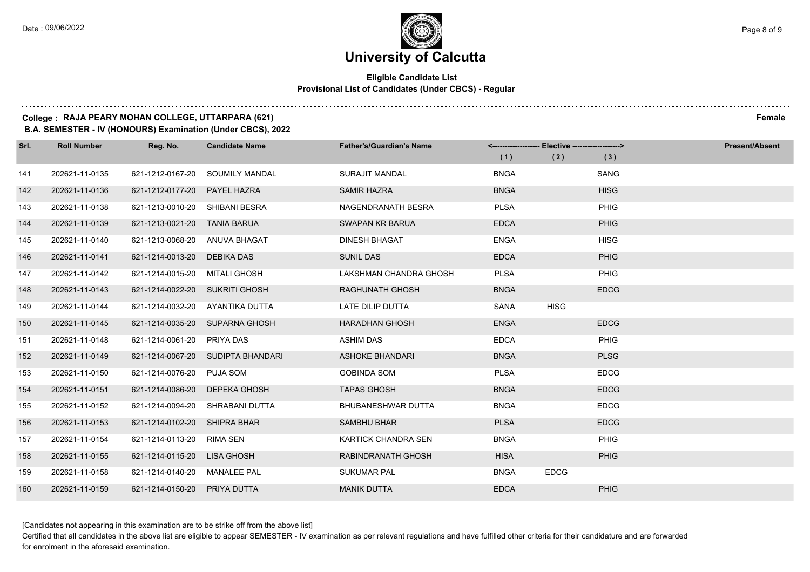$1.111$ 

### **University of Calcutta**

### **Eligible Candidate List Provisional List of Candidates (Under CBCS) - Regular**

### **College : RAJA PEARY MOHAN COLLEGE, UTTARPARA (621) Female**

**B.A. SEMESTER - IV (HONOURS) Examination (Under CBCS), 2022**

| Srl. | <b>Roll Number</b> | Reg. No.                       | <b>Candidate Name</b>             | <b>Father's/Guardian's Name</b> | <------------------- Elective ------------------> |             |             | <b>Present/Absent</b> |
|------|--------------------|--------------------------------|-----------------------------------|---------------------------------|---------------------------------------------------|-------------|-------------|-----------------------|
|      |                    |                                |                                   |                                 | (1)                                               | (2)         | (3)         |                       |
| 141  | 202621-11-0135     | 621-1212-0167-20               | SOUMILY MANDAL                    | <b>SURAJIT MANDAL</b>           | <b>BNGA</b>                                       |             | SANG        |                       |
| 142  | 202621-11-0136     | 621-1212-0177-20               | <b>PAYEL HAZRA</b>                | <b>SAMIR HAZRA</b>              | <b>BNGA</b>                                       |             | <b>HISG</b> |                       |
| 143  | 202621-11-0138     | 621-1213-0010-20 SHIBANI BESRA |                                   | NAGENDRANATH BESRA              | <b>PLSA</b>                                       |             | PHIG        |                       |
| 144  | 202621-11-0139     | 621-1213-0021-20               | TANIA BARUA                       | <b>SWAPAN KR BARUA</b>          | <b>EDCA</b>                                       |             | PHIG        |                       |
| 145  | 202621-11-0140     | 621-1213-0068-20               | ANUVA BHAGAT                      | <b>DINESH BHAGAT</b>            | <b>ENGA</b>                                       |             | <b>HISG</b> |                       |
| 146  | 202621-11-0141     | 621-1214-0013-20               | DEBIKA DAS                        | <b>SUNIL DAS</b>                | <b>EDCA</b>                                       |             | PHIG        |                       |
| 147  | 202621-11-0142     | 621-1214-0015-20               | MITALI GHOSH                      | LAKSHMAN CHANDRA GHOSH          | <b>PLSA</b>                                       |             | PHIG        |                       |
| 148  | 202621-11-0143     | 621-1214-0022-20 SUKRITI GHOSH |                                   | RAGHUNATH GHOSH                 | <b>BNGA</b>                                       |             | <b>EDCG</b> |                       |
| 149  | 202621-11-0144     | 621-1214-0032-20               | AYANTIKA DUTTA                    | LATE DILIP DUTTA                | <b>SANA</b>                                       | <b>HISG</b> |             |                       |
| 150  | 202621-11-0145     |                                | 621-1214-0035-20 SUPARNA GHOSH    | <b>HARADHAN GHOSH</b>           | <b>ENGA</b>                                       |             | <b>EDCG</b> |                       |
| 151  | 202621-11-0148     | 621-1214-0061-20               | PRIYA DAS                         | <b>ASHIM DAS</b>                | <b>EDCA</b>                                       |             | PHIG        |                       |
| 152  | 202621-11-0149     |                                | 621-1214-0067-20 SUDIPTA BHANDARI | <b>ASHOKE BHANDARI</b>          | <b>BNGA</b>                                       |             | <b>PLSG</b> |                       |
| 153  | 202621-11-0150     | 621-1214-0076-20               | PUJA SOM                          | <b>GOBINDA SOM</b>              | <b>PLSA</b>                                       |             | <b>EDCG</b> |                       |
| 154  | 202621-11-0151     | 621-1214-0086-20               | DEPEKA GHOSH                      | <b>TAPAS GHOSH</b>              | <b>BNGA</b>                                       |             | <b>EDCG</b> |                       |
| 155  | 202621-11-0152     | 621-1214-0094-20               | SHRABANI DUTTA                    | <b>BHUBANESHWAR DUTTA</b>       | <b>BNGA</b>                                       |             | <b>EDCG</b> |                       |
| 156  | 202621-11-0153     | 621-1214-0102-20               | <b>SHIPRA BHAR</b>                | <b>SAMBHU BHAR</b>              | <b>PLSA</b>                                       |             | <b>EDCG</b> |                       |
| 157  | 202621-11-0154     | 621-1214-0113-20               | RIMA SEN                          | <b>KARTICK CHANDRA SEN</b>      | <b>BNGA</b>                                       |             | PHIG        |                       |
| 158  | 202621-11-0155     | 621-1214-0115-20               | LISA GHOSH                        | RABINDRANATH GHOSH              | <b>HISA</b>                                       |             | <b>PHIG</b> |                       |
| 159  | 202621-11-0158     | 621-1214-0140-20 MANALEE PAL   |                                   | <b>SUKUMAR PAL</b>              | <b>BNGA</b>                                       | <b>EDCG</b> |             |                       |
| 160  | 202621-11-0159     | 621-1214-0150-20               | PRIYA DUTTA                       | <b>MANIK DUTTA</b>              | <b>EDCA</b>                                       |             | <b>PHIG</b> |                       |

[Candidates not appearing in this examination are to be strike off from the above list]

Certified that all candidates in the above list are eligible to appear SEMESTER - IV examination as per relevant regulations and have fulfilled other criteria for their candidature and are forwarded for enrolment in the aforesaid examination.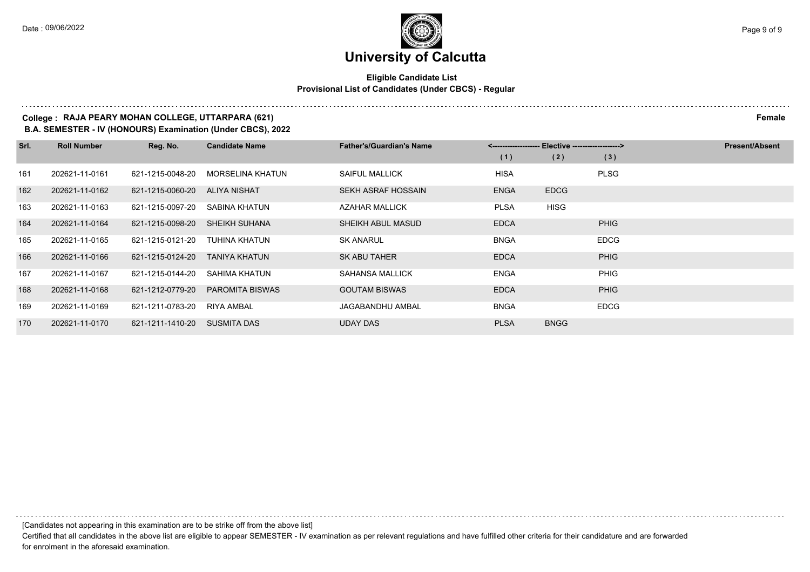### **Eligible Candidate List Provisional List of Candidates (Under CBCS) - Regular**

### **College : RAJA PEARY MOHAN COLLEGE, UTTARPARA (621) Female**

**B.A. SEMESTER - IV (HONOURS) Examination (Under CBCS), 2022**

| Srl. | <b>Roll Number</b> | Reg. No.         | <b>Candidate Name</b>   | <b>Father's/Guardian's Name</b> | <-------------------- Elective ------------------> |             |             | <b>Present/Absent</b> |
|------|--------------------|------------------|-------------------------|---------------------------------|----------------------------------------------------|-------------|-------------|-----------------------|
|      |                    |                  |                         |                                 | (1)                                                | (2)         | (3)         |                       |
| 161  | 202621-11-0161     | 621-1215-0048-20 | <b>MORSELINA KHATUN</b> | <b>SAIFUL MALLICK</b>           | <b>HISA</b>                                        |             | <b>PLSG</b> |                       |
| 162  | 202621-11-0162     | 621-1215-0060-20 | ALIYA NISHAT            | SEKH ASRAF HOSSAIN              | <b>ENGA</b>                                        | <b>EDCG</b> |             |                       |
| 163  | 202621-11-0163     | 621-1215-0097-20 | SABINA KHATUN           | AZAHAR MALLICK                  | <b>PLSA</b>                                        | <b>HISG</b> |             |                       |
| 164  | 202621-11-0164     | 621-1215-0098-20 | <b>SHEIKH SUHANA</b>    | SHEIKH ABUL MASUD               | <b>EDCA</b>                                        |             | <b>PHIG</b> |                       |
| 165  | 202621-11-0165     | 621-1215-0121-20 | TUHINA KHATUN           | <b>SK ANARUL</b>                | <b>BNGA</b>                                        |             | <b>EDCG</b> |                       |
| 166  | 202621-11-0166     | 621-1215-0124-20 | <b>TANIYA KHATUN</b>    | SK ABU TAHER                    | <b>EDCA</b>                                        |             | <b>PHIG</b> |                       |
| 167  | 202621-11-0167     | 621-1215-0144-20 | SAHIMA KHATUN           | SAHANSA MALLICK                 | <b>ENGA</b>                                        |             | PHIG        |                       |
| 168  | 202621-11-0168     | 621-1212-0779-20 | <b>PAROMITA BISWAS</b>  | <b>GOUTAM BISWAS</b>            | <b>EDCA</b>                                        |             | <b>PHIG</b> |                       |
| 169  | 202621-11-0169     | 621-1211-0783-20 | <b>RIYA AMBAL</b>       | JAGABANDHU AMBAL                | <b>BNGA</b>                                        |             | <b>EDCG</b> |                       |
| 170  | 202621-11-0170     | 621-1211-1410-20 | <b>SUSMITA DAS</b>      | <b>UDAY DAS</b>                 | <b>PLSA</b>                                        | <b>BNGG</b> |             |                       |

[Candidates not appearing in this examination are to be strike off from the above list]

Certified that all candidates in the above list are eligible to appear SEMESTER - IV examination as per relevant regulations and have fulfilled other criteria for their candidature and are forwarded for enrolment in the aforesaid examination.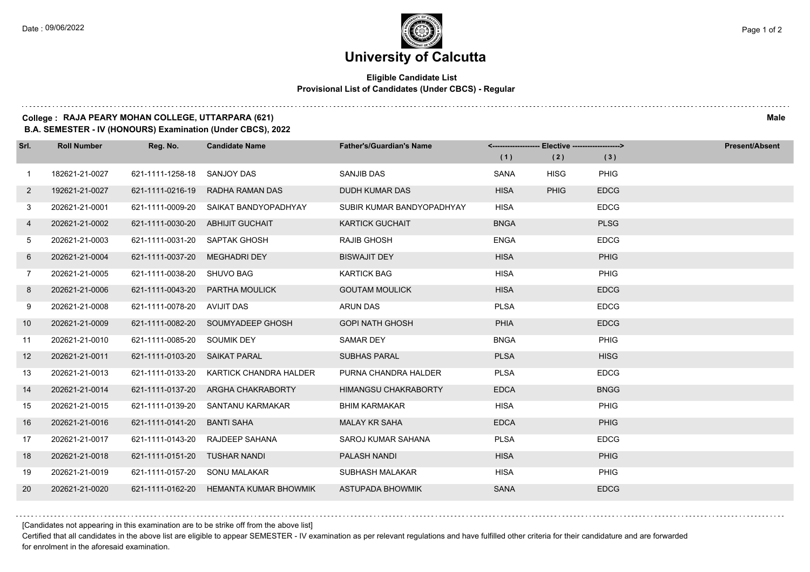### **Eligible Candidate List Provisional List of Candidates (Under CBCS) - Regular**

### **College : RAJA PEARY MOHAN COLLEGE, UTTARPARA (621) Male**

**B.A. SEMESTER - IV (HONOURS) Examination (Under CBCS), 2022**

| Srl.           | <b>Roll Number</b> | Reg. No.                      | <b>Candidate Name</b>                 | <b>Father's/Guardian's Name</b> | <------------------- Elective ------------------> |             |             | <b>Present/Absent</b> |
|----------------|--------------------|-------------------------------|---------------------------------------|---------------------------------|---------------------------------------------------|-------------|-------------|-----------------------|
|                |                    |                               |                                       |                                 | (1)                                               | (2)         | (3)         |                       |
| $\overline{1}$ | 182621-21-0027     | 621-1111-1258-18 SANJOY DAS   |                                       | <b>SANJIB DAS</b>               | <b>SANA</b>                                       | <b>HISG</b> | PHIG        |                       |
| $\overline{2}$ | 192621-21-0027     | 621-1111-0216-19              | RADHA RAMAN DAS                       | <b>DUDH KUMAR DAS</b>           | <b>HISA</b>                                       | <b>PHIG</b> | <b>EDCG</b> |                       |
| 3              | 202621-21-0001     |                               | 621-1111-0009-20 SAIKAT BANDYOPADHYAY | SUBIR KUMAR BANDYOPADHYAY       | <b>HISA</b>                                       |             | <b>EDCG</b> |                       |
| 4              | 202621-21-0002     | 621-1111-0030-20              | <b>ABHIJIT GUCHAIT</b>                | <b>KARTICK GUCHAIT</b>          | <b>BNGA</b>                                       |             | <b>PLSG</b> |                       |
| 5              | 202621-21-0003     | 621-1111-0031-20              | SAPTAK GHOSH                          | <b>RAJIB GHOSH</b>              | <b>ENGA</b>                                       |             | <b>EDCG</b> |                       |
| 6              | 202621-21-0004     | 621-1111-0037-20              | <b>MEGHADRI DEY</b>                   | <b>BISWAJIT DEY</b>             | <b>HISA</b>                                       |             | <b>PHIG</b> |                       |
| $\overline{7}$ | 202621-21-0005     | 621-1111-0038-20 SHUVO BAG    |                                       | <b>KARTICK BAG</b>              | <b>HISA</b>                                       |             | PHIG        |                       |
| 8              | 202621-21-0006     | 621-1111-0043-20              | <b>PARTHA MOULICK</b>                 | <b>GOUTAM MOULICK</b>           | <b>HISA</b>                                       |             | <b>EDCG</b> |                       |
| 9              | 202621-21-0008     | 621-1111-0078-20              | AVIJIT DAS                            | <b>ARUN DAS</b>                 | <b>PLSA</b>                                       |             | <b>EDCG</b> |                       |
| 10             | 202621-21-0009     |                               | 621-1111-0082-20 SOUMYADEEP GHOSH     | <b>GOPI NATH GHOSH</b>          | <b>PHIA</b>                                       |             | <b>EDCG</b> |                       |
| 11             | 202621-21-0010     | 621-1111-0085-20 SOUMIK DEY   |                                       | <b>SAMAR DEY</b>                | <b>BNGA</b>                                       |             | PHIG        |                       |
| 12             | 202621-21-0011     | 621-1111-0103-20 SAIKAT PARAL |                                       | <b>SUBHAS PARAL</b>             | <b>PLSA</b>                                       |             | <b>HISG</b> |                       |
| 13             | 202621-21-0013     | 621-1111-0133-20              | KARTICK CHANDRA HALDER                | PURNA CHANDRA HALDER            | <b>PLSA</b>                                       |             | <b>EDCG</b> |                       |
| 14             | 202621-21-0014     | 621-1111-0137-20              | ARGHA CHAKRABORTY                     | <b>HIMANGSU CHAKRABORTY</b>     | <b>EDCA</b>                                       |             | <b>BNGG</b> |                       |
| 15             | 202621-21-0015     | 621-1111-0139-20              | SANTANU KARMAKAR                      | <b>BHIM KARMAKAR</b>            | <b>HISA</b>                                       |             | PHIG        |                       |
| 16             | 202621-21-0016     | 621-1111-0141-20              | <b>BANTI SAHA</b>                     | <b>MALAY KR SAHA</b>            | <b>EDCA</b>                                       |             | <b>PHIG</b> |                       |
| 17             | 202621-21-0017     | 621-1111-0143-20              | RAJDEEP SAHANA                        | SAROJ KUMAR SAHANA              | <b>PLSA</b>                                       |             | <b>EDCG</b> |                       |
| 18             | 202621-21-0018     | 621-1111-0151-20              | <b>TUSHAR NANDI</b>                   | <b>PALASH NANDI</b>             | <b>HISA</b>                                       |             | <b>PHIG</b> |                       |
| 19             | 202621-21-0019     | 621-1111-0157-20 SONU MALAKAR |                                       | SUBHASH MALAKAR                 | <b>HISA</b>                                       |             | PHIG        |                       |
| 20             | 202621-21-0020     | 621-1111-0162-20              | <b>HEMANTA KUMAR BHOWMIK</b>          | <b>ASTUPADA BHOWMIK</b>         | <b>SANA</b>                                       |             | <b>EDCG</b> |                       |

[Candidates not appearing in this examination are to be strike off from the above list]

Certified that all candidates in the above list are eligible to appear SEMESTER - IV examination as per relevant regulations and have fulfilled other criteria for their candidature and are forwarded for enrolment in the aforesaid examination.

and a state of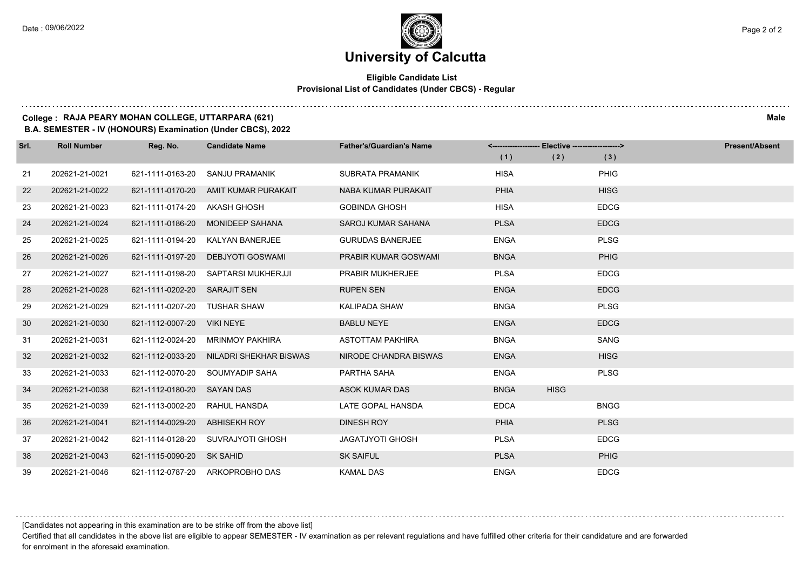### **Eligible Candidate List Provisional List of Candidates (Under CBCS) - Regular**

#### **College : RAJA PEARY MOHAN COLLEGE, UTTARPARA (621) Male**

**B.A. SEMESTER - IV (HONOURS) Examination (Under CBCS), 2022**

| Srl. | <b>Roll Number</b> | Reg. No.                   | <b>Candidate Name</b>           | <b>Father's/Guardian's Name</b> | <-------------------- Elective -------------------> |             |             | <b>Present/Absent</b> |
|------|--------------------|----------------------------|---------------------------------|---------------------------------|-----------------------------------------------------|-------------|-------------|-----------------------|
|      |                    |                            |                                 |                                 | (1)                                                 | (2)         | (3)         |                       |
| 21   | 202621-21-0021     | 621-1111-0163-20           | SANJU PRAMANIK                  | <b>SUBRATA PRAMANIK</b>         | <b>HISA</b>                                         |             | PHIG        |                       |
| 22   | 202621-21-0022     | 621-1111-0170-20           | AMIT KUMAR PURAKAIT             | NABA KUMAR PURAKAIT             | <b>PHIA</b>                                         |             | <b>HISG</b> |                       |
| 23   | 202621-21-0023     | 621-1111-0174-20           | AKASH GHOSH                     | <b>GOBINDA GHOSH</b>            | <b>HISA</b>                                         |             | <b>EDCG</b> |                       |
| 24   | 202621-21-0024     | 621-1111-0186-20           | <b>MONIDEEP SAHANA</b>          | <b>SAROJ KUMAR SAHANA</b>       | <b>PLSA</b>                                         |             | <b>EDCG</b> |                       |
| 25   | 202621-21-0025     | 621-1111-0194-20           | KALYAN BANERJEE                 | <b>GURUDAS BANERJEE</b>         | <b>ENGA</b>                                         |             | <b>PLSG</b> |                       |
| 26   | 202621-21-0026     | 621-1111-0197-20           | DEBJYOTI GOSWAMI                | PRABIR KUMAR GOSWAMI            | <b>BNGA</b>                                         |             | <b>PHIG</b> |                       |
| 27   | 202621-21-0027     | 621-1111-0198-20           | SAPTARSI MUKHERJJI              | PRABIR MUKHERJEE                | <b>PLSA</b>                                         |             | <b>EDCG</b> |                       |
| 28   | 202621-21-0028     | 621-1111-0202-20           | <b>SARAJIT SEN</b>              | <b>RUPEN SEN</b>                | <b>ENGA</b>                                         |             | <b>EDCG</b> |                       |
| 29   | 202621-21-0029     | 621-1111-0207-20           | <b>TUSHAR SHAW</b>              | KALIPADA SHAW                   | <b>BNGA</b>                                         |             | <b>PLSG</b> |                       |
| 30   | 202621-21-0030     | 621-1112-0007-20           | <b>VIKI NEYE</b>                | <b>BABLU NEYE</b>               | <b>ENGA</b>                                         |             | <b>EDCG</b> |                       |
| 31   | 202621-21-0031     | 621-1112-0024-20           | <b>MRINMOY PAKHIRA</b>          | ASTOTTAM PAKHIRA                | <b>BNGA</b>                                         |             | <b>SANG</b> |                       |
| 32   | 202621-21-0032     | 621-1112-0033-20           | NILADRI SHEKHAR BISWAS          | NIRODE CHANDRA BISWAS           | <b>ENGA</b>                                         |             | <b>HISG</b> |                       |
| 33   | 202621-21-0033     | 621-1112-0070-20           | SOUMYADIP SAHA                  | PARTHA SAHA                     | <b>ENGA</b>                                         |             | <b>PLSG</b> |                       |
| 34   | 202621-21-0038     | 621-1112-0180-20 SAYAN DAS |                                 | <b>ASOK KUMAR DAS</b>           | <b>BNGA</b>                                         | <b>HISG</b> |             |                       |
| 35   | 202621-21-0039     | 621-1113-0002-20           | RAHUL HANSDA                    | LATE GOPAL HANSDA               | <b>EDCA</b>                                         |             | <b>BNGG</b> |                       |
| 36   | 202621-21-0041     | 621-1114-0029-20           | <b>ABHISEKH ROY</b>             | <b>DINESH ROY</b>               | <b>PHIA</b>                                         |             | <b>PLSG</b> |                       |
| 37   | 202621-21-0042     | 621-1114-0128-20           | SUVRAJYOTI GHOSH                | <b>JAGATJYOTI GHOSH</b>         | <b>PLSA</b>                                         |             | <b>EDCG</b> |                       |
| 38   | 202621-21-0043     | 621-1115-0090-20           | SK SAHID                        | <b>SK SAIFUL</b>                | <b>PLSA</b>                                         |             | <b>PHIG</b> |                       |
| 39   | 202621-21-0046     |                            | 621-1112-0787-20 ARKOPROBHO DAS | <b>KAMAL DAS</b>                | <b>ENGA</b>                                         |             | <b>EDCG</b> |                       |

[Candidates not appearing in this examination are to be strike off from the above list]

Certified that all candidates in the above list are eligible to appear SEMESTER - IV examination as per relevant regulations and have fulfilled other criteria for their candidature and are forwarded for enrolment in the aforesaid examination.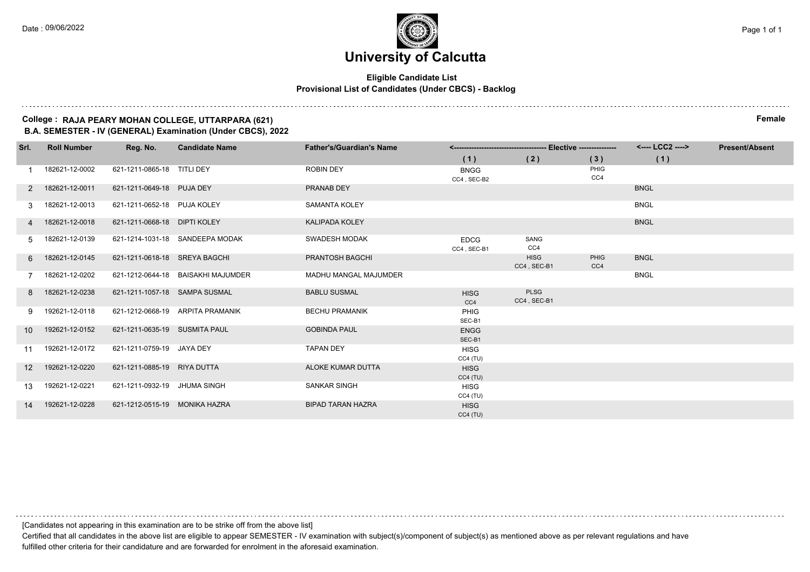#### **Eligible Candidate List Provisional List of Candidates (Under CBCS) - Backlog**

#### **College : RAJA PEARY MOHAN COLLEGE, UTTARPARA (621) Female B.A. SEMESTER - IV (GENERAL) Examination (Under CBCS), 2022**

| Srl.            | <b>Roll Number</b> | Reg. No.                      | <b>Candidate Name</b>              | <b>Father's/Guardian's Name</b> |                            |                            |             | <---- LCC2 ----> | <b>Present/Absent</b> |
|-----------------|--------------------|-------------------------------|------------------------------------|---------------------------------|----------------------------|----------------------------|-------------|------------------|-----------------------|
|                 |                    |                               |                                    |                                 | (1)                        | (2)                        | (3)         | (1)              |                       |
|                 | 182621-12-0002     | 621-1211-0865-18 TITLI DEY    |                                    | <b>ROBIN DEY</b>                | <b>BNGG</b><br>CC4, SEC-B2 |                            | PHIG<br>CC4 |                  |                       |
|                 | 2 182621-12-0011   | 621-1211-0649-18 PUJA DEY     |                                    | PRANAB DEY                      |                            |                            |             | <b>BNGL</b>      |                       |
| 3               | 182621-12-0013     | 621-1211-0652-18 PUJA KOLEY   |                                    | <b>SAMANTA KOLEY</b>            |                            |                            |             | <b>BNGL</b>      |                       |
|                 | 4 182621-12-0018   | 621-1211-0668-18 DIPTI KOLEY  |                                    | <b>KALIPADA KOLEY</b>           |                            |                            |             | <b>BNGL</b>      |                       |
| 5               | 182621-12-0139     |                               | 621-1214-1031-18 SANDEEPA MODAK    | <b>SWADESH MODAK</b>            | <b>EDCG</b><br>CC4, SEC-B1 | SANG<br>CC4                |             |                  |                       |
| 6               | 182621-12-0145     | 621-1211-0618-18 SREYA BAGCHI |                                    | PRANTOSH BAGCHI                 |                            | <b>HISG</b><br>CC4, SEC-B1 | PHIG<br>CC4 | <b>BNGL</b>      |                       |
|                 | 182621-12-0202     |                               | 621-1212-0644-18 BAISAKHI MAJUMDER | <b>MADHU MANGAL MAJUMDER</b>    |                            |                            |             | <b>BNGL</b>      |                       |
| 8               | 182621-12-0238     | 621-1211-1057-18 SAMPA SUSMAL |                                    | <b>BABLU SUSMAL</b>             | <b>HISG</b><br>CC4         | <b>PLSG</b><br>CC4, SEC-B1 |             |                  |                       |
| 9               | 192621-12-0118     |                               | 621-1212-0668-19 ARPITA PRAMANIK   | <b>BECHU PRAMANIK</b>           | PHIG<br>SEC-B1             |                            |             |                  |                       |
| 10              | 192621-12-0152     | 621-1211-0635-19 SUSMITA PAUL |                                    | <b>GOBINDA PAUL</b>             | <b>ENGG</b><br>SEC-B1      |                            |             |                  |                       |
| 11              | 192621-12-0172     | 621-1211-0759-19 JAYA DEY     |                                    | <b>TAPAN DEY</b>                | <b>HISG</b><br>$CC4$ (TU)  |                            |             |                  |                       |
| 12 <sup>2</sup> | 192621-12-0220     | 621-1211-0885-19 RIYA DUTTA   |                                    | ALOKE KUMAR DUTTA               | <b>HISG</b><br>CC4(TU)     |                            |             |                  |                       |
| 13              | 192621-12-0221     | 621-1211-0932-19 JHUMA SINGH  |                                    | <b>SANKAR SINGH</b>             | <b>HISG</b><br>$CC4$ (TU)  |                            |             |                  |                       |
| 14              | 192621-12-0228     | 621-1212-0515-19 MONIKA HAZRA |                                    | <b>BIPAD TARAN HAZRA</b>        | <b>HISG</b><br>$CC4$ (TU)  |                            |             |                  |                       |

[Candidates not appearing in this examination are to be strike off from the above list]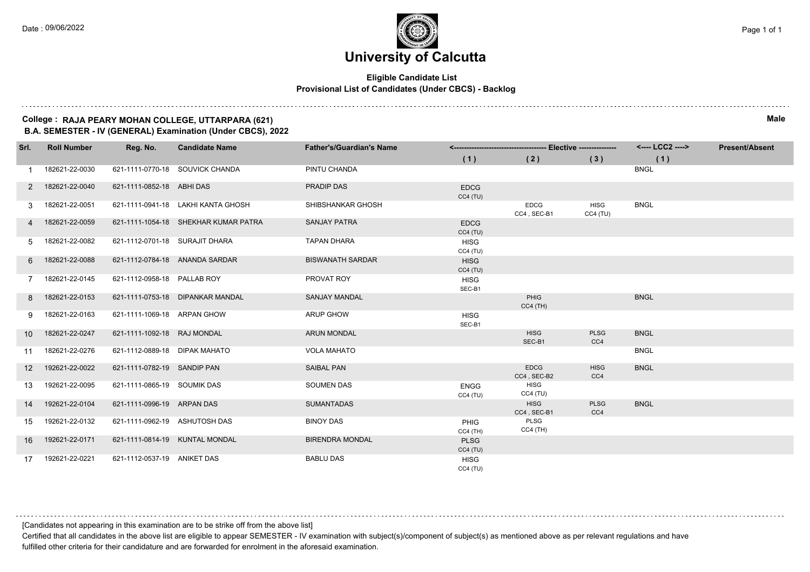#### **Eligible Candidate List Provisional List of Candidates (Under CBCS) - Backlog**

#### **College : RAJA PEARY MOHAN COLLEGE, UTTARPARA (621) Male B.A. SEMESTER - IV (GENERAL) Examination (Under CBCS), 2022**

| Srl.              | <b>Roll Number</b> | Reg. No.                       | <b>Candidate Name</b>                | <b>Father's/Guardian's Name</b> |                           |                            |                        | <---- LCC2 ----> | <b>Present/Absent</b> |
|-------------------|--------------------|--------------------------------|--------------------------------------|---------------------------------|---------------------------|----------------------------|------------------------|------------------|-----------------------|
|                   |                    |                                |                                      |                                 | (1)                       | (2)                        | (3)                    | (1)              |                       |
|                   | 182621-22-0030     |                                | 621-1111-0770-18 SOUVICK CHANDA      | PINTU CHANDA                    |                           |                            |                        | <b>BNGL</b>      |                       |
| $2^{\circ}$       | 182621-22-0040     | 621-1111-0852-18 ABHI DAS      |                                      | PRADIP DAS                      | <b>EDCG</b><br>CC4(TU)    |                            |                        |                  |                       |
| 3                 | 182621-22-0051     |                                | 621-1111-0941-18 LAKHI KANTA GHOSH   | SHIBSHANKAR GHOSH               |                           | EDCG<br>CC4, SEC-B1        | <b>HISG</b><br>CC4(TU) | <b>BNGL</b>      |                       |
|                   | 182621-22-0059     |                                | 621-1111-1054-18 SHEKHAR KUMAR PATRA | <b>SANJAY PATRA</b>             | <b>EDCG</b><br>CC4(TU)    |                            |                        |                  |                       |
| 5                 | 182621-22-0082     | 621-1112-0701-18 SURAJIT DHARA |                                      | <b>TAPAN DHARA</b>              | HISG<br>CC4(TU)           |                            |                        |                  |                       |
| 6                 | 182621-22-0088     |                                | 621-1112-0784-18 ANANDA SARDAR       | <b>BISWANATH SARDAR</b>         | <b>HISG</b><br>CC4(TU)    |                            |                        |                  |                       |
|                   | 182621-22-0145     | 621-1112-0958-18 PALLAB ROY    |                                      | PROVAT ROY                      | <b>HISG</b><br>SEC-B1     |                            |                        |                  |                       |
| 8                 | 182621-22-0153     |                                | 621-1111-0753-18 DIPANKAR MANDAL     | <b>SANJAY MANDAL</b>            |                           | PHIG<br>$CC4$ (TH)         |                        | <b>BNGL</b>      |                       |
| 9                 | 182621-22-0163     | 621-1111-1069-18 ARPAN GHOW    |                                      | <b>ARUP GHOW</b>                | <b>HISG</b><br>SEC-B1     |                            |                        |                  |                       |
| 10                | 182621-22-0247     | 621-1111-1092-18 RAJ MONDAL    |                                      | <b>ARUN MONDAL</b>              |                           | <b>HISG</b><br>SEC-B1      | <b>PLSG</b><br>CC4     | <b>BNGL</b>      |                       |
| 11                | 182621-22-0276     | 621-1112-0889-18 DIPAK MAHATO  |                                      | <b>VOLA MAHATO</b>              |                           |                            |                        | <b>BNGL</b>      |                       |
| $12 \overline{ }$ | 192621-22-0022     | 621-1111-0782-19 SANDIP PAN    |                                      | <b>SAIBAL PAN</b>               |                           | <b>EDCG</b><br>CC4, SEC-B2 | <b>HISG</b><br>CC4     | <b>BNGL</b>      |                       |
| 13                | 192621-22-0095     | 621-1111-0865-19 SOUMIK DAS    |                                      | <b>SOUMEN DAS</b>               | <b>ENGG</b><br>CC4(TU)    | <b>HISG</b><br>CC4(TU)     |                        |                  |                       |
| 14                | 192621-22-0104     | 621-1111-0996-19 ARPAN DAS     |                                      | <b>SUMANTADAS</b>               |                           | <b>HISG</b><br>CC4, SEC-B1 | <b>PLSG</b><br>CC4     | <b>BNGL</b>      |                       |
| 15                | 192621-22-0132     | 621-1111-0962-19 ASHUTOSH DAS  |                                      | <b>BINOY DAS</b>                | <b>PHIG</b><br>$CC4$ (TH) | PLSG<br>$CC4$ (TH)         |                        |                  |                       |
| 16                | 192621-22-0171     |                                | 621-1111-0814-19 KUNTAL MONDAL       | <b>BIRENDRA MONDAL</b>          | <b>PLSG</b><br>CC4(TU)    |                            |                        |                  |                       |
| 17                | 192621-22-0221     | 621-1112-0537-19 ANIKET DAS    |                                      | <b>BABLU DAS</b>                | <b>HISG</b><br>CC4(TU)    |                            |                        |                  |                       |

[Candidates not appearing in this examination are to be strike off from the above list]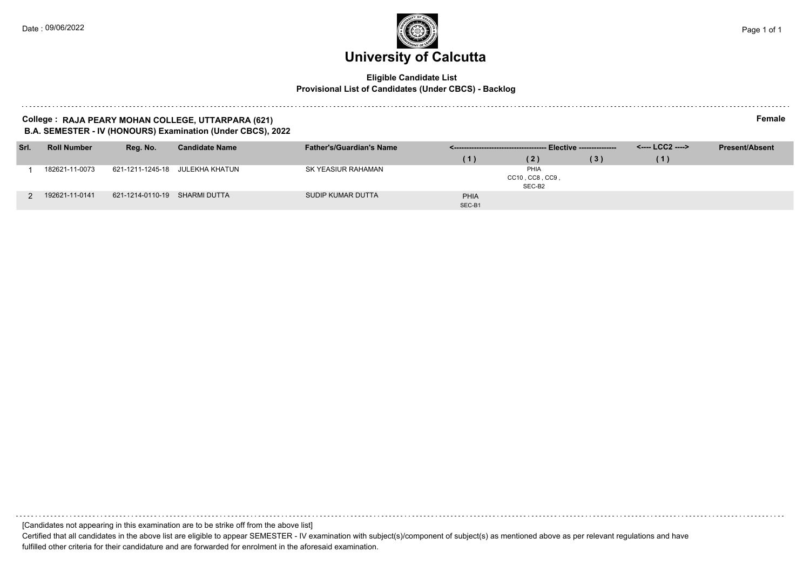#### **Eligible Candidate List Provisional List of Candidates (Under CBCS) - Backlog**

#### **College : RAJA PEARY MOHAN COLLEGE, UTTARPARA (621) Female B.A. SEMESTER - IV (HONOURS) Examination (Under CBCS), 2022**

| Srl. | <b>Roll Number</b> | Reg. No.                      | <b>Candidate Name</b>           | <b>Father's/Guardian's Name</b> |        |                 |     | <---- LCC2 ----> | <b>Present/Absent</b> |
|------|--------------------|-------------------------------|---------------------------------|---------------------------------|--------|-----------------|-----|------------------|-----------------------|
|      |                    |                               |                                 |                                 | (1)    | (2)             | (3) | (1)              |                       |
|      | 182621-11-0073     |                               | 621-1211-1245-18 JULEKHA KHATUN | SK YEASIUR RAHAMAN              |        | PHIA            |     |                  |                       |
|      |                    |                               |                                 |                                 |        | CC10, CC8, CC9, |     |                  |                       |
|      |                    |                               |                                 |                                 |        | SEC-B2          |     |                  |                       |
|      | 192621-11-0141     | 621-1214-0110-19 SHARMI DUTTA |                                 | SUDIP KUMAR DUTTA               | PHIA   |                 |     |                  |                       |
|      |                    |                               |                                 |                                 | SEC-B1 |                 |     |                  |                       |

[Candidates not appearing in this examination are to be strike off from the above list]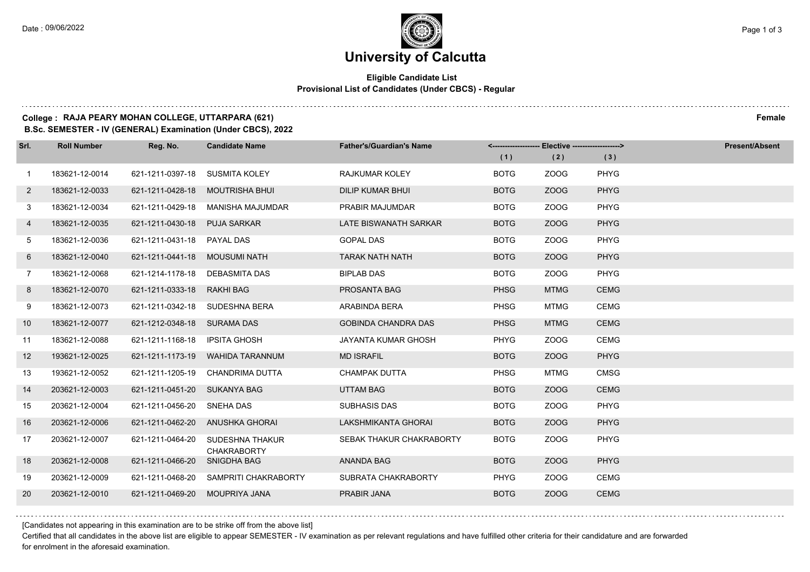$1.111$ 

### **University of Calcutta**

### **Eligible Candidate List Provisional List of Candidates (Under CBCS) - Regular**

### **College : RAJA PEARY MOHAN COLLEGE, UTTARPARA (621) Female**

**B.Sc. SEMESTER - IV (GENERAL) Examination (Under CBCS), 2022**

| Srl.              | <b>Roll Number</b> | Reg. No.                       | <b>Candidate Name</b>                 | <b>Father's/Guardian's Name</b> | <------------------- Elective ------------------> |             |             | <b>Present/Absent</b> |
|-------------------|--------------------|--------------------------------|---------------------------------------|---------------------------------|---------------------------------------------------|-------------|-------------|-----------------------|
|                   |                    |                                |                                       |                                 | (1)                                               | (2)         | (3)         |                       |
| $\mathbf{1}$      | 183621-12-0014     | 621-1211-0397-18 SUSMITA KOLEY |                                       | RAJKUMAR KOLEY                  | <b>BOTG</b>                                       | ZOOG        | <b>PHYG</b> |                       |
| $\overline{2}$    | 183621-12-0033     |                                | 621-1211-0428-18 MOUTRISHA BHUI       | <b>DILIP KUMAR BHUI</b>         | <b>BOTG</b>                                       | ZOOG        | <b>PHYG</b> |                       |
| 3                 | 183621-12-0034     |                                | 621-1211-0429-18 MANISHA MAJUMDAR     | PRABIR MAJUMDAR                 | <b>BOTG</b>                                       | ZOOG        | <b>PHYG</b> |                       |
| 4                 | 183621-12-0035     | 621-1211-0430-18 PUJA SARKAR   |                                       | LATE BISWANATH SARKAR           | <b>BOTG</b>                                       | ZOOG        | <b>PHYG</b> |                       |
| 5                 | 183621-12-0036     | 621-1211-0431-18 PAYAL DAS     |                                       | <b>GOPAL DAS</b>                | <b>BOTG</b>                                       | ZOOG        | PHYG        |                       |
| 6                 | 183621-12-0040     | 621-1211-0441-18 MOUSUMI NATH  |                                       | <b>TARAK NATH NATH</b>          | <b>BOTG</b>                                       | ZOOG        | <b>PHYG</b> |                       |
| $\overline{7}$    | 183621-12-0068     | 621-1214-1178-18 DEBASMITA DAS |                                       | <b>BIPLAB DAS</b>               | <b>BOTG</b>                                       | ZOOG        | <b>PHYG</b> |                       |
| 8                 | 183621-12-0070     | 621-1211-0333-18 RAKHI BAG     |                                       | PROSANTA BAG                    | <b>PHSG</b>                                       | <b>MTMG</b> | <b>CEMG</b> |                       |
| 9                 | 183621-12-0073     |                                | 621-1211-0342-18 SUDESHNA BERA        | ARABINDA BERA                   | PHSG                                              | <b>MTMG</b> | <b>CEMG</b> |                       |
| 10                | 183621-12-0077     | 621-1212-0348-18 SURAMA DAS    |                                       | <b>GOBINDA CHANDRA DAS</b>      | <b>PHSG</b>                                       | <b>MTMG</b> | <b>CEMG</b> |                       |
| 11                | 183621-12-0088     | 621-1211-1168-18 IPSITA GHOSH  |                                       | <b>JAYANTA KUMAR GHOSH</b>      | <b>PHYG</b>                                       | ZOOG        | <b>CEMG</b> |                       |
| $12 \overline{ }$ | 193621-12-0025     |                                | 621-1211-1173-19 WAHIDA TARANNUM      | <b>MD ISRAFIL</b>               | <b>BOTG</b>                                       | ZOOG        | PHYG        |                       |
| 13                | 193621-12-0052     |                                | 621-1211-1205-19 CHANDRIMA DUTTA      | <b>CHAMPAK DUTTA</b>            | PHSG                                              | <b>MTMG</b> | <b>CMSG</b> |                       |
| 14                | 203621-12-0003     | 621-1211-0451-20 SUKANYA BAG   |                                       | <b>UTTAM BAG</b>                | <b>BOTG</b>                                       | ZOOG        | <b>CEMG</b> |                       |
| 15                | 203621-12-0004     | 621-1211-0456-20 SNEHA DAS     |                                       | <b>SUBHASIS DAS</b>             | <b>BOTG</b>                                       | ZOOG        | <b>PHYG</b> |                       |
| 16                | 203621-12-0006     |                                | 621-1211-0462-20 ANUSHKA GHORAI       | LAKSHMIKANTA GHORAI             | <b>BOTG</b>                                       | ZOOG        | <b>PHYG</b> |                       |
| 17                | 203621-12-0007     | 621-1211-0464-20               | SUDESHNA THAKUR<br><b>CHAKRABORTY</b> | SEBAK THAKUR CHAKRABORTY        | <b>BOTG</b>                                       | ZOOG        | <b>PHYG</b> |                       |
| 18                | 203621-12-0008     | 621-1211-0466-20               | <b>SNIGDHA BAG</b>                    | <b>ANANDA BAG</b>               | <b>BOTG</b>                                       | ZOOG        | <b>PHYG</b> |                       |
| 19                | 203621-12-0009     |                                | 621-1211-0468-20 SAMPRITI CHAKRABORTY | SUBRATA CHAKRABORTY             | <b>PHYG</b>                                       | ZOOG        | <b>CEMG</b> |                       |
| 20                | 203621-12-0010     | 621-1211-0469-20 MOUPRIYA JANA |                                       | <b>PRABIR JANA</b>              | <b>BOTG</b>                                       | ZOOG        | <b>CEMG</b> |                       |

[Candidates not appearing in this examination are to be strike off from the above list]

Certified that all candidates in the above list are eligible to appear SEMESTER - IV examination as per relevant regulations and have fulfilled other criteria for their candidature and are forwarded for enrolment in the aforesaid examination.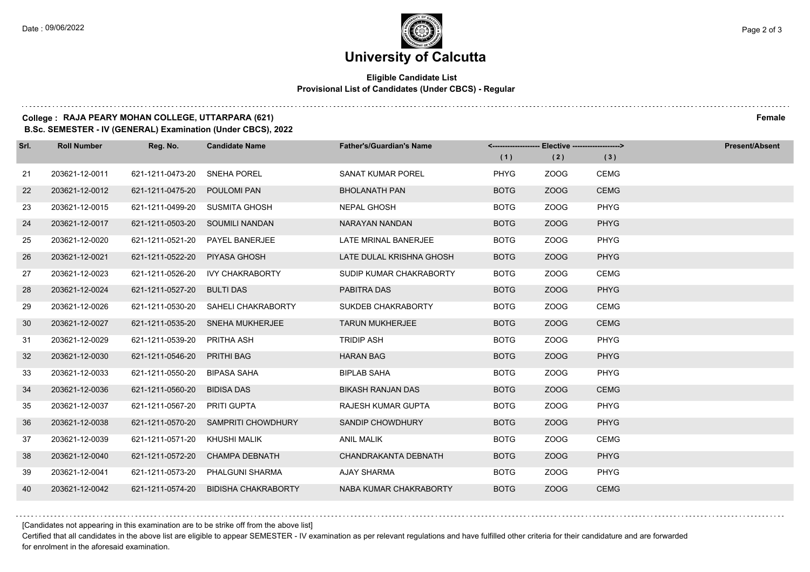### **Eligible Candidate List Provisional List of Candidates (Under CBCS) - Regular**

### **College : RAJA PEARY MOHAN COLLEGE, UTTARPARA (621) Female**

**B.Sc. SEMESTER - IV (GENERAL) Examination (Under CBCS), 2022**

| Srl. | <b>Roll Number</b> | Reg. No.         | <b>Candidate Name</b>               | <b>Father's/Guardian's Name</b> |             | <-------------------- Elective -------------------> |             | Present/Absent |
|------|--------------------|------------------|-------------------------------------|---------------------------------|-------------|-----------------------------------------------------|-------------|----------------|
|      |                    |                  |                                     |                                 | (1)         | (2)                                                 | (3)         |                |
| 21   | 203621-12-0011     | 621-1211-0473-20 | <b>SNEHA POREL</b>                  | SANAT KUMAR POREL               | <b>PHYG</b> | ZOOG                                                | <b>CEMG</b> |                |
| 22   | 203621-12-0012     | 621-1211-0475-20 | POULOMI PAN                         | <b>BHOLANATH PAN</b>            | <b>BOTG</b> | ZOOG                                                | <b>CEMG</b> |                |
| 23   | 203621-12-0015     | 621-1211-0499-20 | <b>SUSMITA GHOSH</b>                | <b>NEPAL GHOSH</b>              | <b>BOTG</b> | ZOOG                                                | <b>PHYG</b> |                |
| 24   | 203621-12-0017     |                  | 621-1211-0503-20 SOUMILI NANDAN     | NARAYAN NANDAN                  | <b>BOTG</b> | ZOOG                                                | <b>PHYG</b> |                |
| 25   | 203621-12-0020     | 621-1211-0521-20 | PAYEL BANERJEE                      | LATE MRINAL BANERJEE            | <b>BOTG</b> | ZOOG                                                | <b>PHYG</b> |                |
| 26   | 203621-12-0021     | 621-1211-0522-20 | PIYASA GHOSH                        | LATE DULAL KRISHNA GHOSH        | <b>BOTG</b> | ZOOG                                                | <b>PHYG</b> |                |
| 27   | 203621-12-0023     | 621-1211-0526-20 | <b>IVY CHAKRABORTY</b>              | SUDIP KUMAR CHAKRABORTY         | <b>BOTG</b> | ZOOG                                                | CEMG        |                |
| 28   | 203621-12-0024     | 621-1211-0527-20 | <b>BULTI DAS</b>                    | PABITRA DAS                     | <b>BOTG</b> | ZOOG                                                | <b>PHYG</b> |                |
| 29   | 203621-12-0026     | 621-1211-0530-20 | <b>SAHELI CHAKRABORTY</b>           | SUKDEB CHAKRABORTY              | <b>BOTG</b> | ZOOG                                                | CEMG        |                |
| 30   | 203621-12-0027     | 621-1211-0535-20 | <b>SNEHA MUKHERJEE</b>              | <b>TARUN MUKHERJEE</b>          | <b>BOTG</b> | ZOOG                                                | <b>CEMG</b> |                |
| 31   | 203621-12-0029     | 621-1211-0539-20 | PRITHA ASH                          | <b>TRIDIP ASH</b>               | <b>BOTG</b> | ZOOG                                                | <b>PHYG</b> |                |
| 32   | 203621-12-0030     | 621-1211-0546-20 | <b>PRITHI BAG</b>                   | <b>HARAN BAG</b>                | <b>BOTG</b> | ZOOG                                                | <b>PHYG</b> |                |
| 33   | 203621-12-0033     | 621-1211-0550-20 | <b>BIPASA SAHA</b>                  | <b>BIPLAB SAHA</b>              | <b>BOTG</b> | ZOOG                                                | <b>PHYG</b> |                |
| 34   | 203621-12-0036     | 621-1211-0560-20 | <b>BIDISA DAS</b>                   | <b>BIKASH RANJAN DAS</b>        | <b>BOTG</b> | ZOOG                                                | <b>CEMG</b> |                |
| 35   | 203621-12-0037     | 621-1211-0567-20 | <b>PRITI GUPTA</b>                  | RAJESH KUMAR GUPTA              | <b>BOTG</b> | ZOOG                                                | <b>PHYG</b> |                |
| 36   | 203621-12-0038     |                  | 621-1211-0570-20 SAMPRITI CHOWDHURY | SANDIP CHOWDHURY                | <b>BOTG</b> | ZOOG                                                | <b>PHYG</b> |                |
| 37   | 203621-12-0039     | 621-1211-0571-20 | <b>KHUSHI MALIK</b>                 | <b>ANIL MALIK</b>               | <b>BOTG</b> | ZOOG                                                | <b>CEMG</b> |                |
| 38   | 203621-12-0040     | 621-1211-0572-20 | <b>CHAMPA DEBNATH</b>               | CHANDRAKANTA DEBNATH            | <b>BOTG</b> | ZOOG                                                | <b>PHYG</b> |                |
| 39   | 203621-12-0041     | 621-1211-0573-20 | PHALGUNI SHARMA                     | AJAY SHARMA                     | <b>BOTG</b> | ZOOG                                                | <b>PHYG</b> |                |
| 40   | 203621-12-0042     | 621-1211-0574-20 | <b>BIDISHA CHAKRABORTY</b>          | NABA KUMAR CHAKRABORTY          | <b>BOTG</b> | ZOOG                                                | <b>CEMG</b> |                |

[Candidates not appearing in this examination are to be strike off from the above list]

Certified that all candidates in the above list are eligible to appear SEMESTER - IV examination as per relevant regulations and have fulfilled other criteria for their candidature and are forwarded for enrolment in the aforesaid examination.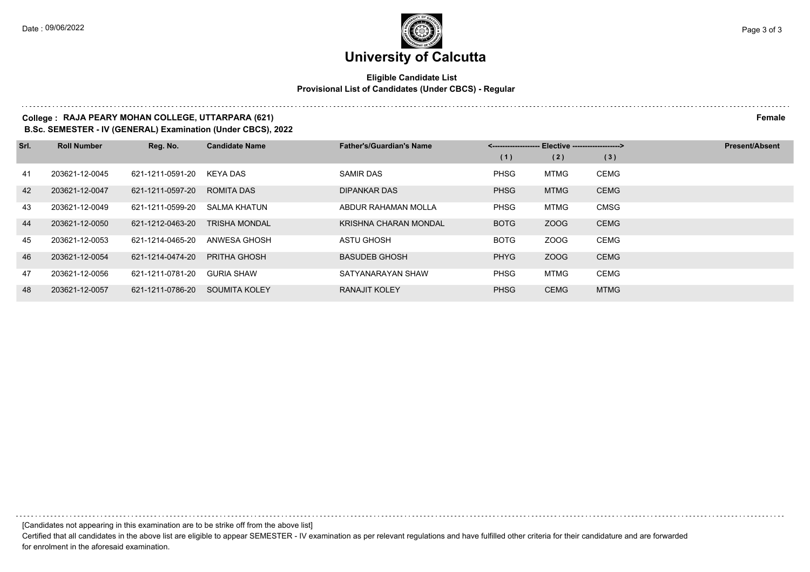### **Eligible Candidate List Provisional List of Candidates (Under CBCS) - Regular**

### **College : RAJA PEARY MOHAN COLLEGE, UTTARPARA (621) Female**

**B.Sc. SEMESTER - IV (GENERAL) Examination (Under CBCS), 2022**

| Srl. | <b>Roll Number</b> | Reg. No.         | <b>Candidate Name</b> | <b>Father's/Guardian's Name</b> | <-------------------- Elective ------------------> |             |             | <b>Present/Absent</b> |
|------|--------------------|------------------|-----------------------|---------------------------------|----------------------------------------------------|-------------|-------------|-----------------------|
|      |                    |                  |                       |                                 | (1)                                                | (2)         | (3)         |                       |
| 41   | 203621-12-0045     | 621-1211-0591-20 | KEYA DAS              | <b>SAMIR DAS</b>                | <b>PHSG</b>                                        | <b>MTMG</b> | <b>CEMG</b> |                       |
| 42   | 203621-12-0047     | 621-1211-0597-20 | <b>ROMITA DAS</b>     | <b>DIPANKAR DAS</b>             | <b>PHSG</b>                                        | <b>MTMG</b> | <b>CEMG</b> |                       |
| 43   | 203621-12-0049     | 621-1211-0599-20 | SALMA KHATUN          | ABDUR RAHAMAN MOLLA             | <b>PHSG</b>                                        | <b>MTMG</b> | <b>CMSG</b> |                       |
| 44   | 203621-12-0050     | 621-1212-0463-20 | <b>TRISHA MONDAL</b>  | KRISHNA CHARAN MONDAL           | <b>BOTG</b>                                        | ZOOG        | <b>CEMG</b> |                       |
| 45   | 203621-12-0053     | 621-1214-0465-20 | ANWESA GHOSH          | ASTU GHOSH                      | <b>BOTG</b>                                        | ZOOG        | <b>CEMG</b> |                       |
| 46   | 203621-12-0054     | 621-1214-0474-20 | PRITHA GHOSH          | <b>BASUDEB GHOSH</b>            | <b>PHYG</b>                                        | ZOOG        | <b>CEMG</b> |                       |
| 47   | 203621-12-0056     | 621-1211-0781-20 | <b>GURIA SHAW</b>     | SATYANARAYAN SHAW               | <b>PHSG</b>                                        | MTMG        | <b>CEMG</b> |                       |
| 48   | 203621-12-0057     | 621-1211-0786-20 | <b>SOUMITA KOLEY</b>  | <b>RANAJIT KOLEY</b>            | <b>PHSG</b>                                        | <b>CEMG</b> | <b>MTMG</b> |                       |

[Candidates not appearing in this examination are to be strike off from the above list]

Certified that all candidates in the above list are eligible to appear SEMESTER - IV examination as per relevant regulations and have fulfilled other criteria for their candidature and are forwarded for enrolment in the aforesaid examination.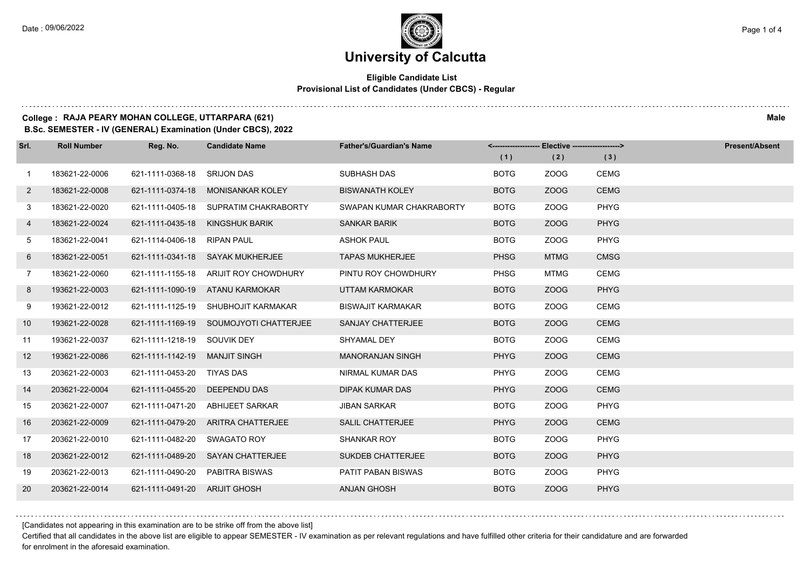### **Eligible Candidate List Provisional List of Candidates (Under CBCS) - Regular**

#### **College : RAJA PEARY MOHAN COLLEGE, UTTARPARA (621) Male**

**B.Sc. SEMESTER - IV (GENERAL) Examination (Under CBCS), 2022**

| Srl.           | <b>Roll Number</b> | Reg. No.                      | <b>Candidate Name</b>                  | <b>Father's/Guardian's Name</b> |             | <------------------- Elective ------------------> |             | <b>Present/Absent</b> |
|----------------|--------------------|-------------------------------|----------------------------------------|---------------------------------|-------------|---------------------------------------------------|-------------|-----------------------|
|                |                    |                               |                                        |                                 | (1)         | (2)                                               | (3)         |                       |
| $\mathbf{1}$   | 183621-22-0006     | 621-1111-0368-18              | <b>SRIJON DAS</b>                      | SUBHASH DAS                     | <b>BOTG</b> | ZOOG                                              | <b>CEMG</b> |                       |
| $\mathbf{2}$   | 183621-22-0008     | 621-1111-0374-18              | MONISANKAR KOLEY                       | <b>BISWANATH KOLEY</b>          | <b>BOTG</b> | <b>ZOOG</b>                                       | <b>CEMG</b> |                       |
| 3              | 183621-22-0020     |                               | 621-1111-0405-18 SUPRATIM CHAKRABORTY  | SWAPAN KUMAR CHAKRABORTY        | <b>BOTG</b> | ZOOG                                              | PHYG        |                       |
| 4              | 183621-22-0024     |                               | 621-1111-0435-18 KINGSHUK BARIK        | <b>SANKAR BARIK</b>             | <b>BOTG</b> | ZOOG                                              | <b>PHYG</b> |                       |
| 5              | 183621-22-0041     | 621-1114-0406-18              | RIPAN PAUL                             | <b>ASHOK PAUL</b>               | <b>BOTG</b> | ZOOG                                              | PHYG        |                       |
| 6              | 183621-22-0051     |                               | 621-1111-0341-18 SAYAK MUKHERJEE       | <b>TAPAS MUKHERJEE</b>          | <b>PHSG</b> | <b>MTMG</b>                                       | <b>CMSG</b> |                       |
| $\overline{7}$ | 183621-22-0060     |                               | 621-1111-1155-18 ARIJIT ROY CHOWDHURY  | PINTU ROY CHOWDHURY             | <b>PHSG</b> | <b>MTMG</b>                                       | <b>CEMG</b> |                       |
| 8              | 193621-22-0003     |                               | 621-1111-1090-19 ATANU KARMOKAR        | <b>UTTAM KARMOKAR</b>           | <b>BOTG</b> | <b>ZOOG</b>                                       | <b>PHYG</b> |                       |
| 9              | 193621-22-0012     |                               | 621-1111-1125-19 SHUBHOJIT KARMAKAR    | <b>BISWAJIT KARMAKAR</b>        | <b>BOTG</b> | ZOOG                                              | <b>CEMG</b> |                       |
| 10             | 193621-22-0028     |                               | 621-1111-1169-19 SOUMOJYOTI CHATTERJEE | <b>SANJAY CHATTERJEE</b>        | <b>BOTG</b> | ZOOG                                              | <b>CEMG</b> |                       |
| 11             | 193621-22-0037     | 621-1111-1218-19 SOUVIK DEY   |                                        | SHYAMAL DEY                     | <b>BOTG</b> | ZOOG                                              | <b>CEMG</b> |                       |
| 12             | 193621-22-0086     | 621-1111-1142-19              | MANJIT SINGH                           | <b>MANORANJAN SINGH</b>         | <b>PHYG</b> | <b>ZOOG</b>                                       | <b>CEMG</b> |                       |
| 13             | 203621-22-0003     | 621-1111-0453-20              | TIYAS DAS                              | NIRMAL KUMAR DAS                | <b>PHYG</b> | ZOOG                                              | <b>CEMG</b> |                       |
| 14             | 203621-22-0004     | 621-1111-0455-20 DEEPENDU DAS |                                        | DIPAK KUMAR DAS                 | <b>PHYG</b> | ZOOG                                              | <b>CEMG</b> |                       |
| 15             | 203621-22-0007     | 621-1111-0471-20              | ABHIJEET SARKAR                        | <b>JIBAN SARKAR</b>             | <b>BOTG</b> | ZOOG                                              | <b>PHYG</b> |                       |
| 16             | 203621-22-0009     |                               | 621-1111-0479-20 ARITRA CHATTERJEE     | <b>SALIL CHATTERJEE</b>         | <b>PHYG</b> | <b>ZOOG</b>                                       | <b>CEMG</b> |                       |
| 17             | 203621-22-0010     | 621-1111-0482-20              | SWAGATO ROY                            | <b>SHANKAR ROY</b>              | <b>BOTG</b> | ZOOG                                              | <b>PHYG</b> |                       |
| 18             | 203621-22-0012     |                               | 621-1111-0489-20 SAYAN CHATTERJEE      | SUKDEB CHATTERJEE               | <b>BOTG</b> | <b>ZOOG</b>                                       | <b>PHYG</b> |                       |
| 19             | 203621-22-0013     | 621-1111-0490-20              | PABITRA BISWAS                         | <b>PATIT PABAN BISWAS</b>       | <b>BOTG</b> | ZOOG                                              | <b>PHYG</b> |                       |
| 20             | 203621-22-0014     | 621-1111-0491-20 ARIJIT GHOSH |                                        | <b>ANJAN GHOSH</b>              | <b>BOTG</b> | ZOOG                                              | <b>PHYG</b> |                       |

[Candidates not appearing in this examination are to be strike off from the above list]

Certified that all candidates in the above list are eligible to appear SEMESTER - IV examination as per relevant regulations and have fulfilled other criteria for their candidature and are forwarded for enrolment in the aforesaid examination.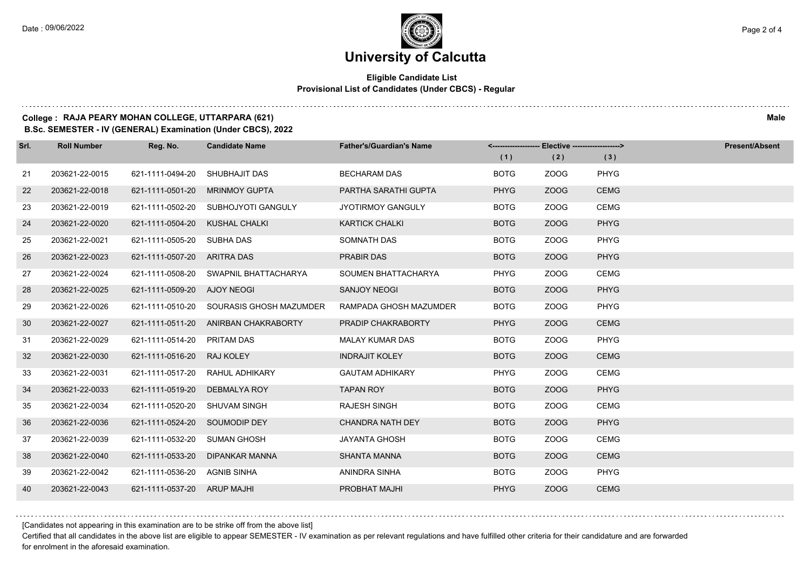$1.111$ 

### **University of Calcutta**

### **Eligible Candidate List Provisional List of Candidates (Under CBCS) - Regular**

#### **College : RAJA PEARY MOHAN COLLEGE, UTTARPARA (621) Male**

**B.Sc. SEMESTER - IV (GENERAL) Examination (Under CBCS), 2022**

| Srl. | <b>Roll Number</b> | Reg. No.                     | <b>Candidate Name</b>                 | <b>Father's/Guardian's Name</b> | <------------------- Elective ------------------> |      |             | <b>Present/Absent</b> |
|------|--------------------|------------------------------|---------------------------------------|---------------------------------|---------------------------------------------------|------|-------------|-----------------------|
|      |                    |                              |                                       |                                 | (1)                                               | (2)  | (3)         |                       |
| 21   | 203621-22-0015     | 621-1111-0494-20             | SHUBHAJIT DAS                         | <b>BECHARAM DAS</b>             | <b>BOTG</b>                                       | ZOOG | PHYG        |                       |
| 22   | 203621-22-0018     | 621-1111-0501-20             | <b>MRINMOY GUPTA</b>                  | PARTHA SARATHI GUPTA            | <b>PHYG</b>                                       | ZOOG | <b>CEMG</b> |                       |
| 23   | 203621-22-0019     |                              | 621-1111-0502-20 SUBHOJYOTI GANGULY   | <b>JYOTIRMOY GANGULY</b>        | <b>BOTG</b>                                       | ZOOG | <b>CEMG</b> |                       |
| 24   | 203621-22-0020     | 621-1111-0504-20             | KUSHAL CHALKI                         | <b>KARTICK CHALKI</b>           | <b>BOTG</b>                                       | ZOOG | <b>PHYG</b> |                       |
| 25   | 203621-22-0021     | 621-1111-0505-20             | SUBHA DAS                             | SOMNATH DAS                     | <b>BOTG</b>                                       | ZOOG | <b>PHYG</b> |                       |
| 26   | 203621-22-0023     | 621-1111-0507-20 ARITRA DAS  |                                       | <b>PRABIR DAS</b>               | <b>BOTG</b>                                       | ZOOG | <b>PHYG</b> |                       |
| 27   | 203621-22-0024     |                              | 621-1111-0508-20 SWAPNIL BHATTACHARYA | SOUMEN BHATTACHARYA             | <b>PHYG</b>                                       | ZOOG | <b>CEMG</b> |                       |
| 28   | 203621-22-0025     | 621-1111-0509-20 AJOY NEOGI  |                                       | <b>SANJOY NEOGI</b>             | <b>BOTG</b>                                       | ZOOG | <b>PHYG</b> |                       |
| 29   | 203621-22-0026     | 621-1111-0510-20             | SOURASIS GHOSH MAZUMDER               | RAMPADA GHOSH MAZUMDER          | <b>BOTG</b>                                       | ZOOG | PHYG        |                       |
| 30   | 203621-22-0027     |                              | 621-1111-0511-20 ANIRBAN CHAKRABORTY  | PRADIP CHAKRABORTY              | <b>PHYG</b>                                       | ZOOG | <b>CEMG</b> |                       |
| 31   | 203621-22-0029     | 621-1111-0514-20             | PRITAM DAS                            | <b>MALAY KUMAR DAS</b>          | <b>BOTG</b>                                       | ZOOG | PHYG        |                       |
| 32   | 203621-22-0030     | 621-1111-0516-20             | <b>RAJ KOLEY</b>                      | <b>INDRAJIT KOLEY</b>           | <b>BOTG</b>                                       | ZOOG | <b>CEMG</b> |                       |
| 33   | 203621-22-0031     | 621-1111-0517-20             | RAHUL ADHIKARY                        | <b>GAUTAM ADHIKARY</b>          | <b>PHYG</b>                                       | ZOOG | <b>CEMG</b> |                       |
| 34   | 203621-22-0033     | 621-1111-0519-20             | DEBMALYA ROY                          | <b>TAPAN ROY</b>                | <b>BOTG</b>                                       | ZOOG | <b>PHYG</b> |                       |
| 35   | 203621-22-0034     | 621-1111-0520-20             | <b>SHUVAM SINGH</b>                   | <b>RAJESH SINGH</b>             | <b>BOTG</b>                                       | ZOOG | <b>CEMG</b> |                       |
| 36   | 203621-22-0036     | 621-1111-0524-20             | SOUMODIP DEY                          | <b>CHANDRA NATH DEY</b>         | <b>BOTG</b>                                       | ZOOG | <b>PHYG</b> |                       |
| 37   | 203621-22-0039     | 621-1111-0532-20             | <b>SUMAN GHOSH</b>                    | <b>JAYANTA GHOSH</b>            | <b>BOTG</b>                                       | ZOOG | <b>CEMG</b> |                       |
| 38   | 203621-22-0040     | 621-1111-0533-20             | DIPANKAR MANNA                        | <b>SHANTA MANNA</b>             | <b>BOTG</b>                                       | ZOOG | <b>CEMG</b> |                       |
| 39   | 203621-22-0042     | 621-1111-0536-20 AGNIB SINHA |                                       | ANINDRA SINHA                   | <b>BOTG</b>                                       | ZOOG | PHYG        |                       |
| 40   | 203621-22-0043     | 621-1111-0537-20 ARUP MAJHI  |                                       | <b>PROBHAT MAJHI</b>            | <b>PHYG</b>                                       | ZOOG | <b>CEMG</b> |                       |

[Candidates not appearing in this examination are to be strike off from the above list]

Certified that all candidates in the above list are eligible to appear SEMESTER - IV examination as per relevant regulations and have fulfilled other criteria for their candidature and are forwarded for enrolment in the aforesaid examination.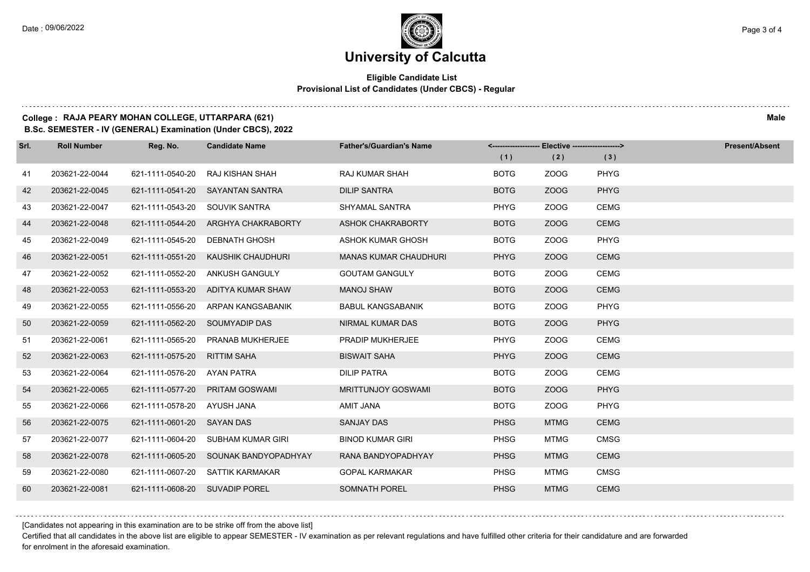### **University of Calcutta**

### **Eligible Candidate List Provisional List of Candidates (Under CBCS) - Regular**

### **College : RAJA PEARY MOHAN COLLEGE, UTTARPARA (621) Male**

**B.Sc. SEMESTER - IV (GENERAL) Examination (Under CBCS), 2022**

| Srl. | <b>Roll Number</b> | Reg. No.                       | <b>Candidate Name</b>               | <b>Father's/Guardian's Name</b> |             | <------------------- Elective -------------------> |             | <b>Present/Absent</b> |
|------|--------------------|--------------------------------|-------------------------------------|---------------------------------|-------------|----------------------------------------------------|-------------|-----------------------|
|      |                    |                                |                                     |                                 | (1)         | (2)                                                | (3)         |                       |
| 41   | 203621-22-0044     | 621-1111-0540-20               | RAJ KISHAN SHAH                     | <b>RAJ KUMAR SHAH</b>           | <b>BOTG</b> | ZOOG                                               | <b>PHYG</b> |                       |
| 42   | 203621-22-0045     |                                | 621-1111-0541-20 SAYANTAN SANTRA    | <b>DILIP SANTRA</b>             | <b>BOTG</b> | ZOOG                                               | <b>PHYG</b> |                       |
| 43   | 203621-22-0047     | 621-1111-0543-20 SOUVIK SANTRA |                                     | SHYAMAL SANTRA                  | <b>PHYG</b> | ZOOG                                               | <b>CEMG</b> |                       |
| 44   | 203621-22-0048     |                                | 621-1111-0544-20 ARGHYA CHAKRABORTY | ASHOK CHAKRABORTY               | <b>BOTG</b> | ZOOG                                               | <b>CEMG</b> |                       |
| 45   | 203621-22-0049     | 621-1111-0545-20               | <b>DEBNATH GHOSH</b>                | <b>ASHOK KUMAR GHOSH</b>        | <b>BOTG</b> | ZOOG                                               | <b>PHYG</b> |                       |
| 46   | 203621-22-0051     | 621-1111-0551-20               | KAUSHIK CHAUDHURI                   | <b>MANAS KUMAR CHAUDHURI</b>    | <b>PHYG</b> | ZOOG                                               | <b>CEMG</b> |                       |
| 47   | 203621-22-0052     | 621-1111-0552-20               | ANKUSH GANGULY                      | <b>GOUTAM GANGULY</b>           | <b>BOTG</b> | ZOOG                                               | <b>CEMG</b> |                       |
| 48   | 203621-22-0053     |                                | 621-1111-0553-20 ADITYA KUMAR SHAW  | <b>MANOJ SHAW</b>               | <b>BOTG</b> | ZOOG                                               | <b>CEMG</b> |                       |
| 49   | 203621-22-0055     | 621-1111-0556-20               | ARPAN KANGSABANIK                   | <b>BABUL KANGSABANIK</b>        | <b>BOTG</b> | ZOOG                                               | <b>PHYG</b> |                       |
| 50   | 203621-22-0059     | 621-1111-0562-20 SOUMYADIP DAS |                                     | <b>NIRMAL KUMAR DAS</b>         | <b>BOTG</b> | ZOOG                                               | <b>PHYG</b> |                       |
| 51   | 203621-22-0061     | 621-1111-0565-20               | <b>PRANAB MUKHERJEE</b>             | <b>PRADIP MUKHERJEE</b>         | <b>PHYG</b> | ZOOG                                               | <b>CEMG</b> |                       |
| 52   | 203621-22-0063     | 621-1111-0575-20               | <b>RITTIM SAHA</b>                  | <b>BISWAIT SAHA</b>             | <b>PHYG</b> | ZOOG                                               | <b>CEMG</b> |                       |
| 53   | 203621-22-0064     | 621-1111-0576-20               | AYAN PATRA                          | <b>DILIP PATRA</b>              | <b>BOTG</b> | ZOOG                                               | <b>CEMG</b> |                       |
| 54   | 203621-22-0065     | 621-1111-0577-20               | <b>PRITAM GOSWAMI</b>               | <b>MRITTUNJOY GOSWAMI</b>       | <b>BOTG</b> | ZOOG                                               | <b>PHYG</b> |                       |
| 55   | 203621-22-0066     | 621-1111-0578-20               | AYUSH JANA                          | AMIT JANA                       | <b>BOTG</b> | ZOOG                                               | <b>PHYG</b> |                       |
| 56   | 203621-22-0075     | 621-1111-0601-20 SAYAN DAS     |                                     | <b>SANJAY DAS</b>               | <b>PHSG</b> | <b>MTMG</b>                                        | <b>CEMG</b> |                       |
| 57   | 203621-22-0077     | 621-1111-0604-20               | SUBHAM KUMAR GIRI                   | <b>BINOD KUMAR GIRI</b>         | <b>PHSG</b> | <b>MTMG</b>                                        | <b>CMSG</b> |                       |
| 58   | 203621-22-0078     | 621-1111-0605-20               | SOUNAK BANDYOPADHYAY                | RANA BANDYOPADHYAY              | <b>PHSG</b> | <b>MTMG</b>                                        | <b>CEMG</b> |                       |
| 59   | 203621-22-0080     | 621-1111-0607-20               | SATTIK KARMAKAR                     | <b>GOPAL KARMAKAR</b>           | <b>PHSG</b> | <b>MTMG</b>                                        | <b>CMSG</b> |                       |
| 60   | 203621-22-0081     | 621-1111-0608-20 SUVADIP POREL |                                     | <b>SOMNATH POREL</b>            | <b>PHSG</b> | <b>MTMG</b>                                        | <b>CEMG</b> |                       |

[Candidates not appearing in this examination are to be strike off from the above list]

Certified that all candidates in the above list are eligible to appear SEMESTER - IV examination as per relevant regulations and have fulfilled other criteria for their candidature and are forwarded for enrolment in the aforesaid examination.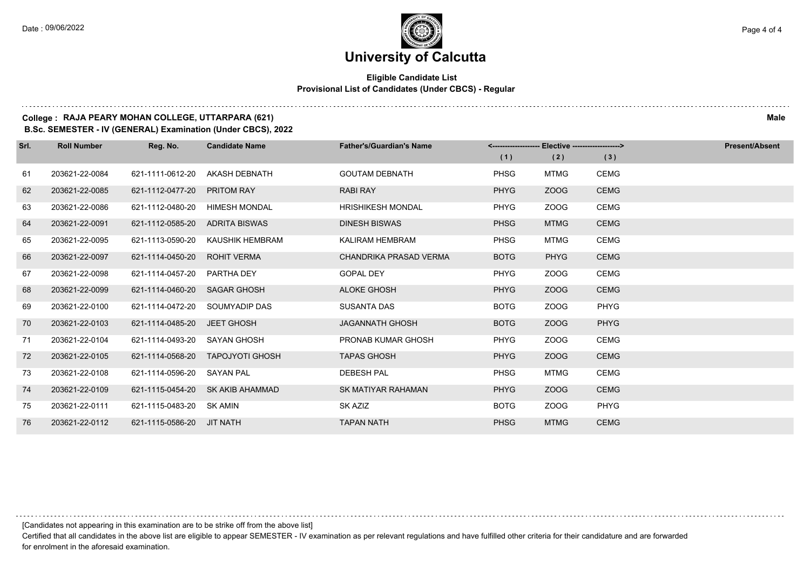### **Eligible Candidate List Provisional List of Candidates (Under CBCS) - Regular**

### **College : RAJA PEARY MOHAN COLLEGE, UTTARPARA (621) Male**

**B.Sc. SEMESTER - IV (GENERAL) Examination (Under CBCS), 2022**

| Srl. | <b>Roll Number</b> | Reg. No.                  | <b>Candidate Name</b>  | <b>Father's/Guardian's Name</b> | Elective -------------------><br><-------------------- |             |             | <b>Present/Absent</b> |
|------|--------------------|---------------------------|------------------------|---------------------------------|--------------------------------------------------------|-------------|-------------|-----------------------|
|      |                    |                           |                        |                                 | (1)                                                    | (2)         | (3)         |                       |
| 61   | 203621-22-0084     | 621-1111-0612-20          | AKASH DEBNATH          | <b>GOUTAM DEBNATH</b>           | <b>PHSG</b>                                            | <b>MTMG</b> | <b>CEMG</b> |                       |
| 62   | 203621-22-0085     | 621-1112-0477-20          | <b>PRITOM RAY</b>      | <b>RABI RAY</b>                 | <b>PHYG</b>                                            | <b>ZOOG</b> | <b>CEMG</b> |                       |
| 63   | 203621-22-0086     | 621-1112-0480-20          | <b>HIMESH MONDAL</b>   | <b>HRISHIKESH MONDAL</b>        | <b>PHYG</b>                                            | ZOOG        | <b>CEMG</b> |                       |
| 64   | 203621-22-0091     | 621-1112-0585-20          | ADRITA BISWAS          | <b>DINESH BISWAS</b>            | <b>PHSG</b>                                            | <b>MTMG</b> | <b>CEMG</b> |                       |
| 65   | 203621-22-0095     | 621-1113-0590-20          | KAUSHIK HEMBRAM        | <b>KALIRAM HEMBRAM</b>          | <b>PHSG</b>                                            | <b>MTMG</b> | <b>CEMG</b> |                       |
| 66   | 203621-22-0097     | 621-1114-0450-20          | <b>ROHIT VERMA</b>     | CHANDRIKA PRASAD VERMA          | <b>BOTG</b>                                            | <b>PHYG</b> | <b>CEMG</b> |                       |
| 67   | 203621-22-0098     | 621-1114-0457-20          | PARTHA DEY             | <b>GOPAL DEY</b>                | <b>PHYG</b>                                            | ZOOG        | <b>CEMG</b> |                       |
| 68   | 203621-22-0099     | 621-1114-0460-20          | <b>SAGAR GHOSH</b>     | <b>ALOKE GHOSH</b>              | <b>PHYG</b>                                            | ZOOG        | <b>CEMG</b> |                       |
| 69   | 203621-22-0100     | 621-1114-0472-20          | SOUMYADIP DAS          | <b>SUSANTA DAS</b>              | <b>BOTG</b>                                            | ZOOG        | <b>PHYG</b> |                       |
| 70   | 203621-22-0103     | 621-1114-0485-20          | <b>JEET GHOSH</b>      | <b>JAGANNATH GHOSH</b>          | <b>BOTG</b>                                            | <b>ZOOG</b> | <b>PHYG</b> |                       |
| 71   | 203621-22-0104     | 621-1114-0493-20          | <b>SAYAN GHOSH</b>     | PRONAB KUMAR GHOSH              | <b>PHYG</b>                                            | ZOOG        | <b>CEMG</b> |                       |
| 72   | 203621-22-0105     | 621-1114-0568-20          | <b>TAPOJYOTI GHOSH</b> | <b>TAPAS GHOSH</b>              | <b>PHYG</b>                                            | <b>ZOOG</b> | <b>CEMG</b> |                       |
| 73   | 203621-22-0108     | 621-1114-0596-20          | <b>SAYAN PAL</b>       | <b>DEBESH PAL</b>               | <b>PHSG</b>                                            | <b>MTMG</b> | <b>CEMG</b> |                       |
| 74   | 203621-22-0109     | 621-1115-0454-20          | SK AKIB AHAMMAD        | <b>SK MATIYAR RAHAMAN</b>       | <b>PHYG</b>                                            | <b>ZOOG</b> | <b>CEMG</b> |                       |
| 75   | 203621-22-0111     | 621-1115-0483-20          | SK AMIN                | SK AZIZ                         | <b>BOTG</b>                                            | ZOOG        | <b>PHYG</b> |                       |
| 76   | 203621-22-0112     | 621-1115-0586-20 JIT NATH |                        | <b>TAPAN NATH</b>               | <b>PHSG</b>                                            | <b>MTMG</b> | <b>CEMG</b> |                       |

[Candidates not appearing in this examination are to be strike off from the above list]

Certified that all candidates in the above list are eligible to appear SEMESTER - IV examination as per relevant regulations and have fulfilled other criteria for their candidature and are forwarded for enrolment in the aforesaid examination.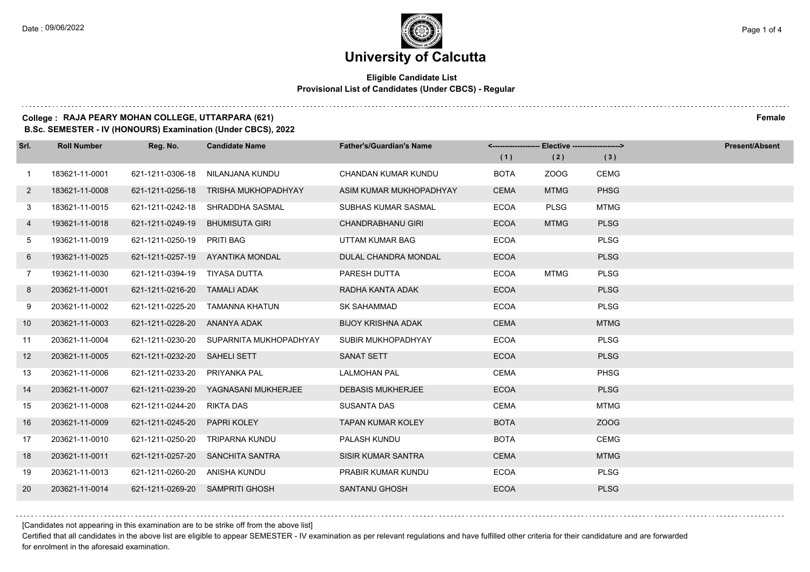### **Eligible Candidate List Provisional List of Candidates (Under CBCS) - Regular**

### **College : RAJA PEARY MOHAN COLLEGE, UTTARPARA (621) Female**

**B.Sc. SEMESTER - IV (HONOURS) Examination (Under CBCS), 2022**

| Srl.           | <b>Roll Number</b> | Reg. No.                      | <b>Candidate Name</b>            | <b>Father's/Guardian's Name</b> | <------------------- Elective ------------------> |             |             | <b>Present/Absent</b> |
|----------------|--------------------|-------------------------------|----------------------------------|---------------------------------|---------------------------------------------------|-------------|-------------|-----------------------|
|                |                    |                               |                                  |                                 | (1)                                               | (2)         | (3)         |                       |
| $\overline{1}$ | 183621-11-0001     | 621-1211-0306-18              | NILANJANA KUNDU                  | <b>CHANDAN KUMAR KUNDU</b>      | <b>BOTA</b>                                       | ZOOG        | <b>CEMG</b> |                       |
| $\mathbf{2}$   | 183621-11-0008     | 621-1211-0256-18              | <b>TRISHA MUKHOPADHYAY</b>       | ASIM KUMAR MUKHOPADHYAY         | <b>CEMA</b>                                       | <b>MTMG</b> | <b>PHSG</b> |                       |
| 3              | 183621-11-0015     | 621-1211-0242-18              | SHRADDHA SASMAL                  | SUBHAS KUMAR SASMAL             | <b>ECOA</b>                                       | <b>PLSG</b> | <b>MTMG</b> |                       |
| 4              | 193621-11-0018     | 621-1211-0249-19              | <b>BHUMISUTA GIRI</b>            | <b>CHANDRABHANU GIRI</b>        | <b>ECOA</b>                                       | <b>MTMG</b> | <b>PLSG</b> |                       |
| 5              | 193621-11-0019     | 621-1211-0250-19              | <b>PRITI BAG</b>                 | UTTAM KUMAR BAG                 | <b>ECOA</b>                                       |             | <b>PLSG</b> |                       |
| 6              | 193621-11-0025     |                               | 621-1211-0257-19 AYANTIKA MONDAL | DULAL CHANDRA MONDAL            | <b>ECOA</b>                                       |             | <b>PLSG</b> |                       |
| $7^{\circ}$    | 193621-11-0030     | 621-1211-0394-19 TIYASA DUTTA |                                  | PARESH DUTTA                    | <b>ECOA</b>                                       | <b>MTMG</b> | <b>PLSG</b> |                       |
| 8              | 203621-11-0001     | 621-1211-0216-20 TAMALI ADAK  |                                  | RADHA KANTA ADAK                | <b>ECOA</b>                                       |             | <b>PLSG</b> |                       |
| 9              | 203621-11-0002     | 621-1211-0225-20              | TAMANNA KHATUN                   | <b>SK SAHAMMAD</b>              | <b>ECOA</b>                                       |             | <b>PLSG</b> |                       |
| 10             | 203621-11-0003     | 621-1211-0228-20              | ANANYA ADAK                      | <b>BIJOY KRISHNA ADAK</b>       | <b>CEMA</b>                                       |             | <b>MTMG</b> |                       |
| 11             | 203621-11-0004     | 621-1211-0230-20              | SUPARNITA MUKHOPADHYAY           | SUBIR MUKHOPADHYAY              | <b>ECOA</b>                                       |             | <b>PLSG</b> |                       |
| 12             | 203621-11-0005     | 621-1211-0232-20              | <b>SAHELI SETT</b>               | <b>SANAT SETT</b>               | <b>ECOA</b>                                       |             | <b>PLSG</b> |                       |
| 13             | 203621-11-0006     | 621-1211-0233-20              | <b>PRIYANKA PAL</b>              | <b>LALMOHAN PAL</b>             | <b>CEMA</b>                                       |             | <b>PHSG</b> |                       |
| 14             | 203621-11-0007     | 621-1211-0239-20              | YAGNASANI MUKHERJEE              | <b>DEBASIS MUKHERJEE</b>        | <b>ECOA</b>                                       |             | <b>PLSG</b> |                       |
| 15             | 203621-11-0008     | 621-1211-0244-20              | <b>RIKTA DAS</b>                 | <b>SUSANTA DAS</b>              | <b>CEMA</b>                                       |             | <b>MTMG</b> |                       |
| 16             | 203621-11-0009     | 621-1211-0245-20              | <b>PAPRI KOLEY</b>               | <b>TAPAN KUMAR KOLEY</b>        | <b>BOTA</b>                                       |             | ZOOG        |                       |
| 17             | 203621-11-0010     | 621-1211-0250-20              | <b>TRIPARNA KUNDU</b>            | PALASH KUNDU                    | <b>BOTA</b>                                       |             | <b>CEMG</b> |                       |
| 18             | 203621-11-0011     |                               | 621-1211-0257-20 SANCHITA SANTRA | <b>SISIR KUMAR SANTRA</b>       | <b>CEMA</b>                                       |             | <b>MTMG</b> |                       |
| 19             | 203621-11-0013     | 621-1211-0260-20 ANISHA KUNDU |                                  | PRABIR KUMAR KUNDU              | <b>ECOA</b>                                       |             | <b>PLSG</b> |                       |
| 20             | 203621-11-0014     | 621-1211-0269-20              | <b>SAMPRITI GHOSH</b>            | <b>SANTANU GHOSH</b>            | <b>ECOA</b>                                       |             | <b>PLSG</b> |                       |

[Candidates not appearing in this examination are to be strike off from the above list]

Certified that all candidates in the above list are eligible to appear SEMESTER - IV examination as per relevant regulations and have fulfilled other criteria for their candidature and are forwarded for enrolment in the aforesaid examination.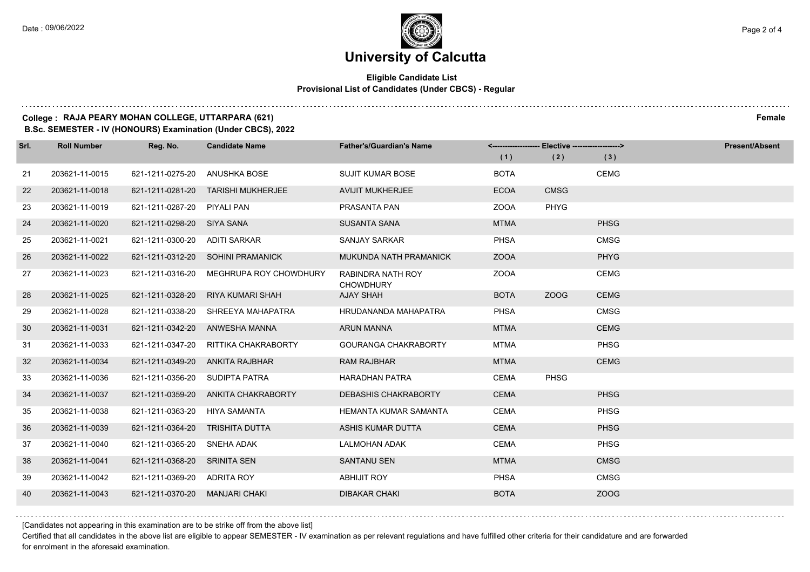### **Eligible Candidate List Provisional List of Candidates (Under CBCS) - Regular**

#### **College : RAJA PEARY MOHAN COLLEGE, UTTARPARA (621) Female**

**B.Sc. SEMESTER - IV (HONOURS) Examination (Under CBCS), 2022**

| Srl. | <b>Roll Number</b> | Reg. No.                    | <b>Candidate Name</b>              | <b>Father's/Guardian's Name</b>       |             | <-------------------- Elective -------------------> |             | <b>Present/Absent</b> |
|------|--------------------|-----------------------------|------------------------------------|---------------------------------------|-------------|-----------------------------------------------------|-------------|-----------------------|
|      |                    |                             |                                    |                                       | (1)         | (2)                                                 | (3)         |                       |
| 21   | 203621-11-0015     | 621-1211-0275-20            | ANUSHKA BOSE                       | <b>SUJIT KUMAR BOSE</b>               | <b>BOTA</b> |                                                     | <b>CEMG</b> |                       |
| 22   | 203621-11-0018     |                             | 621-1211-0281-20 TARISHI MUKHERJEE | <b>AVIJIT MUKHERJEE</b>               | <b>ECOA</b> | <b>CMSG</b>                                         |             |                       |
| 23   | 203621-11-0019     | 621-1211-0287-20 PIYALI PAN |                                    | PRASANTA PAN                          | <b>ZOOA</b> | <b>PHYG</b>                                         |             |                       |
| 24   | 203621-11-0020     | 621-1211-0298-20 SIYA SANA  |                                    | <b>SUSANTA SANA</b>                   | <b>MTMA</b> |                                                     | <b>PHSG</b> |                       |
| 25   | 203621-11-0021     | 621-1211-0300-20            | <b>ADITI SARKAR</b>                | <b>SANJAY SARKAR</b>                  | <b>PHSA</b> |                                                     | <b>CMSG</b> |                       |
| 26   | 203621-11-0022     |                             | 621-1211-0312-20 SOHINI PRAMANICK  | MUKUNDA NATH PRAMANICK                | <b>ZOOA</b> |                                                     | <b>PHYG</b> |                       |
| 27   | 203621-11-0023     | 621-1211-0316-20            | MEGHRUPA ROY CHOWDHURY             | RABINDRA NATH ROY<br><b>CHOWDHURY</b> | <b>ZOOA</b> |                                                     | <b>CEMG</b> |                       |
| 28   | 203621-11-0025     | 621-1211-0328-20            | <b>RIYA KUMARI SHAH</b>            | <b>AJAY SHAH</b>                      | <b>BOTA</b> | ZOOG                                                | <b>CEMG</b> |                       |
| 29   | 203621-11-0028     | 621-1211-0338-20            | SHREEYA MAHAPATRA                  | HRUDANANDA MAHAPATRA                  | <b>PHSA</b> |                                                     | <b>CMSG</b> |                       |
| 30   | 203621-11-0031     | 621-1211-0342-20            | ANWESHA MANNA                      | <b>ARUN MANNA</b>                     | <b>MTMA</b> |                                                     | <b>CEMG</b> |                       |
| 31   | 203621-11-0033     | 621-1211-0347-20            | RITTIKA CHAKRABORTY                | <b>GOURANGA CHAKRABORTY</b>           | <b>MTMA</b> |                                                     | <b>PHSG</b> |                       |
| 32   | 203621-11-0034     | 621-1211-0349-20            | ANKITA RAJBHAR                     | <b>RAM RAJBHAR</b>                    | <b>MTMA</b> |                                                     | <b>CEMG</b> |                       |
| 33   | 203621-11-0036     | 621-1211-0356-20            | SUDIPTA PATRA                      | <b>HARADHAN PATRA</b>                 | <b>CEMA</b> | <b>PHSG</b>                                         |             |                       |
| 34   | 203621-11-0037     | 621-1211-0359-20            | ANKITA CHAKRABORTY                 | DEBASHIS CHAKRABORTY                  | <b>CEMA</b> |                                                     | <b>PHSG</b> |                       |
| 35   | 203621-11-0038     | 621-1211-0363-20            | HIYA SAMANTA                       | <b>HEMANTA KUMAR SAMANTA</b>          | <b>CEMA</b> |                                                     | <b>PHSG</b> |                       |
| 36   | 203621-11-0039     | 621-1211-0364-20            | TRISHITA DUTTA                     | ASHIS KUMAR DUTTA                     | <b>CEMA</b> |                                                     | <b>PHSG</b> |                       |
| 37   | 203621-11-0040     | 621-1211-0365-20            | SNEHA ADAK                         | <b>LALMOHAN ADAK</b>                  | <b>CEMA</b> |                                                     | <b>PHSG</b> |                       |
| 38   | 203621-11-0041     | 621-1211-0368-20            | <b>SRINITA SEN</b>                 | <b>SANTANU SEN</b>                    | <b>MTMA</b> |                                                     | <b>CMSG</b> |                       |
| 39   | 203621-11-0042     | 621-1211-0369-20 ADRITA ROY |                                    | <b>ABHIJIT ROY</b>                    | <b>PHSA</b> |                                                     | <b>CMSG</b> |                       |
| 40   | 203621-11-0043     | 621-1211-0370-20            | MANJARI CHAKI                      | <b>DIBAKAR CHAKI</b>                  | <b>BOTA</b> |                                                     | ZOOG        |                       |

[Candidates not appearing in this examination are to be strike off from the above list]

Certified that all candidates in the above list are eligible to appear SEMESTER - IV examination as per relevant regulations and have fulfilled other criteria for their candidature and are forwarded for enrolment in the aforesaid examination.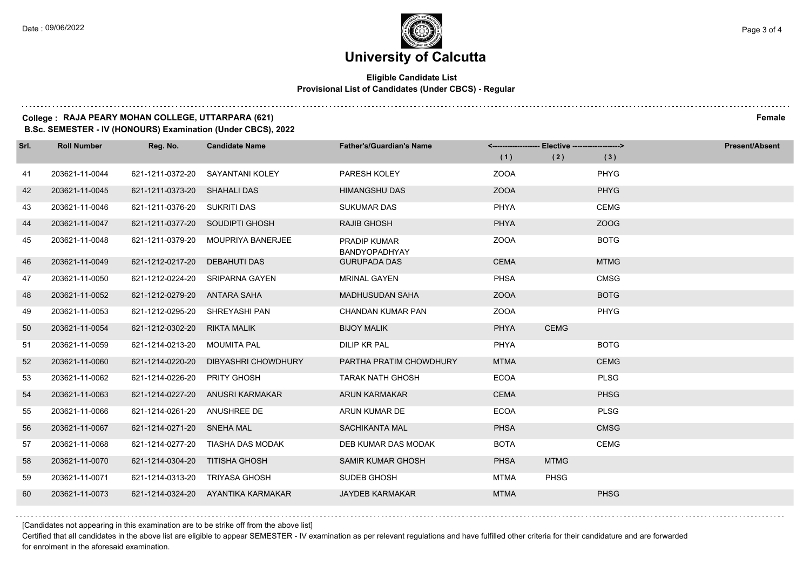### **Eligible Candidate List Provisional List of Candidates (Under CBCS) - Regular**

### **College : RAJA PEARY MOHAN COLLEGE, UTTARPARA (621) Female**

**B.Sc. SEMESTER - IV (HONOURS) Examination (Under CBCS), 2022**

| Srl. | <b>Roll Number</b> | Reg. No.                     | <b>Candidate Name</b>              | <b>Father's/Guardian's Name</b>      |             | <------------------- Elective ------------------> |             | Present/Absent |
|------|--------------------|------------------------------|------------------------------------|--------------------------------------|-------------|---------------------------------------------------|-------------|----------------|
|      |                    |                              |                                    |                                      | (1)         | (2)                                               | (3)         |                |
| 41   | 203621-11-0044     | 621-1211-0372-20             | SAYANTANI KOLEY                    | PARESH KOLEY                         | <b>ZOOA</b> |                                                   | <b>PHYG</b> |                |
| 42   | 203621-11-0045     | 621-1211-0373-20 SHAHALI DAS |                                    | <b>HIMANGSHU DAS</b>                 | <b>ZOOA</b> |                                                   | <b>PHYG</b> |                |
| 43   | 203621-11-0046     | 621-1211-0376-20 SUKRITI DAS |                                    | <b>SUKUMAR DAS</b>                   | <b>PHYA</b> |                                                   | <b>CEMG</b> |                |
| 44   | 203621-11-0047     |                              | 621-1211-0377-20 SOUDIPTI GHOSH    | <b>RAJIB GHOSH</b>                   | PHYA        |                                                   | ZOOG        |                |
| 45   | 203621-11-0048     | 621-1211-0379-20             | <b>MOUPRIYA BANERJEE</b>           | <b>PRADIP KUMAR</b><br>BANDYOPADHYAY | <b>ZOOA</b> |                                                   | <b>BOTG</b> |                |
| 46   | 203621-11-0049     | 621-1212-0217-20             | <b>DEBAHUTI DAS</b>                | <b>GURUPADA DAS</b>                  | <b>CEMA</b> |                                                   | <b>MTMG</b> |                |
| 47   | 203621-11-0050     | 621-1212-0224-20             | <b>SRIPARNA GAYEN</b>              | <b>MRINAL GAYEN</b>                  | <b>PHSA</b> |                                                   | <b>CMSG</b> |                |
| 48   | 203621-11-0052     | 621-1212-0279-20             | ANTARA SAHA                        | <b>MADHUSUDAN SAHA</b>               | <b>ZOOA</b> |                                                   | <b>BOTG</b> |                |
| 49   | 203621-11-0053     | 621-1212-0295-20             | SHREYASHI PAN                      | CHANDAN KUMAR PAN                    | <b>ZOOA</b> |                                                   | <b>PHYG</b> |                |
| 50   | 203621-11-0054     | 621-1212-0302-20             | <b>RIKTA MALIK</b>                 | <b>BIJOY MALIK</b>                   | <b>PHYA</b> | <b>CEMG</b>                                       |             |                |
| 51   | 203621-11-0059     | 621-1214-0213-20             | <b>MOUMITA PAL</b>                 | <b>DILIP KR PAL</b>                  | PHYA        |                                                   | <b>BOTG</b> |                |
| 52   | 203621-11-0060     | 621-1214-0220-20             | <b>DIBYASHRI CHOWDHURY</b>         | PARTHA PRATIM CHOWDHURY              | <b>MTMA</b> |                                                   | <b>CEMG</b> |                |
| 53   | 203621-11-0062     | 621-1214-0226-20             | <b>PRITY GHOSH</b>                 | <b>TARAK NATH GHOSH</b>              | <b>ECOA</b> |                                                   | <b>PLSG</b> |                |
| 54   | 203621-11-0063     | 621-1214-0227-20             | ANUSRI KARMAKAR                    | <b>ARUN KARMAKAR</b>                 | <b>CEMA</b> |                                                   | <b>PHSG</b> |                |
| 55   | 203621-11-0066     | 621-1214-0261-20             | ANUSHREE DE                        | ARUN KUMAR DE                        | <b>ECOA</b> |                                                   | <b>PLSG</b> |                |
| 56   | 203621-11-0067     | 621-1214-0271-20 SNEHA MAL   |                                    | SACHIKANTA MAL                       | <b>PHSA</b> |                                                   | <b>CMSG</b> |                |
| 57   | 203621-11-0068     | 621-1214-0277-20             | TIASHA DAS MODAK                   | DEB KUMAR DAS MODAK                  | <b>BOTA</b> |                                                   | <b>CEMG</b> |                |
| 58   | 203621-11-0070     | 621-1214-0304-20             | <b>TITISHA GHOSH</b>               | <b>SAMIR KUMAR GHOSH</b>             | <b>PHSA</b> | <b>MTMG</b>                                       |             |                |
| 59   | 203621-11-0071     | 621-1214-0313-20             | <b>TRIYASA GHOSH</b>               | SUDEB GHOSH                          | <b>MTMA</b> | PHSG                                              |             |                |
| 60   | 203621-11-0073     |                              | 621-1214-0324-20 AYANTIKA KARMAKAR | <b>JAYDEB KARMAKAR</b>               | <b>MTMA</b> |                                                   | <b>PHSG</b> |                |

[Candidates not appearing in this examination are to be strike off from the above list]

Certified that all candidates in the above list are eligible to appear SEMESTER - IV examination as per relevant regulations and have fulfilled other criteria for their candidature and are forwarded for enrolment in the aforesaid examination.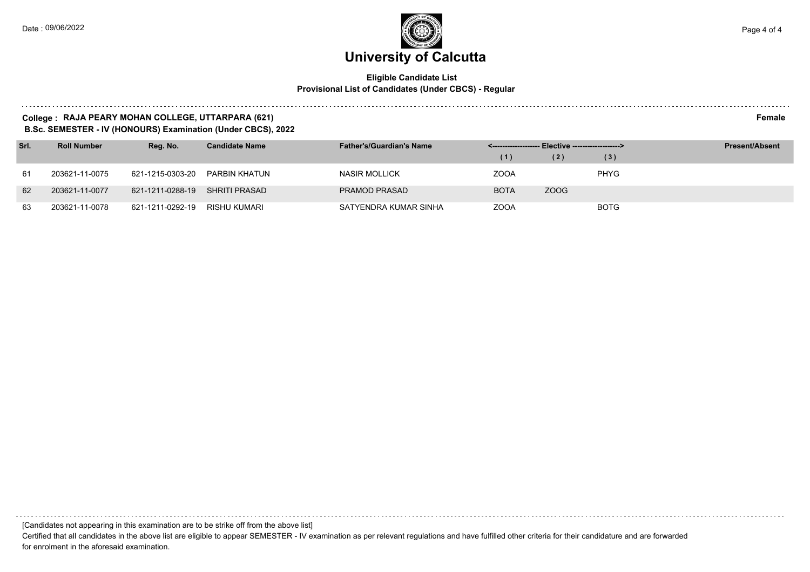### **Eligible Candidate List Provisional List of Candidates (Under CBCS) - Regular**

#### **College : RAJA PEARY MOHAN COLLEGE, UTTARPARA (621) Female**

**B.Sc. SEMESTER - IV (HONOURS) Examination (Under CBCS), 2022**

| Srl. | <b>Roll Number</b> | Reg. No.         | <b>Candidate Name</b> | <b>Father's/Guardian's Name</b> |             | <-------------------- Elective -------------------> |             | <b>Present/Absent</b> |
|------|--------------------|------------------|-----------------------|---------------------------------|-------------|-----------------------------------------------------|-------------|-----------------------|
|      |                    |                  |                       |                                 | (1)         | (2)                                                 | (3)         |                       |
| 61   | 203621-11-0075     | 621-1215-0303-20 | PARBIN KHATUN         | NASIR MOLLICK                   | <b>ZOOA</b> |                                                     | <b>PHYG</b> |                       |
| 62   | 203621-11-0077     | 621-1211-0288-19 | SHRITI PRASAD         | <b>PRAMOD PRASAD</b>            | <b>BOTA</b> | ZOOG                                                |             |                       |
| 63   | 203621-11-0078     | 621-1211-0292-19 | RISHU KUMARI          | SATYENDRA KUMAR SINHA           | <b>ZOOA</b> |                                                     | <b>BOTG</b> |                       |

[Candidates not appearing in this examination are to be strike off from the above list]

Certified that all candidates in the above list are eligible to appear SEMESTER - IV examination as per relevant regulations and have fulfilled other criteria for their candidature and are forwarded for enrolment in the aforesaid examination.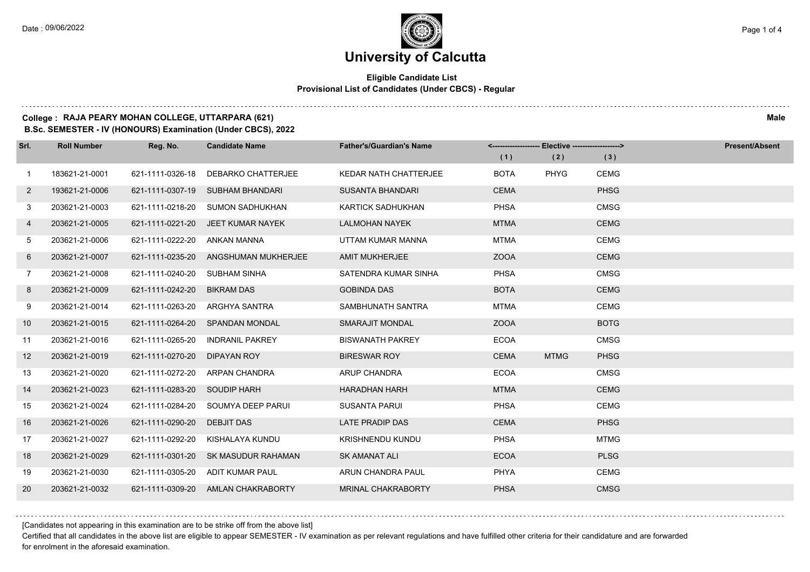$1.111$ 

### **University of Calcutta**

### **Eligible Candidate List Provisional List of Candidates (Under CBCS) - Regular**

### **College : RAJA PEARY MOHAN COLLEGE, UTTARPARA (621) Male**

**B.Sc. SEMESTER - IV (HONOURS) Examination (Under CBCS), 2022**

| Srl.         | <b>Roll Number</b> | Reg. No.         | <b>Candidate Name</b>              | <b>Father's/Guardian's Name</b> | (1)         | <-------------------- Elective -------------------><br>(2) | (3)         | <b>Present/Absent</b> |
|--------------|--------------------|------------------|------------------------------------|---------------------------------|-------------|------------------------------------------------------------|-------------|-----------------------|
| 1            | 183621-21-0001     | 621-1111-0326-18 | DEBARKO CHATTERJEE                 | <b>KEDAR NATH CHATTERJEE</b>    | <b>BOTA</b> | <b>PHYG</b>                                                | <b>CEMG</b> |                       |
| $\mathbf{2}$ | 193621-21-0006     | 621-1111-0307-19 | <b>SUBHAM BHANDARI</b>             | <b>SUSANTA BHANDARI</b>         | <b>CEMA</b> |                                                            | <b>PHSG</b> |                       |
| 3            | 203621-21-0003     |                  | 621-1111-0218-20 SUMON SADHUKHAN   | KARTICK SADHUKHAN               | <b>PHSA</b> |                                                            | <b>CMSG</b> |                       |
| 4            | 203621-21-0005     |                  | 621-1111-0221-20 JEET KUMAR NAYEK  | <b>LALMOHAN NAYEK</b>           | <b>MTMA</b> |                                                            | <b>CEMG</b> |                       |
| 5            | 203621-21-0006     | 621-1111-0222-20 | ANKAN MANNA                        | UTTAM KUMAR MANNA               | <b>MTMA</b> |                                                            | <b>CEMG</b> |                       |
| 6            | 203621-21-0007     | 621-1111-0235-20 | ANGSHUMAN MUKHERJEE                | <b>AMIT MUKHERJEE</b>           | <b>ZOOA</b> |                                                            | <b>CEMG</b> |                       |
| $\mathbf{7}$ | 203621-21-0008     | 621-1111-0240-20 | SUBHAM SINHA                       | SATENDRA KUMAR SINHA            | PHSA        |                                                            | <b>CMSG</b> |                       |
| 8            | 203621-21-0009     | 621-1111-0242-20 | <b>BIKRAM DAS</b>                  | <b>GOBINDA DAS</b>              | <b>BOTA</b> |                                                            | <b>CEMG</b> |                       |
| 9            | 203621-21-0014     | 621-1111-0263-20 | ARGHYA SANTRA                      | SAMBHUNATH SANTRA               | <b>MTMA</b> |                                                            | <b>CEMG</b> |                       |
| 10           | 203621-21-0015     | 621-1111-0264-20 | <b>SPANDAN MONDAL</b>              | <b>SMARAJIT MONDAL</b>          | <b>ZOOA</b> |                                                            | <b>BOTG</b> |                       |
| 11           | 203621-21-0016     | 621-1111-0265-20 | <b>INDRANIL PAKREY</b>             | <b>BISWANATH PAKREY</b>         | <b>ECOA</b> |                                                            | <b>CMSG</b> |                       |
| 12           | 203621-21-0019     | 621-1111-0270-20 | DIPAYAN ROY                        | <b>BIRESWAR ROY</b>             | <b>CEMA</b> | <b>MTMG</b>                                                | <b>PHSG</b> |                       |
| 13           | 203621-21-0020     | 621-1111-0272-20 | ARPAN CHANDRA                      | <b>ARUP CHANDRA</b>             | <b>ECOA</b> |                                                            | <b>CMSG</b> |                       |
| 14           | 203621-21-0023     | 621-1111-0283-20 | SOUDIP HARH                        | <b>HARADHAN HARH</b>            | <b>MTMA</b> |                                                            | <b>CEMG</b> |                       |
| 15           | 203621-21-0024     |                  | 621-1111-0284-20 SOUMYA DEEP PARUI | <b>SUSANTA PARUI</b>            | <b>PHSA</b> |                                                            | <b>CEMG</b> |                       |
| 16           | 203621-21-0026     | 621-1111-0290-20 | <b>DEBJIT DAS</b>                  | <b>LATE PRADIP DAS</b>          | <b>CEMA</b> |                                                            | <b>PHSG</b> |                       |
| 17           | 203621-21-0027     | 621-1111-0292-20 | KISHALAYA KUNDU                    | <b>KRISHNENDU KUNDU</b>         | <b>PHSA</b> |                                                            | <b>MTMG</b> |                       |
| 18           | 203621-21-0029     | 621-1111-0301-20 | SK MASUDUR RAHAMAN                 | <b>SK AMANAT ALI</b>            | <b>ECOA</b> |                                                            | <b>PLSG</b> |                       |
| 19           | 203621-21-0030     |                  | 621-1111-0305-20 ADIT KUMAR PAUL   | ARUN CHANDRA PAUL               | PHYA        |                                                            | <b>CEMG</b> |                       |
| 20           | 203621-21-0032     |                  | 621-1111-0309-20 AMLAN CHAKRABORTY | <b>MRINAL CHAKRABORTY</b>       | <b>PHSA</b> |                                                            | <b>CMSG</b> |                       |

[Candidates not appearing in this examination are to be strike off from the above list]

Certified that all candidates in the above list are eligible to appear SEMESTER - IV examination as per relevant regulations and have fulfilled other criteria for their candidature and are forwarded for enrolment in the aforesaid examination.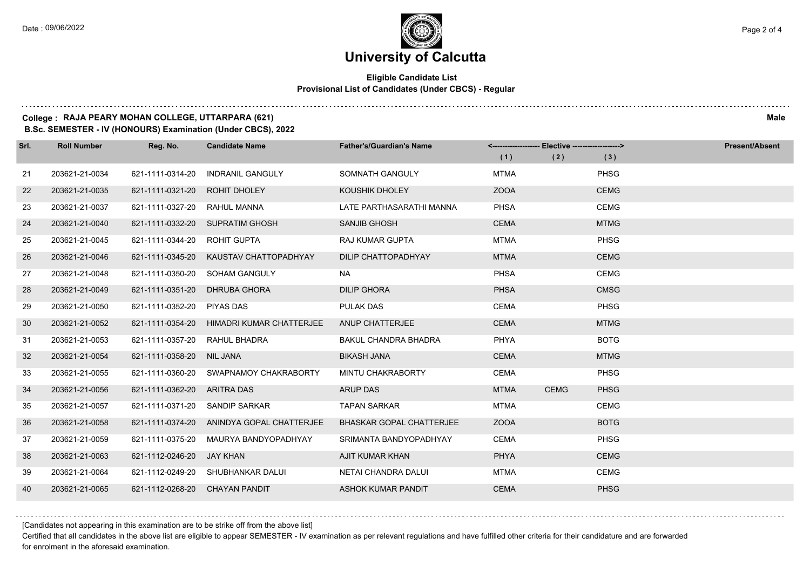### **Eligible Candidate List Provisional List of Candidates (Under CBCS) - Regular**

### **College : RAJA PEARY MOHAN COLLEGE, UTTARPARA (621) Male**

**B.Sc. SEMESTER - IV (HONOURS) Examination (Under CBCS), 2022**

| Srl. | <b>Roll Number</b> | Reg. No.                       | <b>Candidate Name</b>                     | <b>Father's/Guardian's Name</b> |             | <-------------------- Elective -------------------> |             | <b>Present/Absent</b> |
|------|--------------------|--------------------------------|-------------------------------------------|---------------------------------|-------------|-----------------------------------------------------|-------------|-----------------------|
|      |                    |                                |                                           |                                 | (1)         | (2)                                                 | (3)         |                       |
| 21   | 203621-21-0034     | 621-1111-0314-20               | <b>INDRANIL GANGULY</b>                   | SOMNATH GANGULY                 | <b>MTMA</b> |                                                     | <b>PHSG</b> |                       |
| 22   | 203621-21-0035     | 621-1111-0321-20               | <b>ROHIT DHOLEY</b>                       | <b>KOUSHIK DHOLEY</b>           | <b>ZOOA</b> |                                                     | <b>CEMG</b> |                       |
| 23   | 203621-21-0037     | 621-1111-0327-20               | RAHUL MANNA                               | LATE PARTHASARATHI MANNA        | <b>PHSA</b> |                                                     | <b>CEMG</b> |                       |
| 24   | 203621-21-0040     |                                | 621-1111-0332-20 SUPRATIM GHOSH           | <b>SANJIB GHOSH</b>             | <b>CEMA</b> |                                                     | <b>MTMG</b> |                       |
| 25   | 203621-21-0045     | 621-1111-0344-20               | ROHIT GUPTA                               | <b>RAJ KUMAR GUPTA</b>          | <b>MTMA</b> |                                                     | <b>PHSG</b> |                       |
| 26   | 203621-21-0046     | 621-1111-0345-20               | KAUSTAV CHATTOPADHYAY                     | DILIP CHATTOPADHYAY             | <b>MTMA</b> |                                                     | <b>CEMG</b> |                       |
| 27   | 203621-21-0048     |                                | 621-1111-0350-20 SOHAM GANGULY            | NA.                             | <b>PHSA</b> |                                                     | <b>CEMG</b> |                       |
| 28   | 203621-21-0049     | 621-1111-0351-20               | <b>DHRUBA GHORA</b>                       | <b>DILIP GHORA</b>              | <b>PHSA</b> |                                                     | <b>CMSG</b> |                       |
| 29   | 203621-21-0050     | 621-1111-0352-20               | PIYAS DAS                                 | <b>PULAK DAS</b>                | <b>CEMA</b> |                                                     | <b>PHSG</b> |                       |
| 30   | 203621-21-0052     | 621-1111-0354-20               | HIMADRI KUMAR CHATTERJEE                  | ANUP CHATTERJEE                 | <b>CEMA</b> |                                                     | <b>MTMG</b> |                       |
| 31   | 203621-21-0053     | 621-1111-0357-20 RAHUL BHADRA  |                                           | <b>BAKUL CHANDRA BHADRA</b>     | <b>PHYA</b> |                                                     | <b>BOTG</b> |                       |
| 32   | 203621-21-0054     | 621-1111-0358-20 NIL JANA      |                                           | <b>BIKASH JANA</b>              | <b>CEMA</b> |                                                     | <b>MTMG</b> |                       |
| 33   | 203621-21-0055     | 621-1111-0360-20               | SWAPNAMOY CHAKRABORTY                     | MINTU CHAKRABORTY               | CEMA        |                                                     | <b>PHSG</b> |                       |
| 34   | 203621-21-0056     | 621-1111-0362-20               | ARITRA DAS                                | <b>ARUP DAS</b>                 | <b>MTMA</b> | <b>CEMG</b>                                         | <b>PHSG</b> |                       |
| 35   | 203621-21-0057     | 621-1111-0371-20 SANDIP SARKAR |                                           | <b>TAPAN SARKAR</b>             | <b>MTMA</b> |                                                     | <b>CEMG</b> |                       |
| 36   | 203621-21-0058     |                                | 621-1111-0374-20 ANINDYA GOPAL CHATTERJEE | <b>BHASKAR GOPAL CHATTERJEE</b> | <b>ZOOA</b> |                                                     | <b>BOTG</b> |                       |
| 37   | 203621-21-0059     | 621-1111-0375-20               | MAURYA BANDYOPADHYAY                      | SRIMANTA BANDYOPADHYAY          | <b>CEMA</b> |                                                     | <b>PHSG</b> |                       |
| 38   | 203621-21-0063     | 621-1112-0246-20               | JAY KHAN                                  | AJIT KUMAR KHAN                 | <b>PHYA</b> |                                                     | <b>CEMG</b> |                       |
| 39   | 203621-21-0064     |                                | 621-1112-0249-20 SHUBHANKAR DALUI         | NETAI CHANDRA DALUI             | <b>MTMA</b> |                                                     | <b>CEMG</b> |                       |
| 40   | 203621-21-0065     | 621-1112-0268-20 CHAYAN PANDIT |                                           | ASHOK KUMAR PANDIT              | <b>CEMA</b> |                                                     | <b>PHSG</b> |                       |

[Candidates not appearing in this examination are to be strike off from the above list]

Certified that all candidates in the above list are eligible to appear SEMESTER - IV examination as per relevant regulations and have fulfilled other criteria for their candidature and are forwarded for enrolment in the aforesaid examination.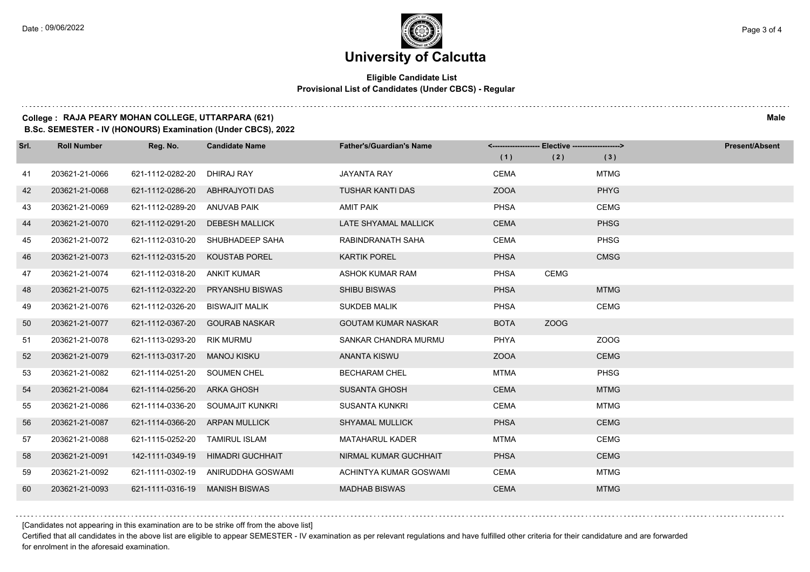### **Eligible Candidate List Provisional List of Candidates (Under CBCS) - Regular**

### **College : RAJA PEARY MOHAN COLLEGE, UTTARPARA (621) Male**

**B.Sc. SEMESTER - IV (HONOURS) Examination (Under CBCS), 2022**

| Srl. | <b>Roll Number</b> | Reg. No.         | <b>Candidate Name</b>   | <b>Father's/Guardian's Name</b> |             | <-------------------- Elective -------------------> |             | <b>Present/Absent</b> |
|------|--------------------|------------------|-------------------------|---------------------------------|-------------|-----------------------------------------------------|-------------|-----------------------|
|      |                    |                  |                         |                                 | (1)         | (2)                                                 | (3)         |                       |
| 41   | 203621-21-0066     | 621-1112-0282-20 | DHIRAJ RAY              | <b>JAYANTA RAY</b>              | <b>CEMA</b> |                                                     | <b>MTMG</b> |                       |
| 42   | 203621-21-0068     | 621-1112-0286-20 | ABHRAJYOTI DAS          | <b>TUSHAR KANTI DAS</b>         | <b>ZOOA</b> |                                                     | <b>PHYG</b> |                       |
| 43   | 203621-21-0069     | 621-1112-0289-20 | ANUVAB PAIK             | <b>AMIT PAIK</b>                | <b>PHSA</b> |                                                     | <b>CEMG</b> |                       |
| 44   | 203621-21-0070     | 621-1112-0291-20 | <b>DEBESH MALLICK</b>   | LATE SHYAMAL MALLICK            | <b>CEMA</b> |                                                     | <b>PHSG</b> |                       |
| 45   | 203621-21-0072     | 621-1112-0310-20 | SHUBHADEEP SAHA         | RABINDRANATH SAHA               | <b>CEMA</b> |                                                     | <b>PHSG</b> |                       |
| 46   | 203621-21-0073     | 621-1112-0315-20 | <b>KOUSTAB POREL</b>    | <b>KARTIK POREL</b>             | <b>PHSA</b> |                                                     | <b>CMSG</b> |                       |
| 47   | 203621-21-0074     | 621-1112-0318-20 | <b>ANKIT KUMAR</b>      | ASHOK KUMAR RAM                 | <b>PHSA</b> | <b>CEMG</b>                                         |             |                       |
| 48   | 203621-21-0075     | 621-1112-0322-20 | <b>PRYANSHU BISWAS</b>  | <b>SHIBU BISWAS</b>             | <b>PHSA</b> |                                                     | <b>MTMG</b> |                       |
| 49   | 203621-21-0076     | 621-1112-0326-20 | <b>BISWAJIT MALIK</b>   | <b>SUKDEB MALIK</b>             | <b>PHSA</b> |                                                     | <b>CEMG</b> |                       |
| 50   | 203621-21-0077     | 621-1112-0367-20 | <b>GOURAB NASKAR</b>    | <b>GOUTAM KUMAR NASKAR</b>      | <b>BOTA</b> | ZOOG                                                |             |                       |
| 51   | 203621-21-0078     | 621-1113-0293-20 | rik murmu               | SANKAR CHANDRA MURMU            | PHYA        |                                                     | ZOOG        |                       |
| 52   | 203621-21-0079     | 621-1113-0317-20 | <b>MANOJ KISKU</b>      | <b>ANANTA KISWU</b>             | <b>ZOOA</b> |                                                     | <b>CEMG</b> |                       |
| 53   | 203621-21-0082     | 621-1114-0251-20 | <b>SOUMEN CHEL</b>      | <b>BECHARAM CHEL</b>            | <b>MTMA</b> |                                                     | <b>PHSG</b> |                       |
| 54   | 203621-21-0084     | 621-1114-0256-20 | ARKA GHOSH              | <b>SUSANTA GHOSH</b>            | <b>CEMA</b> |                                                     | <b>MTMG</b> |                       |
| 55   | 203621-21-0086     | 621-1114-0336-20 | SOUMAJIT KUNKRI         | <b>SUSANTA KUNKRI</b>           | <b>CEMA</b> |                                                     | <b>MTMG</b> |                       |
| 56   | 203621-21-0087     | 621-1114-0366-20 | ARPAN MULLICK           | <b>SHYAMAL MULLICK</b>          | <b>PHSA</b> |                                                     | <b>CEMG</b> |                       |
| 57   | 203621-21-0088     | 621-1115-0252-20 | <b>TAMIRUL ISLAM</b>    | <b>MATAHARUL KADER</b>          | <b>MTMA</b> |                                                     | <b>CEMG</b> |                       |
| 58   | 203621-21-0091     | 142-1111-0349-19 | <b>HIMADRI GUCHHAIT</b> | NIRMAL KUMAR GUCHHAIT           | <b>PHSA</b> |                                                     | <b>CEMG</b> |                       |
| 59   | 203621-21-0092     | 621-1111-0302-19 | ANIRUDDHA GOSWAMI       | ACHINTYA KUMAR GOSWAMI          | <b>CEMA</b> |                                                     | <b>MTMG</b> |                       |
| 60   | 203621-21-0093     | 621-1111-0316-19 | <b>MANISH BISWAS</b>    | <b>MADHAB BISWAS</b>            | <b>CEMA</b> |                                                     | <b>MTMG</b> |                       |

[Candidates not appearing in this examination are to be strike off from the above list]

Certified that all candidates in the above list are eligible to appear SEMESTER - IV examination as per relevant regulations and have fulfilled other criteria for their candidature and are forwarded for enrolment in the aforesaid examination.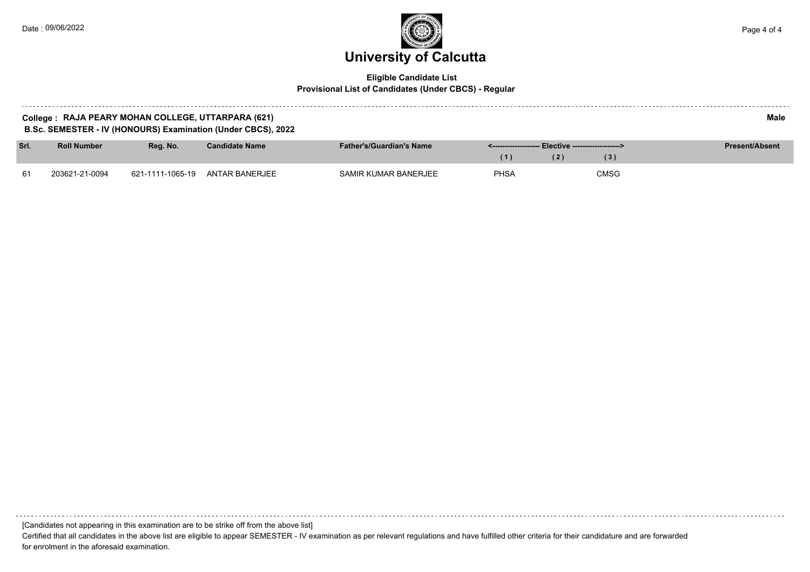a sistema

### **University of Calcutta**  Date : 09/06/2022 Page 4 of 4

#### **Eligible Candidate List Provisional List of Candidates (Under CBCS) - Regular**

| RAJA PEARY MOHAN COLLEGE, UTTARPARA (621)<br>College | Male |
|------------------------------------------------------|------|

**B.Sc. SEMESTER - IV (HONOURS) Examination (Under CBCS), 2022**

| Srl. | <b>Roll Number</b> | Rea. No.         | <b>Candidate Name</b> | <b>Father's/Guardian's Name</b> |      |      | <b>Present/Absent</b> |
|------|--------------------|------------------|-----------------------|---------------------------------|------|------|-----------------------|
|      |                    |                  |                       |                                 |      | 3)   |                       |
| -61  | 203621-21-0094     | 621-1111-1065-19 | ANTAR BANERJEE        | SAMIR KUMAR BANERJEE            | PHSA | CMSG |                       |

[Candidates not appearing in this examination are to be strike off from the above list]

Certified that all candidates in the above list are eligible to appear SEMESTER - IV examination as per relevant regulations and have fulfilled other criteria for their candidature and are forwarded for enrolment in the aforesaid examination.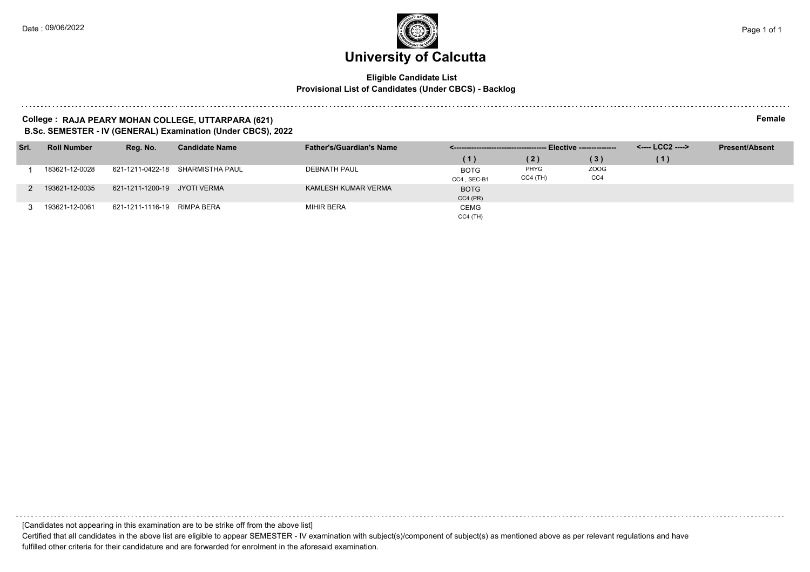#### **Eligible Candidate List Provisional List of Candidates (Under CBCS) - Backlog**

#### **College : RAJA PEARY MOHAN COLLEGE, UTTARPARA (621) Female B.Sc. SEMESTER - IV (GENERAL) Examination (Under CBCS), 2022**

| Srl. | <b>Roll Number</b> | Reg. No.                     | <b>Candidate Name</b>            | <b>Father's/Guardian's Name</b> |                            |                    |             | <---- LCC2 ----> | <b>Present/Absent</b> |
|------|--------------------|------------------------------|----------------------------------|---------------------------------|----------------------------|--------------------|-------------|------------------|-----------------------|
|      |                    |                              |                                  |                                 | (1)                        | (2)                | (3)         | (1)              |                       |
|      | 183621-12-0028     |                              | 621-1211-0422-18 SHARMISTHA PAUL | <b>DEBNATH PAUL</b>             | <b>BOTG</b><br>CC4, SEC-B1 | PHYG<br>$CC4$ (TH) | ZOOG<br>CC4 |                  |                       |
|      | 193621-12-0035     | 621-1211-1200-19 JYOTI VERMA |                                  | KAMLESH KUMAR VERMA             | <b>BOTG</b><br>$CC4$ (PR)  |                    |             |                  |                       |
|      | 193621-12-0061     | 621-1211-1116-19 RIMPA BERA  |                                  | MIHIR BERA                      | <b>CEMG</b><br>$CC4$ (TH)  |                    |             |                  |                       |

[Candidates not appearing in this examination are to be strike off from the above list]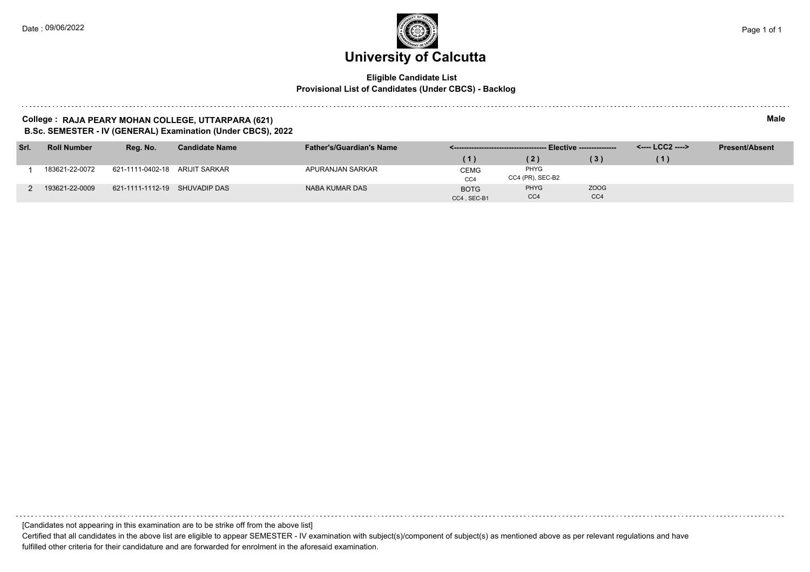#### **Eligible Candidate List Provisional List of Candidates (Under CBCS) - Backlog**

#### **College : RAJA PEARY MOHAN COLLEGE, UTTARPARA (621) Male B.Sc. SEMESTER - IV (GENERAL) Examination (Under CBCS), 2022**

| Srl. | <b>Roll Number</b> | Rea. No.                       | <b>Candidate Name</b> | <b>Father's/Guardian's Name</b> |             |                  |      | <---- LCC2 ----> | <b>Present/Absent</b> |
|------|--------------------|--------------------------------|-----------------------|---------------------------------|-------------|------------------|------|------------------|-----------------------|
|      |                    |                                |                       |                                 | (1)         | (2)              |      | - 11             |                       |
|      | 183621-22-0072     | 621-1111-0402-18 ARIJIT SARKAR |                       | APURANJAN SARKAR                | CEMG        | PHYG             |      |                  |                       |
|      |                    |                                |                       |                                 | CC4         | CC4 (PR), SEC-B2 |      |                  |                       |
|      | 193621-22-0009     | 621-1111-1112-19 SHUVADIP DAS  |                       | NABA KUMAR DAS                  | <b>BOTG</b> | <b>PHYG</b>      | ZOOG |                  |                       |
|      |                    |                                |                       |                                 | CC4, SEC-B1 | CC <sub>4</sub>  | CC4  |                  |                       |

[Candidates not appearing in this examination are to be strike off from the above list]